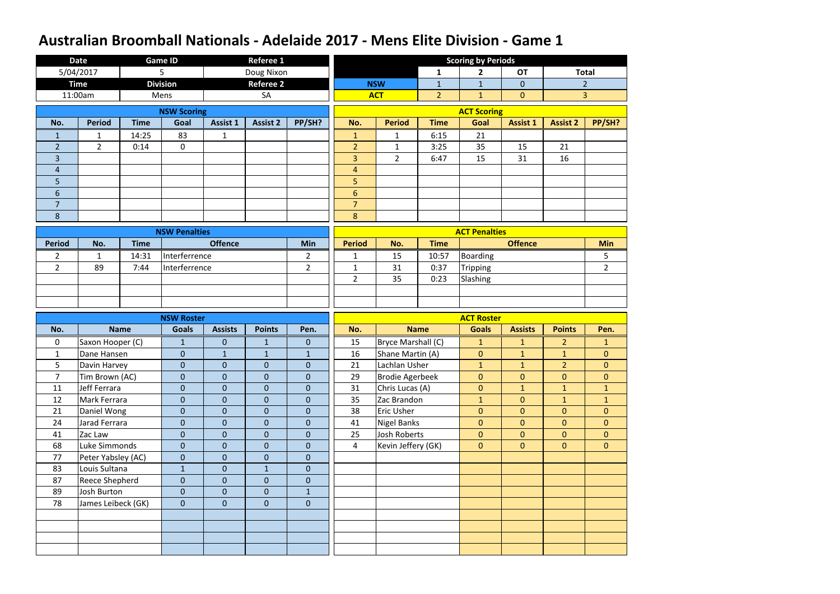|                | <b>Date</b>        |             | <b>Game ID</b>       |                  | <b>Referee 1</b> |                  |                |                        |                | <b>Scoring by Periods</b> |                 |                 |                |
|----------------|--------------------|-------------|----------------------|------------------|------------------|------------------|----------------|------------------------|----------------|---------------------------|-----------------|-----------------|----------------|
|                | 5/04/2017          |             | 5                    |                  | Doug Nixon       |                  |                |                        | $\mathbf{1}$   | $\overline{2}$            | <b>OT</b>       |                 | <b>Total</b>   |
|                | <b>Time</b>        |             | <b>Division</b>      |                  | <b>Referee 2</b> |                  |                | <b>NSW</b>             | $\mathbf{1}$   | $\mathbf{1}$              | $\overline{0}$  |                 | $\overline{2}$ |
|                | 11:00am            |             | Mens                 |                  | SA               |                  |                | <b>ACT</b>             | $\overline{2}$ | $\mathbf{1}$              | $\overline{0}$  |                 | $\overline{3}$ |
|                |                    |             | <b>NSW Scoring</b>   |                  |                  |                  |                |                        |                | <b>ACT Scoring</b>        |                 |                 |                |
| No.            | <b>Period</b>      | <b>Time</b> | Goal                 | <b>Assist 1</b>  | <b>Assist 2</b>  | PP/SH?           | No.            | <b>Period</b>          | <b>Time</b>    | Goal                      | <b>Assist 1</b> | <b>Assist 2</b> | PP/SH?         |
| $\mathbf{1}$   | 1                  | 14:25       | 83                   | $\mathbf{1}$     |                  |                  | $\mathbf{1}$   | $\mathbf{1}$           | 6:15           | 21                        |                 |                 |                |
| $\overline{2}$ | $\overline{2}$     | 0:14        | $\boldsymbol{0}$     |                  |                  |                  | $\overline{2}$ | $\mathbf 1$            | 3:25           | 35                        | 15              | 21              |                |
| $\overline{3}$ |                    |             |                      |                  |                  |                  | $\overline{3}$ | $\overline{2}$         | 6:47           | 15                        | 31              | 16              |                |
| 4              |                    |             |                      |                  |                  |                  | $\overline{4}$ |                        |                |                           |                 |                 |                |
| 5              |                    |             |                      |                  |                  |                  | 5              |                        |                |                           |                 |                 |                |
| $6\phantom{1}$ |                    |             |                      |                  |                  |                  | $6\phantom{1}$ |                        |                |                           |                 |                 |                |
| $\overline{7}$ |                    |             |                      |                  |                  |                  | $\overline{7}$ |                        |                |                           |                 |                 |                |
| 8              |                    |             |                      |                  |                  |                  | 8              |                        |                |                           |                 |                 |                |
|                |                    |             | <b>NSW Penalties</b> |                  |                  |                  |                |                        |                | <b>ACT Penalties</b>      |                 |                 |                |
| <b>Period</b>  | No.                | <b>Time</b> |                      | <b>Offence</b>   |                  | Min              | <b>Period</b>  | No.                    | <b>Time</b>    |                           | <b>Offence</b>  |                 | <b>Min</b>     |
| $\overline{2}$ | $\mathbf{1}$       | 14:31       | Interferrence        |                  |                  | $\overline{2}$   | $\mathbf{1}$   | 15                     | 10:57          | Boarding                  |                 |                 | 5              |
| $\overline{2}$ | 89                 | 7:44        | Interferrence        |                  |                  | $\overline{2}$   | $\mathbf{1}$   | 31                     | 0:37           | <b>Tripping</b>           |                 |                 | 2 <sup>1</sup> |
|                |                    |             |                      |                  |                  |                  | $\overline{2}$ | 35                     | 0:23           | Slashing                  |                 |                 |                |
|                |                    |             |                      |                  |                  |                  |                |                        |                |                           |                 |                 |                |
|                |                    |             |                      |                  |                  |                  |                |                        |                |                           |                 |                 |                |
|                |                    |             |                      |                  |                  |                  |                |                        |                |                           |                 |                 |                |
|                |                    |             | <b>NSW Roster</b>    |                  |                  |                  |                |                        |                | <b>ACT Roster</b>         |                 |                 |                |
| No.            |                    | <b>Name</b> | <b>Goals</b>         | <b>Assists</b>   | <b>Points</b>    | Pen.             | No.            |                        | <b>Name</b>    | <b>Goals</b>              | <b>Assists</b>  | <b>Points</b>   | Pen.           |
| $\mathbf 0$    | Saxon Hooper (C)   |             | $\mathbf{1}$         | $\boldsymbol{0}$ | $\mathbf{1}$     | $\mathbf{0}$     | 15             | Bryce Marshall (C)     |                | $\mathbf{1}$              | $\mathbf{1}$    | $\overline{2}$  | $\mathbf{1}$   |
| $\mathbf{1}$   | Dane Hansen        |             | $\theta$             | $\mathbf{1}$     | $\mathbf{1}$     | $\mathbf{1}$     | 16             | Shane Martin (A)       |                | $\boldsymbol{0}$          | $\mathbf{1}$    | $\mathbf{1}$    | $\mathbf{0}$   |
| 5              | Davin Harvey       |             | $\mathbf 0$          | $\mathbf{0}$     | $\mathbf 0$      | $\theta$         | 21             | Lachlan Usher          |                | $\mathbf{1}$              | $\mathbf{1}$    | $\overline{2}$  | $\overline{0}$ |
| $\overline{7}$ | Tim Brown (AC)     |             | $\overline{0}$       | $\overline{0}$   | $\overline{0}$   | $\overline{0}$   | 29             | <b>Brodie Agerbeek</b> |                | $\mathbf{0}$              | $\mathbf{0}$    | $\mathbf{0}$    | $\mathbf{0}$   |
| 11             | Jeff Ferrara       |             | $\pmb{0}$            | $\overline{0}$   | $\mathbf{0}$     | $\boldsymbol{0}$ | 31             | Chris Lucas (A)        |                | $\mathbf 0$               | $\mathbf{1}$    | $\mathbf{1}$    | $\mathbf{1}$   |
| 12             | Mark Ferrara       |             | $\pmb{0}$            | $\mathbf{0}$     | $\boldsymbol{0}$ | $\overline{0}$   | 35             | Zac Brandon            |                | $\mathbf{1}$              | $\mathbf{0}$    | $\mathbf{1}$    | $\mathbf{1}$   |
| 21             | Daniel Wong        |             | $\mathbf{0}$         | $\overline{0}$   | $\boldsymbol{0}$ | $\overline{0}$   | 38             | <b>Eric Usher</b>      |                | $\overline{0}$            | $\overline{0}$  | $\overline{0}$  | $\overline{0}$ |
| 24             | Jarad Ferrara      |             | $\pmb{0}$            | $\mathbf{0}$     | $\boldsymbol{0}$ | $\boldsymbol{0}$ | 41             | <b>Nigel Banks</b>     |                | $\pmb{0}$                 | $\mathbf{0}$    | $\overline{0}$  | $\overline{0}$ |
| 41             | Zac Law            |             | $\mathbf{0}$         | $\overline{0}$   | $\boldsymbol{0}$ | $\boldsymbol{0}$ | 25             | Josh Roberts           |                | $\overline{0}$            | $\mathbf{0}$    | $\overline{0}$  | $\overline{0}$ |
| 68             | Luke Simmonds      |             | $\mathbf{0}$         | $\overline{0}$   | $\overline{0}$   | $\mathbf{0}$     | $\overline{4}$ | Kevin Jeffery (GK)     |                | $\overline{0}$            | $\overline{0}$  | $\overline{0}$  | $\overline{0}$ |
| 77             | Peter Yabsley (AC) |             | $\pmb{0}$            | $\overline{0}$   | $\boldsymbol{0}$ | $\boldsymbol{0}$ |                |                        |                |                           |                 |                 |                |
| 83             | Louis Sultana      |             | $\mathbf{1}$         | $\mathbf{0}$     | $\mathbf{1}$     | $\boldsymbol{0}$ |                |                        |                |                           |                 |                 |                |
| 87             | Reece Shepherd     |             | $\pmb{0}$            | $\overline{0}$   | $\mathbf{0}$     | $\boldsymbol{0}$ |                |                        |                |                           |                 |                 |                |
| 89             | <b>Josh Burton</b> |             | $\mathbf{0}$         | $\overline{0}$   | $\boldsymbol{0}$ | $\mathbf{1}$     |                |                        |                |                           |                 |                 |                |
| 78             | James Leibeck (GK) |             | $\mathbf{0}$         | $\overline{0}$   | $\mathbf{0}$     | $\boldsymbol{0}$ |                |                        |                |                           |                 |                 |                |
|                |                    |             |                      |                  |                  |                  |                |                        |                |                           |                 |                 |                |
|                |                    |             |                      |                  |                  |                  |                |                        |                |                           |                 |                 |                |
|                |                    |             |                      |                  |                  |                  |                |                        |                |                           |                 |                 |                |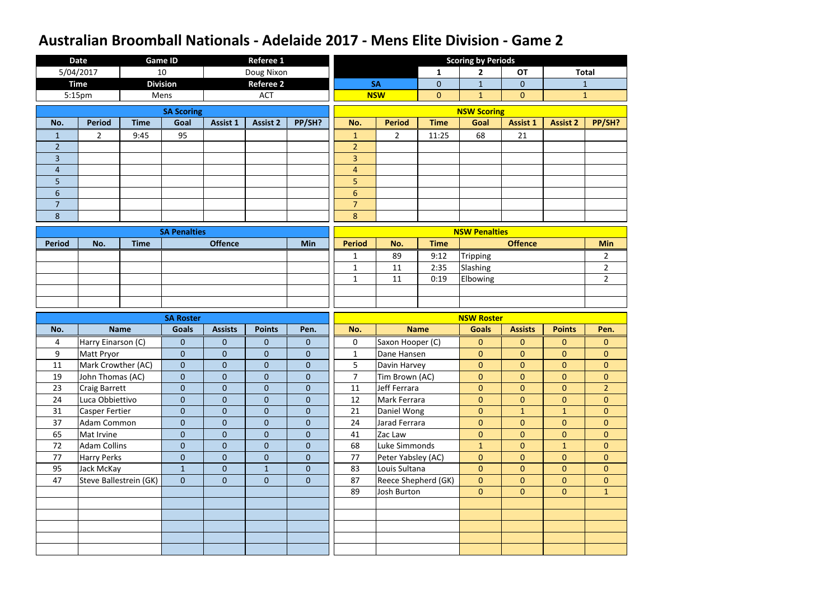|                | <b>Date</b>           |                        | <b>Game ID</b>      |                 | <b>Referee 1</b> |                  |                |                     |                | <b>Scoring by Periods</b> |                  |                 |                |
|----------------|-----------------------|------------------------|---------------------|-----------------|------------------|------------------|----------------|---------------------|----------------|---------------------------|------------------|-----------------|----------------|
|                | 5/04/2017             |                        | 10                  |                 | Doug Nixon       |                  |                |                     | $\mathbf{1}$   | $\overline{2}$            | <b>OT</b>        |                 | <b>Total</b>   |
|                | <b>Time</b>           |                        | <b>Division</b>     |                 | <b>Referee 2</b> |                  |                | <b>SA</b>           | $\overline{0}$ | $\mathbf{1}$              | $\overline{0}$   |                 | $\mathbf{1}$   |
|                | 5:15pm                |                        | Mens                |                 | <b>ACT</b>       |                  |                | <b>NSW</b>          | $\mathbf{0}$   | $\mathbf{1}$              | $\overline{0}$   |                 | $\mathbf{1}$   |
|                |                       |                        | <b>SA Scoring</b>   |                 |                  |                  |                |                     |                | <b>NSW Scoring</b>        |                  |                 |                |
| No.            | <b>Period</b>         | <b>Time</b>            | Goal                | <b>Assist 1</b> | <b>Assist 2</b>  | PP/SH?           | No.            | <b>Period</b>       | <b>Time</b>    | Goal                      | <b>Assist 1</b>  | <b>Assist 2</b> | PP/SH?         |
| $\mathbf{1}$   | $\overline{2}$        | 9:45                   | 95                  |                 |                  |                  | $\mathbf{1}$   | $\overline{2}$      | 11:25          | 68                        | 21               |                 |                |
| $\overline{2}$ |                       |                        |                     |                 |                  |                  | $\overline{2}$ |                     |                |                           |                  |                 |                |
| $\overline{3}$ |                       |                        |                     |                 |                  |                  | 3              |                     |                |                           |                  |                 |                |
| 4              |                       |                        |                     |                 |                  |                  | $\overline{4}$ |                     |                |                           |                  |                 |                |
| 5              |                       |                        |                     |                 |                  |                  | 5              |                     |                |                           |                  |                 |                |
| $6\phantom{1}$ |                       |                        |                     |                 |                  |                  | $6\phantom{1}$ |                     |                |                           |                  |                 |                |
| $\overline{7}$ |                       |                        |                     |                 |                  |                  | $\overline{7}$ |                     |                |                           |                  |                 |                |
| 8              |                       |                        |                     |                 |                  |                  | 8              |                     |                |                           |                  |                 |                |
|                |                       |                        | <b>SA Penalties</b> |                 |                  |                  |                |                     |                | <b>NSW Penalties</b>      |                  |                 |                |
| <b>Period</b>  | No.                   | <b>Time</b>            |                     | <b>Offence</b>  |                  | Min              | <b>Period</b>  | No.                 | <b>Time</b>    |                           | <b>Offence</b>   |                 | <b>Min</b>     |
|                |                       |                        |                     |                 |                  |                  | $\mathbf{1}$   | 89                  | 9:12           | Tripping                  |                  |                 | $\overline{2}$ |
|                |                       |                        |                     |                 |                  |                  | $\mathbf{1}$   | 11                  | 2:35           | Slashing                  |                  |                 | $\overline{2}$ |
|                |                       |                        |                     |                 |                  |                  | $\mathbf{1}$   | 11                  | 0:19           | Elbowing                  |                  |                 | $\overline{2}$ |
|                |                       |                        |                     |                 |                  |                  |                |                     |                |                           |                  |                 |                |
|                |                       |                        |                     |                 |                  |                  |                |                     |                |                           |                  |                 |                |
|                |                       |                        |                     |                 |                  |                  |                |                     |                |                           |                  |                 |                |
|                |                       |                        | <b>SA Roster</b>    |                 |                  |                  |                |                     |                | <b>NSW Roster</b>         |                  |                 |                |
| No.            |                       | <b>Name</b>            | <b>Goals</b>        | <b>Assists</b>  | <b>Points</b>    | Pen.             | No.            |                     | <b>Name</b>    | <b>Goals</b>              | <b>Assists</b>   | <b>Points</b>   | Pen.           |
| 4              | Harry Einarson (C)    |                        | $\overline{0}$      | $\mathbf{0}$    | $\mathbf{0}$     | $\mathbf{0}$     | $\mathbf 0$    | Saxon Hooper (C)    |                | $\overline{0}$            | $\overline{0}$   | $\mathbf{0}$    | $\overline{0}$ |
| 9              | Matt Pryor            |                        | $\mathbf{0}$        | $\mathbf{0}$    | $\boldsymbol{0}$ | $\boldsymbol{0}$ | $\mathbf{1}$   | Dane Hansen         |                | $\boldsymbol{0}$          | $\mathbf{0}$     | $\mathbf{0}$    | $\mathbf{0}$   |
| 11             | Mark Crowther (AC)    |                        | $\mathbf 0$         | $\mathbf{0}$    | $\mathbf 0$      | $\mathbf 0$      | 5              | Davin Harvey        |                | $\overline{0}$            | $\mathbf{0}$     | $\mathbf{0}$    | $\overline{0}$ |
| 19             | John Thomas (AC)      |                        | $\mathbf{0}$        | $\mathbf{0}$    | $\boldsymbol{0}$ | $\overline{0}$   | $\overline{7}$ | Tim Brown (AC)      |                | $\mathbf 0$               | $\mathbf{0}$     | $\mathbf{0}$    | $\overline{0}$ |
| 23             | <b>Craig Barrett</b>  |                        | $\boldsymbol{0}$    | $\mathbf{0}$    | $\boldsymbol{0}$ | $\boldsymbol{0}$ | 11             | Jeff Ferrara        |                | $\overline{0}$            | $\overline{0}$   | $\overline{0}$  | 2 <sup>1</sup> |
| 24             | Luca Obbiettivo       |                        | $\overline{0}$      | $\overline{0}$  | $\boldsymbol{0}$ | $\mathbf{0}$     | 12             | Mark Ferrara        |                | $\overline{0}$            | $\overline{0}$   | $\mathbf{0}$    | $\overline{0}$ |
| 31             | <b>Casper Fertier</b> |                        | $\overline{0}$      | $\overline{0}$  | $\mathbf{0}$     | $\overline{0}$   | 21             | Daniel Wong         |                | $\mathbf{0}$              | $\mathbf{1}$     | $\mathbf{1}$    | $\overline{0}$ |
| 37             | <b>Adam Common</b>    |                        | $\boldsymbol{0}$    | $\mathbf 0$     | $\boldsymbol{0}$ | $\pmb{0}$        | 24             | Jarad Ferrara       |                | $\overline{0}$            | $\boldsymbol{0}$ | $\overline{0}$  | $\overline{0}$ |
| 65             | Mat Irvine            |                        | $\boldsymbol{0}$    | $\mathbf{0}$    | $\boldsymbol{0}$ | $\overline{0}$   | 41             | Zac Law             |                | $\overline{0}$            | $\mathbf{0}$     | $\mathbf{0}$    | $\overline{0}$ |
| 72             | <b>Adam Collins</b>   |                        | $\boldsymbol{0}$    | $\mathbf{0}$    | $\mathbf{0}$     | $\mathbf{0}$     | 68             | Luke Simmonds       |                | $\mathbf{1}$              | $\overline{0}$   | $\mathbf{1}$    | $\overline{0}$ |
| 77             | <b>Harry Perks</b>    |                        | $\boldsymbol{0}$    | $\mathbf{0}$    | $\boldsymbol{0}$ | $\boldsymbol{0}$ | 77             | Peter Yabsley (AC)  |                | $\pmb{0}$                 | $\mathbf{0}$     | $\mathbf{0}$    | $\overline{0}$ |
| 95             | Jack McKay            |                        | $\mathbf{1}$        | $\overline{0}$  | $\mathbf{1}$     | $\overline{0}$   | 83             | Louis Sultana       |                | $\overline{0}$            | $\mathbf{0}$     | $\overline{0}$  | $\overline{0}$ |
| 47             |                       | Steve Ballestrein (GK) | $\overline{0}$      | $\mathbf{0}$    | $\overline{0}$   | $\mathbf{0}$     | 87             | Reece Shepherd (GK) |                | $\overline{0}$            | $\overline{0}$   | $\overline{0}$  | $\overline{0}$ |
|                |                       |                        |                     |                 |                  |                  | 89             | Josh Burton         |                | $\overline{0}$            | $\boldsymbol{0}$ | $\overline{0}$  | 1              |
|                |                       |                        |                     |                 |                  |                  |                |                     |                |                           |                  |                 |                |
|                |                       |                        |                     |                 |                  |                  |                |                     |                |                           |                  |                 |                |
|                |                       |                        |                     |                 |                  |                  |                |                     |                |                           |                  |                 |                |
|                |                       |                        |                     |                 |                  |                  |                |                     |                |                           |                  |                 |                |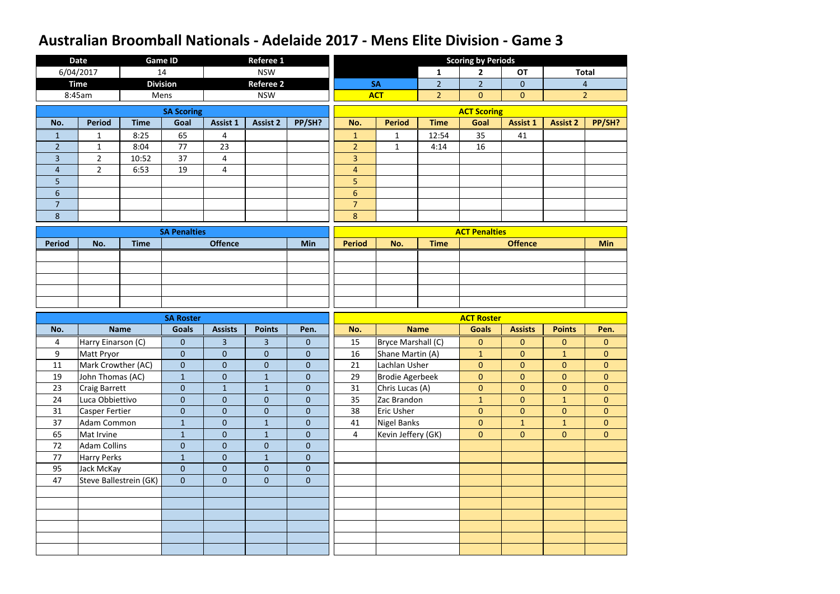|                | <b>Date</b>           |                        | <b>Game ID</b>      |                 | <b>Referee 1</b> |                  |                |                        |                | <b>Scoring by Periods</b> |                  |                 |                |
|----------------|-----------------------|------------------------|---------------------|-----------------|------------------|------------------|----------------|------------------------|----------------|---------------------------|------------------|-----------------|----------------|
|                | 6/04/2017             |                        | 14                  |                 | <b>NSW</b>       |                  |                |                        | $\mathbf{1}$   | $\overline{2}$            | <b>OT</b>        |                 | <b>Total</b>   |
|                | <b>Time</b>           |                        | <b>Division</b>     |                 | <b>Referee 2</b> |                  |                | <b>SA</b>              | $\overline{2}$ | 2 <sup>2</sup>            | $\overline{0}$   |                 | $\overline{4}$ |
|                | 8:45am                |                        | Mens                |                 | <b>NSW</b>       |                  |                | <b>ACT</b>             | 2 <sup>2</sup> | $\overline{0}$            | $\overline{0}$   |                 | $\overline{2}$ |
|                |                       |                        | <b>SA Scoring</b>   |                 |                  |                  |                |                        |                | <b>ACT Scoring</b>        |                  |                 |                |
| No.            | <b>Period</b>         | <b>Time</b>            | Goal                | <b>Assist 1</b> | <b>Assist 2</b>  | PP/SH?           | No.            | <b>Period</b>          | <b>Time</b>    | Goal                      | <b>Assist 1</b>  | <b>Assist 2</b> | PP/SH?         |
| $\mathbf{1}$   | $\mathbf{1}$          | 8:25                   | 65                  | $\overline{4}$  |                  |                  | $\mathbf{1}$   | $\mathbf{1}$           | 12:54          | 35                        | 41               |                 |                |
| $\overline{2}$ | $\mathbf{1}$          | 8:04                   | 77                  | 23              |                  |                  | $\overline{2}$ | $\mathbf{1}$           | 4:14           | 16                        |                  |                 |                |
| 3              | $\overline{2}$        | 10:52                  | 37                  | 4               |                  |                  | $\overline{3}$ |                        |                |                           |                  |                 |                |
| $\overline{4}$ | $\overline{2}$        | 6:53                   | 19                  | $\overline{4}$  |                  |                  | $\overline{4}$ |                        |                |                           |                  |                 |                |
| 5              |                       |                        |                     |                 |                  |                  | 5              |                        |                |                           |                  |                 |                |
| $6\phantom{1}$ |                       |                        |                     |                 |                  |                  | $6\phantom{1}$ |                        |                |                           |                  |                 |                |
| $\overline{7}$ |                       |                        |                     |                 |                  |                  | $\overline{7}$ |                        |                |                           |                  |                 |                |
| 8              |                       |                        |                     |                 |                  |                  | 8              |                        |                |                           |                  |                 |                |
|                |                       |                        | <b>SA Penalties</b> |                 |                  |                  |                |                        |                | <b>ACT Penalties</b>      |                  |                 |                |
| <b>Period</b>  | No.                   | <b>Time</b>            |                     | <b>Offence</b>  |                  | <b>Min</b>       | <b>Period</b>  | No.                    | <b>Time</b>    |                           | <b>Offence</b>   |                 | <b>Min</b>     |
|                |                       |                        |                     |                 |                  |                  |                |                        |                |                           |                  |                 |                |
|                |                       |                        |                     |                 |                  |                  |                |                        |                |                           |                  |                 |                |
|                |                       |                        |                     |                 |                  |                  |                |                        |                |                           |                  |                 |                |
|                |                       |                        |                     |                 |                  |                  |                |                        |                |                           |                  |                 |                |
|                |                       |                        |                     |                 |                  |                  |                |                        |                |                           |                  |                 |                |
|                |                       |                        |                     |                 |                  |                  |                |                        |                |                           |                  |                 |                |
|                |                       |                        | <b>SA Roster</b>    |                 |                  |                  |                |                        |                | <b>ACT Roster</b>         |                  |                 |                |
| No.            |                       | <b>Name</b>            | <b>Goals</b>        | <b>Assists</b>  | <b>Points</b>    | Pen.             | No.            |                        | <b>Name</b>    | <b>Goals</b>              | <b>Assists</b>   | <b>Points</b>   | Pen.           |
| 4              | Harry Einarson (C)    |                        | $\mathbf{0}$        | $\overline{3}$  | $\overline{3}$   | $\mathbf{0}$     | 15             | Bryce Marshall (C)     |                | $\mathbf{O}$              | $\overline{0}$   | $\mathbf{0}$    | $\overline{0}$ |
| 9              | Matt Pryor            |                        | $\theta$            | $\mathbf{0}$    | $\pmb{0}$        | $\mathbf{0}$     | 16             | Shane Martin (A)       |                | $\mathbf{1}$              | $\boldsymbol{0}$ | $\mathbf{1}$    | $\mathbf{0}$   |
| 11             | Mark Crowther (AC)    |                        | $\mathbf{0}$        | $\mathbf{0}$    | $\mathbf 0$      | $\mathbf 0$      | 21             | Lachlan Usher          |                | $\overline{0}$            | $\mathbf{0}$     | $\mathbf{0}$    | $\overline{0}$ |
| 19             | John Thomas (AC)      |                        | $\mathbf{1}$        | $\mathbf{0}$    | $\mathbf{1}$     | $\mathbf{0}$     | 29             | <b>Brodie Agerbeek</b> |                | $\mathbf{0}$              | $\mathbf{0}$     | $\mathbf{0}$    | $\mathbf{0}$   |
| 23             | <b>Craig Barrett</b>  |                        | $\pmb{0}$           | $\mathbf{1}$    | $\mathbf{1}$     | $\boldsymbol{0}$ | 31             | Chris Lucas (A)        |                | $\mathbf 0$               | $\mathbf{0}$     | $\overline{0}$  | $\overline{0}$ |
| 24             | Luca Obbiettivo       |                        | $\pmb{0}$           | $\overline{0}$  | $\boldsymbol{0}$ | $\mathbf{0}$     | 35             | Zac Brandon            |                | $\mathbf{1}$              | $\overline{0}$   | $\mathbf{1}$    | $\overline{0}$ |
| 31             | <b>Casper Fertier</b> |                        | $\mathbf{0}$        | $\overline{0}$  | $\boldsymbol{0}$ | $\overline{0}$   | 38             | <b>Eric Usher</b>      |                | $\mathbf{0}$              | $\mathbf{0}$     | $\overline{0}$  | $\overline{0}$ |
| 37             | <b>Adam Common</b>    |                        | $\mathbf 1$         | $\overline{0}$  | $1\,$            | $\pmb{0}$        | 41             | Nigel Banks            |                | $\overline{0}$            | $\mathbf{1}$     | $\mathbf{1}$    | $\overline{0}$ |
| 65             | Mat Irvine            |                        | $\mathbf{1}$        | $\overline{0}$  | $\mathbf{1}$     | $\overline{0}$   | $\overline{4}$ | Kevin Jeffery (GK)     |                | $\mathbf{0}$              | $\mathbf{0}$     | $\overline{0}$  | $\overline{0}$ |
| 72             | <b>Adam Collins</b>   |                        | $\mathbf{0}$        | $\overline{0}$  | $\boldsymbol{0}$ | $\boldsymbol{0}$ |                |                        |                |                           |                  |                 |                |
| 77             | <b>Harry Perks</b>    |                        | $1\,$               | $\overline{0}$  | $\mathbf{1}$     | $\boldsymbol{0}$ |                |                        |                |                           |                  |                 |                |
| 95             | Jack McKay            |                        | $\mathbf 0$         | $\overline{0}$  | $\boldsymbol{0}$ | $\overline{0}$   |                |                        |                |                           |                  |                 |                |
| 47             |                       | Steve Ballestrein (GK) | $\mathbf{0}$        | $\overline{0}$  | $\boldsymbol{0}$ | $\boldsymbol{0}$ |                |                        |                |                           |                  |                 |                |
|                |                       |                        |                     |                 |                  |                  |                |                        |                |                           |                  |                 |                |
|                |                       |                        |                     |                 |                  |                  |                |                        |                |                           |                  |                 |                |
|                |                       |                        |                     |                 |                  |                  |                |                        |                |                           |                  |                 |                |
|                |                       |                        |                     |                 |                  |                  |                |                        |                |                           |                  |                 |                |
|                |                       |                        |                     |                 |                  |                  |                |                        |                |                           |                  |                 |                |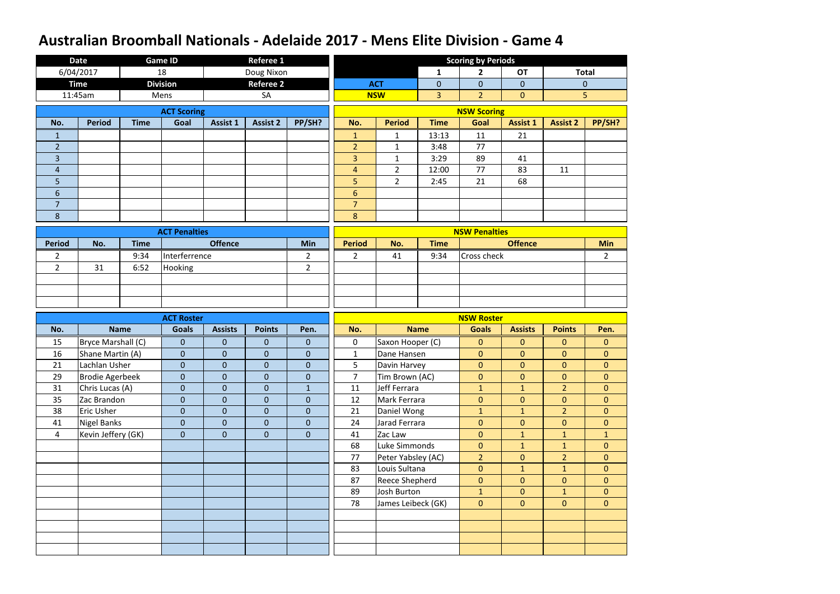|                | <b>Date</b>            |             | <b>Game ID</b>       |                 | <b>Referee 1</b> |                  |                |                       |                | <b>Scoring by Periods</b> |                  |                 |                  |
|----------------|------------------------|-------------|----------------------|-----------------|------------------|------------------|----------------|-----------------------|----------------|---------------------------|------------------|-----------------|------------------|
|                | 6/04/2017              |             | 18                   |                 | Doug Nixon       |                  |                |                       | $\mathbf{1}$   | $\mathbf{2}$              | <b>OT</b>        |                 | <b>Total</b>     |
|                | <b>Time</b>            |             | <b>Division</b>      |                 | Referee 2        |                  |                | <b>ACT</b>            | $\overline{0}$ | $\overline{0}$            | $\mathbf{0}$     |                 | $\overline{0}$   |
|                | 11:45am                |             | Mens                 |                 | SA               |                  |                | <b>NSW</b>            | 3 <sup>1</sup> | $\overline{2}$            | $\mathbf{0}$     |                 | 5                |
|                |                        |             | <b>ACT Scoring</b>   |                 |                  |                  |                |                       |                | <b>NSW Scoring</b>        |                  |                 |                  |
| No.            | <b>Period</b>          | <b>Time</b> | Goal                 | <b>Assist 1</b> | <b>Assist 2</b>  | PP/SH?           | No.            | <b>Period</b>         | <b>Time</b>    | Goal                      | <b>Assist 1</b>  | <b>Assist 2</b> | PP/SH?           |
| 1              |                        |             |                      |                 |                  |                  | $\mathbf{1}$   | 1                     | 13:13          | 11                        | 21               |                 |                  |
| $\overline{2}$ |                        |             |                      |                 |                  |                  | $\overline{2}$ | $\mathbf{1}$          | 3:48           | 77                        |                  |                 |                  |
| $\overline{3}$ |                        |             |                      |                 |                  |                  | $\overline{3}$ | $\mathbf{1}$          | 3:29           | 89                        | 41               |                 |                  |
| $\overline{4}$ |                        |             |                      |                 |                  |                  | $\overline{4}$ | $\overline{2}$        | 12:00          | 77                        | 83               | 11              |                  |
| 5              |                        |             |                      |                 |                  |                  | 5              | $\overline{2}$        | 2:45           | 21                        | 68               |                 |                  |
| 6              |                        |             |                      |                 |                  |                  | $6\phantom{1}$ |                       |                |                           |                  |                 |                  |
| $\overline{7}$ |                        |             |                      |                 |                  |                  | $\overline{7}$ |                       |                |                           |                  |                 |                  |
| $\overline{8}$ |                        |             |                      |                 |                  |                  | 8              |                       |                |                           |                  |                 |                  |
|                |                        |             | <b>ACT Penalties</b> |                 |                  |                  |                |                       |                | <b>NSW Penalties</b>      |                  |                 |                  |
| <b>Period</b>  | No.                    | <b>Time</b> |                      | <b>Offence</b>  |                  | <b>Min</b>       | <b>Period</b>  | No.                   | <b>Time</b>    |                           | <b>Offence</b>   |                 | <b>Min</b>       |
| $\overline{2}$ |                        | 9:34        | Interferrence        |                 |                  | $\overline{2}$   | $2^{\circ}$    | 41                    | 9:34           | Cross check               |                  |                 | $\overline{2}$   |
| $2^{\circ}$    | 31                     | 6:52        | Hooking              |                 |                  | $\overline{2}$   |                |                       |                |                           |                  |                 |                  |
|                |                        |             |                      |                 |                  |                  |                |                       |                |                           |                  |                 |                  |
|                |                        |             |                      |                 |                  |                  |                |                       |                |                           |                  |                 |                  |
|                |                        |             |                      |                 |                  |                  |                |                       |                |                           |                  |                 |                  |
|                |                        |             |                      |                 |                  |                  |                |                       |                |                           |                  |                 |                  |
|                |                        |             | <b>ACT Roster</b>    |                 |                  |                  |                |                       |                | <b>NSW Roster</b>         |                  |                 |                  |
| No.            |                        | <b>Name</b> | <b>Goals</b>         | <b>Assists</b>  | <b>Points</b>    | Pen.             | No.            |                       | <b>Name</b>    | <b>Goals</b>              | <b>Assists</b>   | <b>Points</b>   | Pen.             |
| 15             | Bryce Marshall (C)     |             | $\overline{0}$       | $\mathbf{0}$    | $\overline{0}$   | $\mathbf{0}$     | 0              | Saxon Hooper (C)      |                | $\mathbf{0}$              | $\mathbf{0}$     | $\mathbf{0}$    | $\mathbf{0}$     |
| 16             | Shane Martin (A)       |             | $\mathbf 0$          | $\overline{0}$  | $\overline{0}$   | $\boldsymbol{0}$ | $\mathbf{1}$   | Dane Hansen           |                | $\boldsymbol{0}$          | $\boldsymbol{0}$ | $\mathbf{0}$    | $\boldsymbol{0}$ |
| 21             | Lachlan Usher          |             | $\mathbf 0$          | $\overline{0}$  | $\overline{0}$   | $\mathbf{0}$     | 5              | Davin Harvey          |                | $\overline{0}$            | $\mathbf{0}$     | $\mathbf{0}$    | $\mathbf{0}$     |
| 29             | <b>Brodie Agerbeek</b> |             | $\mathbf{0}$         | $\overline{0}$  | $\overline{0}$   | $\mathbf{0}$     | $\overline{7}$ | Tim Brown (AC)        |                | $\mathbf{O}$              | $\overline{0}$   | $\overline{0}$  | $\mathbf{0}$     |
| 31             | Chris Lucas (A)        |             | $\overline{0}$       | $\overline{0}$  | $\boldsymbol{0}$ | $1\,$            | 11             | Jeff Ferrara          |                | $\mathbf{1}$              | $\mathbf{1}$     | $\overline{2}$  | $\overline{0}$   |
| 35             | Zac Brandon            |             | $\overline{0}$       | $\overline{0}$  | $\boldsymbol{0}$ | $\mathbf{0}$     | 12             | Mark Ferrara          |                | $\overline{0}$            | $\overline{0}$   | $\overline{0}$  | $\overline{0}$   |
| 38             | Eric Usher             |             | $\overline{0}$       | $\overline{0}$  | $\mathbf{0}$     | $\mathbf{0}$     | 21             | Daniel Wong           |                | 1                         | $\mathbf{1}$     | 2 <sup>1</sup>  | $\overline{0}$   |
| 41             | <b>Nigel Banks</b>     |             | $\overline{0}$       | $\overline{0}$  | $\boldsymbol{0}$ | $\pmb{0}$        | 24             | Jarad Ferrara         |                | $\boldsymbol{0}$          | $\overline{0}$   | $\overline{0}$  | $\overline{0}$   |
| $\overline{4}$ | Kevin Jeffery (GK)     |             | $\overline{0}$       | $\overline{0}$  | $\mathbf{0}$     | $\mathbf 0$      | 41             | Zac Law               |                | $\boldsymbol{0}$          | $\mathbf{1}$     | $\mathbf{1}$    | $\mathbf{1}$     |
|                |                        |             |                      |                 |                  |                  | 68             | Luke Simmonds         |                | $\overline{0}$            | $\mathbf{1}$     | $\mathbf{1}$    | $\mathbf{0}$     |
|                |                        |             |                      |                 |                  |                  | 77             | Peter Yabsley (AC)    |                | 2 <sup>1</sup>            | $\overline{0}$   | 2 <sup>1</sup>  | $\overline{0}$   |
|                |                        |             |                      |                 |                  |                  | 83             | Louis Sultana         |                | $\overline{0}$            | $\mathbf{1}$     | $\mathbf{1}$    | $\overline{0}$   |
|                |                        |             |                      |                 |                  |                  | 87             | <b>Reece Shepherd</b> |                | $\overline{0}$            | $\overline{0}$   | $\overline{0}$  | $\overline{0}$   |
|                |                        |             |                      |                 |                  |                  | 89             | Josh Burton           |                | 1                         | $\overline{0}$   | $\mathbf{1}$    | $\overline{0}$   |
|                |                        |             |                      |                 |                  |                  | 78             | James Leibeck (GK)    |                | $\overline{0}$            | $\overline{0}$   | $\overline{0}$  | $\overline{0}$   |
|                |                        |             |                      |                 |                  |                  |                |                       |                |                           |                  |                 |                  |
|                |                        |             |                      |                 |                  |                  |                |                       |                |                           |                  |                 |                  |
|                |                        |             |                      |                 |                  |                  |                |                       |                |                           |                  |                 |                  |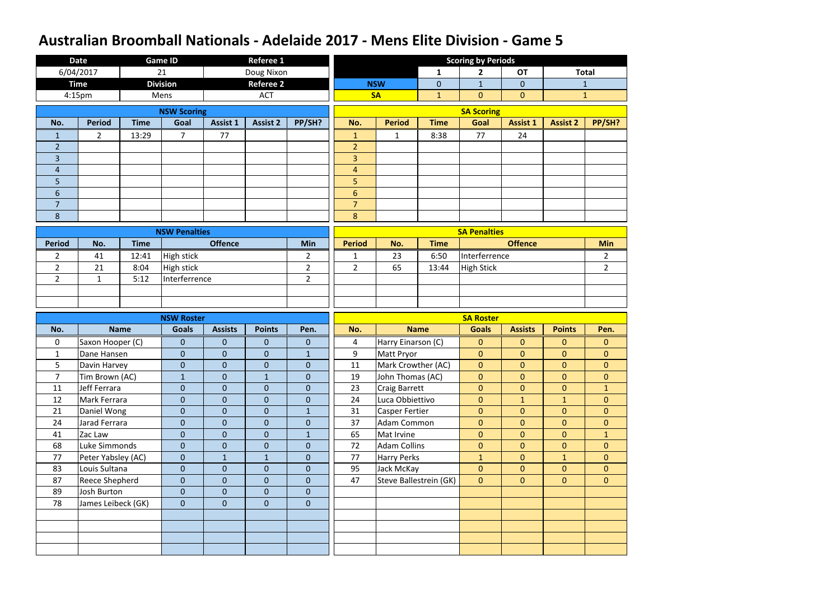|                | <b>Date</b>        |             | Game ID              |                 | <b>Referee 1</b> |                  |                |                        |              | <b>Scoring by Periods</b> |                  |                 |                |
|----------------|--------------------|-------------|----------------------|-----------------|------------------|------------------|----------------|------------------------|--------------|---------------------------|------------------|-----------------|----------------|
|                | 6/04/2017          |             | 21                   |                 | Doug Nixon       |                  |                |                        | $\mathbf{1}$ | $\mathbf{2}$              | <b>OT</b>        |                 | <b>Total</b>   |
|                | <b>Time</b>        |             | <b>Division</b>      |                 | <b>Referee 2</b> |                  |                | <b>NSW</b>             | $\mathbf{0}$ | $\mathbf{1}$              | $\mathbf 0$      |                 | $\mathbf{1}$   |
|                | 4:15 <sub>pm</sub> |             | Mens                 |                 | <b>ACT</b>       |                  |                | <b>SA</b>              | $\mathbf{1}$ | $\mathbf{0}$              | $\overline{0}$   |                 | $\mathbf{1}$   |
|                |                    |             | <b>NSW Scoring</b>   |                 |                  |                  |                |                        |              | <b>SA Scoring</b>         |                  |                 |                |
| No.            | <b>Period</b>      | <b>Time</b> | Goal                 | <b>Assist 1</b> | <b>Assist 2</b>  | PP/SH?           | No.            | <b>Period</b>          | <b>Time</b>  | Goal                      | <b>Assist 1</b>  | <b>Assist 2</b> | PP/SH?         |
| 1              | $\overline{2}$     | 13:29       | 7                    | 77              |                  |                  | $\mathbf{1}$   | $\mathbf{1}$           | 8:38         | 77                        | 24               |                 |                |
| $\overline{2}$ |                    |             |                      |                 |                  |                  | $\overline{2}$ |                        |              |                           |                  |                 |                |
| 3              |                    |             |                      |                 |                  |                  | 3              |                        |              |                           |                  |                 |                |
| 4              |                    |             |                      |                 |                  |                  | $\overline{4}$ |                        |              |                           |                  |                 |                |
| 5              |                    |             |                      |                 |                  |                  | 5              |                        |              |                           |                  |                 |                |
| $6\phantom{1}$ |                    |             |                      |                 |                  |                  | $6\phantom{1}$ |                        |              |                           |                  |                 |                |
| $\overline{7}$ |                    |             |                      |                 |                  |                  | $\overline{7}$ |                        |              |                           |                  |                 |                |
| 8              |                    |             |                      |                 |                  |                  | 8              |                        |              |                           |                  |                 |                |
|                |                    |             | <b>NSW Penalties</b> |                 |                  |                  |                |                        |              | <b>SA Penalties</b>       |                  |                 |                |
| <b>Period</b>  | No.                | <b>Time</b> |                      | <b>Offence</b>  |                  | Min              | <b>Period</b>  | No.                    | <b>Time</b>  |                           | <b>Offence</b>   |                 | <b>Min</b>     |
| $\overline{2}$ | 41                 | 12:41       | <b>High stick</b>    |                 |                  | $\overline{2}$   | $\mathbf{1}$   | 23                     | 6:50         | Interferrence             |                  |                 | $\overline{2}$ |
| $\overline{2}$ | 21                 | 8:04        | <b>High stick</b>    |                 |                  | $\overline{2}$   | $\overline{2}$ | 65                     | 13:44        | <b>High Stick</b>         |                  |                 | $\overline{2}$ |
| $\overline{2}$ | $\mathbf{1}$       | 5:12        | Interferrence        |                 |                  | $\overline{2}$   |                |                        |              |                           |                  |                 |                |
|                |                    |             |                      |                 |                  |                  |                |                        |              |                           |                  |                 |                |
|                |                    |             |                      |                 |                  |                  |                |                        |              |                           |                  |                 |                |
|                |                    |             |                      |                 |                  |                  |                |                        |              |                           |                  |                 |                |
|                |                    |             | <b>NSW Roster</b>    |                 |                  |                  |                |                        |              | <b>SA Roster</b>          |                  |                 |                |
| No.            |                    | <b>Name</b> | <b>Goals</b>         | <b>Assists</b>  | <b>Points</b>    | Pen.             | No.            |                        | <b>Name</b>  | <b>Goals</b>              | <b>Assists</b>   | <b>Points</b>   | Pen.           |
| $\mathbf 0$    | Saxon Hooper (C)   |             | $\overline{0}$       | $\mathbf{0}$    | $\mathbf{0}$     | $\boldsymbol{0}$ | 4              | Harry Einarson (C)     |              | $\mathbf{0}$              | $\mathbf{0}$     | $\mathbf{0}$    | $\mathbf{0}$   |
| $\mathbf 1$    | Dane Hansen        |             | $\mathbf 0$          | $\mathbf{0}$    | $\boldsymbol{0}$ | $\mathbf{1}$     | 9              | <b>Matt Pryor</b>      |              | $\overline{0}$            | $\overline{0}$   | $\mathbf{0}$    | $\overline{0}$ |
| 5              | Davin Harvey       |             | $\mathbf{0}$         | $\mathbf{0}$    | $\mathbf{0}$     | $\theta$         | 11             | Mark Crowther (AC)     |              | $\overline{0}$            | $\mathbf{0}$     | $\mathbf{0}$    | $\overline{0}$ |
| $\overline{7}$ | Tim Brown (AC)     |             | $\mathbf{1}$         | $\mathbf{0}$    | $\mathbf{1}$     | $\mathbf{0}$     | 19             | John Thomas (AC)       |              | $\mathbf{0}$              | $\mathbf{0}$     | $\mathbf{0}$    | $\mathbf{0}$   |
| 11             | Jeff Ferrara       |             | $\boldsymbol{0}$     | $\mathbf{0}$    | $\mathbf 0$      | $\boldsymbol{0}$ | 23             | Craig Barrett          |              | $\mathbf 0$               | $\boldsymbol{0}$ | $\mathbf{0}$    | $\mathbf{1}$   |
| 12             | Mark Ferrara       |             | $\boldsymbol{0}$     | $\mathbf{0}$    | $\boldsymbol{0}$ | $\overline{0}$   | 24             | Luca Obbiettivo        |              | $\mathbf{0}$              | $\mathbf{1}$     | $\mathbf{1}$    | $\overline{0}$ |
| 21             | Daniel Wong        |             | $\overline{0}$       | $\mathbf{0}$    | $\boldsymbol{0}$ | $\mathbf{1}$     | 31             | <b>Casper Fertier</b>  |              | $\overline{0}$            | $\overline{0}$   | $\overline{0}$  | $\overline{0}$ |
| 24             | Jarad Ferrara      |             | $\boldsymbol{0}$     | $\mathbf{0}$    | $\boldsymbol{0}$ | $\overline{0}$   | 37             | <b>Adam Common</b>     |              | $\pmb{0}$                 | $\overline{0}$   | $\overline{0}$  | $\overline{0}$ |
| 41             | Zac Law            |             | $\mathbf{0}$         | $\overline{0}$  | $\mathbf 0$      | $\mathbf{1}$     | 65             | Mat Irvine             |              | $\mathbf{0}$              | $\mathbf{0}$     | $\overline{0}$  | 1              |
| 68             | Luke Simmonds      |             | $\overline{0}$       | $\mathbf{0}$    | $\boldsymbol{0}$ | $\overline{0}$   | 72             | <b>Adam Collins</b>    |              | $\overline{0}$            | $\overline{0}$   | $\mathbf{0}$    | $\overline{0}$ |
| 77             | Peter Yabsley (AC) |             | $\boldsymbol{0}$     | $\mathbf{1}$    | $\mathbf{1}$     | $\boldsymbol{0}$ | 77             | <b>Harry Perks</b>     |              | $\mathbf{1}$              | $\overline{0}$   | $\mathbf{1}$    | $\overline{0}$ |
| 83             | Louis Sultana      |             | $\overline{0}$       | $\mathbf{0}$    | $\boldsymbol{0}$ | $\mathbf{0}$     | 95             | Jack McKay             |              | $\mathbf{0}$              | $\overline{0}$   | $\overline{0}$  | $\overline{0}$ |
| 87             | Reece Shepherd     |             | $\boldsymbol{0}$     | $\mathbf 0$     | $\mathbf 0$      | $\boldsymbol{0}$ | 47             | Steve Ballestrein (GK) |              | $\overline{0}$            | $\mathbf{0}$     | $\overline{0}$  | $\overline{0}$ |
| 89             | Josh Burton        |             | $\overline{0}$       | $\overline{0}$  | $\overline{0}$   | $\mathbf{0}$     |                |                        |              |                           |                  |                 |                |
| 78             | James Leibeck (GK) |             | $\boldsymbol{0}$     | $\overline{0}$  | $\mathbf 0$      | $\mathbf 0$      |                |                        |              |                           |                  |                 |                |
|                |                    |             |                      |                 |                  |                  |                |                        |              |                           |                  |                 |                |
|                |                    |             |                      |                 |                  |                  |                |                        |              |                           |                  |                 |                |
|                |                    |             |                      |                 |                  |                  |                |                        |              |                           |                  |                 |                |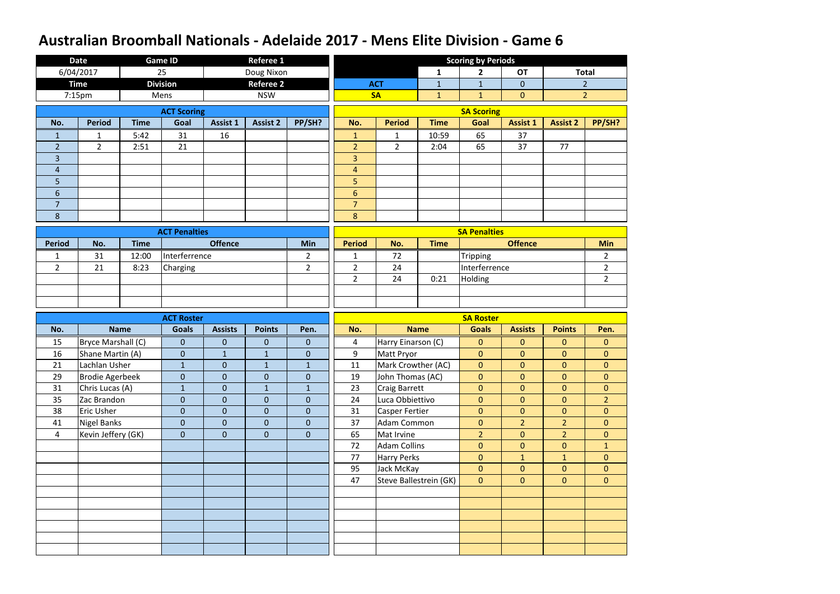|                | <b>Date</b>            |             | <b>Game ID</b>       |                  | <b>Referee 1</b> |                  |                |                        |              | <b>Scoring by Periods</b> |                  |                 |                |
|----------------|------------------------|-------------|----------------------|------------------|------------------|------------------|----------------|------------------------|--------------|---------------------------|------------------|-----------------|----------------|
|                | 6/04/2017              |             | 25                   |                  | Doug Nixon       |                  |                |                        | $\mathbf{1}$ | $\overline{2}$            | <b>OT</b>        |                 | <b>Total</b>   |
|                | <b>Time</b>            |             | <b>Division</b>      |                  | <b>Referee 2</b> |                  |                | <b>ACT</b>             | $\mathbf{1}$ | $\mathbf{1}$              | $\overline{0}$   |                 | $\overline{2}$ |
|                | 7:15pm                 |             | Mens                 |                  | <b>NSW</b>       |                  |                | <b>SA</b>              | $\mathbf{1}$ | $\mathbf{1}$              | $\overline{0}$   |                 | $\overline{2}$ |
|                |                        |             | <b>ACT Scoring</b>   |                  |                  |                  |                |                        |              | <b>SA Scoring</b>         |                  |                 |                |
| No.            | <b>Period</b>          | <b>Time</b> | Goal                 | <b>Assist 1</b>  | <b>Assist 2</b>  | PP/SH?           | No.            | <b>Period</b>          | <b>Time</b>  | Goal                      | <b>Assist 1</b>  | <b>Assist 2</b> | PP/SH?         |
| $\mathbf{1}$   | $\mathbf{1}$           | 5:42        | 31                   | 16               |                  |                  | $\mathbf{1}$   | $\mathbf{1}$           | 10:59        | 65                        | 37               |                 |                |
| 2 <sup>2</sup> | $\overline{2}$         | 2:51        | 21                   |                  |                  |                  | $\overline{2}$ | $\overline{2}$         | 2:04         | 65                        | 37               | 77              |                |
| 3              |                        |             |                      |                  |                  |                  | 3              |                        |              |                           |                  |                 |                |
| 4              |                        |             |                      |                  |                  |                  | $\overline{4}$ |                        |              |                           |                  |                 |                |
| 5              |                        |             |                      |                  |                  |                  | 5              |                        |              |                           |                  |                 |                |
| $6\phantom{1}$ |                        |             |                      |                  |                  |                  | $6\phantom{a}$ |                        |              |                           |                  |                 |                |
| 7              |                        |             |                      |                  |                  |                  | $\overline{7}$ |                        |              |                           |                  |                 |                |
| 8              |                        |             |                      |                  |                  |                  | 8              |                        |              |                           |                  |                 |                |
|                |                        |             | <b>ACT Penalties</b> |                  |                  |                  |                |                        |              | <b>SA Penalties</b>       |                  |                 |                |
| <b>Period</b>  | No.                    | <b>Time</b> |                      | <b>Offence</b>   |                  | Min              | <b>Period</b>  | No.                    | <b>Time</b>  |                           | <b>Offence</b>   |                 | <b>Min</b>     |
| $\mathbf{1}$   | 31                     | 12:00       | Interferrence        |                  |                  | $\overline{2}$   | $\mathbf{1}$   | 72                     |              | Tripping                  |                  |                 | $\overline{2}$ |
| $\overline{2}$ | 21                     | 8:23        | Charging             |                  |                  | $\overline{2}$   | $\overline{2}$ | 24                     |              | Interferrence             |                  |                 | $\overline{2}$ |
|                |                        |             |                      |                  |                  |                  | $\overline{2}$ | 24                     | 0:21         | Holding                   |                  |                 | $\overline{2}$ |
|                |                        |             |                      |                  |                  |                  |                |                        |              |                           |                  |                 |                |
|                |                        |             |                      |                  |                  |                  |                |                        |              |                           |                  |                 |                |
|                |                        |             |                      |                  |                  |                  |                |                        |              |                           |                  |                 |                |
|                |                        |             | <b>ACT Roster</b>    |                  |                  |                  |                |                        |              | <b>SA Roster</b>          |                  |                 |                |
| No.            |                        | <b>Name</b> | <b>Goals</b>         | <b>Assists</b>   | <b>Points</b>    | Pen.             | No.            |                        | <b>Name</b>  | <b>Goals</b>              | <b>Assists</b>   | <b>Points</b>   | Pen.           |
| 15             | Bryce Marshall (C)     |             | $\theta$             | $\boldsymbol{0}$ | $\pmb{0}$        | $\mathbf{0}$     | 4              | Harry Einarson (C)     |              | $\pmb{0}$                 | $\boldsymbol{0}$ | $\mathbf{0}$    | $\overline{0}$ |
| 16             | Shane Martin (A)       |             | $\theta$             | $\mathbf{1}$     | $\mathbf{1}$     | $\boldsymbol{0}$ | 9              | Matt Pryor             |              | $\mathbf{0}$              | $\overline{0}$   | $\mathbf{0}$    | $\mathbf{0}$   |
| 21             | Lachlan Usher          |             | $\mathbf{1}$         | $\mathbf{0}$     | $\mathbf{1}$     | $\mathbf{1}$     | 11             | Mark Crowther (AC)     |              | $\overline{0}$            | $\overline{0}$   | $\mathbf{0}$    | $\overline{0}$ |
| 29             | <b>Brodie Agerbeek</b> |             | $\theta$             | $\mathbf{0}$     | $\mathbf{0}$     | $\overline{0}$   | 19             | John Thomas (AC)       |              | $\mathbf{0}$              | $\mathbf{0}$     | $\mathbf{0}$    | $\overline{0}$ |
| 31             | Chris Lucas (A)        |             | $1\,$                | $\overline{0}$   | $\mathbf{1}$     | $\mathbf{1}$     | 23             | <b>Craig Barrett</b>   |              | $\overline{0}$            | $\overline{0}$   | $\overline{0}$  | $\overline{0}$ |
| 35             | Zac Brandon            |             | $\pmb{0}$            | $\overline{0}$   | $\boldsymbol{0}$ | $\boldsymbol{0}$ | 24             | Luca Obbiettivo        |              | $\overline{0}$            | $\overline{0}$   | $\overline{0}$  | 2 <sup>1</sup> |
| 38             | <b>Eric Usher</b>      |             | $\mathbf 0$          | $\overline{0}$   | $\boldsymbol{0}$ | $\overline{0}$   | 31             | <b>Casper Fertier</b>  |              | $\overline{0}$            | $\mathbf{0}$     | $\overline{0}$  | $\overline{0}$ |
| 41             | <b>Nigel Banks</b>     |             | $\pmb{0}$            | $\mathbf{0}$     | $\boldsymbol{0}$ | $\boldsymbol{0}$ | 37             | Adam Common            |              | $\boldsymbol{0}$          | $\overline{2}$   | 2 <sup>2</sup>  | $\overline{0}$ |
| $\overline{4}$ | Kevin Jeffery (GK)     |             | $\pmb{0}$            | $\overline{0}$   | $\mathbf{0}$     | $\overline{0}$   | 65             | Mat Irvine             |              | 2 <sup>2</sup>            | $\mathbf{0}$     | 2 <sup>1</sup>  | $\overline{0}$ |
|                |                        |             |                      |                  |                  |                  | 72             | <b>Adam Collins</b>    |              | $\boldsymbol{0}$          | $\boldsymbol{0}$ | $\overline{0}$  | $\mathbf{1}$   |
|                |                        |             |                      |                  |                  |                  | 77             | <b>Harry Perks</b>     |              | $\mathbf{0}$              | $\mathbf{1}$     | $\mathbf{1}$    | $\overline{0}$ |
|                |                        |             |                      |                  |                  |                  | 95             | Jack McKay             |              | $\overline{0}$            | $\boldsymbol{0}$ | $\overline{0}$  | $\overline{0}$ |
|                |                        |             |                      |                  |                  |                  | 47             | Steve Ballestrein (GK) |              | $\mathbf{0}$              | $\mathbf{0}$     | $\overline{0}$  | $\overline{0}$ |
|                |                        |             |                      |                  |                  |                  |                |                        |              |                           |                  |                 |                |
|                |                        |             |                      |                  |                  |                  |                |                        |              |                           |                  |                 |                |
|                |                        |             |                      |                  |                  |                  |                |                        |              |                           |                  |                 |                |
|                |                        |             |                      |                  |                  |                  |                |                        |              |                           |                  |                 |                |
|                |                        |             |                      |                  |                  |                  |                |                        |              |                           |                  |                 |                |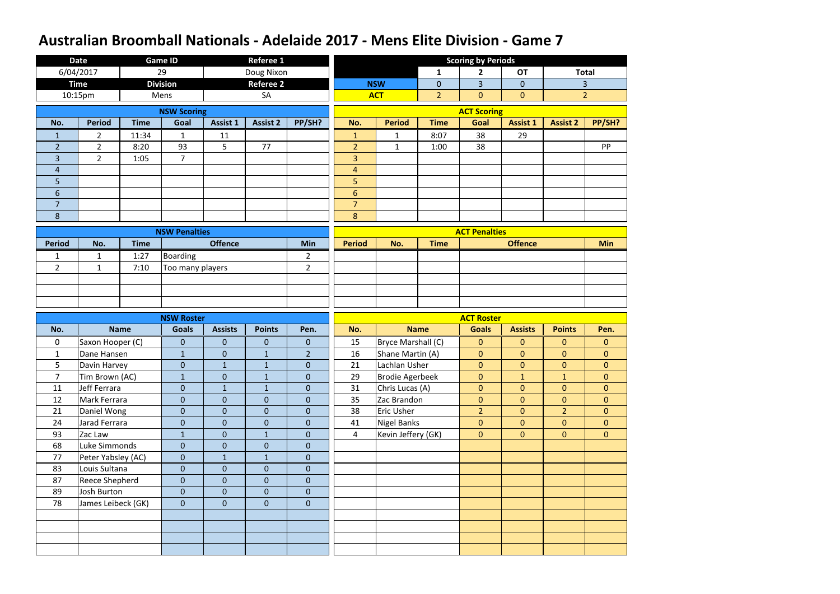|                | <b>Date</b>        |             | <b>Game ID</b>       |                  | <b>Referee 1</b> |                |                |                        |                | <b>Scoring by Periods</b> |                  |                 |                |
|----------------|--------------------|-------------|----------------------|------------------|------------------|----------------|----------------|------------------------|----------------|---------------------------|------------------|-----------------|----------------|
|                | 6/04/2017          |             | 29                   |                  | Doug Nixon       |                |                |                        | $\mathbf{1}$   | $\overline{2}$            | <b>OT</b>        |                 | <b>Total</b>   |
|                | <b>Time</b>        |             | <b>Division</b>      |                  | <b>Referee 2</b> |                |                | <b>NSW</b>             | $\overline{0}$ | $\overline{3}$            | $\overline{0}$   |                 | $\overline{3}$ |
|                | 10:15pm            |             | Mens                 |                  | SA               |                |                | <b>ACT</b>             | 2 <sup>2</sup> | $\overline{0}$            | $\overline{0}$   |                 | $\overline{2}$ |
|                |                    |             | <b>NSW Scoring</b>   |                  |                  |                |                |                        |                | <b>ACT Scoring</b>        |                  |                 |                |
| No.            | <b>Period</b>      | <b>Time</b> | Goal                 | <b>Assist 1</b>  | <b>Assist 2</b>  | PP/SH?         | No.            | <b>Period</b>          | <b>Time</b>    | Goal                      | <b>Assist 1</b>  | <b>Assist 2</b> | PP/SH?         |
| $\mathbf{1}$   | $\overline{2}$     | 11:34       | $\mathbf{1}$         | 11               |                  |                | $\mathbf{1}$   | $\mathbf{1}$           | 8:07           | 38                        | 29               |                 |                |
| $\overline{2}$ | $\overline{2}$     | 8:20        | 93                   | 5                | 77               |                | $\overline{2}$ | $\mathbf{1}$           | 1:00           | 38                        |                  |                 | PP             |
| 3              | $2^{\circ}$        | 1:05        | $\overline{7}$       |                  |                  |                | 3              |                        |                |                           |                  |                 |                |
| $\overline{4}$ |                    |             |                      |                  |                  |                | $\overline{4}$ |                        |                |                           |                  |                 |                |
| 5              |                    |             |                      |                  |                  |                | 5              |                        |                |                           |                  |                 |                |
| $6\phantom{1}$ |                    |             |                      |                  |                  |                | $6\phantom{a}$ |                        |                |                           |                  |                 |                |
| 7              |                    |             |                      |                  |                  |                | $\overline{7}$ |                        |                |                           |                  |                 |                |
| 8              |                    |             |                      |                  |                  |                | $\bf 8$        |                        |                |                           |                  |                 |                |
|                |                    |             | <b>NSW Penalties</b> |                  |                  |                |                |                        |                | <b>ACT Penalties</b>      |                  |                 |                |
| <b>Period</b>  | No.                | <b>Time</b> |                      | <b>Offence</b>   |                  | Min            | <b>Period</b>  | No.                    | <b>Time</b>    |                           | <b>Offence</b>   |                 | <b>Min</b>     |
| $\mathbf{1}$   | $\mathbf{1}$       | 1:27        | Boarding             |                  |                  | $\overline{2}$ |                |                        |                |                           |                  |                 |                |
| $\overline{2}$ | $\mathbf{1}$       | 7:10        | Too many players     |                  |                  | $\overline{2}$ |                |                        |                |                           |                  |                 |                |
|                |                    |             |                      |                  |                  |                |                |                        |                |                           |                  |                 |                |
|                |                    |             |                      |                  |                  |                |                |                        |                |                           |                  |                 |                |
|                |                    |             |                      |                  |                  |                |                |                        |                |                           |                  |                 |                |
|                |                    |             |                      |                  |                  |                |                |                        |                |                           |                  |                 |                |
|                |                    |             | <b>NSW Roster</b>    |                  |                  |                |                |                        |                | <b>ACT Roster</b>         |                  |                 |                |
| No.            |                    | <b>Name</b> | <b>Goals</b>         | <b>Assists</b>   | <b>Points</b>    | Pen.           | No.            |                        | <b>Name</b>    | <b>Goals</b>              | <b>Assists</b>   | <b>Points</b>   | Pen.           |
| $\mathbf 0$    | Saxon Hooper (C)   |             | $\mathbf 0$          | $\mathbf{0}$     | $\boldsymbol{0}$ | $\mathbf{0}$   | 15             | Bryce Marshall (C)     |                | $\boldsymbol{0}$          | $\boldsymbol{0}$ | $\mathbf{0}$    | $\overline{0}$ |
| $\mathbf{1}$   | Dane Hansen        |             | $\mathbf{1}$         | $\overline{0}$   | $\mathbf{1}$     | $\overline{2}$ | 16             | Shane Martin (A)       |                | $\boldsymbol{0}$          | $\overline{0}$   | $\mathbf{0}$    | $\overline{0}$ |
| 5              | Davin Harvey       |             | $\mathbf 0$          | $\mathbf{1}$     | $\mathbf{1}$     | $\mathbf{0}$   | 21             | Lachlan Usher          |                | $\overline{0}$            | $\overline{0}$   | $\mathbf{0}$    | $\overline{0}$ |
| $\overline{7}$ | Tim Brown (AC)     |             | $\mathbf{1}$         | $\overline{0}$   | $\mathbf{1}$     | $\mathbf{0}$   | 29             | <b>Brodie Agerbeek</b> |                | $\mathbf{0}$              | $\mathbf{1}$     | $\mathbf{1}$    | $\overline{0}$ |
| 11             | Jeff Ferrara       |             | $\mathbf{0}$         | $\mathbf{1}$     | $\mathbf{1}$     | $\overline{0}$ | 31             | Chris Lucas (A)        |                | $\overline{0}$            | $\overline{0}$   | $\overline{0}$  | $\overline{0}$ |
| 12             | Mark Ferrara       |             | $\boldsymbol{0}$     | $\overline{0}$   | $\pmb{0}$        | $\mathbf{0}$   | 35             | Zac Brandon            |                | $\boldsymbol{0}$          | $\overline{0}$   | $\overline{0}$  | $\overline{0}$ |
| 21             | Daniel Wong        |             | $\boldsymbol{0}$     | $\overline{0}$   | $\mathbf{0}$     | $\mathbf{0}$   | 38             | Eric Usher             |                | $\overline{2}$            | $\overline{0}$   | 2 <sup>1</sup>  | $\overline{0}$ |
| 24             | Jarad Ferrara      |             | $\boldsymbol{0}$     | $\boldsymbol{0}$ | $\pmb{0}$        | $\pmb{0}$      | 41             | Nigel Banks            |                | $\boldsymbol{0}$          | $\boldsymbol{0}$ | $\mathbf{0}$    | $\overline{0}$ |
| 93             | Zac Law            |             | $\mathbf{1}$         | $\mathbf{0}$     | $\mathbf{1}$     | $\mathbf{0}$   | $\overline{4}$ | Kevin Jeffery (GK)     |                | $\overline{0}$            | $\mathbf{0}$     | $\overline{0}$  | $\overline{0}$ |
| 68             | Luke Simmonds      |             | $\mathbf{0}$         | $\boldsymbol{0}$ | $\mathbf{0}$     | $\mathbf{0}$   |                |                        |                |                           |                  |                 |                |
| 77             | Peter Yabsley (AC) |             | $\mathbf{0}$         | $\mathbf{1}$     | $\mathbf{1}$     | $\pmb{0}$      |                |                        |                |                           |                  |                 |                |
| 83             | Louis Sultana      |             | $\theta$             | $\boldsymbol{0}$ | $\mathbf{0}$     | $\pmb{0}$      |                |                        |                |                           |                  |                 |                |
| 87             | Reece Shepherd     |             | $\mathbf 0$          | $\mathbf{0}$     | $\mathbf{0}$     | $\overline{0}$ |                |                        |                |                           |                  |                 |                |
| 89             | <b>Josh Burton</b> |             | $\mathbf{0}$         | $\overline{0}$   | $\pmb{0}$        | $\pmb{0}$      |                |                        |                |                           |                  |                 |                |
| 78             | James Leibeck (GK) |             | $\mathbf{0}$         | $\overline{0}$   | $\pmb{0}$        | $\pmb{0}$      |                |                        |                |                           |                  |                 |                |
|                |                    |             |                      |                  |                  |                |                |                        |                |                           |                  |                 |                |
|                |                    |             |                      |                  |                  |                |                |                        |                |                           |                  |                 |                |
|                |                    |             |                      |                  |                  |                |                |                        |                |                           |                  |                 |                |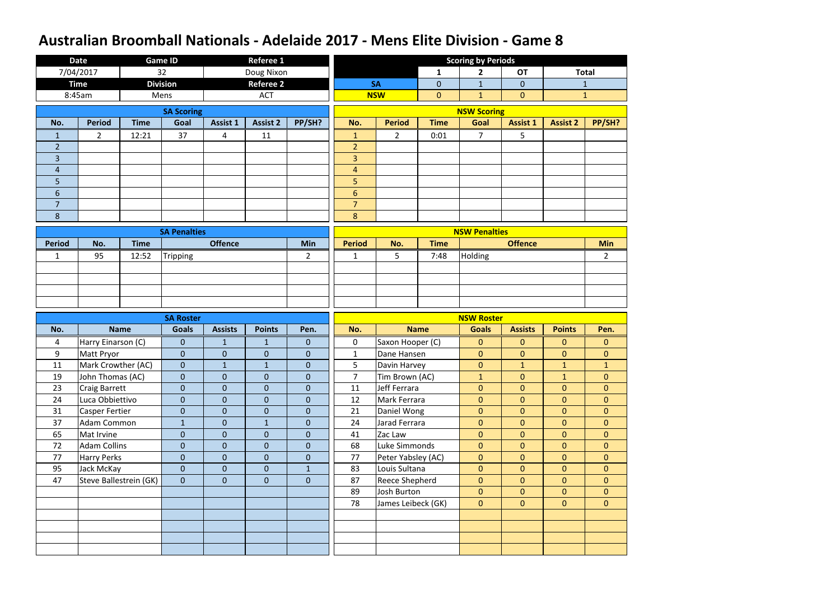|                | <b>Date</b>           |                        | <b>Game ID</b>      |                 | <b>Referee 1</b> |                  |                |                       |                | <b>Scoring by Periods</b> |                  |                 |                |
|----------------|-----------------------|------------------------|---------------------|-----------------|------------------|------------------|----------------|-----------------------|----------------|---------------------------|------------------|-----------------|----------------|
|                | 7/04/2017             |                        | 32                  |                 | Doug Nixon       |                  |                |                       | $\mathbf{1}$   | $\mathbf{2}$              | <b>OT</b>        |                 | <b>Total</b>   |
|                | <b>Time</b>           |                        | <b>Division</b>     |                 | <b>Referee 2</b> |                  |                | <b>SA</b>             | $\overline{0}$ | $\mathbf{1}$              | $\overline{0}$   |                 | $\mathbf{1}$   |
|                | 8:45am                |                        | Mens                |                 | <b>ACT</b>       |                  |                | <b>NSW</b>            | $\overline{0}$ | $\mathbf{1}$              | $\overline{0}$   |                 | $\mathbf{1}$   |
|                |                       |                        | <b>SA Scoring</b>   |                 |                  |                  |                |                       |                | <b>NSW Scoring</b>        |                  |                 |                |
| No.            | <b>Period</b>         | <b>Time</b>            | Goal                | <b>Assist 1</b> | <b>Assist 2</b>  | PP/SH?           | No.            | <b>Period</b>         | <b>Time</b>    | Goal                      | <b>Assist 1</b>  | <b>Assist 2</b> | PP/SH?         |
| $\mathbf 1$    | $\overline{2}$        | 12:21                  | 37                  | $\overline{4}$  | 11               |                  | $\mathbf{1}$   | $\overline{2}$        | 0:01           | $\overline{7}$            | 5                |                 |                |
| $\overline{2}$ |                       |                        |                     |                 |                  |                  | $\overline{2}$ |                       |                |                           |                  |                 |                |
| 3              |                       |                        |                     |                 |                  |                  | 3              |                       |                |                           |                  |                 |                |
| 4              |                       |                        |                     |                 |                  |                  | $\overline{4}$ |                       |                |                           |                  |                 |                |
| 5              |                       |                        |                     |                 |                  |                  | 5 <sup>1</sup> |                       |                |                           |                  |                 |                |
| $6\phantom{1}$ |                       |                        |                     |                 |                  |                  | $6\phantom{a}$ |                       |                |                           |                  |                 |                |
| 7              |                       |                        |                     |                 |                  |                  | $\overline{7}$ |                       |                |                           |                  |                 |                |
| 8              |                       |                        |                     |                 |                  |                  | 8              |                       |                |                           |                  |                 |                |
|                |                       |                        | <b>SA Penalties</b> |                 |                  |                  |                |                       |                | <b>NSW Penalties</b>      |                  |                 |                |
| <b>Period</b>  | No.                   | <b>Time</b>            |                     | <b>Offence</b>  |                  | <b>Min</b>       | <b>Period</b>  | No.                   | <b>Time</b>    |                           | <b>Offence</b>   |                 | <b>Min</b>     |
| $\mathbf{1}$   | 95                    | 12:52                  | Tripping            |                 |                  | $\overline{2}$   | $\mathbf{1}$   | 5                     | 7:48           | Holding                   |                  |                 | $\overline{2}$ |
|                |                       |                        |                     |                 |                  |                  |                |                       |                |                           |                  |                 |                |
|                |                       |                        |                     |                 |                  |                  |                |                       |                |                           |                  |                 |                |
|                |                       |                        |                     |                 |                  |                  |                |                       |                |                           |                  |                 |                |
|                |                       |                        |                     |                 |                  |                  |                |                       |                |                           |                  |                 |                |
|                |                       |                        |                     |                 |                  |                  |                |                       |                |                           |                  |                 |                |
|                |                       |                        | <b>SA Roster</b>    |                 |                  |                  |                |                       |                | <b>NSW Roster</b>         |                  |                 |                |
| No.            |                       | <b>Name</b>            | <b>Goals</b>        | <b>Assists</b>  | <b>Points</b>    | Pen.             | No.            |                       | <b>Name</b>    | <b>Goals</b>              | <b>Assists</b>   | <b>Points</b>   | Pen.           |
| 4              | Harry Einarson (C)    |                        | $\mathbf{0}$        | $\mathbf{1}$    | $\mathbf{1}$     | $\mathbf{0}$     | $\pmb{0}$      | Saxon Hooper (C)      |                | $\boldsymbol{0}$          | $\boldsymbol{0}$ | $\mathbf{0}$    | $\overline{0}$ |
| 9              | Matt Pryor            |                        | $\mathbf 0$         | $\mathbf{0}$    | $\mathbf 0$      | $\boldsymbol{0}$ | $\mathbf{1}$   | Dane Hansen           |                | $\overline{0}$            | $\overline{0}$   | $\mathbf{0}$    | $\overline{0}$ |
| 11             | Mark Crowther (AC)    |                        | $\mathbf 0$         | $\mathbf{1}$    | $\mathbf{1}$     | $\mathbf 0$      | 5              | Davin Harvey          |                | $\mathbf{0}$              | $\mathbf{1}$     | $\mathbf{1}$    | $\mathbf{1}$   |
| 19             | John Thomas (AC)      |                        | $\overline{0}$      | $\mathbf{0}$    | $\mathbf{0}$     | $\mathbf{0}$     | $\overline{7}$ | Tim Brown (AC)        |                | $\mathbf{1}$              | $\mathbf{0}$     | $\mathbf{1}$    | $\mathbf{0}$   |
| 23             | <b>Craig Barrett</b>  |                        | $\overline{0}$      | $\overline{0}$  | $\overline{0}$   | $\mathbf{0}$     | 11             | Jeff Ferrara          |                | $\overline{0}$            | $\overline{0}$   | $\overline{0}$  | $\overline{0}$ |
| 24             | Luca Obbiettivo       |                        | $\boldsymbol{0}$    | $\overline{0}$  | $\boldsymbol{0}$ | $\mathbf{0}$     | 12             | Mark Ferrara          |                | $\overline{0}$            | $\overline{0}$   | $\overline{0}$  | $\overline{0}$ |
| 31             | <b>Casper Fertier</b> |                        | $\overline{0}$      | $\mathbf{0}$    | $\boldsymbol{0}$ | $\mathbf{0}$     | 21             | Daniel Wong           |                | $\mathbf{0}$              | $\overline{0}$   | $\overline{0}$  | $\overline{0}$ |
| 37             | <b>Adam Common</b>    |                        | $\mathbf{1}$        | $\mathbf{0}$    | $\mathbf{1}$     | $\boldsymbol{0}$ | 24             | Jarad Ferrara         |                | $\pmb{0}$                 | $\boldsymbol{0}$ | $\mathbf{0}$    | $\overline{0}$ |
| 65             | Mat Irvine            |                        | $\boldsymbol{0}$    | $\mathbf{0}$    | $\boldsymbol{0}$ | $\overline{0}$   | 41             | Zac Law               |                | $\mathbf{0}$              | $\mathbf{0}$     | $\overline{0}$  | $\overline{0}$ |
| 72             | <b>Adam Collins</b>   |                        | $\boldsymbol{0}$    | $\overline{0}$  | $\mathbf{0}$     | $\mathbf{0}$     | 68             | Luke Simmonds         |                | $\overline{0}$            | $\mathbf{0}$     | $\overline{0}$  | $\overline{0}$ |
| 77             | <b>Harry Perks</b>    |                        | $\boldsymbol{0}$    | $\mathbf{0}$    | $\boldsymbol{0}$ | $\boldsymbol{0}$ | 77             | Peter Yabsley (AC)    |                | $\pmb{0}$                 | $\mathbf{0}$     | $\overline{0}$  | $\overline{0}$ |
| 95             | Jack McKay            |                        | $\mathbf{0}$        | $\mathbf{0}$    | $\boldsymbol{0}$ | $1\,$            | 83             | Louis Sultana         |                | $\overline{0}$            | $\mathbf{0}$     | $\overline{0}$  | $\overline{0}$ |
| 47             |                       | Steve Ballestrein (GK) | $\boldsymbol{0}$    | $\overline{0}$  | $\boldsymbol{0}$ | $\boldsymbol{0}$ | 87             | <b>Reece Shepherd</b> |                | $\overline{0}$            | $\overline{0}$   | $\mathbf{0}$    | $\overline{0}$ |
|                |                       |                        |                     |                 |                  |                  | 89             | Josh Burton           |                | $\overline{0}$            | $\overline{0}$   | $\overline{0}$  | $\overline{0}$ |
|                |                       |                        |                     |                 |                  |                  | 78             | James Leibeck (GK)    |                | $\overline{0}$            | $\overline{0}$   | $\mathbf{0}$    | $\overline{0}$ |
|                |                       |                        |                     |                 |                  |                  |                |                       |                |                           |                  |                 |                |
|                |                       |                        |                     |                 |                  |                  |                |                       |                |                           |                  |                 |                |
|                |                       |                        |                     |                 |                  |                  |                |                       |                |                           |                  |                 |                |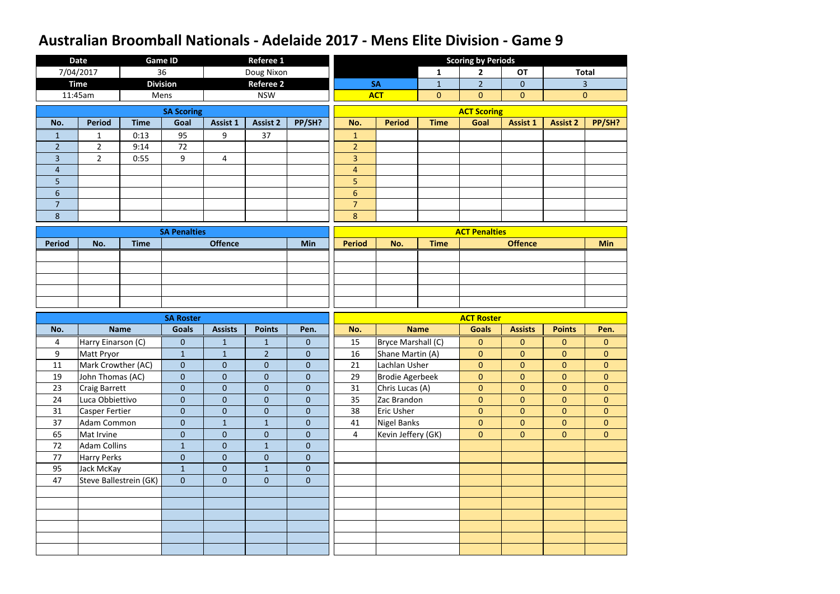|                | <b>Date</b>           |                        | <b>Game ID</b>      |                  | <b>Referee 1</b> |              |                |                        |                | <b>Scoring by Periods</b> |                  |                 |                |
|----------------|-----------------------|------------------------|---------------------|------------------|------------------|--------------|----------------|------------------------|----------------|---------------------------|------------------|-----------------|----------------|
|                | 7/04/2017             |                        | 36                  |                  | Doug Nixon       |              |                |                        | $\mathbf{1}$   | $\overline{2}$            | <b>OT</b>        |                 | <b>Total</b>   |
|                | <b>Time</b>           |                        | <b>Division</b>     |                  | <b>Referee 2</b> |              |                | <b>SA</b>              | $\mathbf{1}$   | $\overline{2}$            | $\overline{0}$   |                 | $\overline{3}$ |
|                | 11:45am               |                        | Mens                |                  | <b>NSW</b>       |              |                | <b>ACT</b>             | $\overline{0}$ | $\overline{0}$            | $\overline{0}$   |                 | $\mathbf{0}$   |
|                |                       |                        | <b>SA Scoring</b>   |                  |                  |              |                |                        |                | <b>ACT Scoring</b>        |                  |                 |                |
| No.            | <b>Period</b>         | <b>Time</b>            | Goal                | <b>Assist 1</b>  | <b>Assist 2</b>  | PP/SH?       | No.            | <b>Period</b>          | <b>Time</b>    | Goal                      | <b>Assist 1</b>  | <b>Assist 2</b> | PP/SH?         |
| $\mathbf{1}$   | $\mathbf{1}$          | 0:13                   | 95                  | 9                | 37               |              | $\mathbf{1}$   |                        |                |                           |                  |                 |                |
| $\overline{2}$ | $\overline{2}$        | 9:14                   | 72                  |                  |                  |              | $\overline{2}$ |                        |                |                           |                  |                 |                |
| $\overline{3}$ | $\overline{2}$        | 0:55                   | 9                   | 4                |                  |              | 3              |                        |                |                           |                  |                 |                |
| 4              |                       |                        |                     |                  |                  |              | $\overline{4}$ |                        |                |                           |                  |                 |                |
| 5              |                       |                        |                     |                  |                  |              | 5              |                        |                |                           |                  |                 |                |
| $6\phantom{1}$ |                       |                        |                     |                  |                  |              | $6\,$          |                        |                |                           |                  |                 |                |
| 7              |                       |                        |                     |                  |                  |              | $\overline{7}$ |                        |                |                           |                  |                 |                |
| $8\phantom{1}$ |                       |                        |                     |                  |                  |              | $\bf 8$        |                        |                |                           |                  |                 |                |
|                |                       |                        | <b>SA Penalties</b> |                  |                  |              |                |                        |                | <b>ACT Penalties</b>      |                  |                 |                |
| <b>Period</b>  | No.                   | <b>Time</b>            |                     | <b>Offence</b>   |                  | Min          | <b>Period</b>  | No.                    | <b>Time</b>    |                           | <b>Offence</b>   |                 | <b>Min</b>     |
|                |                       |                        |                     |                  |                  |              |                |                        |                |                           |                  |                 |                |
|                |                       |                        |                     |                  |                  |              |                |                        |                |                           |                  |                 |                |
|                |                       |                        |                     |                  |                  |              |                |                        |                |                           |                  |                 |                |
|                |                       |                        |                     |                  |                  |              |                |                        |                |                           |                  |                 |                |
|                |                       |                        |                     |                  |                  |              |                |                        |                |                           |                  |                 |                |
|                |                       |                        |                     |                  |                  |              |                |                        |                |                           |                  |                 |                |
|                |                       |                        | <b>SA Roster</b>    |                  |                  |              |                |                        |                | <b>ACT Roster</b>         |                  |                 |                |
| No.            |                       | <b>Name</b>            | <b>Goals</b>        | <b>Assists</b>   | <b>Points</b>    | Pen.         | No.            |                        | <b>Name</b>    | <b>Goals</b>              | <b>Assists</b>   | <b>Points</b>   | Pen.           |
| 4              | Harry Einarson (C)    |                        | $\overline{0}$      | $\mathbf{1}$     | $\mathbf{1}$     | $\mathbf{0}$ | 15             | Bryce Marshall (C)     |                | $\boldsymbol{0}$          | $\overline{0}$   | $\mathbf{0}$    | $\overline{0}$ |
| 9              | Matt Pryor            |                        | $\mathbf{1}$        | $\mathbf{1}$     | $\overline{2}$   | $\mathbf{0}$ | 16             | Shane Martin (A)       |                | $\pmb{0}$                 | $\overline{0}$   | $\mathbf{0}$    | $\mathbf{0}$   |
| 11             | Mark Crowther (AC)    |                        | $\mathbf 0$         | $\overline{0}$   | $\mathbf{0}$     | $\mathbf 0$  | 21             | Lachlan Usher          |                | $\mathbf{0}$              | $\mathbf{0}$     | $\mathbf{0}$    | $\overline{0}$ |
| 19             | John Thomas (AC)      |                        | $\mathbf{0}$        | $\overline{0}$   | $\mathbf{0}$     | $\mathbf{0}$ | 29             | <b>Brodie Agerbeek</b> |                | $\mathbf{0}$              | $\mathbf{0}$     | $\mathbf{0}$    | $\mathbf{0}$   |
| 23             | <b>Craig Barrett</b>  |                        | $\mathbf{0}$        | $\overline{0}$   | $\pmb{0}$        | $\pmb{0}$    | 31             | Chris Lucas (A)        |                | $\mathbf 0$               | $\mathbf{0}$     | $\overline{0}$  | $\overline{0}$ |
| 24             | Luca Obbiettivo       |                        | $\mathbf{0}$        | $\boldsymbol{0}$ | $\mathbf{0}$     | $\mathbf{0}$ | 35             | Zac Brandon            |                | $\overline{0}$            | $\overline{0}$   | $\overline{0}$  | $\overline{0}$ |
| 31             | <b>Casper Fertier</b> |                        | $\overline{0}$      | $\overline{0}$   | $\mathbf{0}$     | $\mathbf{0}$ | 38             | Eric Usher             |                | $\pmb{0}$                 | $\mathbf{0}$     | $\overline{0}$  | $\overline{0}$ |
| 37             | <b>Adam Common</b>    |                        | $\pmb{0}$           | $\mathbf{1}$     | $\mathbf{1}$     | $\pmb{0}$    | 41             | Nigel Banks            |                | $\mathbf{0}$              | $\boldsymbol{0}$ | $\overline{0}$  | $\overline{0}$ |
| 65             | Mat Irvine            |                        | $\mathbf{0}$        | $\mathbf{0}$     | $\pmb{0}$        | $\mathbf{0}$ | $\overline{4}$ | Kevin Jeffery (GK)     |                | $\overline{0}$            | $\mathbf{0}$     | $\overline{0}$  | $\overline{0}$ |
| 72             | <b>Adam Collins</b>   |                        | $\mathbf{1}$        | $\overline{0}$   | $\mathbf{1}$     | $\mathbf{0}$ |                |                        |                |                           |                  |                 |                |
| 77             | Harry Perks           |                        | $\boldsymbol{0}$    | $\overline{0}$   | $\pmb{0}$        | $\pmb{0}$    |                |                        |                |                           |                  |                 |                |
| 95             | Jack McKay            |                        | $\mathbf{1}$        | $\overline{0}$   | $\mathbf{1}$     | $\mathbf{0}$ |                |                        |                |                           |                  |                 |                |
| 47             |                       | Steve Ballestrein (GK) | $\overline{0}$      | $\overline{0}$   | $\mathbf{0}$     | $\mathbf{0}$ |                |                        |                |                           |                  |                 |                |
|                |                       |                        |                     |                  |                  |              |                |                        |                |                           |                  |                 |                |
|                |                       |                        |                     |                  |                  |              |                |                        |                |                           |                  |                 |                |
|                |                       |                        |                     |                  |                  |              |                |                        |                |                           |                  |                 |                |
|                |                       |                        |                     |                  |                  |              |                |                        |                |                           |                  |                 |                |
|                |                       |                        |                     |                  |                  |              |                |                        |                |                           |                  |                 |                |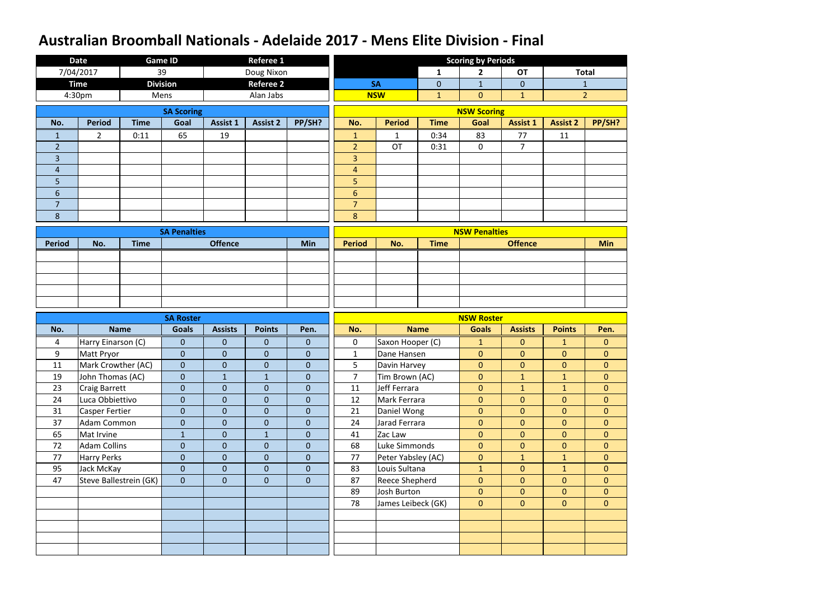|                | <b>Date</b>           |                        | <b>Game ID</b>      |                 | <b>Referee 1</b> |                  |                |                       |                | <b>Scoring by Periods</b> |                 |                 |                |
|----------------|-----------------------|------------------------|---------------------|-----------------|------------------|------------------|----------------|-----------------------|----------------|---------------------------|-----------------|-----------------|----------------|
|                | 7/04/2017             |                        | 39                  |                 | Doug Nixon       |                  |                |                       | $\mathbf{1}$   | $\mathbf{2}$              | <b>OT</b>       |                 | <b>Total</b>   |
|                | <b>Time</b>           |                        | <b>Division</b>     |                 | <b>Referee 2</b> |                  |                | <b>SA</b>             | $\overline{0}$ | $\mathbf{1}$              | $\overline{0}$  |                 | $\mathbf{1}$   |
|                | 4:30pm                |                        | Mens                |                 | Alan Jabs        |                  |                | <b>NSW</b>            | $\mathbf{1}$   | $\overline{0}$            | $\mathbf{1}$    |                 | $\overline{2}$ |
|                |                       |                        | <b>SA Scoring</b>   |                 |                  |                  |                |                       |                | <b>NSW Scoring</b>        |                 |                 |                |
| No.            | <b>Period</b>         | <b>Time</b>            | Goal                | <b>Assist 1</b> | <b>Assist 2</b>  | PP/SH?           | No.            | <b>Period</b>         | <b>Time</b>    | Goal                      | <b>Assist 1</b> | <b>Assist 2</b> | PP/SH?         |
| $\mathbf{1}$   | $\overline{2}$        | 0:11                   | 65                  | 19              |                  |                  | $\mathbf{1}$   | $\mathbf{1}$          | 0:34           | 83                        | 77              | 11              |                |
| $\overline{2}$ |                       |                        |                     |                 |                  |                  | $\overline{2}$ | <b>OT</b>             | 0:31           | $\overline{0}$            | $\overline{7}$  |                 |                |
| 3              |                       |                        |                     |                 |                  |                  | 3              |                       |                |                           |                 |                 |                |
| $\overline{4}$ |                       |                        |                     |                 |                  |                  | $\overline{4}$ |                       |                |                           |                 |                 |                |
| 5              |                       |                        |                     |                 |                  |                  | 5              |                       |                |                           |                 |                 |                |
| 6              |                       |                        |                     |                 |                  |                  | $6\phantom{1}$ |                       |                |                           |                 |                 |                |
| $\overline{7}$ |                       |                        |                     |                 |                  |                  | $\overline{7}$ |                       |                |                           |                 |                 |                |
| $8\phantom{1}$ |                       |                        |                     |                 |                  |                  | 8              |                       |                |                           |                 |                 |                |
|                |                       |                        | <b>SA Penalties</b> |                 |                  |                  |                |                       |                | <b>NSW Penalties</b>      |                 |                 |                |
| <b>Period</b>  | No.                   | <b>Time</b>            |                     | <b>Offence</b>  |                  | <b>Min</b>       | <b>Period</b>  | No.                   | <b>Time</b>    |                           | <b>Offence</b>  |                 | <b>Min</b>     |
|                |                       |                        |                     |                 |                  |                  |                |                       |                |                           |                 |                 |                |
|                |                       |                        |                     |                 |                  |                  |                |                       |                |                           |                 |                 |                |
|                |                       |                        |                     |                 |                  |                  |                |                       |                |                           |                 |                 |                |
|                |                       |                        |                     |                 |                  |                  |                |                       |                |                           |                 |                 |                |
|                |                       |                        |                     |                 |                  |                  |                |                       |                |                           |                 |                 |                |
|                |                       |                        |                     |                 |                  |                  |                |                       |                |                           |                 |                 |                |
|                |                       |                        | <b>SA Roster</b>    |                 |                  |                  |                |                       |                | <b>NSW Roster</b>         |                 |                 |                |
| No.            |                       | <b>Name</b>            | <b>Goals</b>        | <b>Assists</b>  | <b>Points</b>    | Pen.             | No.            |                       | <b>Name</b>    | <b>Goals</b>              | <b>Assists</b>  | <b>Points</b>   | Pen.           |
| 4              | Harry Einarson (C)    |                        | $\overline{0}$      | $\overline{0}$  | $\overline{0}$   | $\mathbf{0}$     | 0              | Saxon Hooper (C)      |                | $\mathbf{1}$              | $\overline{0}$  | $\mathbf{1}$    | $\overline{0}$ |
| 9              | Matt Pryor            |                        | $\mathbf{0}$        | $\overline{0}$  | $\mathbf 0$      | $\mathbf{0}$     | $\mathbf{1}$   | Dane Hansen           |                | $\mathbf{0}$              | $\mathbf{0}$    | $\theta$        | $\mathbf{0}$   |
| 11             | Mark Crowther (AC)    |                        | $\mathbf 0$         | $\overline{0}$  | $\mathbf{0}$     | $\overline{0}$   | 5              | Davin Harvey          |                | $\overline{0}$            | $\overline{0}$  | $\mathbf{0}$    | $\overline{0}$ |
| 19             | John Thomas (AC)      |                        | $\mathbf{0}$        | $\mathbf{1}$    | $\mathbf{1}$     | $\mathbf{0}$     | $\overline{7}$ | Tim Brown (AC)        |                | $\mathbf{0}$              | $\mathbf{1}$    | $\mathbf{1}$    | $\overline{0}$ |
| 23             | <b>Craig Barrett</b>  |                        | $\overline{0}$      | $\overline{0}$  | $\overline{0}$   | $\boldsymbol{0}$ | 11             | Jeff Ferrara          |                | $\overline{0}$            | $\mathbf{1}$    | $\mathbf{1}$    | $\overline{0}$ |
| 24             | Luca Obbiettivo       |                        | $\overline{0}$      | $\overline{0}$  | $\boldsymbol{0}$ | $\mathbf{0}$     | 12             | Mark Ferrara          |                | $\overline{0}$            | $\overline{0}$  | $\mathbf{0}$    | $\overline{0}$ |
| 31             | <b>Casper Fertier</b> |                        | $\overline{0}$      | $\overline{0}$  | $\boldsymbol{0}$ | $\overline{0}$   | 21             | Daniel Wong           |                | $\overline{0}$            | $\mathbf{0}$    | $\overline{0}$  | $\overline{0}$ |
| 37             | Adam Common           |                        | $\mathbf{0}$        | $\overline{0}$  | $\boldsymbol{0}$ | $\pmb{0}$        | 24             | Jarad Ferrara         |                | $\overline{0}$            | $\overline{0}$  | $\mathbf{0}$    | $\overline{0}$ |
| 65             | Mat Irvine            |                        | $\mathbf{1}$        | $\overline{0}$  | $\mathbf{1}$     | $\boldsymbol{0}$ | 41             | Zac Law               |                | $\overline{0}$            | $\overline{0}$  | $\mathbf{0}$    | $\overline{0}$ |
| 72             | <b>Adam Collins</b>   |                        | $\overline{0}$      | $\overline{0}$  | $\overline{0}$   | $\mathbf{0}$     | 68             | Luke Simmonds         |                | $\overline{0}$            | $\overline{0}$  | $\overline{0}$  | $\overline{0}$ |
| 77             | <b>Harry Perks</b>    |                        | $\overline{0}$      | $\overline{0}$  | $\boldsymbol{0}$ | $\boldsymbol{0}$ | 77             | Peter Yabsley (AC)    |                | $\overline{0}$            | $\mathbf{1}$    | $\mathbf{1}$    | $\overline{0}$ |
| 95             | Jack McKay            |                        | $\overline{0}$      | $\overline{0}$  | $\mathbf{0}$     | $\overline{0}$   | 83             | Louis Sultana         |                | $\mathbf{1}$              | $\overline{0}$  | $\mathbf{1}$    | $\overline{0}$ |
| 47             |                       | Steve Ballestrein (GK) | $\mathbf{0}$        | $\overline{0}$  | $\overline{0}$   | $\overline{0}$   | 87             | <b>Reece Shepherd</b> |                | $\overline{0}$            | $\overline{0}$  | $\overline{0}$  | $\overline{0}$ |
|                |                       |                        |                     |                 |                  |                  | 89             | Josh Burton           |                | $\overline{0}$            | $\overline{0}$  | $\mathbf{0}$    | $\overline{0}$ |
|                |                       |                        |                     |                 |                  |                  | 78             | James Leibeck (GK)    |                | $\overline{0}$            | $\overline{0}$  | $\mathbf{0}$    | $\overline{0}$ |
|                |                       |                        |                     |                 |                  |                  |                |                       |                |                           |                 |                 |                |
|                |                       |                        |                     |                 |                  |                  |                |                       |                |                           |                 |                 |                |
|                |                       |                        |                     |                 |                  |                  |                |                       |                |                           |                 |                 |                |
|                |                       |                        |                     |                 |                  |                  |                |                       |                |                           |                 |                 |                |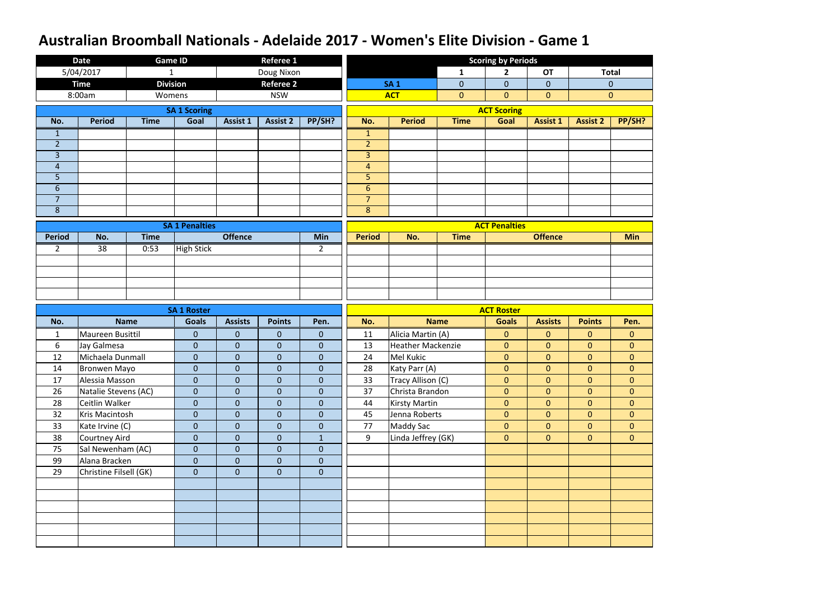|                | <b>Date</b>            |                 | <b>Game ID</b>        |                  | <b>Referee 1</b> |                  |                |                          |                | <b>Scoring by Periods</b> |                 |                 |                |
|----------------|------------------------|-----------------|-----------------------|------------------|------------------|------------------|----------------|--------------------------|----------------|---------------------------|-----------------|-----------------|----------------|
|                | 5/04/2017              | $\mathbf{1}$    |                       |                  | Doug Nixon       |                  |                |                          | $\mathbf{1}$   | $\overline{2}$            | <b>OT</b>       |                 | <b>Total</b>   |
|                | <b>Time</b>            | <b>Division</b> |                       |                  | <b>Referee 2</b> |                  |                | <b>SA1</b>               | $\mathbf 0$    | $\overline{0}$            | $\overline{0}$  |                 | $\mathbf{0}$   |
|                | 8:00am                 | Womens          |                       |                  | <b>NSW</b>       |                  |                | <b>ACT</b>               | $\overline{0}$ | $\overline{0}$            | $\overline{0}$  |                 | $\overline{0}$ |
|                |                        |                 | <b>SA 1 Scoring</b>   |                  |                  |                  |                |                          |                | <b>ACT Scoring</b>        |                 |                 |                |
| No.            | <b>Period</b>          | <b>Time</b>     | Goal                  | <b>Assist 1</b>  | <b>Assist 2</b>  | PP/SH?           | No.            | <b>Period</b>            | <b>Time</b>    | Goal                      | <b>Assist 1</b> | <b>Assist 2</b> | PP/SH?         |
| $\mathbf{1}$   |                        |                 |                       |                  |                  |                  | $\mathbf{1}$   |                          |                |                           |                 |                 |                |
| $\overline{2}$ |                        |                 |                       |                  |                  |                  | $\overline{2}$ |                          |                |                           |                 |                 |                |
| $\overline{3}$ |                        |                 |                       |                  |                  |                  | 3              |                          |                |                           |                 |                 |                |
| $\overline{4}$ |                        |                 |                       |                  |                  |                  | $\overline{4}$ |                          |                |                           |                 |                 |                |
| 5              |                        |                 |                       |                  |                  |                  | 5              |                          |                |                           |                 |                 |                |
| $6\,$          |                        |                 |                       |                  |                  |                  | $\sqrt{6}$     |                          |                |                           |                 |                 |                |
| $\overline{7}$ |                        |                 |                       |                  |                  |                  | $\overline{7}$ |                          |                |                           |                 |                 |                |
| 8              |                        |                 |                       |                  |                  |                  | $\bf 8$        |                          |                |                           |                 |                 |                |
|                |                        |                 | <b>SA 1 Penalties</b> |                  |                  |                  |                |                          |                | <b>ACT Penalties</b>      |                 |                 |                |
| <b>Period</b>  | No.                    | <b>Time</b>     |                       | <b>Offence</b>   |                  | Min              | <b>Period</b>  | No.                      | <b>Time</b>    |                           | <b>Offence</b>  |                 | <b>Min</b>     |
| $\overline{2}$ | 38                     | 0:53            | <b>High Stick</b>     |                  |                  | $\overline{2}$   |                |                          |                |                           |                 |                 |                |
|                |                        |                 |                       |                  |                  |                  |                |                          |                |                           |                 |                 |                |
|                |                        |                 |                       |                  |                  |                  |                |                          |                |                           |                 |                 |                |
|                |                        |                 |                       |                  |                  |                  |                |                          |                |                           |                 |                 |                |
|                |                        |                 |                       |                  |                  |                  |                |                          |                |                           |                 |                 |                |
|                |                        |                 |                       |                  |                  |                  |                |                          |                |                           |                 |                 |                |
|                |                        |                 | <b>SA 1 Roster</b>    |                  |                  |                  |                |                          |                | <b>ACT Roster</b>         |                 |                 |                |
| No.            |                        | <b>Name</b>     | <b>Goals</b>          | <b>Assists</b>   | <b>Points</b>    | Pen.             | No.            |                          | <b>Name</b>    | <b>Goals</b>              | <b>Assists</b>  | <b>Points</b>   | Pen.           |
| $\mathbf{1}$   | Maureen Busittil       |                 | $\mathbf{0}$          | $\mathbf{0}$     | 0                | $\mathbf{0}$     | 11             | Alicia Martin (A)        |                | $\mathbf{0}$              | $\overline{0}$  | $\overline{0}$  | $\mathbf{0}$   |
| 6              | Jay Galmesa            |                 | $\mathbf{0}$          | $\mathbf{0}$     | $\mathbf 0$      | $\theta$         | 13             | <b>Heather Mackenzie</b> |                | $\mathbf{0}$              | $\overline{0}$  | $\overline{0}$  | $\overline{0}$ |
| 12             | Michaela Dunmall       |                 | $\mathbf{0}$          | $\boldsymbol{0}$ | $\overline{0}$   | $\mathbf 0$      | 24             | Mel Kukic                |                | $\overline{0}$            | $\overline{0}$  | $\overline{0}$  | $\overline{0}$ |
| 14             | <b>Bronwen Mayo</b>    |                 | $\pmb{0}$             | $\boldsymbol{0}$ | $\boldsymbol{0}$ | $\boldsymbol{0}$ | 28             | Katy Parr (A)            |                | $\overline{0}$            | $\overline{0}$  | $\overline{0}$  | $\overline{0}$ |
| 17             | Alessia Masson         |                 | $\overline{0}$        | $\mathbf{0}$     | $\overline{0}$   | $\overline{0}$   | 33             | Tracy Allison (C)        |                | $\overline{0}$            | $\overline{0}$  | $\overline{0}$  | $\overline{0}$ |
| 26             | Natalie Stevens (AC)   |                 | $\overline{0}$        | $\overline{0}$   | $\overline{0}$   | $\overline{0}$   | 37             | Christa Brandon          |                | $\overline{0}$            | $\overline{0}$  | $\overline{0}$  | $\overline{0}$ |
| 28             | Ceitlin Walker         |                 | $\mathbf{0}$          | $\mathbf{0}$     | $\mathbf{0}$     | $\overline{0}$   | 44             | <b>Kirsty Martin</b>     |                | $\overline{0}$            | $\overline{0}$  | $\overline{0}$  | $\overline{0}$ |
| 32             | Kris Macintosh         |                 | $\boldsymbol{0}$      | $\overline{0}$   | $\mathbf 0$      | $\overline{0}$   | 45             | Jenna Roberts            |                | $\overline{0}$            | $\overline{0}$  | $\overline{0}$  | $\overline{0}$ |
| 33             | Kate Irvine (C)        |                 | $\boldsymbol{0}$      | $\mathbf{0}$     | $\mathbf 0$      | $\overline{0}$   | 77             | <b>Maddy Sac</b>         |                | $\overline{0}$            | $\overline{0}$  | $\overline{0}$  | $\overline{0}$ |
| 38             | Courtney Aird          |                 | $\mathbf{0}$          | $\mathbf{0}$     | $\overline{0}$   | $\mathbf{1}$     | 9              | Linda Jeffrey (GK)       |                | $\overline{0}$            | $\overline{0}$  | $\overline{0}$  | $\overline{0}$ |
| 75             | Sal Newenham (AC)      |                 | $\mathbf{0}$          | $\overline{0}$   | $\mathbf 0$      | $\overline{0}$   |                |                          |                |                           |                 |                 |                |
| 99             | Alana Bracken          |                 | $\overline{0}$        | $\mathbf{0}$     | $\overline{0}$   | $\overline{0}$   |                |                          |                |                           |                 |                 |                |
| 29             | Christine Filsell (GK) |                 | $\overline{0}$        | $\mathbf{0}$     | $\overline{0}$   | $\mathbf{0}$     |                |                          |                |                           |                 |                 |                |
|                |                        |                 |                       |                  |                  |                  |                |                          |                |                           |                 |                 |                |
|                |                        |                 |                       |                  |                  |                  |                |                          |                |                           |                 |                 |                |
|                |                        |                 |                       |                  |                  |                  |                |                          |                |                           |                 |                 |                |
|                |                        |                 |                       |                  |                  |                  |                |                          |                |                           |                 |                 |                |
|                |                        |                 |                       |                  |                  |                  |                |                          |                |                           |                 |                 |                |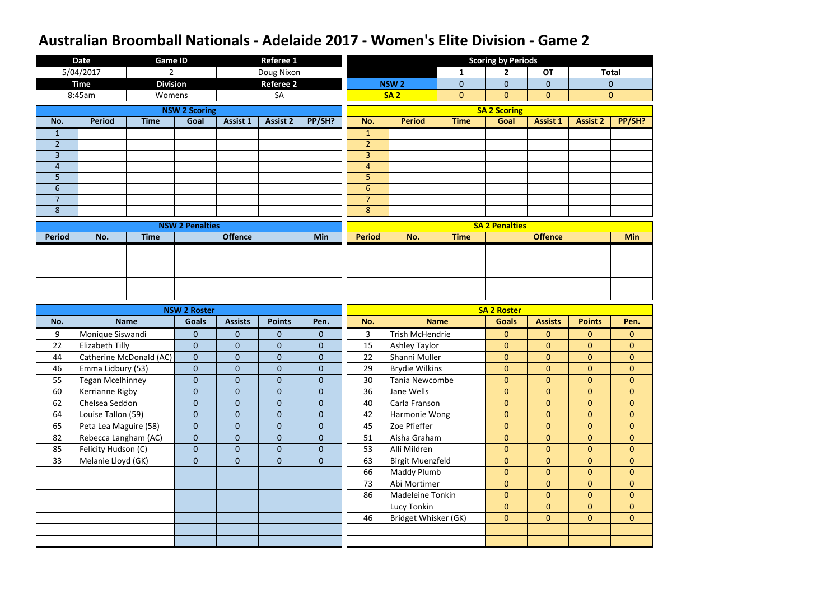|                           | <b>Date</b>           | <b>Game ID</b>          |                        |                  | <b>Referee 1</b> |                  |                     |                         |                | <b>Scoring by Periods</b>        |                                  |                                  |                                  |
|---------------------------|-----------------------|-------------------------|------------------------|------------------|------------------|------------------|---------------------|-------------------------|----------------|----------------------------------|----------------------------------|----------------------------------|----------------------------------|
|                           | 5/04/2017             | $\overline{2}$          |                        |                  | Doug Nixon       |                  |                     |                         | $\mathbf{1}$   | $\mathbf{2}$                     | <b>OT</b>                        |                                  | <b>Total</b>                     |
|                           | <b>Time</b>           | <b>Division</b>         |                        |                  | <b>Referee 2</b> |                  |                     | <b>NSW2</b>             | $\mathbf 0$    | $\overline{0}$                   | $\overline{0}$                   |                                  | $\mathbf 0$                      |
|                           | 8:45am                | Womens                  |                        |                  | SA               |                  |                     | <b>SA2</b>              | $\overline{0}$ | $\overline{0}$                   | $\overline{0}$                   |                                  | $\mathbf{0}$                     |
|                           |                       |                         | <b>NSW 2 Scoring</b>   |                  |                  |                  |                     |                         |                | <b>SA 2 Scoring</b>              |                                  |                                  |                                  |
| No.                       | <b>Period</b>         | <b>Time</b>             | Goal                   | <b>Assist 1</b>  | <b>Assist 2</b>  | PP/SH?           | No.                 | <b>Period</b>           | <b>Time</b>    | Goal                             | <b>Assist 1</b>                  | <b>Assist 2</b>                  | PP/SH?                           |
| $\mathbf{1}$              |                       |                         |                        |                  |                  |                  | $\mathbf{1}$        |                         |                |                                  |                                  |                                  |                                  |
| $\overline{2}$            |                       |                         |                        |                  |                  |                  | 2 <sup>1</sup>      |                         |                |                                  |                                  |                                  |                                  |
| $\overline{3}$            |                       |                         |                        |                  |                  |                  | $\overline{3}$      |                         |                |                                  |                                  |                                  |                                  |
| $\overline{4}$            |                       |                         |                        |                  |                  |                  | $\overline{4}$      |                         |                |                                  |                                  |                                  |                                  |
| 5                         |                       |                         |                        |                  |                  |                  | 5                   |                         |                |                                  |                                  |                                  |                                  |
| $6\,$                     |                       |                         |                        |                  |                  |                  | $6\,$               |                         |                |                                  |                                  |                                  |                                  |
| $\overline{7}$<br>$\bf 8$ |                       |                         |                        |                  |                  |                  | $\overline{7}$<br>8 |                         |                |                                  |                                  |                                  |                                  |
|                           |                       |                         |                        |                  |                  |                  |                     |                         |                |                                  |                                  |                                  |                                  |
|                           |                       |                         | <b>NSW 2 Penalties</b> |                  |                  |                  |                     |                         |                | <b>SA 2 Penalties</b>            |                                  |                                  |                                  |
| <b>Period</b>             | No.                   | <b>Time</b>             |                        | <b>Offence</b>   |                  | <b>Min</b>       | <b>Period</b>       | No.                     | <b>Time</b>    |                                  | <b>Offence</b>                   |                                  | <b>Min</b>                       |
|                           |                       |                         |                        |                  |                  |                  |                     |                         |                |                                  |                                  |                                  |                                  |
|                           |                       |                         |                        |                  |                  |                  |                     |                         |                |                                  |                                  |                                  |                                  |
|                           |                       |                         |                        |                  |                  |                  |                     |                         |                |                                  |                                  |                                  |                                  |
|                           |                       |                         |                        |                  |                  |                  |                     |                         |                |                                  |                                  |                                  |                                  |
|                           |                       |                         |                        |                  |                  |                  |                     |                         |                |                                  |                                  |                                  |                                  |
|                           |                       |                         | <b>NSW 2 Roster</b>    |                  |                  |                  |                     |                         |                | <b>SA 2 Roster</b>               |                                  |                                  |                                  |
| No.                       |                       |                         |                        |                  |                  |                  |                     |                         |                |                                  |                                  |                                  |                                  |
|                           |                       | <b>Name</b>             | <b>Goals</b>           | <b>Assists</b>   | <b>Points</b>    | Pen.             | No.                 |                         | <b>Name</b>    | <b>Goals</b>                     | <b>Assists</b>                   | <b>Points</b>                    | Pen.                             |
| 9                         | Monique Siswandi      |                         | $\mathbf{0}$           | $\mathbf{0}$     | $\mathbf{0}$     | $\mathbf{0}$     | $\mathbf{3}$        | <b>Trish McHendrie</b>  |                | $\mathbf{0}$                     | $\overline{0}$                   | $\overline{0}$                   | $\overline{0}$                   |
| 22                        | Elizabeth Tilly       |                         | $\overline{0}$         | $\pmb{0}$        | $\mathbf 0$      | $\mathbf{0}$     | 15                  | <b>Ashley Taylor</b>    |                | $\mathbf{0}$                     | $\overline{0}$                   | $\overline{0}$                   | $\overline{0}$                   |
| 44                        |                       | Catherine McDonald (AC) | $\overline{0}$         | $\pmb{0}$        | $\mathbf 0$      | $\boldsymbol{0}$ | 22                  | Shanni Muller           |                | $\mathbf{0}$                     | $\overline{0}$                   | 0                                | $\overline{0}$                   |
| 46                        | Emma Lidbury (53)     |                         | $\pmb{0}$              | $\pmb{0}$        | $\boldsymbol{0}$ | $\boldsymbol{0}$ | 29                  | <b>Brydie Wilkins</b>   |                | $\overline{0}$                   | $\overline{0}$                   | $\overline{0}$                   | $\overline{0}$                   |
| 55                        | Tegan Mcelhinney      |                         | $\overline{0}$         | $\mathbf{0}$     | $\mathbf{0}$     | $\overline{0}$   | 30                  | Tania Newcombe          |                | $\overline{0}$                   | $\overline{0}$                   | $\overline{0}$                   | $\overline{0}$                   |
| 60                        | Kerrianne Rigby       |                         | $\overline{0}$         | $\mathbf{0}$     | $\mathbf{0}$     | $\mathbf{0}$     | 36                  | Jane Wells              |                | $\overline{0}$                   | $\overline{0}$                   | $\overline{0}$                   | $\overline{0}$                   |
| 62                        | Chelsea Seddon        |                         | $\overline{0}$         | $\mathbf{0}$     | $\mathbf{0}$     | $\mathbf{0}$     | 40                  | Carla Franson           |                | $\overline{0}$                   | $\overline{0}$                   | $\overline{0}$                   | $\overline{0}$                   |
| 64                        | Louise Tallon (59)    |                         | $\boldsymbol{0}$       | $\mathbf{0}$     | $\mathbf{0}$     | $\overline{0}$   | 42                  | Harmonie Wong           |                | $\overline{0}$                   | $\overline{0}$                   | $\overline{0}$                   | $\overline{0}$                   |
| 65                        | Peta Lea Maguire (58) |                         | $\overline{0}$         | $\mathbf 0$      | $\mathbf{0}$     | $\mathbf{0}$     | 45                  | Zoe Pfieffer            |                | $\overline{0}$                   | $\overline{0}$                   | $\overline{0}$                   | $\overline{0}$                   |
| 82                        | Rebecca Langham (AC)  |                         | $\overline{0}$         | $\mathbf{0}$     | $\overline{0}$   | $\overline{0}$   | 51                  | Aisha Graham            |                | $\overline{0}$                   | $\overline{0}$                   | $\overline{0}$                   | $\overline{0}$                   |
| 85                        | Felicity Hudson (C)   |                         | $\overline{0}$         | $\mathbf{0}$     | $\mathbf{0}$     | $\overline{0}$   | 53                  | Alli Mildren            |                | $\overline{0}$                   | $\mathbf{0}$                     | $\overline{0}$                   | $\overline{0}$                   |
| 33                        | Melanie Lloyd (GK)    |                         | $\mathbf{0}$           | $\boldsymbol{0}$ | $\mathbf{0}$     | $\mathbf{0}$     | 63                  | <b>Birgit Muenzfeld</b> |                | $\overline{0}$                   | $\overline{0}$                   | $\overline{0}$                   | $\overline{0}$                   |
|                           |                       |                         |                        |                  |                  |                  | 66                  | Maddy Plumb             |                | $\overline{0}$                   | $\overline{0}$                   | $\overline{0}$                   | $\overline{0}$                   |
|                           |                       |                         |                        |                  |                  |                  | 73<br>86            | Abi Mortimer            |                | $\overline{0}$<br>$\overline{0}$ | $\overline{0}$<br>$\overline{0}$ | $\overline{0}$<br>$\overline{0}$ | $\overline{0}$<br>$\overline{0}$ |
|                           |                       |                         |                        |                  |                  |                  |                     | Madeleine Tonkin        |                | $\overline{0}$                   | $\overline{0}$                   | $\overline{0}$                   | $\overline{0}$                   |
|                           |                       |                         |                        |                  |                  |                  | 46                  | Lucy Tonkin             |                | $\overline{0}$                   | $\overline{0}$                   | $\overline{0}$                   | $\overline{0}$                   |
|                           |                       |                         |                        |                  |                  |                  |                     | Bridget Whisker (GK)    |                |                                  |                                  |                                  |                                  |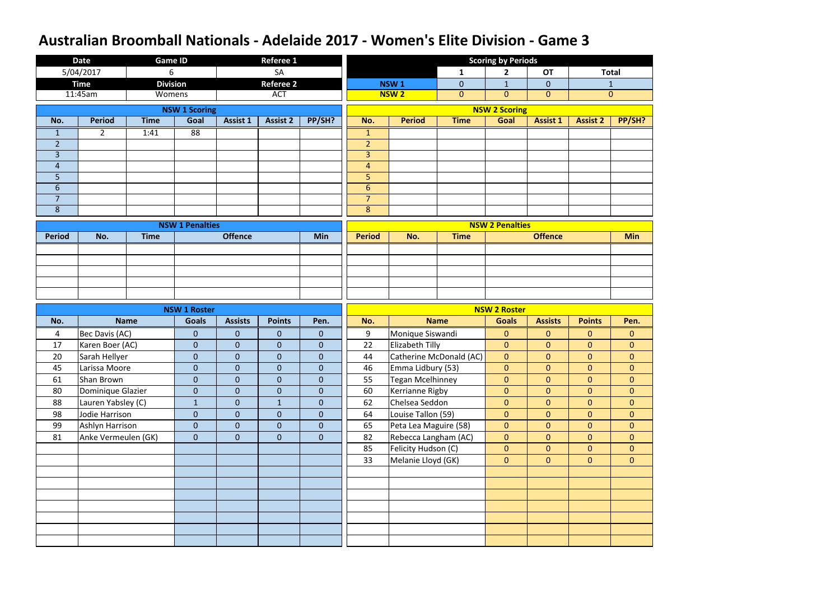|                         | <b>Date</b>                    | <b>Game ID</b>  |                              |                           | <b>Referee 1</b>             |                          |                                  |                                              |                         | <b>Scoring by Periods</b>        |                                  |                                |                                |
|-------------------------|--------------------------------|-----------------|------------------------------|---------------------------|------------------------------|--------------------------|----------------------------------|----------------------------------------------|-------------------------|----------------------------------|----------------------------------|--------------------------------|--------------------------------|
|                         | 5/04/2017                      | 6               |                              |                           | <b>SA</b>                    |                          |                                  |                                              | $\mathbf{1}$            | $\overline{2}$                   | <b>OT</b>                        |                                | <b>Total</b>                   |
|                         | <b>Time</b>                    | <b>Division</b> |                              |                           | <b>Referee 2</b>             |                          |                                  | <b>NSW1</b>                                  | $\mathbf 0$             | $\mathbf{1}$                     | $\overline{0}$                   |                                | $\mathbf{1}$                   |
|                         | 11:45am                        | Womens          |                              |                           | <b>ACT</b>                   |                          |                                  | <b>NSW2</b>                                  | $\mathbf{0}$            | $\overline{0}$                   | $\overline{0}$                   |                                | $\overline{0}$                 |
|                         |                                |                 | <b>NSW 1 Scoring</b>         |                           |                              |                          |                                  |                                              |                         | <b>NSW 2 Scoring</b>             |                                  |                                |                                |
| No.                     | <b>Period</b>                  | <b>Time</b>     | Goal                         | <b>Assist 1</b>           | <b>Assist 2</b>              | PP/SH?                   | No.                              | <b>Period</b>                                | <b>Time</b>             | Goal                             | <b>Assist 1</b>                  | <b>Assist 2</b>                | PP/SH?                         |
| $\mathbf{1}$            | $2^{\circ}$                    | 1:41            | 88                           |                           |                              |                          | $\mathbf{1}$                     |                                              |                         |                                  |                                  |                                |                                |
| $\overline{2}$          |                                |                 |                              |                           |                              |                          | $\overline{2}$                   |                                              |                         |                                  |                                  |                                |                                |
| $\overline{3}$          |                                |                 |                              |                           |                              |                          | $\overline{3}$                   |                                              |                         |                                  |                                  |                                |                                |
| $\overline{4}$          |                                |                 |                              |                           |                              |                          | $\overline{4}$                   |                                              |                         |                                  |                                  |                                |                                |
| 5                       |                                |                 |                              |                           |                              |                          | $\overline{5}$                   |                                              |                         |                                  |                                  |                                |                                |
| $6\,$<br>$\overline{7}$ |                                |                 |                              |                           |                              |                          | $6\phantom{1}$<br>$\overline{7}$ |                                              |                         |                                  |                                  |                                |                                |
| 8                       |                                |                 |                              |                           |                              |                          | $\bf 8$                          |                                              |                         |                                  |                                  |                                |                                |
|                         |                                |                 |                              |                           |                              |                          |                                  |                                              |                         |                                  |                                  |                                |                                |
|                         |                                |                 | <b>NSW 1 Penalties</b>       |                           |                              |                          |                                  |                                              |                         | <b>NSW 2 Penalties</b>           |                                  |                                |                                |
| <b>Period</b>           | No.                            | <b>Time</b>     |                              | <b>Offence</b>            |                              | Min                      | <b>Period</b>                    | No.                                          | <b>Time</b>             |                                  | <b>Offence</b>                   |                                | <b>Min</b>                     |
|                         |                                |                 |                              |                           |                              |                          |                                  |                                              |                         |                                  |                                  |                                |                                |
|                         |                                |                 |                              |                           |                              |                          |                                  |                                              |                         |                                  |                                  |                                |                                |
|                         |                                |                 |                              |                           |                              |                          |                                  |                                              |                         |                                  |                                  |                                |                                |
|                         |                                |                 |                              |                           |                              |                          |                                  |                                              |                         |                                  |                                  |                                |                                |
|                         |                                |                 |                              |                           |                              |                          |                                  |                                              |                         |                                  |                                  |                                |                                |
|                         |                                |                 |                              |                           |                              |                          |                                  |                                              |                         |                                  |                                  |                                |                                |
|                         |                                |                 | <b>NSW 1 Roster</b>          |                           |                              |                          |                                  |                                              |                         | <b>NSW 2 Roster</b>              |                                  |                                |                                |
| No.                     |                                | <b>Name</b>     | <b>Goals</b>                 | <b>Assists</b>            | <b>Points</b>                | Pen.                     | No.                              |                                              | <b>Name</b>             | <b>Goals</b>                     | <b>Assists</b>                   | <b>Points</b>                  | Pen.                           |
| $\overline{4}$<br>17    | Bec Davis (AC)                 |                 | $\mathbf{0}$<br>$\mathbf{0}$ | $\pmb{0}$<br>$\mathbf{0}$ | $\mathbf{0}$<br>$\mathbf{0}$ | $\mathbf{0}$<br>$\theta$ | 9<br>22                          | Monique Siswandi                             |                         | $\overline{0}$<br>$\overline{0}$ | $\overline{0}$<br>$\overline{0}$ | $\mathbf{0}$<br>$\overline{0}$ | $\overline{0}$<br>$\mathbf{0}$ |
| 20                      | Karen Boer (AC)                |                 | $\overline{0}$               | $\pmb{0}$                 | $\mathbf{0}$                 | $\boldsymbol{0}$         | 44                               | Elizabeth Tilly                              |                         | $\overline{0}$                   | $\overline{0}$                   | $\overline{0}$                 | $\overline{0}$                 |
| 45                      | Sarah Hellyer<br>Larissa Moore |                 | $\overline{0}$               | $\overline{0}$            | $\overline{0}$               | $\overline{0}$           | 46                               |                                              | Catherine McDonald (AC) | $\overline{0}$                   | $\overline{0}$                   | $\overline{0}$                 | $\overline{0}$                 |
| 61                      | <b>Shan Brown</b>              |                 | $\mathbf{0}$                 | $\overline{0}$            | $\overline{0}$               | $\overline{0}$           | 55                               | Emma Lidbury (53)<br><b>Tegan Mcelhinney</b> |                         | $\overline{0}$                   | $\overline{0}$                   | $\overline{0}$                 | $\overline{0}$                 |
| 80                      | Dominique Glazier              |                 | $\mathbf{0}$                 | $\mathbf{0}$              | $\mathbf 0$                  | $\mathbf{0}$             | 60                               | Kerrianne Rigby                              |                         | $\overline{0}$                   | $\overline{0}$                   | $\overline{0}$                 | $\overline{0}$                 |
| 88                      | Lauren Yabsley (C)             |                 | $\mathbf{1}$                 | $\mathbf{0}$              | 1                            | $\mathbf{0}$             | 62                               | Chelsea Seddon                               |                         | $\overline{0}$                   | $\overline{0}$                   | $\overline{0}$                 | $\overline{0}$                 |
| 98                      | Jodie Harrison                 |                 | $\pmb{0}$                    | $\pmb{0}$                 | $\pmb{0}$                    | $\mathbf{0}$             | 64                               | Louise Tallon (59)                           |                         | $\mathbf{0}$                     | $\overline{0}$                   | $\overline{0}$                 | $\overline{0}$                 |
| 99                      | Ashlyn Harrison                |                 | $\mathbf{0}$                 | $\mathbf{0}$              | $\mathbf{0}$                 | $\overline{0}$           | 65                               | Peta Lea Maguire (58)                        |                         | $\overline{0}$                   | $\overline{0}$                   | $\overline{0}$                 | $\overline{0}$                 |
| 81                      | Anke Vermeulen (GK)            |                 | $\mathbf{0}$                 | $\pmb{0}$                 | $\overline{0}$               | $\overline{0}$           | 82                               | Rebecca Langham (AC)                         |                         | $\overline{0}$                   | $\overline{0}$                   | $\overline{0}$                 | $\overline{0}$                 |
|                         |                                |                 |                              |                           |                              |                          | 85                               | Felicity Hudson (C)                          |                         | $\overline{0}$                   | $\overline{0}$                   | $\overline{0}$                 | $\overline{0}$                 |
|                         |                                |                 |                              |                           |                              |                          | 33                               | Melanie Lloyd (GK)                           |                         | $\overline{0}$                   | $\overline{0}$                   | $\overline{0}$                 | $\overline{0}$                 |
|                         |                                |                 |                              |                           |                              |                          |                                  |                                              |                         |                                  |                                  |                                |                                |
|                         |                                |                 |                              |                           |                              |                          |                                  |                                              |                         |                                  |                                  |                                |                                |
|                         |                                |                 |                              |                           |                              |                          |                                  |                                              |                         |                                  |                                  |                                |                                |
|                         |                                |                 |                              |                           |                              |                          |                                  |                                              |                         |                                  |                                  |                                |                                |
|                         |                                |                 |                              |                           |                              |                          |                                  |                                              |                         |                                  |                                  |                                |                                |
|                         |                                |                 |                              |                           |                              |                          |                                  |                                              |                         |                                  |                                  |                                |                                |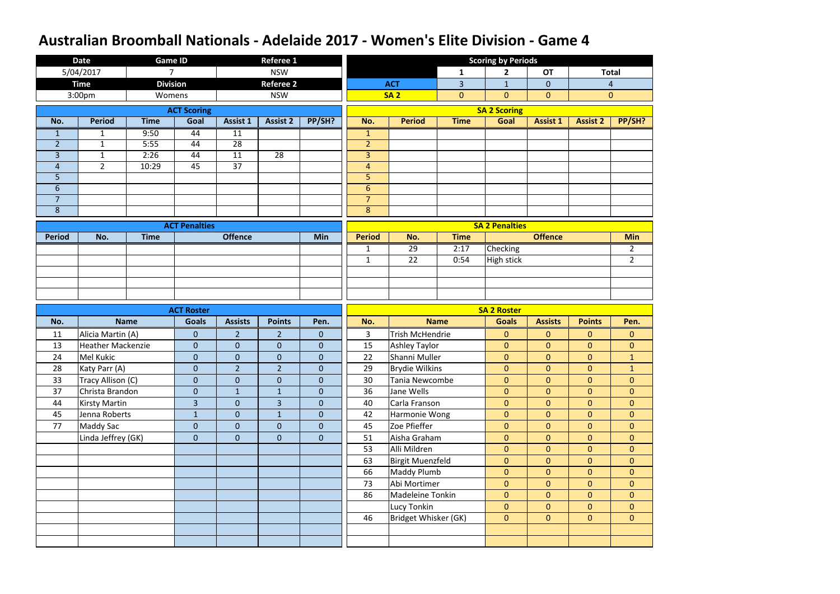|                | <b>Date</b>              | <b>Game ID</b>  |                      |                 | <b>Referee 1</b> |                  |                         |                         |                | <b>Scoring by Periods</b> |                 |                 |                |
|----------------|--------------------------|-----------------|----------------------|-----------------|------------------|------------------|-------------------------|-------------------------|----------------|---------------------------|-----------------|-----------------|----------------|
|                | 5/04/2017                | $\overline{7}$  |                      |                 | <b>NSW</b>       |                  |                         |                         | $\mathbf{1}$   | $\mathbf{2}$              | <b>OT</b>       |                 | <b>Total</b>   |
|                | <b>Time</b>              | <b>Division</b> |                      |                 | <b>Referee 2</b> |                  |                         | <b>ACT</b>              | 3              | $\mathbf{1}$              | $\overline{0}$  |                 | $\overline{4}$ |
|                | 3:00pm                   | Womens          |                      |                 | <b>NSW</b>       |                  |                         | <b>SA2</b>              | $\overline{0}$ | $\overline{0}$            | $\mathbf{0}$    |                 | $\mathbf{0}$   |
|                |                          |                 | <b>ACT Scoring</b>   |                 |                  |                  |                         |                         |                | <b>SA 2 Scoring</b>       |                 |                 |                |
| No.            | <b>Period</b>            | <b>Time</b>     | Goal                 | <b>Assist 1</b> | <b>Assist 2</b>  | PP/SH?           | No.                     | <b>Period</b>           | <b>Time</b>    | Goal                      | <b>Assist 1</b> | <b>Assist 2</b> | PP/SH?         |
| $\mathbf{1}$   | 1                        | 9:50            | 44                   | 11              |                  |                  | $\mathbf{1}$            |                         |                |                           |                 |                 |                |
| $\overline{2}$ | $\mathbf{1}$             | 5:55            | 44                   | 28              |                  |                  | $\overline{2}$          |                         |                |                           |                 |                 |                |
| 3              | $\mathbf{1}$             | 2:26            | 44                   | 11              | 28               |                  | $\overline{\mathbf{3}}$ |                         |                |                           |                 |                 |                |
| $\overline{4}$ | $2^{\circ}$              | 10:29           | 45                   | 37              |                  |                  | $\overline{4}$          |                         |                |                           |                 |                 |                |
| 5              |                          |                 |                      |                 |                  |                  | 5                       |                         |                |                           |                 |                 |                |
| $6\,$          |                          |                 |                      |                 |                  |                  | $6\,$                   |                         |                |                           |                 |                 |                |
| $\overline{7}$ |                          |                 |                      |                 |                  |                  | $\overline{7}$          |                         |                |                           |                 |                 |                |
| $\bf 8$        |                          |                 |                      |                 |                  |                  | 8                       |                         |                |                           |                 |                 |                |
|                |                          |                 | <b>ACT Penalties</b> |                 |                  |                  |                         |                         |                | <b>SA 2 Penalties</b>     |                 |                 |                |
| <b>Period</b>  | No.                      | <b>Time</b>     |                      | <b>Offence</b>  |                  | <b>Min</b>       | <b>Period</b>           | No.                     | <b>Time</b>    |                           | <b>Offence</b>  |                 | <b>Min</b>     |
|                |                          |                 |                      |                 |                  |                  | $\mathbf{1}$            | 29                      | 2:17           | <b>Checking</b>           |                 |                 | $\overline{2}$ |
|                |                          |                 |                      |                 |                  |                  | $\mathbf{1}$            | 22                      | 0:54           | <b>High stick</b>         |                 |                 | $2^{\circ}$    |
|                |                          |                 |                      |                 |                  |                  |                         |                         |                |                           |                 |                 |                |
|                |                          |                 |                      |                 |                  |                  |                         |                         |                |                           |                 |                 |                |
|                |                          |                 |                      |                 |                  |                  |                         |                         |                |                           |                 |                 |                |
|                |                          |                 |                      |                 |                  |                  |                         |                         |                |                           |                 |                 |                |
|                |                          |                 | <b>ACT Roster</b>    |                 |                  |                  |                         |                         |                | <b>SA 2 Roster</b>        |                 |                 |                |
| No.            |                          | <b>Name</b>     | <b>Goals</b>         | <b>Assists</b>  | <b>Points</b>    | Pen.             | No.                     |                         | <b>Name</b>    | <b>Goals</b>              | <b>Assists</b>  | <b>Points</b>   | Pen.           |
| 11             | Alicia Martin (A)        |                 | $\mathbf{0}$         | $\overline{2}$  | $\overline{2}$   | $\mathbf{0}$     | $\overline{3}$          | <b>Trish McHendrie</b>  |                | $\mathbf{0}$              | $\mathbf{0}$    | $\mathbf{0}$    | $\mathbf{0}$   |
| 13             | <b>Heather Mackenzie</b> |                 | $\overline{0}$       | $\pmb{0}$       | $\mathbf{0}$     | $\overline{0}$   | 15                      | <b>Ashley Taylor</b>    |                | $\mathbf{0}$              | $\overline{0}$  | $\overline{0}$  | $\overline{0}$ |
| 24             | Mel Kukic                |                 | $\overline{0}$       | $\pmb{0}$       | $\mathbf 0$      | $\boldsymbol{0}$ | 22                      | Shanni Muller           |                | $\overline{0}$            | $\overline{0}$  | $\overline{0}$  | $\mathbf{1}$   |
| 28             | Katy Parr (A)            |                 | $\pmb{0}$            | $\overline{2}$  | $\overline{2}$   | $\overline{0}$   | 29                      | Brydie Wilkins          |                | $\mathbf{0}$              | $\overline{0}$  | $\overline{0}$  | $\mathbf{1}$   |
| 33             | Tracy Allison (C)        |                 | $\overline{0}$       | $\mathbf{0}$    | $\mathbf{0}$     | $\overline{0}$   | 30                      | Tania Newcombe          |                | $\overline{0}$            | $\overline{0}$  | $\overline{0}$  | $\overline{0}$ |
| 37             | Christa Brandon          |                 | $\boldsymbol{0}$     | $\mathbf{1}$    | $\mathbf{1}$     | $\mathbf{0}$     | 36                      | Jane Wells              |                | $\overline{0}$            | $\overline{0}$  | $\overline{0}$  | $\overline{0}$ |
| 44             | <b>Kirsty Martin</b>     |                 | $\overline{3}$       | $\mathbf{0}$    | 3                | $\overline{0}$   | 40                      | Carla Franson           |                | $\overline{0}$            | $\overline{0}$  | $\overline{0}$  | $\overline{0}$ |
| 45             | Jenna Roberts            |                 | $\mathbf{1}$         | $\mathbf{0}$    | $\mathbf{1}$     | $\overline{0}$   | 42                      | Harmonie Wong           |                | $\overline{0}$            | $\overline{0}$  | $\overline{0}$  | $\overline{0}$ |
| 77             | <b>Maddy Sac</b>         |                 | $\overline{0}$       | $\mathbf{0}$    | $\mathbf{0}$     | $\overline{0}$   | 45                      | Zoe Pfieffer            |                | $\overline{0}$            | $\overline{0}$  | $\overline{0}$  | $\overline{0}$ |
|                | Linda Jeffrey (GK)       |                 | $\overline{0}$       | $\mathbf{0}$    | $\mathbf{0}$     | $\boldsymbol{0}$ | 51                      | Aisha Graham            |                | $\overline{0}$            | $\overline{0}$  | $\overline{0}$  | $\overline{0}$ |
|                |                          |                 |                      |                 |                  |                  | 53                      | Alli Mildren            |                | $\overline{0}$            | $\mathbf{0}$    | $\overline{0}$  | $\overline{0}$ |
|                |                          |                 |                      |                 |                  |                  | 63                      | <b>Birgit Muenzfeld</b> |                | $\overline{0}$            | $\overline{0}$  | $\overline{0}$  | $\overline{0}$ |
|                |                          |                 |                      |                 |                  |                  | 66                      | Maddy Plumb             |                | $\overline{0}$            | $\overline{0}$  | $\overline{0}$  | $\overline{0}$ |
|                |                          |                 |                      |                 |                  |                  | 73                      | Abi Mortimer            |                | $\overline{0}$            | $\overline{0}$  | $\overline{0}$  | $\overline{0}$ |
|                |                          |                 |                      |                 |                  |                  | 86                      | Madeleine Tonkin        |                | $\overline{0}$            | $\overline{0}$  | $\overline{0}$  | $\overline{0}$ |
|                |                          |                 |                      |                 |                  |                  |                         | Lucy Tonkin             |                | $\overline{0}$            | $\overline{0}$  | $\overline{0}$  | $\overline{0}$ |
|                |                          |                 |                      |                 |                  |                  | 46                      | Bridget Whisker (GK)    |                | $\overline{0}$            | $\overline{0}$  | $\overline{0}$  | $\overline{0}$ |
|                |                          |                 |                      |                 |                  |                  |                         |                         |                |                           |                 |                 |                |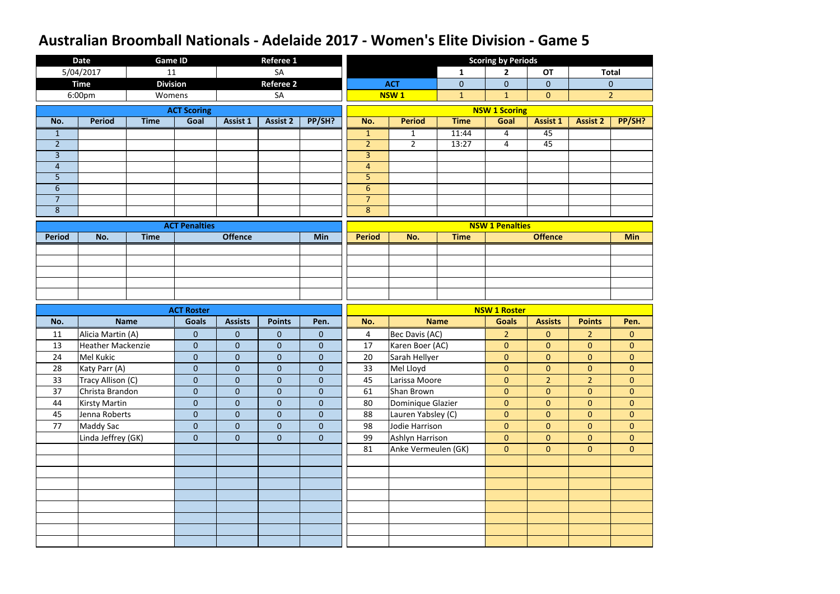|                | <b>Date</b>              | <b>Game ID</b>  |                      |                  | <b>Referee 1</b> |                  |                |                     |              | <b>Scoring by Periods</b> |                 |                 |                  |
|----------------|--------------------------|-----------------|----------------------|------------------|------------------|------------------|----------------|---------------------|--------------|---------------------------|-----------------|-----------------|------------------|
|                | 5/04/2017                | 11              |                      |                  | SA               |                  |                |                     | $\mathbf{1}$ | $\mathbf{2}$              | <b>OT</b>       |                 | <b>Total</b>     |
|                | <b>Time</b>              | <b>Division</b> |                      |                  | <b>Referee 2</b> |                  |                | <b>ACT</b>          | $\mathbf 0$  | $\overline{0}$            | $\overline{0}$  |                 | $\overline{0}$   |
|                | 6:00pm                   | Womens          |                      |                  | SA               |                  |                | NSW <sub>1</sub>    | $\mathbf{1}$ | $\mathbf{1}$              | $\overline{0}$  |                 | $\overline{2}$   |
|                |                          |                 | <b>ACT Scoring</b>   |                  |                  |                  |                |                     |              | <b>NSW 1 Scoring</b>      |                 |                 |                  |
| No.            | <b>Period</b>            | <b>Time</b>     | Goal                 | <b>Assist 1</b>  | <b>Assist 2</b>  | PP/SH?           | No.            | <b>Period</b>       | <b>Time</b>  | Goal                      | <b>Assist 1</b> | <b>Assist 2</b> | PP/SH?           |
| $\mathbf{1}$   |                          |                 |                      |                  |                  |                  | $\mathbf{1}$   | $\mathbf{1}$        | 11:44        | 4                         | 45              |                 |                  |
| $\overline{2}$ |                          |                 |                      |                  |                  |                  | $\overline{2}$ | $2^{\circ}$         | 13:27        | $\overline{4}$            | 45              |                 |                  |
| $\overline{3}$ |                          |                 |                      |                  |                  |                  | $\overline{3}$ |                     |              |                           |                 |                 |                  |
| $\overline{4}$ |                          |                 |                      |                  |                  |                  | 4              |                     |              |                           |                 |                 |                  |
| 5              |                          |                 |                      |                  |                  |                  | 5              |                     |              |                           |                 |                 |                  |
| $6\,$          |                          |                 |                      |                  |                  |                  | $\sqrt{6}$     |                     |              |                           |                 |                 |                  |
| $\overline{7}$ |                          |                 |                      |                  |                  |                  | $\overline{7}$ |                     |              |                           |                 |                 |                  |
| $\bf 8$        |                          |                 |                      |                  |                  |                  | 8              |                     |              |                           |                 |                 |                  |
|                |                          |                 | <b>ACT Penalties</b> |                  |                  |                  |                |                     |              | <b>NSW 1 Penalties</b>    |                 |                 |                  |
| <b>Period</b>  | No.                      | <b>Time</b>     |                      | <b>Offence</b>   |                  | <b>Min</b>       | <b>Period</b>  | No.                 | <b>Time</b>  |                           | <b>Offence</b>  |                 | <b>Min</b>       |
|                |                          |                 |                      |                  |                  |                  |                |                     |              |                           |                 |                 |                  |
|                |                          |                 |                      |                  |                  |                  |                |                     |              |                           |                 |                 |                  |
|                |                          |                 |                      |                  |                  |                  |                |                     |              |                           |                 |                 |                  |
|                |                          |                 |                      |                  |                  |                  |                |                     |              |                           |                 |                 |                  |
|                |                          |                 |                      |                  |                  |                  |                |                     |              |                           |                 |                 |                  |
|                |                          |                 |                      |                  |                  |                  |                |                     |              |                           |                 |                 |                  |
|                |                          |                 | <b>ACT Roster</b>    |                  |                  |                  |                |                     |              | <b>NSW 1 Roster</b>       |                 |                 |                  |
| No.            |                          | <b>Name</b>     | <b>Goals</b>         | <b>Assists</b>   | <b>Points</b>    | Pen.             | No.            |                     | <b>Name</b>  | <b>Goals</b>              | <b>Assists</b>  | <b>Points</b>   | Pen.             |
| 11             | Alicia Martin (A)        |                 | $\mathbf{0}$         | $\mathbf{0}$     | $\mathbf 0$      | $\mathbf{0}$     | 4              | Bec Davis (AC)      |              | $\overline{2}$            | $\overline{0}$  | $\overline{2}$  | $\mathbf{0}$     |
| 13             | <b>Heather Mackenzie</b> |                 | $\mathbf{0}$         | $\mathbf{0}$     | $\mathbf 0$      | $\mathbf{0}$     | 17             | Karen Boer (AC)     |              | $\overline{0}$            | $\overline{0}$  | $\overline{0}$  | $\overline{0}$   |
| 24             | Mel Kukic                |                 | $\mathbf 0$          | $\boldsymbol{0}$ | $\overline{0}$   | $\mathbf 0$      | 20             | Sarah Hellyer       |              | $\overline{0}$            | $\overline{0}$  | $\overline{0}$  | $\boldsymbol{0}$ |
| 28             | Katy Parr (A)            |                 | $\pmb{0}$            | $\pmb{0}$        | $\boldsymbol{0}$ | $\boldsymbol{0}$ | 33             | Mel Lloyd           |              | $\overline{0}$            | $\overline{0}$  | $\overline{0}$  | $\mathbf{0}$     |
| 33             | Tracy Allison (C)        |                 | $\overline{0}$       | $\mathbf{0}$     | $\overline{0}$   | $\overline{0}$   | 45             | Larissa Moore       |              | $\overline{0}$            | $\overline{2}$  | $\overline{2}$  | $\overline{0}$   |
| 37             | Christa Brandon          |                 | $\boldsymbol{0}$     | $\mathbf{0}$     | $\mathbf 0$      | $\overline{0}$   | 61             | Shan Brown          |              | $\overline{0}$            | $\overline{0}$  | $\overline{0}$  | $\overline{0}$   |
| 44             | <b>Kirsty Martin</b>     |                 | $\boldsymbol{0}$     | $\mathbf{0}$     | $\mathbf 0$      | $\overline{0}$   | 80             | Dominique Glazier   |              | $\overline{0}$            | $\overline{0}$  | $\overline{0}$  | $\overline{0}$   |
| 45             | Jenna Roberts            |                 | $\boldsymbol{0}$     | $\mathbf{0}$     | $\mathbf 0$      | $\overline{0}$   | 88             | Lauren Yabsley (C)  |              | $\overline{0}$            | $\overline{0}$  | $\overline{0}$  | $\overline{0}$   |
| 77             | <b>Maddy Sac</b>         |                 | $\boldsymbol{0}$     | $\mathbf{0}$     | $\mathbf 0$      | $\overline{0}$   | 98             | Jodie Harrison      |              | $\overline{0}$            | $\overline{0}$  | $\overline{0}$  | $\overline{0}$   |
|                | Linda Jeffrey (GK)       |                 | $\mathbf{0}$         | $\mathbf{0}$     | $\overline{0}$   | $\overline{0}$   | 99             | Ashlyn Harrison     |              | $\overline{0}$            | $\overline{0}$  | $\overline{0}$  | $\mathbf{0}$     |
|                |                          |                 |                      |                  |                  |                  | 81             | Anke Vermeulen (GK) |              | $\overline{0}$            | $\overline{0}$  | $\overline{0}$  | $\overline{0}$   |
|                |                          |                 |                      |                  |                  |                  |                |                     |              |                           |                 |                 |                  |
|                |                          |                 |                      |                  |                  |                  |                |                     |              |                           |                 |                 |                  |
|                |                          |                 |                      |                  |                  |                  |                |                     |              |                           |                 |                 |                  |
|                |                          |                 |                      |                  |                  |                  |                |                     |              |                           |                 |                 |                  |
|                |                          |                 |                      |                  |                  |                  |                |                     |              |                           |                 |                 |                  |
|                |                          |                 |                      |                  |                  |                  |                |                     |              |                           |                 |                 |                  |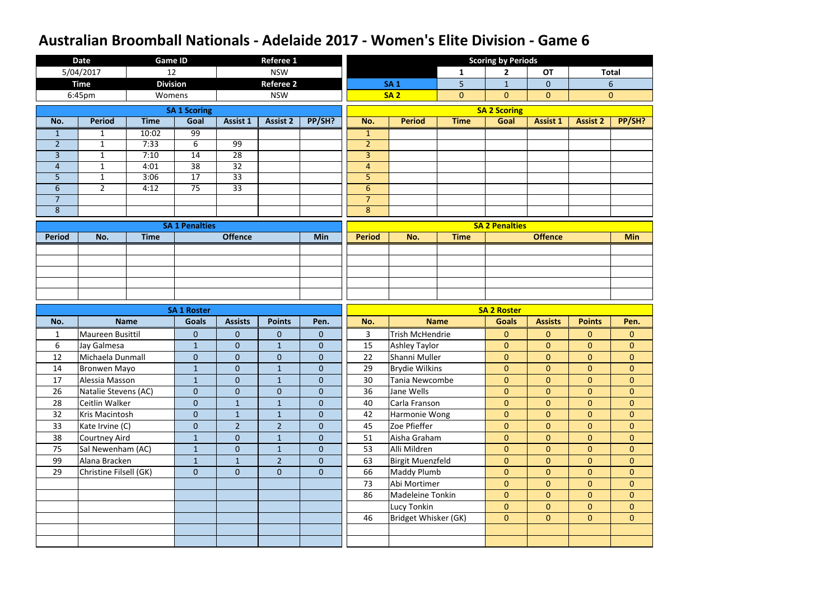|                | <b>Date</b>            | <b>Game ID</b>  |                       |                 | Referee 1        |                  |                |                         |                | <b>Scoring by Periods</b> |                 |                 |                |
|----------------|------------------------|-----------------|-----------------------|-----------------|------------------|------------------|----------------|-------------------------|----------------|---------------------------|-----------------|-----------------|----------------|
|                | 5/04/2017              | 12              |                       |                 | <b>NSW</b>       |                  |                |                         | $\mathbf{1}$   | $\mathbf{2}$              | <b>OT</b>       |                 | <b>Total</b>   |
|                | <b>Time</b>            | <b>Division</b> |                       |                 | <b>Referee 2</b> |                  |                | <b>SA1</b>              | 5              | $\mathbf{1}$              | $\overline{0}$  |                 | 6              |
|                | 6:45pm                 | Womens          |                       |                 | <b>NSW</b>       |                  |                | <b>SA2</b>              | $\overline{0}$ | $\overline{0}$            | $\overline{0}$  |                 | $\mathbf{0}$   |
|                |                        |                 | <b>SA 1 Scoring</b>   |                 |                  |                  |                |                         |                | <b>SA 2 Scoring</b>       |                 |                 |                |
| No.            | <b>Period</b>          | <b>Time</b>     | Goal                  | <b>Assist 1</b> | <b>Assist 2</b>  | PP/SH?           | No.            | <b>Period</b>           | <b>Time</b>    | Goal                      | <b>Assist 1</b> | <b>Assist 2</b> | PP/SH?         |
| $\mathbf{1}$   | $\mathbf{1}$           | 10:02           | 99                    |                 |                  |                  | $\mathbf{1}$   |                         |                |                           |                 |                 |                |
| $\overline{2}$ | $\mathbf{1}$           | 7:33            | 6                     | 99              |                  |                  | $\overline{2}$ |                         |                |                           |                 |                 |                |
| 3              | $\mathbf{1}$           | 7:10            | 14                    | 28              |                  |                  | $\overline{3}$ |                         |                |                           |                 |                 |                |
| $\overline{4}$ | $\mathbf{1}$           | 4:01            | 38                    | 32              |                  |                  | $\overline{4}$ |                         |                |                           |                 |                 |                |
| 5              | $\mathbf{1}$           | 3:06            | 17                    | 33              |                  |                  | 5              |                         |                |                           |                 |                 |                |
| $6\phantom{1}$ | $2^{\circ}$            | 4:12            | $\overline{75}$       | $\overline{33}$ |                  |                  | $6\phantom{1}$ |                         |                |                           |                 |                 |                |
| $\overline{7}$ |                        |                 |                       |                 |                  |                  | $\overline{7}$ |                         |                |                           |                 |                 |                |
| 8              |                        |                 |                       |                 |                  |                  | $8\phantom{1}$ |                         |                |                           |                 |                 |                |
|                |                        |                 | <b>SA 1 Penalties</b> |                 |                  |                  |                |                         |                | <b>SA 2 Penalties</b>     |                 |                 |                |
| <b>Period</b>  | No.                    | <b>Time</b>     |                       | <b>Offence</b>  |                  | Min              | <b>Period</b>  | No.                     | <b>Time</b>    |                           | <b>Offence</b>  |                 | <b>Min</b>     |
|                |                        |                 |                       |                 |                  |                  |                |                         |                |                           |                 |                 |                |
|                |                        |                 |                       |                 |                  |                  |                |                         |                |                           |                 |                 |                |
|                |                        |                 |                       |                 |                  |                  |                |                         |                |                           |                 |                 |                |
|                |                        |                 |                       |                 |                  |                  |                |                         |                |                           |                 |                 |                |
|                |                        |                 |                       |                 |                  |                  |                |                         |                |                           |                 |                 |                |
|                |                        |                 |                       |                 |                  |                  |                |                         |                |                           |                 |                 |                |
|                |                        |                 | <b>SA 1 Roster</b>    |                 |                  |                  |                |                         |                | <b>SA 2 Roster</b>        |                 |                 |                |
| No.            |                        | <b>Name</b>     | <b>Goals</b>          | <b>Assists</b>  | <b>Points</b>    | Pen.             | No.            |                         | <b>Name</b>    | <b>Goals</b>              | <b>Assists</b>  | <b>Points</b>   | Pen.           |
| $\mathbf{1}$   | Maureen Busittil       |                 | $\mathbf{0}$          | $\pmb{0}$       | $\mathbf{0}$     | $\mathbf{0}$     | $\mathbf{3}$   | <b>Trish McHendrie</b>  |                | $\mathbf{0}$              | $\overline{0}$  | $\overline{0}$  | $\overline{0}$ |
| 6              | Jay Galmesa            |                 | $\mathbf{1}$          | $\pmb{0}$       | $\mathbf{1}$     | $\overline{0}$   | 15             | <b>Ashley Taylor</b>    |                | $\overline{0}$            | $\overline{0}$  | $\overline{0}$  | $\overline{0}$ |
| 12             | Michaela Dunmall       |                 | $\overline{0}$        | $\pmb{0}$       | $\mathbf{0}$     | $\pmb{0}$        | 22             | Shanni Muller           |                | $\mathbf{0}$              | $\overline{0}$  | $\overline{0}$  | $\overline{0}$ |
| 14             | <b>Bronwen Mayo</b>    |                 | $\mathbf 1$           | $\overline{0}$  | $\mathbf 1$      | $\boldsymbol{0}$ | 29             | <b>Brydie Wilkins</b>   |                | $\overline{0}$            | $\overline{0}$  | $\overline{0}$  | $\overline{0}$ |
| 17             | Alessia Masson         |                 | $\mathbf{1}$          | $\mathbf{0}$    | $\mathbf{1}$     | $\mathbf{0}$     | 30             | Tania Newcombe          |                | $\overline{0}$            | $\overline{0}$  | $\overline{0}$  | $\overline{0}$ |
| 26             | Natalie Stevens (AC)   |                 | $\overline{0}$        | $\mathbf{0}$    | $\overline{0}$   | $\mathbf{0}$     | 36             | Jane Wells              |                | $\overline{0}$            | $\overline{0}$  | $\overline{0}$  | $\overline{0}$ |
| 28             | Ceitlin Walker         |                 | $\mathbf{0}$          |                 | $\mathbf{1}$     | $\overline{0}$   | 40             | Carla Franson           |                | $\overline{0}$            | $\overline{0}$  | $\overline{0}$  | $\overline{0}$ |
| 32             | Kris Macintosh         |                 | $\overline{0}$        | $\mathbf{1}$    | $\mathbf{1}$     | $\overline{0}$   | 42             | Harmonie Wong           |                | $\overline{0}$            | $\overline{0}$  | $\overline{0}$  | $\overline{0}$ |
| 33             | Kate Irvine (C)        |                 | $\overline{0}$        | $\overline{2}$  | $\overline{2}$   | $\mathbf{0}$     | 45             | Zoe Pfieffer            |                | $\overline{0}$            | $\overline{0}$  | $\overline{0}$  | $\overline{0}$ |
| 38             | Courtney Aird          |                 | $\mathbf{1}$          | $\mathbf{0}$    | $\mathbf{1}$     | $\overline{0}$   | 51             | Aisha Graham            |                | $\overline{0}$            | $\overline{0}$  | $\overline{0}$  | $\overline{0}$ |
| 75             | Sal Newenham (AC)      |                 | $\mathbf{1}$          | $\mathbf{0}$    | $\mathbf{1}$     | $\overline{0}$   | 53             | Alli Mildren            |                | $\overline{0}$            | $\overline{0}$  | $\overline{0}$  | $\overline{0}$ |
| 99             | Alana Bracken          |                 | $\mathbf{1}$          | $\mathbf{1}$    | $\overline{2}$   | $\mathbf{0}$     | 63             | <b>Birgit Muenzfeld</b> |                | $\overline{0}$            | $\overline{0}$  | $\overline{0}$  | $\overline{0}$ |
| 29             | Christine Filsell (GK) |                 | $\overline{0}$        | $\mathbf{0}$    | $\overline{0}$   | $\mathbf{0}$     | 66             | Maddy Plumb             |                | $\overline{0}$            | $\overline{0}$  | $\overline{0}$  | $\overline{0}$ |
|                |                        |                 |                       |                 |                  |                  | 73             | Abi Mortimer            |                | $\overline{0}$            | $\overline{0}$  | $\overline{0}$  | $\overline{0}$ |
|                |                        |                 |                       |                 |                  |                  | 86             | Madeleine Tonkin        |                | $\overline{0}$            | $\overline{0}$  | $\overline{0}$  | $\overline{0}$ |
|                |                        |                 |                       |                 |                  |                  |                | Lucy Tonkin             |                | $\overline{0}$            | $\overline{0}$  | $\overline{0}$  | $\overline{0}$ |
|                |                        |                 |                       |                 |                  |                  | 46             | Bridget Whisker (GK)    |                | $\mathbf{0}$              | $\overline{0}$  | $\overline{0}$  | $\overline{0}$ |
|                |                        |                 |                       |                 |                  |                  |                |                         |                |                           |                 |                 |                |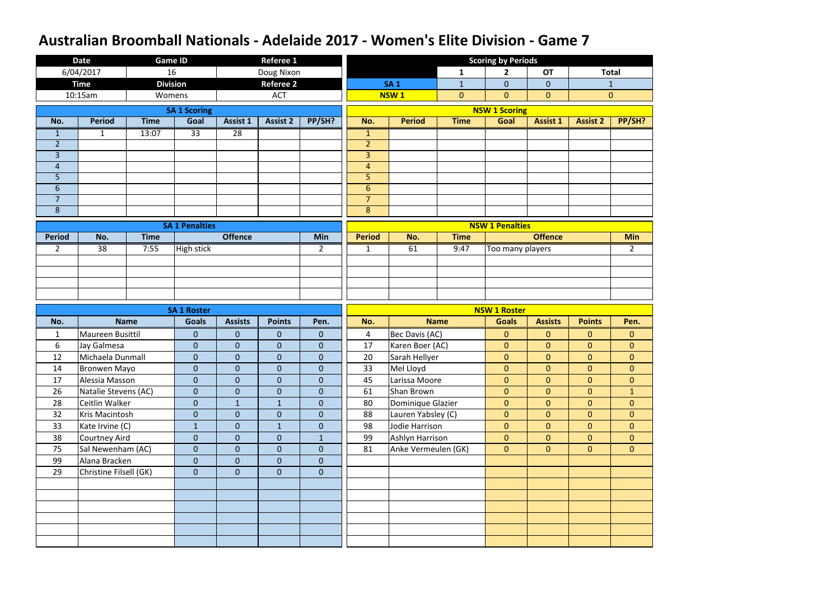|                | <b>Date</b>            |             | <b>Game ID</b>        |                 | <b>Referee 1</b> |                |                |                     |                | <b>Scoring by Periods</b> |                 |                 |                |
|----------------|------------------------|-------------|-----------------------|-----------------|------------------|----------------|----------------|---------------------|----------------|---------------------------|-----------------|-----------------|----------------|
|                | 6/04/2017              | 16          |                       |                 | Doug Nixon       |                |                |                     | 1              | $\overline{\mathbf{2}}$   | <b>OT</b>       |                 | <b>Total</b>   |
|                | <b>Time</b>            |             | <b>Division</b>       |                 | <b>Referee 2</b> |                |                | <b>SA1</b>          | $\mathbf{1}$   | $\overline{0}$            | $\overline{0}$  |                 | $\mathbf{1}$   |
|                | 10:15am                |             | Womens                |                 | <b>ACT</b>       |                |                | <b>NSW1</b>         | $\overline{0}$ | $\overline{0}$            | $\overline{0}$  |                 | $\mathbf{0}$   |
|                |                        |             | <b>SA 1 Scoring</b>   |                 |                  |                |                |                     |                | <b>NSW 1 Scoring</b>      |                 |                 |                |
| No.            | <b>Period</b>          | <b>Time</b> | Goal                  | Assist 1        | <b>Assist 2</b>  | PP/SH?         | No.            | <b>Period</b>       | <b>Time</b>    | Goal                      | <b>Assist 1</b> | <b>Assist 2</b> | PP/SH?         |
| $\mathbf{1}$   | $\mathbf{1}$           | 13:07       | $\overline{33}$       | $\overline{28}$ |                  |                | $\mathbf{1}$   |                     |                |                           |                 |                 |                |
| $\overline{2}$ |                        |             |                       |                 |                  |                | $\overline{2}$ |                     |                |                           |                 |                 |                |
| $\overline{3}$ |                        |             |                       |                 |                  |                | $\overline{3}$ |                     |                |                           |                 |                 |                |
| $\overline{4}$ |                        |             |                       |                 |                  |                | $\overline{4}$ |                     |                |                           |                 |                 |                |
| 5              |                        |             |                       |                 |                  |                | 5              |                     |                |                           |                 |                 |                |
| 6              |                        |             |                       |                 |                  |                | $6\phantom{1}$ |                     |                |                           |                 |                 |                |
| $\overline{7}$ |                        |             |                       |                 |                  |                | $\overline{7}$ |                     |                |                           |                 |                 |                |
| 8              |                        |             |                       |                 |                  |                | 8              |                     |                |                           |                 |                 |                |
|                |                        |             | <b>SA 1 Penalties</b> |                 |                  |                |                |                     |                | <b>NSW 1 Penalties</b>    |                 |                 |                |
| <b>Period</b>  | No.                    | <b>Time</b> |                       | <b>Offence</b>  |                  | <b>Min</b>     | <b>Period</b>  | No.                 | <b>Time</b>    |                           | <b>Offence</b>  |                 | <b>Min</b>     |
| $\overline{2}$ | 38                     | 7:55        | <b>High stick</b>     |                 |                  | $\overline{2}$ | $\mathbf{1}$   | 61                  | 9:47           | Too many players          |                 |                 | $\overline{2}$ |
|                |                        |             |                       |                 |                  |                |                |                     |                |                           |                 |                 |                |
|                |                        |             |                       |                 |                  |                |                |                     |                |                           |                 |                 |                |
|                |                        |             |                       |                 |                  |                |                |                     |                |                           |                 |                 |                |
|                |                        |             |                       |                 |                  |                |                |                     |                |                           |                 |                 |                |
|                |                        |             |                       |                 |                  |                |                |                     |                |                           |                 |                 |                |
|                |                        |             | <b>SA 1 Roster</b>    |                 |                  |                |                |                     |                | <b>NSW 1 Roster</b>       |                 |                 |                |
| No.            |                        | <b>Name</b> | <b>Goals</b>          | <b>Assists</b>  | <b>Points</b>    | Pen.           | No.            |                     | <b>Name</b>    | <b>Goals</b>              | <b>Assists</b>  | <b>Points</b>   | Pen.           |
| $\mathbf{1}$   | Maureen Busittil       |             | $\pmb{0}$             | $\mathbf{0}$    | $\mathbf 0$      | $\overline{0}$ | 4              | Bec Davis (AC)      |                | $\overline{0}$            | $\overline{0}$  | $\overline{0}$  | $\mathbf{0}$   |
| 6              | Jay Galmesa            |             | $\mathbf{0}$          | $\mathbf{0}$    | $\overline{0}$   | $\overline{0}$ | 17             | Karen Boer (AC)     |                | $\overline{0}$            | $\overline{0}$  | $\overline{0}$  | $\overline{0}$ |
| 12             | Michaela Dunmall       |             | $\mathbf{0}$          | $\mathbf{0}$    | $\mathbf 0$      | $\mathbf{0}$   | 20             | Sarah Hellyer       |                | $\overline{0}$            | $\overline{0}$  | $\overline{0}$  | $\mathbf 0$    |
| 14             | <b>Bronwen Mayo</b>    |             | $\boldsymbol{0}$      | $\overline{0}$  | $\overline{0}$   | $\overline{0}$ | 33             | Mel Lloyd           |                | $\overline{0}$            | $\overline{0}$  | $\overline{0}$  | $\overline{0}$ |
| 17             | Alessia Masson         |             | $\mathbf{0}$          | $\overline{0}$  | $\overline{0}$   | $\overline{0}$ | 45             | Larissa Moore       |                | $\overline{0}$            | $\overline{0}$  | $\overline{0}$  | $\overline{0}$ |
| 26             | Natalie Stevens (AC)   |             | $\mathbf{0}$          | $\overline{0}$  | $\mathbf 0$      | $\overline{0}$ | 61             | Shan Brown          |                | $\mathbf{0}$              | $\overline{0}$  | $\overline{0}$  | $\mathbf{1}$   |
| 28             | Ceitlin Walker         |             | $\pmb{0}$             | $\mathbf{1}$    | $\mathbf{1}$     | $\overline{0}$ | 80             | Dominique Glazier   |                | $\overline{0}$            | $\overline{0}$  | $\overline{0}$  | $\overline{0}$ |
| 32             | Kris Macintosh         |             | $\pmb{0}$             | $\overline{0}$  | $\mathbf 0$      | $\overline{0}$ | 88             | Lauren Yabsley (C)  |                | $\overline{0}$            | $\overline{0}$  | $\overline{0}$  | $\overline{0}$ |
| 33             | Kate Irvine (C)        |             | $\mathbf{1}$          | $\overline{0}$  | $\mathbf{1}$     | $\overline{0}$ | 98             | Jodie Harrison      |                | $\overline{0}$            | $\overline{0}$  | $\overline{0}$  | $\overline{0}$ |
| 38             | Courtney Aird          |             | $\mathbf{0}$          | $\mathbf{0}$    | $\overline{0}$   | $\mathbf{1}$   | 99             | Ashlyn Harrison     |                | $\overline{0}$            | $\overline{0}$  | $\overline{0}$  | $\overline{0}$ |
| 75             | Sal Newenham (AC)      |             | $\mathbf{0}$          | $\overline{0}$  | $\mathbf 0$      | $\overline{0}$ | 81             | Anke Vermeulen (GK) |                | $\overline{0}$            | $\overline{0}$  | $\overline{0}$  | $\overline{0}$ |
| 99             | Alana Bracken          |             | $\mathbf 0$           | $\overline{0}$  | $\mathbf 0$      | $\overline{0}$ |                |                     |                |                           |                 |                 |                |
| 29             | Christine Filsell (GK) |             | $\mathbf{0}$          | $\mathbf{0}$    | $\overline{0}$   | $\overline{0}$ |                |                     |                |                           |                 |                 |                |
|                |                        |             |                       |                 |                  |                |                |                     |                |                           |                 |                 |                |
|                |                        |             |                       |                 |                  |                |                |                     |                |                           |                 |                 |                |
|                |                        |             |                       |                 |                  |                |                |                     |                |                           |                 |                 |                |
|                |                        |             |                       |                 |                  |                |                |                     |                |                           |                 |                 |                |
|                |                        |             |                       |                 |                  |                |                |                     |                |                           |                 |                 |                |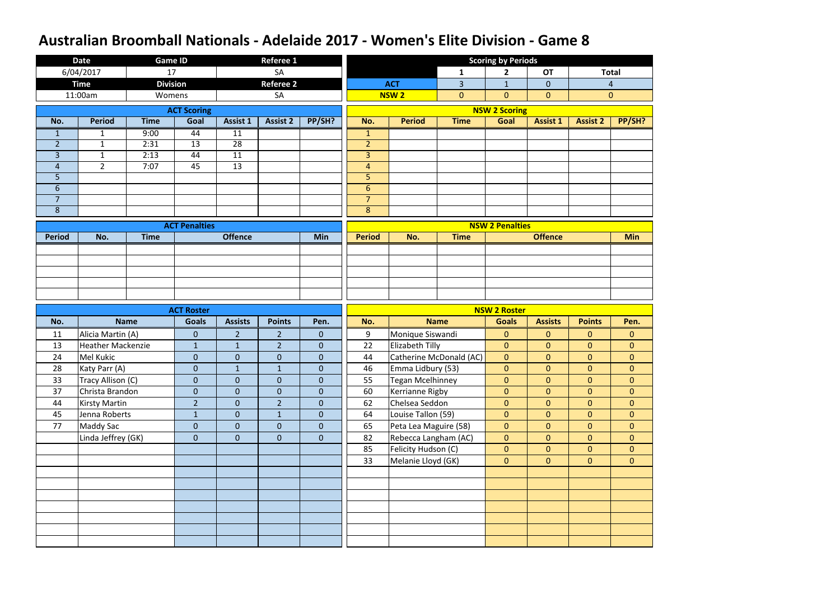|                | <b>Date</b>              | <b>Game ID</b>  |                      |                | Referee 1        |                |                |                       |                         | <b>Scoring by Periods</b> |                 |                 |                |
|----------------|--------------------------|-----------------|----------------------|----------------|------------------|----------------|----------------|-----------------------|-------------------------|---------------------------|-----------------|-----------------|----------------|
|                | 6/04/2017                | 17              |                      |                | <b>SA</b>        |                |                |                       | 1                       | $\overline{\mathbf{2}}$   | <b>OT</b>       |                 | <b>Total</b>   |
|                | <b>Time</b>              | <b>Division</b> |                      |                | <b>Referee 2</b> |                |                | <b>ACT</b>            | 3                       | $\mathbf{1}$              | $\overline{0}$  |                 | $\overline{4}$ |
|                | 11:00am                  | Womens          |                      |                | SA               |                |                | <b>NSW2</b>           | $\overline{0}$          | $\overline{0}$            | $\overline{0}$  |                 | $\mathbf{0}$   |
|                |                          |                 | <b>ACT Scoring</b>   |                |                  |                |                |                       |                         | <b>NSW 2 Scoring</b>      |                 |                 |                |
| No.            | <b>Period</b>            | <b>Time</b>     | Goal                 | Assist 1       | <b>Assist 2</b>  | PP/SH?         | No.            | <b>Period</b>         | <b>Time</b>             | Goal                      | <b>Assist 1</b> | <b>Assist 2</b> | PP/SH?         |
| $\mathbf{1}$   | $\mathbf{1}$             | 9:00            | 44                   | 11             |                  |                | $\mathbf{1}$   |                       |                         |                           |                 |                 |                |
| $\overline{2}$ | $\mathbf{1}$             | 2:31            | 13                   | 28             |                  |                | $\overline{2}$ |                       |                         |                           |                 |                 |                |
| $\overline{3}$ | $\mathbf{1}$             | 2:13            | 44                   | 11             |                  |                | $\overline{3}$ |                       |                         |                           |                 |                 |                |
| $\overline{4}$ | $2^{\circ}$              | 7:07            | 45                   | 13             |                  |                | $\overline{4}$ |                       |                         |                           |                 |                 |                |
| 5              |                          |                 |                      |                |                  |                | 5              |                       |                         |                           |                 |                 |                |
| 6              |                          |                 |                      |                |                  |                | $6\phantom{1}$ |                       |                         |                           |                 |                 |                |
| $\overline{7}$ |                          |                 |                      |                |                  |                | $\overline{7}$ |                       |                         |                           |                 |                 |                |
| 8              |                          |                 |                      |                |                  |                | 8              |                       |                         |                           |                 |                 |                |
|                |                          |                 | <b>ACT Penalties</b> |                |                  |                |                |                       |                         | <b>NSW 2 Penalties</b>    |                 |                 |                |
| <b>Period</b>  | No.                      | <b>Time</b>     |                      | <b>Offence</b> |                  | Min            | <b>Period</b>  | No.                   | <b>Time</b>             |                           | <b>Offence</b>  |                 | <b>Min</b>     |
|                |                          |                 |                      |                |                  |                |                |                       |                         |                           |                 |                 |                |
|                |                          |                 |                      |                |                  |                |                |                       |                         |                           |                 |                 |                |
|                |                          |                 |                      |                |                  |                |                |                       |                         |                           |                 |                 |                |
|                |                          |                 |                      |                |                  |                |                |                       |                         |                           |                 |                 |                |
|                |                          |                 |                      |                |                  |                |                |                       |                         |                           |                 |                 |                |
|                |                          |                 |                      |                |                  |                |                |                       |                         |                           |                 |                 |                |
|                |                          |                 | <b>ACT Roster</b>    |                |                  |                |                |                       |                         | <b>NSW 2 Roster</b>       |                 |                 |                |
| No.            |                          | <b>Name</b>     | <b>Goals</b>         | <b>Assists</b> | <b>Points</b>    | Pen.           | No.            |                       | <b>Name</b>             | <b>Goals</b>              | <b>Assists</b>  | <b>Points</b>   | Pen.           |
| 11             | Alicia Martin (A)        |                 | $\pmb{0}$            | $\overline{2}$ | $\overline{2}$   | $\overline{0}$ | 9              | Monique Siswandi      |                         | $\overline{0}$            | $\overline{0}$  | $\overline{0}$  | $\mathbf{0}$   |
| 13             | <b>Heather Mackenzie</b> |                 | $\mathbf{1}$         | $\mathbf{1}$   | $\overline{2}$   | $\overline{0}$ | 22             | Elizabeth Tilly       |                         | $\overline{0}$            | $\overline{0}$  | $\overline{0}$  | $\overline{0}$ |
| 24             | Mel Kukic                |                 | $\pmb{0}$            | $\mathbf{0}$   | $\mathbf 0$      | $\overline{0}$ | 44             |                       | Catherine McDonald (AC) | $\overline{0}$            | $\overline{0}$  | $\overline{0}$  | $\overline{0}$ |
| 28             | Katy Parr (A)            |                 | $\overline{0}$       | $\mathbf{1}$   | $\mathbf{1}$     | $\overline{0}$ | 46             | Emma Lidbury (53)     |                         | $\overline{0}$            | $\overline{0}$  | $\overline{0}$  | $\overline{0}$ |
| 33             | Tracy Allison (C)        |                 | $\mathbf{0}$         | $\overline{0}$ | $\overline{0}$   | $\overline{0}$ | 55             | Tegan Mcelhinney      |                         | $\overline{0}$            | $\overline{0}$  | $\overline{0}$  | $\overline{0}$ |
| 37             | Christa Brandon          |                 | $\mathbf{0}$         | $\overline{0}$ | $\overline{0}$   | $\overline{0}$ | 60             | Kerrianne Rigby       |                         | $\overline{0}$            | $\overline{0}$  | $\overline{0}$  | $\overline{0}$ |
| 44             | <b>Kirsty Martin</b>     |                 | $\overline{2}$       | $\overline{0}$ | $\overline{2}$   | $\overline{0}$ | 62             | Chelsea Seddon        |                         | $\overline{0}$            | $\overline{0}$  | $\overline{0}$  | $\overline{0}$ |
| 45             | Jenna Roberts            |                 | $\mathbf{1}$         | $\overline{0}$ | $\mathbf 1$      | $\overline{0}$ | 64             | Louise Tallon (59)    |                         | $\overline{0}$            | $\overline{0}$  | $\overline{0}$  | $\overline{0}$ |
| 77             | <b>Maddy Sac</b>         |                 | $\mathbf{0}$         | $\overline{0}$ | $\overline{0}$   | $\overline{0}$ | 65             | Peta Lea Maguire (58) |                         | $\overline{0}$            | $\overline{0}$  | $\overline{0}$  | $\overline{0}$ |
|                | Linda Jeffrey (GK)       |                 | $\mathbf{0}$         | $\overline{0}$ | $\overline{0}$   | $\overline{0}$ | 82             | Rebecca Langham (AC)  |                         | $\overline{0}$            | $\overline{0}$  | $\overline{0}$  | $\overline{0}$ |
|                |                          |                 |                      |                |                  |                | 85             | Felicity Hudson (C)   |                         | $\overline{0}$            | $\overline{0}$  | $\overline{0}$  | $\overline{0}$ |
|                |                          |                 |                      |                |                  |                | 33             | Melanie Lloyd (GK)    |                         | $\overline{0}$            | $\overline{0}$  | $\overline{0}$  | $\overline{0}$ |
|                |                          |                 |                      |                |                  |                |                |                       |                         |                           |                 |                 |                |
|                |                          |                 |                      |                |                  |                |                |                       |                         |                           |                 |                 |                |
|                |                          |                 |                      |                |                  |                |                |                       |                         |                           |                 |                 |                |
|                |                          |                 |                      |                |                  |                |                |                       |                         |                           |                 |                 |                |
|                |                          |                 |                      |                |                  |                |                |                       |                         |                           |                 |                 |                |
|                |                          |                 |                      |                |                  |                |                |                       |                         |                           |                 |                 |                |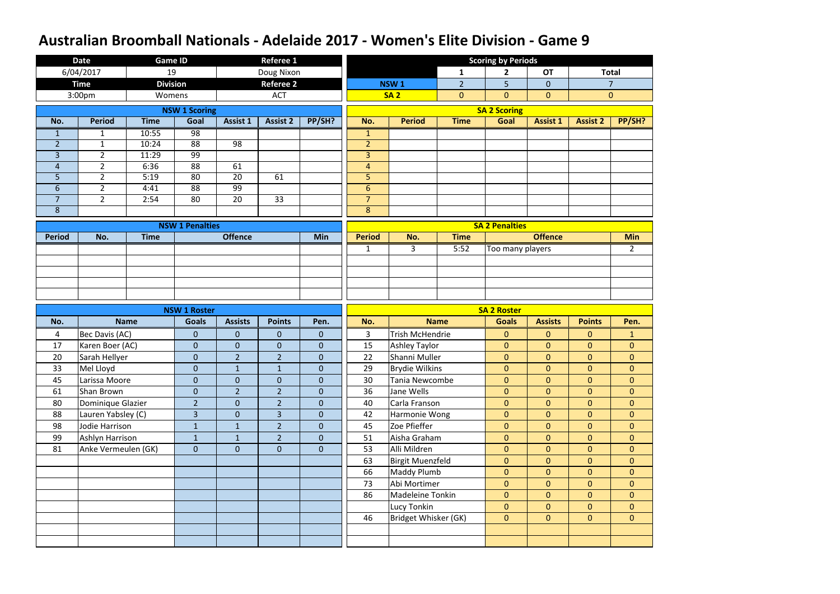|                | <b>Date</b>         | <b>Game ID</b>  |                        |                 | <b>Referee 1</b> |                  |                |                         |                | <b>Scoring by Periods</b> |                 |                 |                |
|----------------|---------------------|-----------------|------------------------|-----------------|------------------|------------------|----------------|-------------------------|----------------|---------------------------|-----------------|-----------------|----------------|
|                | 6/04/2017           | 19              |                        |                 | Doug Nixon       |                  |                |                         | $\mathbf{1}$   | $\mathbf{2}$              | <b>OT</b>       |                 | <b>Total</b>   |
|                | <b>Time</b>         | <b>Division</b> |                        |                 | <b>Referee 2</b> |                  |                | NSW <sub>1</sub>        | $\overline{2}$ | 5                         | $\overline{0}$  |                 | $\overline{7}$ |
|                | 3:00pm              | Womens          |                        |                 | <b>ACT</b>       |                  |                | <b>SA2</b>              | $\overline{0}$ | $\overline{0}$            | $\overline{0}$  |                 | $\mathbf{0}$   |
|                |                     |                 | <b>NSW 1 Scoring</b>   |                 |                  |                  |                |                         |                | <b>SA 2 Scoring</b>       |                 |                 |                |
| No.            | <b>Period</b>       | <b>Time</b>     | Goal                   | <b>Assist 1</b> | <b>Assist 2</b>  | PP/SH?           | No.            | <b>Period</b>           | <b>Time</b>    | Goal                      | <b>Assist 1</b> | <b>Assist 2</b> | PP/SH?         |
| $\mathbf{1}$   | 1                   | 10:55           | $\overline{98}$        |                 |                  |                  | $\mathbf{1}$   |                         |                |                           |                 |                 |                |
| $\overline{2}$ | $\mathbf{1}$        | 10:24           | $\overline{88}$        | 98              |                  |                  | $\overline{2}$ |                         |                |                           |                 |                 |                |
| 3              | $\overline{2}$      | 11:29           | 99                     |                 |                  |                  | $\overline{3}$ |                         |                |                           |                 |                 |                |
| $\overline{4}$ | $2^{\circ}$         | 6:36            | 88                     | 61              |                  |                  | $\overline{4}$ |                         |                |                           |                 |                 |                |
| 5              | $\overline{2}$      | 5:19            | 80                     | 20              | 61               |                  | 5              |                         |                |                           |                 |                 |                |
| $6\,$          | $\overline{2}$      | 4:41            | $\overline{88}$        | 99              |                  |                  | $6\,$          |                         |                |                           |                 |                 |                |
| $\overline{7}$ | $2^{\circ}$         | 2:54            | 80                     | 20              | 33               |                  | $\overline{7}$ |                         |                |                           |                 |                 |                |
| $\bf 8$        |                     |                 |                        |                 |                  |                  | 8              |                         |                |                           |                 |                 |                |
|                |                     |                 | <b>NSW 1 Penalties</b> |                 |                  |                  |                |                         |                | <b>SA 2 Penalties</b>     |                 |                 |                |
| <b>Period</b>  | No.                 | <b>Time</b>     |                        | <b>Offence</b>  |                  | <b>Min</b>       | <b>Period</b>  | No.                     | <b>Time</b>    |                           | <b>Offence</b>  |                 | <b>Min</b>     |
|                |                     |                 |                        |                 |                  |                  | $\mathbf{1}$   | 3                       | 5:52           | Too many players          |                 |                 | $\overline{2}$ |
|                |                     |                 |                        |                 |                  |                  |                |                         |                |                           |                 |                 |                |
|                |                     |                 |                        |                 |                  |                  |                |                         |                |                           |                 |                 |                |
|                |                     |                 |                        |                 |                  |                  |                |                         |                |                           |                 |                 |                |
|                |                     |                 |                        |                 |                  |                  |                |                         |                |                           |                 |                 |                |
|                |                     |                 |                        |                 |                  |                  |                |                         |                |                           |                 |                 |                |
|                |                     |                 | <b>NSW 1 Roster</b>    |                 |                  |                  |                |                         |                | <b>SA 2 Roster</b>        |                 |                 |                |
| No.            |                     | <b>Name</b>     | <b>Goals</b>           | <b>Assists</b>  | <b>Points</b>    | Pen.             | No.            |                         | <b>Name</b>    | <b>Goals</b>              | <b>Assists</b>  | <b>Points</b>   | Pen.           |
| 4              | Bec Davis (AC)      |                 | $\overline{0}$         | $\mathbf{0}$    | $\mathbf{0}$     | $\mathbf{0}$     | 3              | <b>Trish McHendrie</b>  |                | $\mathbf{0}$              | $\mathbf{0}$    | $\mathbf{0}$    | $\mathbf{1}$   |
| 17             | Karen Boer (AC)     |                 | $\overline{0}$         | $\pmb{0}$       | $\mathbf 0$      | $\overline{0}$   | 15             | <b>Ashley Taylor</b>    |                | $\mathbf{0}$              | $\overline{0}$  | $\overline{0}$  | $\overline{0}$ |
| 20             | Sarah Hellyer       |                 | $\overline{0}$         | $\overline{2}$  | $\overline{2}$   | $\boldsymbol{0}$ | 22             | Shanni Muller           |                | $\overline{0}$            | $\overline{0}$  | $\overline{0}$  | $\overline{0}$ |
| 33             | Mel Lloyd           |                 | $\pmb{0}$              | $\mathbf{1}$    | $\mathbf{1}$     | $\pmb{0}$        | 29             | <b>Brydie Wilkins</b>   |                | $\mathbf{0}$              | $\overline{0}$  | $\overline{0}$  | $\overline{0}$ |
| 45             | Larissa Moore       |                 | $\overline{0}$         | $\mathbf{0}$    | $\mathbf{0}$     | $\overline{0}$   | 30             | Tania Newcombe          |                | $\overline{0}$            | $\overline{0}$  | $\overline{0}$  | $\overline{0}$ |
| 61             | Shan Brown          |                 | $\overline{0}$         | $\overline{2}$  | $\overline{2}$   | $\overline{0}$   | 36             | Jane Wells              |                | $\overline{0}$            | $\overline{0}$  | $\overline{0}$  | $\overline{0}$ |
| 80             | Dominique Glazier   |                 | 2 <sup>2</sup>         | $\mathbf{0}$    | $\overline{2}$   | $\overline{0}$   | 40             | Carla Franson           |                | $\overline{0}$            | $\overline{0}$  | $\overline{0}$  | $\overline{0}$ |
| 88             | Lauren Yabsley (C)  |                 | $\overline{3}$         | $\mathbf{0}$    | 3                | $\overline{0}$   | 42             | Harmonie Wong           |                | $\overline{0}$            | $\overline{0}$  | $\overline{0}$  | $\overline{0}$ |
| 98             | Jodie Harrison      |                 | $\mathbf{1}$           | $\mathbf{1}$    | $\overline{2}$   | $\overline{0}$   | 45             | Zoe Pfieffer            |                | $\overline{0}$            | $\overline{0}$  | $\overline{0}$  | $\overline{0}$ |
| 99             | Ashlyn Harrison     |                 | $\mathbf{1}$           | $\mathbf{1}$    | $\overline{2}$   | $\overline{0}$   | 51             | Aisha Graham            |                | $\overline{0}$            | $\overline{0}$  | $\overline{0}$  | $\overline{0}$ |
| 81             | Anke Vermeulen (GK) |                 | $\overline{0}$         | $\mathbf{0}$    | $\mathbf{0}$     | $\overline{0}$   | 53             | Alli Mildren            |                | $\overline{0}$            | $\overline{0}$  | $\overline{0}$  | $\overline{0}$ |
|                |                     |                 |                        |                 |                  |                  | 63             | <b>Birgit Muenzfeld</b> |                | $\overline{0}$            | $\overline{0}$  | $\overline{0}$  | $\overline{0}$ |
|                |                     |                 |                        |                 |                  |                  | 66             | Maddy Plumb             |                | $\overline{0}$            | $\overline{0}$  | $\overline{0}$  | $\overline{0}$ |
|                |                     |                 |                        |                 |                  |                  | 73             | Abi Mortimer            |                | $\overline{0}$            | $\overline{0}$  | $\overline{0}$  | $\overline{0}$ |
|                |                     |                 |                        |                 |                  |                  | 86             | Madeleine Tonkin        |                | $\overline{0}$            | $\overline{0}$  | $\overline{0}$  | $\overline{0}$ |
|                |                     |                 |                        |                 |                  |                  |                | Lucy Tonkin             |                | $\overline{0}$            | $\overline{0}$  | $\overline{0}$  | $\overline{0}$ |
|                |                     |                 |                        |                 |                  |                  | 46             | Bridget Whisker (GK)    |                | $\overline{0}$            | $\overline{0}$  | $\overline{0}$  | $\overline{0}$ |
|                |                     |                 |                        |                 |                  |                  |                |                         |                |                           |                 |                 |                |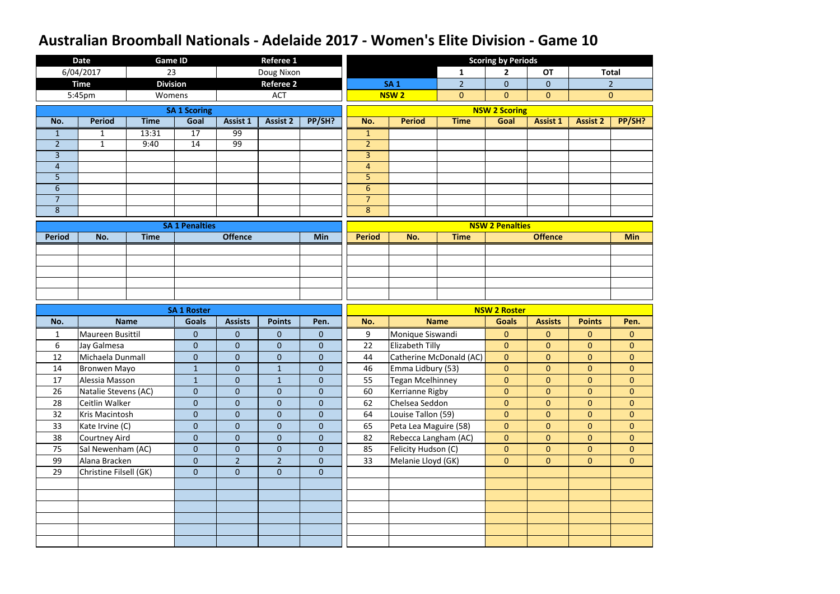|                     | <b>Date</b>            | <b>Game ID</b>  |                       |                 | <b>Referee 1</b> |                |                     |                         |                         | <b>Scoring by Periods</b> |                 |                 |                |
|---------------------|------------------------|-----------------|-----------------------|-----------------|------------------|----------------|---------------------|-------------------------|-------------------------|---------------------------|-----------------|-----------------|----------------|
|                     | 6/04/2017              | 23              |                       |                 | Doug Nixon       |                |                     |                         | 1                       | $\overline{\mathbf{2}}$   | <b>OT</b>       |                 | <b>Total</b>   |
|                     | <b>Time</b>            | <b>Division</b> |                       |                 | <b>Referee 2</b> |                |                     | <b>SA1</b>              | $\overline{2}$          | $\overline{0}$            | $\overline{0}$  |                 | $\overline{2}$ |
|                     | 5:45pm                 | Womens          |                       |                 | <b>ACT</b>       |                |                     | <b>NSW2</b>             | $\overline{0}$          | $\overline{0}$            | $\overline{0}$  |                 | $\mathbf{0}$   |
|                     |                        |                 | <b>SA 1 Scoring</b>   |                 |                  |                |                     |                         |                         | <b>NSW 2 Scoring</b>      |                 |                 |                |
| No.                 | <b>Period</b>          | <b>Time</b>     | Goal                  | <b>Assist 1</b> | <b>Assist 2</b>  | PP/SH?         | No.                 | <b>Period</b>           | <b>Time</b>             | Goal                      | <b>Assist 1</b> | <b>Assist 2</b> | PP/SH?         |
| $\mathbf{1}$        | $\mathbf{1}$           | 13:31           | $\overline{17}$       | 99              |                  |                | $\mathbf{1}$        |                         |                         |                           |                 |                 |                |
| $\overline{2}$      | $\mathbf{1}$           | 9:40            | 14                    | 99              |                  |                | $\overline{2}$      |                         |                         |                           |                 |                 |                |
| $\overline{3}$      |                        |                 |                       |                 |                  |                | $\overline{3}$      |                         |                         |                           |                 |                 |                |
| $\overline{4}$      |                        |                 |                       |                 |                  |                | $\overline{4}$      |                         |                         |                           |                 |                 |                |
| 5                   |                        |                 |                       |                 |                  |                | 5                   |                         |                         |                           |                 |                 |                |
| 6                   |                        |                 |                       |                 |                  |                | $6\phantom{1}$      |                         |                         |                           |                 |                 |                |
| $\overline{7}$<br>8 |                        |                 |                       |                 |                  |                | $\overline{7}$<br>8 |                         |                         |                           |                 |                 |                |
|                     |                        |                 |                       |                 |                  |                |                     |                         |                         |                           |                 |                 |                |
|                     |                        |                 | <b>SA 1 Penalties</b> |                 |                  |                |                     |                         |                         | <b>NSW 2 Penalties</b>    |                 |                 |                |
| <b>Period</b>       | No.                    | <b>Time</b>     |                       | <b>Offence</b>  |                  | Min            | <b>Period</b>       | No.                     | <b>Time</b>             |                           | <b>Offence</b>  |                 | <b>Min</b>     |
|                     |                        |                 |                       |                 |                  |                |                     |                         |                         |                           |                 |                 |                |
|                     |                        |                 |                       |                 |                  |                |                     |                         |                         |                           |                 |                 |                |
|                     |                        |                 |                       |                 |                  |                |                     |                         |                         |                           |                 |                 |                |
|                     |                        |                 |                       |                 |                  |                |                     |                         |                         |                           |                 |                 |                |
|                     |                        |                 |                       |                 |                  |                |                     |                         |                         |                           |                 |                 |                |
|                     |                        |                 |                       |                 |                  |                |                     |                         |                         |                           |                 |                 |                |
|                     |                        |                 | <b>SA 1 Roster</b>    |                 |                  |                |                     |                         |                         | <b>NSW 2 Roster</b>       |                 |                 |                |
| No.                 |                        | <b>Name</b>     | <b>Goals</b>          | <b>Assists</b>  | <b>Points</b>    | Pen.           | No.                 |                         | <b>Name</b>             | <b>Goals</b>              | <b>Assists</b>  | <b>Points</b>   | Pen.           |
| $\mathbf{1}$        | Maureen Busittil       |                 | $\pmb{0}$             | $\mathbf{0}$    | $\mathbf 0$      | $\overline{0}$ | 9                   | Monique Siswandi        |                         | $\overline{0}$            | $\overline{0}$  | $\overline{0}$  | $\mathbf{0}$   |
| 6                   | Jay Galmesa            |                 | $\mathbf{0}$          | $\mathbf{0}$    | $\overline{0}$   | $\overline{0}$ | 22                  | Elizabeth Tilly         |                         | $\overline{0}$            | $\overline{0}$  | $\overline{0}$  | $\overline{0}$ |
| 12                  | Michaela Dunmall       |                 | $\mathbf{0}$          | $\mathbf{0}$    | $\mathbf 0$      | $\mathbf{0}$   | 44                  |                         | Catherine McDonald (AC) | $\overline{0}$            | $\overline{0}$  | $\overline{0}$  | $\mathbf 0$    |
| 14                  | Bronwen Mayo           |                 | $\mathbf{1}$          | $\overline{0}$  | $\mathbf 1$      | $\overline{0}$ | 46                  | Emma Lidbury (53)       |                         | $\overline{0}$            | $\overline{0}$  | $\overline{0}$  | $\overline{0}$ |
| 17                  | Alessia Masson         |                 | $\mathbf{1}$          | $\overline{0}$  | $\mathbf{1}$     | $\overline{0}$ | 55                  | <b>Tegan Mcelhinney</b> |                         | $\overline{0}$            | $\overline{0}$  | $\overline{0}$  | $\overline{0}$ |
| 26                  | Natalie Stevens (AC)   |                 | $\mathbf{0}$          | $\overline{0}$  | $\overline{0}$   | $\overline{0}$ | 60                  | Kerrianne Rigby         |                         | $\mathbf{0}$              | $\overline{0}$  | $\overline{0}$  | $\overline{0}$ |
| 28                  | Ceitlin Walker         |                 | $\mathbf{0}$          | $\overline{0}$  | $\overline{0}$   | $\overline{0}$ | 62                  | Chelsea Seddon          |                         | $\overline{0}$            | $\overline{0}$  | $\overline{0}$  | $\overline{0}$ |
| 32                  | Kris Macintosh         |                 | $\pmb{0}$             | $\overline{0}$  | $\mathbf 0$      | $\overline{0}$ | 64                  | Louise Tallon (59)      |                         | $\overline{0}$            | $\overline{0}$  | $\overline{0}$  | $\overline{0}$ |
| 33                  | Kate Irvine (C)        |                 | $\mathbf{0}$          | $\overline{0}$  | $\mathbf{0}$     | $\overline{0}$ | 65                  | Peta Lea Maguire (58)   |                         | $\overline{0}$            | $\overline{0}$  | $\overline{0}$  | $\overline{0}$ |
| 38                  | Courtney Aird          |                 | $\mathbf{0}$          | $\mathbf{0}$    | $\overline{0}$   | $\overline{0}$ | 82                  | Rebecca Langham (AC)    |                         | $\overline{0}$            | $\overline{0}$  | $\overline{0}$  | $\overline{0}$ |
| 75                  | Sal Newenham (AC)      |                 | $\mathbf{0}$          | $\overline{0}$  | $\mathbf 0$      | $\overline{0}$ | 85                  | Felicity Hudson (C)     |                         | $\overline{0}$            | $\overline{0}$  | $\overline{0}$  | $\overline{0}$ |
| 99                  | Alana Bracken          |                 | $\mathbf 0$           | $\overline{2}$  | $\overline{2}$   | $\overline{0}$ | 33                  | Melanie Lloyd (GK)      |                         | $\overline{0}$            | $\overline{0}$  | $\overline{0}$  | $\overline{0}$ |
| 29                  | Christine Filsell (GK) |                 | $\mathbf{0}$          | $\mathbf{0}$    | $\overline{0}$   | $\overline{0}$ |                     |                         |                         |                           |                 |                 |                |
|                     |                        |                 |                       |                 |                  |                |                     |                         |                         |                           |                 |                 |                |
|                     |                        |                 |                       |                 |                  |                |                     |                         |                         |                           |                 |                 |                |
|                     |                        |                 |                       |                 |                  |                |                     |                         |                         |                           |                 |                 |                |
|                     |                        |                 |                       |                 |                  |                |                     |                         |                         |                           |                 |                 |                |
|                     |                        |                 |                       |                 |                  |                |                     |                         |                         |                           |                 |                 |                |
|                     |                        |                 |                       |                 |                  |                |                     |                         |                         |                           |                 |                 |                |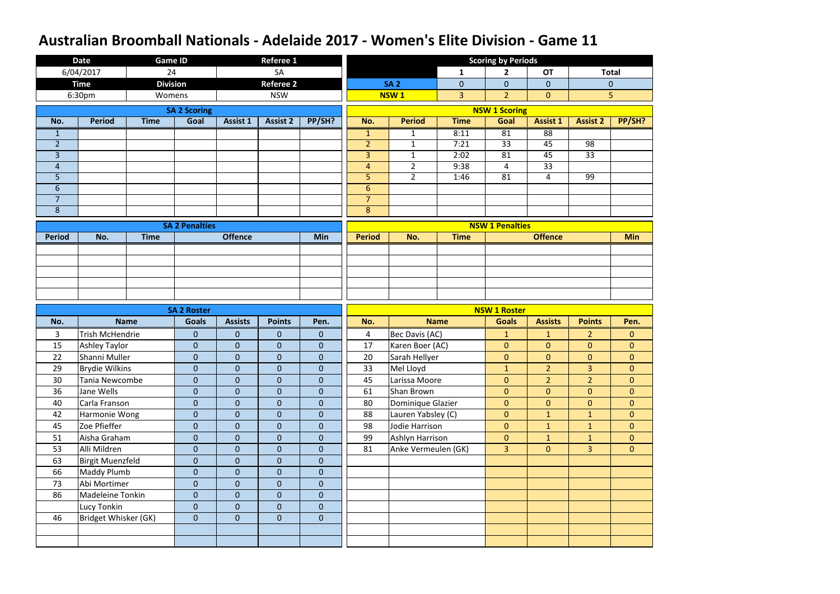|                | <b>Date</b>             | <b>Game ID</b>  |                       |                  | <b>Referee 1</b> |                |                |                     |                | <b>Scoring by Periods</b> |                 |                 |                |
|----------------|-------------------------|-----------------|-----------------------|------------------|------------------|----------------|----------------|---------------------|----------------|---------------------------|-----------------|-----------------|----------------|
|                | 6/04/2017               | 24              |                       |                  | SA               |                |                |                     | 1              | 2 <sup>1</sup>            | <b>OT</b>       |                 | <b>Total</b>   |
|                | <b>Time</b>             | <b>Division</b> |                       |                  | <b>Referee 2</b> |                |                | <b>SA 2</b>         | $\overline{0}$ | $\overline{0}$            | $\overline{0}$  |                 | $\overline{0}$ |
|                | 6:30pm                  | Womens          |                       |                  | <b>NSW</b>       |                |                | <b>NSW1</b>         | 3              | $\overline{2}$            | $\overline{0}$  |                 | 5              |
|                |                         |                 | <b>SA 2 Scoring</b>   |                  |                  |                |                |                     |                | <b>NSW 1 Scoring</b>      |                 |                 |                |
| No.            | <b>Period</b>           | <b>Time</b>     | Goal                  | <b>Assist 1</b>  | <b>Assist 2</b>  | PP/SH?         | No.            | <b>Period</b>       | <b>Time</b>    | Goal                      | <b>Assist 1</b> | <b>Assist 2</b> | PP/SH?         |
| $\mathbf{1}$   |                         |                 |                       |                  |                  |                | $\mathbf{1}$   | $\mathbf{1}$        | 8:11           | 81                        | 88              |                 |                |
| $\overline{2}$ |                         |                 |                       |                  |                  |                | $\overline{2}$ | $\mathbf{1}$        | 7:21           | $\overline{33}$           | 45              | 98              |                |
| $\overline{3}$ |                         |                 |                       |                  |                  |                | $\overline{3}$ | $1\,$               | 2:02           | 81                        | 45              | 33              |                |
| $\overline{4}$ |                         |                 |                       |                  |                  |                | $\overline{4}$ | $\overline{2}$      | 9:38           | $\overline{4}$            | 33              |                 |                |
| 5              |                         |                 |                       |                  |                  |                | 5              | $\overline{2}$      | 1:46           | 81                        | $\overline{4}$  | 99              |                |
| $6\,$          |                         |                 |                       |                  |                  |                | $6\phantom{1}$ |                     |                |                           |                 |                 |                |
| $\overline{7}$ |                         |                 |                       |                  |                  |                | $\overline{7}$ |                     |                |                           |                 |                 |                |
| $\bf 8$        |                         |                 |                       |                  |                  |                | $\bf 8$        |                     |                |                           |                 |                 |                |
|                |                         |                 | <b>SA 2 Penalties</b> |                  |                  |                |                |                     |                | <b>NSW 1 Penalties</b>    |                 |                 |                |
| <b>Period</b>  | No.                     | <b>Time</b>     |                       | <b>Offence</b>   |                  | <b>Min</b>     | <b>Period</b>  | No.                 | <b>Time</b>    |                           | <b>Offence</b>  |                 | <b>Min</b>     |
|                |                         |                 |                       |                  |                  |                |                |                     |                |                           |                 |                 |                |
|                |                         |                 |                       |                  |                  |                |                |                     |                |                           |                 |                 |                |
|                |                         |                 |                       |                  |                  |                |                |                     |                |                           |                 |                 |                |
|                |                         |                 |                       |                  |                  |                |                |                     |                |                           |                 |                 |                |
|                |                         |                 |                       |                  |                  |                |                |                     |                |                           |                 |                 |                |
|                |                         |                 |                       |                  |                  |                |                |                     |                |                           |                 |                 |                |
|                |                         |                 | <b>SA 2 Roster</b>    |                  |                  |                |                |                     |                | <b>NSW 1 Roster</b>       |                 |                 |                |
| No.            |                         | <b>Name</b>     | <b>Goals</b>          | <b>Assists</b>   | <b>Points</b>    | Pen.           | No.            |                     | <b>Name</b>    | <b>Goals</b>              | <b>Assists</b>  | <b>Points</b>   | Pen.           |
| 3              | <b>Trish McHendrie</b>  |                 | $\mathbf{0}$          | $\mathbf{0}$     | $\mathbf{0}$     | $\mathbf{0}$   | 4              | Bec Davis (AC)      |                | $\mathbf{1}$              | $\mathbf{1}$    | $\overline{2}$  | $\mathbf{0}$   |
| 15             | <b>Ashley Taylor</b>    |                 | $\mathbf{0}$          | $\mathbf{0}$     | $\overline{0}$   | $\overline{0}$ | 17             | Karen Boer (AC)     |                | $\overline{0}$            | $\overline{0}$  | $\overline{0}$  | $\overline{0}$ |
| 22             | Shanni Muller           |                 | $\mathbf 0$           | $\boldsymbol{0}$ | $\overline{0}$   | $\mathbf 0$    | 20             | Sarah Hellyer       |                | $\overline{0}$            | $\overline{0}$  | $\overline{0}$  | $\mathbf 0$    |
| 29             | <b>Brydie Wilkins</b>   |                 | ${\bf 0}$             | $\theta$         | $\mathbf 0$      | $\mathbf 0$    | 33             | Mel Lloyd           |                | $\mathbf{1}$              | $\overline{2}$  | $\overline{3}$  | $\overline{0}$ |
| 30             | Tania Newcombe          |                 | $\mathbf{0}$          | $\mathbf{0}$     | $\mathbf 0$      | $\overline{0}$ | 45             | Larissa Moore       |                | $\overline{0}$            | $\overline{2}$  | $\overline{2}$  | $\overline{0}$ |
| 36             | Jane Wells              |                 | $\mathbf{0}$          | $\mathbf{0}$     | $\mathbf 0$      | $\overline{0}$ | 61             | Shan Brown          |                | $\overline{0}$            | $\overline{0}$  | $\overline{0}$  | $\overline{0}$ |
| 40             | Carla Franson           |                 | $\mathbf{0}$          | $\mathbf{0}$     | $\mathbf 0$      | $\mathbf{0}$   | 80             | Dominique Glazier   |                | $\overline{0}$            | $\overline{0}$  | $\overline{0}$  | $\overline{0}$ |
| 42             | Harmonie Wong           |                 | $\mathbf{0}$          | $\mathbf{0}$     | $\overline{0}$   | $\overline{0}$ | 88             | Lauren Yabsley (C)  |                | $\overline{0}$            | $\mathbf{1}$    | $\mathbf{1}$    | $\overline{0}$ |
| 45             | Zoe Pfieffer            |                 | $\mathbf{0}$          | $\mathbf{0}$     | $\mathbf 0$      | $\overline{0}$ | 98             | Jodie Harrison      |                | $\overline{0}$            | $\mathbf{1}$    | $\mathbf{1}$    | $\overline{0}$ |
| 51             | Aisha Graham            |                 | $\boldsymbol{0}$      | $\mathbf{0}$     | $\overline{0}$   | $\overline{0}$ | 99             | Ashlyn Harrison     |                | $\overline{0}$            | $\mathbf{1}$    | $\mathbf{1}$    | $\mathbf{0}$   |
| 53             | Alli Mildren            |                 | $\boldsymbol{0}$      | $\mathbf{0}$     | $\mathbf 0$      | $\overline{0}$ | 81             | Anke Vermeulen (GK) |                | 3 <sup>1</sup>            | $\overline{0}$  | 3 <sup>1</sup>  | $\overline{0}$ |
| 63             | <b>Birgit Muenzfeld</b> |                 | $\overline{0}$        | $\overline{0}$   | $\overline{0}$   | $\overline{0}$ |                |                     |                |                           |                 |                 |                |
| 66             | Maddy Plumb             |                 | $\mathbf 0$           | $\pmb{0}$        | $\mathbf 0$      | $\overline{0}$ |                |                     |                |                           |                 |                 |                |
| 73             | Abi Mortimer            |                 | $\mathbf{0}$          | $\mathbf{0}$     | $\mathbf 0$      | $\overline{0}$ |                |                     |                |                           |                 |                 |                |
| 86             | Madeleine Tonkin        |                 | $\mathbf{0}$          | $\mathbf{0}$     | $\overline{0}$   | $\overline{0}$ |                |                     |                |                           |                 |                 |                |
|                | Lucy Tonkin             |                 | $\boldsymbol{0}$      | $\pmb{0}$        | $\mathbf 0$      | $\overline{0}$ |                |                     |                |                           |                 |                 |                |
| 46             | Bridget Whisker (GK)    |                 | $\overline{0}$        | $\mathbf{0}$     | $\mathbf{0}$     | $\overline{0}$ |                |                     |                |                           |                 |                 |                |
|                |                         |                 |                       |                  |                  |                |                |                     |                |                           |                 |                 |                |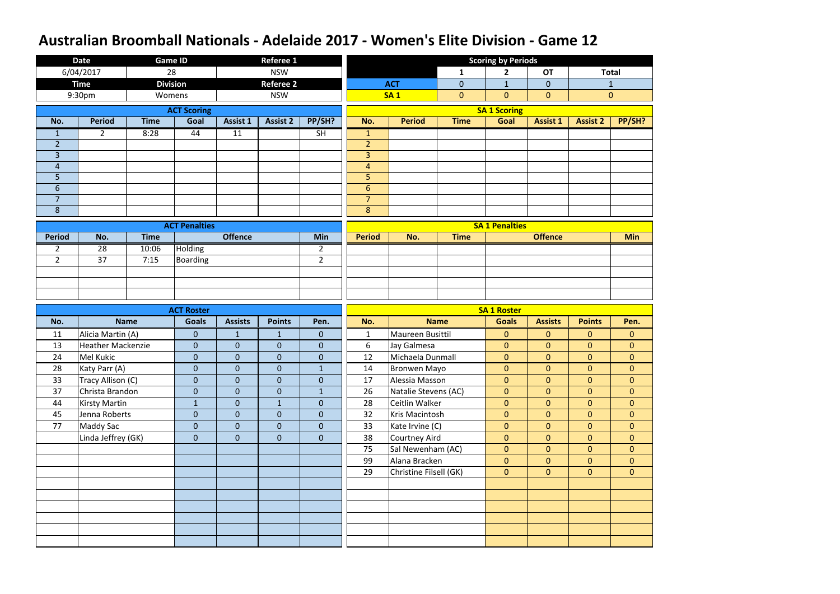|                | <b>Date</b>              |             | <b>Game ID</b>       |                  | <b>Referee 1</b> |                  |                 |                        |                | <b>Scoring by Periods</b> |                 |                 |                |
|----------------|--------------------------|-------------|----------------------|------------------|------------------|------------------|-----------------|------------------------|----------------|---------------------------|-----------------|-----------------|----------------|
|                | 6/04/2017                |             | 28                   |                  | <b>NSW</b>       |                  |                 |                        | $\mathbf{1}$   | $\mathbf{2}$              | <b>OT</b>       |                 | <b>Total</b>   |
|                | <b>Time</b>              |             | <b>Division</b>      |                  | <b>Referee 2</b> |                  |                 | <b>ACT</b>             | $\overline{0}$ | $\mathbf{1}$              | $\overline{0}$  |                 | $1\,$          |
|                | 9:30pm                   |             | Womens               |                  | <b>NSW</b>       |                  |                 | <b>SA1</b>             | $\overline{0}$ | $\overline{0}$            | $\mathbf{0}$    |                 | $\mathbf{0}$   |
|                |                          |             | <b>ACT Scoring</b>   |                  |                  |                  |                 |                        |                | <b>SA 1 Scoring</b>       |                 |                 |                |
| No.            | <b>Period</b>            | <b>Time</b> | Goal                 | <b>Assist 1</b>  | <b>Assist 2</b>  | PP/SH?           | No.             | <b>Period</b>          | <b>Time</b>    | Goal                      | <b>Assist 1</b> | <b>Assist 2</b> | PP/SH?         |
| $\mathbf{1}$   | $\overline{2}$           | 8:28        | 44                   | 11               |                  | SH               | $\mathbf{1}$    |                        |                |                           |                 |                 |                |
| $\overline{2}$ |                          |             |                      |                  |                  |                  | $\overline{2}$  |                        |                |                           |                 |                 |                |
| $\overline{3}$ |                          |             |                      |                  |                  |                  | $\overline{3}$  |                        |                |                           |                 |                 |                |
| $\overline{4}$ |                          |             |                      |                  |                  |                  | $\overline{4}$  |                        |                |                           |                 |                 |                |
| 5              |                          |             |                      |                  |                  |                  | 5               |                        |                |                           |                 |                 |                |
| $6\phantom{1}$ |                          |             |                      |                  |                  |                  | $6\phantom{.}6$ |                        |                |                           |                 |                 |                |
| $\overline{7}$ |                          |             |                      |                  |                  |                  | $\overline{7}$  |                        |                |                           |                 |                 |                |
| 8              |                          |             |                      |                  |                  |                  | 8               |                        |                |                           |                 |                 |                |
|                |                          |             | <b>ACT Penalties</b> |                  |                  |                  |                 |                        |                | <b>SA 1 Penalties</b>     |                 |                 |                |
| <b>Period</b>  | No.                      | <b>Time</b> |                      | <b>Offence</b>   |                  | Min              | <b>Period</b>   | No.                    | <b>Time</b>    |                           | <b>Offence</b>  |                 | <b>Min</b>     |
| $\overline{2}$ | 28                       | 10:06       | <b>Holding</b>       |                  |                  | $\overline{2}$   |                 |                        |                |                           |                 |                 |                |
| $\overline{2}$ | $\overline{37}$          | 7:15        | <b>Boarding</b>      |                  |                  | $\overline{2}$   |                 |                        |                |                           |                 |                 |                |
|                |                          |             |                      |                  |                  |                  |                 |                        |                |                           |                 |                 |                |
|                |                          |             |                      |                  |                  |                  |                 |                        |                |                           |                 |                 |                |
|                |                          |             |                      |                  |                  |                  |                 |                        |                |                           |                 |                 |                |
|                |                          |             |                      |                  |                  |                  |                 |                        |                |                           |                 |                 |                |
|                |                          |             | <b>ACT Roster</b>    |                  |                  |                  |                 |                        |                | <b>SA 1 Roster</b>        |                 |                 |                |
| No.            |                          | <b>Name</b> | <b>Goals</b>         | <b>Assists</b>   | <b>Points</b>    | Pen.             | No.             |                        | <b>Name</b>    | <b>Goals</b>              | <b>Assists</b>  | <b>Points</b>   | Pen.           |
| 11             | Alicia Martin (A)        |             | $\overline{0}$       | $\mathbf{1}$     | $\mathbf{1}$     | $\mathbf{0}$     | $\mathbf{1}$    | Maureen Busittil       |                | $\mathbf{0}$              | $\mathbf{0}$    | $\overline{0}$  | $\overline{0}$ |
| 13             | <b>Heather Mackenzie</b> |             | $\overline{0}$       | $\boldsymbol{0}$ | $\mathbf{0}$     | $\theta$         | 6               | Jay Galmesa            |                | $\overline{0}$            | $\overline{0}$  | $\overline{0}$  | $\overline{0}$ |
| 24             | Mel Kukic                |             | $\overline{0}$       | $\boldsymbol{0}$ | $\mathbf 0$      | $\boldsymbol{0}$ | 12              | Michaela Dunmall       |                | $\overline{0}$            | $\overline{0}$  | $\overline{0}$  | $\overline{0}$ |
| 28             | Katy Parr (A)            |             | $\boldsymbol{0}$     | $\pmb{0}$        | $\pmb{0}$        | 1                | 14              | Bronwen Mayo           |                | $\overline{0}$            | $\overline{0}$  | $\mathbf{0}$    | $\overline{0}$ |
| 33             | Tracy Allison (C)        |             | $\overline{0}$       | $\overline{0}$   | $\mathbf{0}$     | $\overline{0}$   | 17              | Alessia Masson         |                | $\overline{0}$            | $\overline{0}$  | $\overline{0}$  | $\overline{0}$ |
| 37             | Christa Brandon          |             | $\mathbf{0}$         | $\overline{0}$   | $\mathbf{0}$     | $\mathbf{1}$     | 26              | Natalie Stevens (AC)   |                | $\overline{0}$            | $\overline{0}$  | $\overline{0}$  | $\overline{0}$ |
| 44             | <b>Kirsty Martin</b>     |             | $\mathbf{1}$         | $\mathbf{0}$     | $\mathbf{1}$     | $\overline{0}$   | 28              | Ceitlin Walker         |                | $\overline{0}$            | $\overline{0}$  | $\overline{0}$  | $\overline{0}$ |
| 45             | Jenna Roberts            |             | $\mathbf{0}$         | $\mathbf{0}$     | $\overline{0}$   | $\overline{0}$   | 32              | Kris Macintosh         |                | $\overline{0}$            | $\overline{0}$  | $\overline{0}$  | $\overline{0}$ |
| 77             | <b>Maddy Sac</b>         |             | $\mathbf{0}$         | $\mathbf 0$      | $\overline{0}$   | $\mathbf{0}$     | 33              | Kate Irvine (C)        |                | $\overline{0}$            | $\overline{0}$  | $\overline{0}$  | $\overline{0}$ |
|                | Linda Jeffrey (GK)       |             | $\overline{0}$       | $\mathbf{0}$     | $\overline{0}$   | $\mathbf{0}$     | 38              | Courtney Aird          |                | $\overline{0}$            | $\overline{0}$  | $\overline{0}$  | $\overline{0}$ |
|                |                          |             |                      |                  |                  |                  | 75              | Sal Newenham (AC)      |                | $\overline{0}$            | $\overline{0}$  | $\overline{0}$  | $\overline{0}$ |
|                |                          |             |                      |                  |                  |                  | 99              | Alana Bracken          |                | $\overline{0}$            | $\overline{0}$  | $\overline{0}$  | $\overline{0}$ |
|                |                          |             |                      |                  |                  |                  | 29              | Christine Filsell (GK) |                | $\overline{0}$            | $\overline{0}$  | $\overline{0}$  | $\overline{0}$ |
|                |                          |             |                      |                  |                  |                  |                 |                        |                |                           |                 |                 |                |
|                |                          |             |                      |                  |                  |                  |                 |                        |                |                           |                 |                 |                |
|                |                          |             |                      |                  |                  |                  |                 |                        |                |                           |                 |                 |                |
|                |                          |             |                      |                  |                  |                  |                 |                        |                |                           |                 |                 |                |
|                |                          |             |                      |                  |                  |                  |                 |                        |                |                           |                 |                 |                |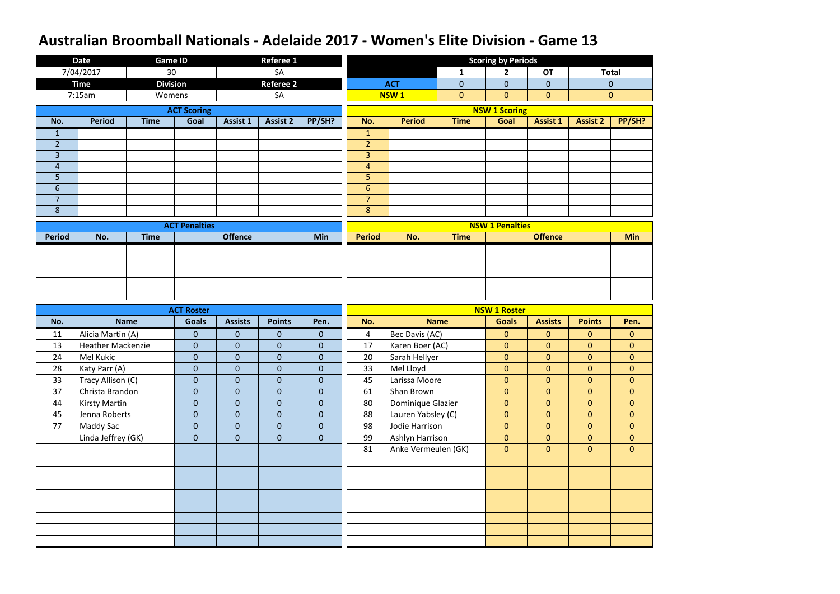|                                    | <b>Date</b>              | <b>Game ID</b>  |                              |                                  | <b>Referee 1</b>          |                              |                                    |                     |             | <b>Scoring by Periods</b>        |                                  |                                  |                                  |
|------------------------------------|--------------------------|-----------------|------------------------------|----------------------------------|---------------------------|------------------------------|------------------------------------|---------------------|-------------|----------------------------------|----------------------------------|----------------------------------|----------------------------------|
|                                    | 7/04/2017                | 30              |                              |                                  | SA                        |                              |                                    |                     | 1           | $\mathbf{2}$                     | <b>OT</b>                        |                                  | <b>Total</b>                     |
|                                    | <b>Time</b>              | <b>Division</b> |                              |                                  | <b>Referee 2</b>          |                              |                                    | <b>ACT</b>          | $\mathbf 0$ | $\mathbf{0}$                     | $\overline{0}$                   |                                  | $\mathbf{0}$                     |
|                                    | 7:15am                   | Womens          |                              |                                  | SA                        |                              |                                    | <b>NSW1</b>         | $\mathbf 0$ | $\mathbf{0}$                     | $\overline{0}$                   |                                  | $\mathbf{0}$                     |
|                                    |                          |                 | <b>ACT Scoring</b>           |                                  |                           |                              |                                    |                     |             | <b>NSW 1 Scoring</b>             |                                  |                                  |                                  |
| No.                                | <b>Period</b>            | <b>Time</b>     | Goal                         | <b>Assist 1</b>                  | <b>Assist 2</b>           | PP/SH?                       | No.                                | <b>Period</b>       | <b>Time</b> | Goal                             | <b>Assist 1</b>                  | <b>Assist 2</b>                  | PP/SH?                           |
| $\mathbf{1}$                       |                          |                 |                              |                                  |                           |                              | $\mathbf{1}$                       |                     |             |                                  |                                  |                                  |                                  |
| $\overline{2}$                     |                          |                 |                              |                                  |                           |                              | $\overline{2}$                     |                     |             |                                  |                                  |                                  |                                  |
| $\overline{3}$                     |                          |                 |                              |                                  |                           |                              | $\overline{3}$                     |                     |             |                                  |                                  |                                  |                                  |
| $\overline{4}$                     |                          |                 |                              |                                  |                           |                              | $\overline{4}$                     |                     |             |                                  |                                  |                                  |                                  |
| 5                                  |                          |                 |                              |                                  |                           |                              | 5                                  |                     |             |                                  |                                  |                                  |                                  |
| $6\phantom{.}6$                    |                          |                 |                              |                                  |                           |                              | $6\phantom{1}$                     |                     |             |                                  |                                  |                                  |                                  |
| $\overline{7}$<br>$\boldsymbol{8}$ |                          |                 |                              |                                  |                           |                              | $\overline{7}$<br>$\boldsymbol{8}$ |                     |             |                                  |                                  |                                  |                                  |
|                                    |                          |                 |                              |                                  |                           |                              |                                    |                     |             |                                  |                                  |                                  |                                  |
|                                    |                          |                 | <b>ACT Penalties</b>         |                                  |                           |                              |                                    |                     |             | <b>NSW 1 Penalties</b>           |                                  |                                  |                                  |
| <b>Period</b>                      | No.                      | <b>Time</b>     |                              | <b>Offence</b>                   |                           | Min                          | <b>Period</b>                      | No.                 | <b>Time</b> |                                  | <b>Offence</b>                   |                                  | <b>Min</b>                       |
|                                    |                          |                 |                              |                                  |                           |                              |                                    |                     |             |                                  |                                  |                                  |                                  |
|                                    |                          |                 |                              |                                  |                           |                              |                                    |                     |             |                                  |                                  |                                  |                                  |
|                                    |                          |                 |                              |                                  |                           |                              |                                    |                     |             |                                  |                                  |                                  |                                  |
|                                    |                          |                 |                              |                                  |                           |                              |                                    |                     |             |                                  |                                  |                                  |                                  |
|                                    |                          |                 |                              |                                  |                           |                              |                                    |                     |             |                                  |                                  |                                  |                                  |
|                                    |                          |                 |                              |                                  |                           |                              |                                    |                     |             |                                  |                                  |                                  |                                  |
|                                    |                          |                 | <b>ACT Roster</b>            |                                  |                           |                              |                                    |                     |             | <b>NSW 1 Roster</b>              |                                  |                                  |                                  |
| No.                                |                          | <b>Name</b>     | <b>Goals</b>                 | <b>Assists</b>                   | <b>Points</b>             | Pen.                         | No.                                |                     | <b>Name</b> | <b>Goals</b>                     | <b>Assists</b>                   | <b>Points</b>                    | Pen.                             |
| 11                                 | Alicia Martin (A)        |                 | $\mathbf{0}$                 | $\mathbf{0}$                     | $\mathbf{0}$              | $\mathbf{0}$                 | 4                                  | Bec Davis (AC)      |             | $\mathbf{0}$                     | $\overline{0}$                   | $\overline{0}$                   | $\mathbf{0}$                     |
| 13                                 | <b>Heather Mackenzie</b> |                 | $\overline{0}$               | $\mathbf{0}$                     | $\mathbf 0$               | $\mathbf{0}$                 | 17                                 | Karen Boer (AC)     |             | $\mathbf{0}$                     | $\overline{0}$                   | $\overline{0}$                   | $\overline{0}$                   |
| 24                                 | Mel Kukic                |                 | $\mathbf{0}$                 | $\pmb{0}$                        | $\pmb{0}$                 | $\pmb{0}$                    | 20                                 | Sarah Hellyer       |             | $\mathbf{0}$                     | $\mathbf{0}$                     | $\overline{0}$                   | $\mathbf{0}$                     |
| 28                                 | Katy Parr (A)            |                 | $\boldsymbol{0}$             | $\overline{0}$                   | $\boldsymbol{0}$          | $\boldsymbol{0}$             | 33                                 | Mel Lloyd           |             | $\mathbf{0}$                     | $\overline{0}$                   | $\overline{0}$                   | $\overline{0}$                   |
| 33                                 | Tracy Allison (C)        |                 | $\overline{0}$               | $\boldsymbol{0}$                 | $\mathbf{0}$              | $\overline{0}$               | 45                                 | Larissa Moore       |             | $\overline{0}$                   | $\overline{0}$                   | $\overline{0}$                   | $\overline{0}$                   |
| 37                                 | Christa Brandon          |                 | $\mathbf{0}$                 | $\mathbf{0}$                     | $\mathbf 0$               | $\overline{0}$               | 61                                 | Shan Brown          |             | $\overline{0}$                   | $\overline{0}$                   | $\overline{0}$                   | $\overline{0}$                   |
| 44                                 | Kirsty Martin            |                 | $\mathbf{0}$                 | $\mathbf{0}$                     | $\mathbf{0}$              | $\overline{0}$               | 80                                 | Dominique Glazier   |             | $\overline{0}$                   | $\overline{0}$<br>$\overline{0}$ | $\overline{0}$                   | $\overline{0}$                   |
| 45<br>77                           | Jenna Roberts            |                 | $\mathbf{0}$<br>$\mathbf{0}$ | $\mathbf{0}$<br>$\boldsymbol{0}$ | $\pmb{0}$<br>$\mathbf{0}$ | $\mathbf{0}$<br>$\mathbf{0}$ | 88<br>98                           | Lauren Yabsley (C)  |             | $\overline{0}$<br>$\overline{0}$ | $\overline{0}$                   | $\overline{0}$<br>$\overline{0}$ | $\overline{0}$<br>$\overline{0}$ |
|                                    | <b>Maddy Sac</b>         |                 | $\overline{0}$               | $\mathbf{0}$                     | $\mathbf{0}$              | $\overline{0}$               | 99                                 | Jodie Harrison      |             | $\overline{0}$                   | $\overline{0}$                   | $\overline{0}$                   | $\overline{0}$                   |
|                                    | Linda Jeffrey (GK)       |                 |                              |                                  |                           |                              | 81                                 | Ashlyn Harrison     |             | $\overline{0}$                   | $\overline{0}$                   | $\overline{0}$                   | $\overline{0}$                   |
|                                    |                          |                 |                              |                                  |                           |                              |                                    | Anke Vermeulen (GK) |             |                                  |                                  |                                  |                                  |
|                                    |                          |                 |                              |                                  |                           |                              |                                    |                     |             |                                  |                                  |                                  |                                  |
|                                    |                          |                 |                              |                                  |                           |                              |                                    |                     |             |                                  |                                  |                                  |                                  |
|                                    |                          |                 |                              |                                  |                           |                              |                                    |                     |             |                                  |                                  |                                  |                                  |
|                                    |                          |                 |                              |                                  |                           |                              |                                    |                     |             |                                  |                                  |                                  |                                  |
|                                    |                          |                 |                              |                                  |                           |                              |                                    |                     |             |                                  |                                  |                                  |                                  |
|                                    |                          |                 |                              |                                  |                           |                              |                                    |                     |             |                                  |                                  |                                  |                                  |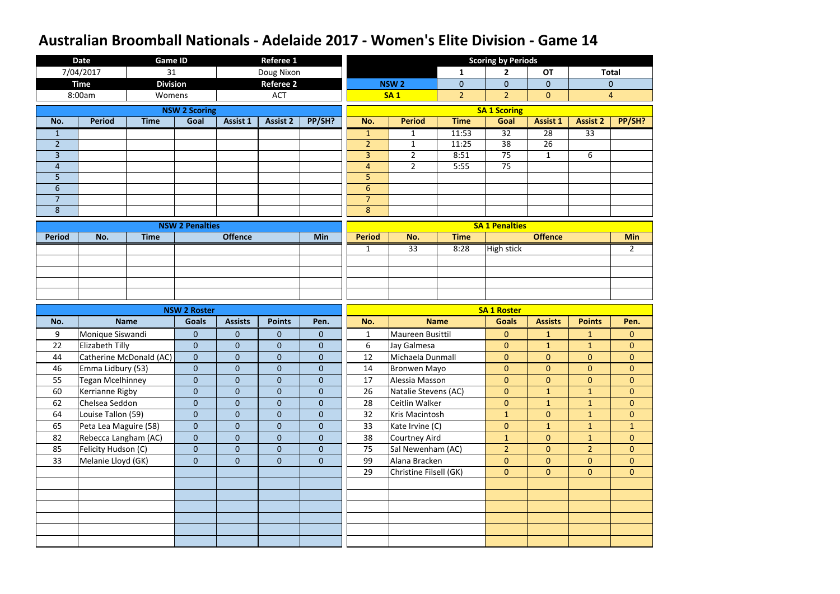|                | <b>Date</b>             | <b>Game ID</b>          |                        |                 | <b>Referee 1</b> |                |                  |                        |                | <b>Scoring by Periods</b> |                 |                 |                |
|----------------|-------------------------|-------------------------|------------------------|-----------------|------------------|----------------|------------------|------------------------|----------------|---------------------------|-----------------|-----------------|----------------|
|                | 7/04/2017               | 31                      |                        |                 | Doug Nixon       |                |                  |                        | 1              | $\mathbf{2}$              | <b>OT</b>       |                 | <b>Total</b>   |
|                | <b>Time</b>             | <b>Division</b>         |                        |                 | <b>Referee 2</b> |                |                  | NSW <sub>2</sub>       | $\overline{0}$ | $\overline{0}$            | $\overline{0}$  |                 | $\mathbf{0}$   |
|                | 8:00am                  | Womens                  |                        |                 | <b>ACT</b>       |                |                  | <b>SA1</b>             | $\overline{2}$ | 2 <sup>2</sup>            | $\overline{0}$  |                 | $\overline{4}$ |
|                |                         |                         | <b>NSW 2 Scoring</b>   |                 |                  |                |                  |                        |                | <b>SA 1 Scoring</b>       |                 |                 |                |
| No.            | <b>Period</b>           | <b>Time</b>             | Goal                   | <b>Assist 1</b> | <b>Assist 2</b>  | PP/SH?         | No.              | <b>Period</b>          | <b>Time</b>    | Goal                      | <b>Assist 1</b> | <b>Assist 2</b> | PP/SH?         |
| $\mathbf{1}$   |                         |                         |                        |                 |                  |                | $\mathbf{1}$     | $\mathbf{1}$           | 11:53          | $\overline{32}$           | $\overline{28}$ | $\overline{33}$ |                |
| $\overline{2}$ |                         |                         |                        |                 |                  |                | $\overline{2}$   | $\mathbf{1}$           | 11:25          | 38                        | 26              |                 |                |
| $\overline{3}$ |                         |                         |                        |                 |                  |                | $\overline{3}$   | $\overline{2}$         | 8:51           | 75                        | $\mathbf{1}$    | 6               |                |
| $\overline{4}$ |                         |                         |                        |                 |                  |                | $\overline{4}$   | $\overline{2}$         | 5:55           | 75                        |                 |                 |                |
| 5              |                         |                         |                        |                 |                  |                | 5                |                        |                |                           |                 |                 |                |
| 6              |                         |                         |                        |                 |                  |                | $6 \overline{6}$ |                        |                |                           |                 |                 |                |
| $\overline{7}$ |                         |                         |                        |                 |                  |                | $\overline{7}$   |                        |                |                           |                 |                 |                |
| 8              |                         |                         |                        |                 |                  |                | 8                |                        |                |                           |                 |                 |                |
|                |                         |                         | <b>NSW 2 Penalties</b> |                 |                  |                |                  |                        |                | <b>SA 1 Penalties</b>     |                 |                 |                |
| <b>Period</b>  | No.                     | <b>Time</b>             |                        | <b>Offence</b>  |                  | Min            | <b>Period</b>    | No.                    | <b>Time</b>    |                           | <b>Offence</b>  |                 | <b>Min</b>     |
|                |                         |                         |                        |                 |                  |                | $\mathbf{1}$     | 33                     | 8:28           | <b>High stick</b>         |                 |                 | $2^{\circ}$    |
|                |                         |                         |                        |                 |                  |                |                  |                        |                |                           |                 |                 |                |
|                |                         |                         |                        |                 |                  |                |                  |                        |                |                           |                 |                 |                |
|                |                         |                         |                        |                 |                  |                |                  |                        |                |                           |                 |                 |                |
|                |                         |                         |                        |                 |                  |                |                  |                        |                |                           |                 |                 |                |
|                |                         |                         |                        |                 |                  |                |                  |                        |                |                           |                 |                 |                |
|                |                         |                         | <b>NSW 2 Roster</b>    |                 |                  |                |                  |                        |                | <b>SA 1 Roster</b>        |                 |                 |                |
| No.            |                         | <b>Name</b>             | <b>Goals</b>           | <b>Assists</b>  | <b>Points</b>    | Pen.           | No.              |                        | <b>Name</b>    | <b>Goals</b>              | <b>Assists</b>  | <b>Points</b>   | Pen.           |
| 9              | Monique Siswandi        |                         | $\mathbf{0}$           | $\pmb{0}$       | $\mathbf{0}$     | $\mathbf{0}$   | $\mathbf{1}$     | Maureen Busittil       |                | $\mathbf{0}$              | $\mathbf{1}$    | $\mathbf{1}$    | $\mathbf{0}$   |
| 22             | <b>Elizabeth Tilly</b>  |                         | $\overline{0}$         | $\mathbf{0}$    | $\overline{0}$   | $\overline{0}$ | 6                | Jay Galmesa            |                | $\mathbf{0}$              | $\mathbf{1}$    | $\mathbf{1}$    | $\overline{0}$ |
| 44             |                         | Catherine McDonald (AC) | $\overline{0}$         | $\pmb{0}$       | $\mathbf{0}$     | $\pmb{0}$      | 12               | Michaela Dunmall       |                | $\mathbf{0}$              | $\overline{0}$  | $\overline{0}$  | $\overline{0}$ |
| 46             | Emma Lidbury (53)       |                         | $\boldsymbol{0}$       | $\overline{0}$  | $\mathbf{0}$     | $\mathbf{0}$   | 14               | Bronwen Mayo           |                | $\overline{0}$            | $\overline{0}$  | $\overline{0}$  | $\overline{0}$ |
| 55             | <b>Tegan Mcelhinney</b> |                         | $\overline{0}$         | $\mathbf{0}$    | $\overline{0}$   | $\overline{0}$ | 17               | Alessia Masson         |                | $\overline{0}$            | $\overline{0}$  | $\overline{0}$  | $\overline{0}$ |
| 60             | Kerrianne Rigby         |                         | $\overline{0}$         | $\mathbf{0}$    | $\overline{0}$   | $\overline{0}$ | 26               | Natalie Stevens (AC)   |                | $\overline{0}$            | $\mathbf{1}$    | $\mathbf{1}$    | $\overline{0}$ |
| 62             | Chelsea Seddon          |                         | $\mathbf{0}$           | $\mathbf{0}$    | $\boldsymbol{0}$ | $\mathbf{0}$   | 28               | Ceitlin Walker         |                | $\overline{0}$            | 1               | 1 <sup>1</sup>  | $\overline{0}$ |
| 64             | Louise Tallon (59)      |                         | $\overline{0}$         | $\mathbf{0}$    | $\mathbf 0$      | $\overline{0}$ | 32               | Kris Macintosh         |                | $\mathbf{1}$              | $\overline{0}$  | $\mathbf{1}$    | $\overline{0}$ |
| 65             | Peta Lea Maguire (58)   |                         | $\overline{0}$         | $\mathbf{0}$    | $\mathbf 0$      | $\overline{0}$ | 33               | Kate Irvine (C)        |                | $\overline{0}$            | $\mathbf{1}$    | $\mathbf{1}$    | 1              |
| 82             | Rebecca Langham (AC)    |                         | $\overline{0}$         | $\mathbf{0}$    | $\overline{0}$   | $\overline{0}$ | 38               | Courtney Aird          |                | 1                         | $\overline{0}$  | $\mathbf{1}$    | $\overline{0}$ |
| 85             | Felicity Hudson (C)     |                         | $\overline{0}$         | $\mathbf{0}$    | $\mathbf{0}$     | $\mathbf{0}$   | 75               | Sal Newenham (AC)      |                | 2 <sup>1</sup>            | $\overline{0}$  | 2 <sup>1</sup>  | $\overline{0}$ |
| 33             | Melanie Lloyd (GK)      |                         | $\overline{0}$         | $\mathbf{0}$    | $\mathbf 0$      | $\mathbf{0}$   | 99               | Alana Bracken          |                | $\overline{0}$            | $\overline{0}$  | $\overline{0}$  | $\overline{0}$ |
|                |                         |                         |                        |                 |                  |                | 29               | Christine Filsell (GK) |                | $\overline{0}$            | $\overline{0}$  | $\overline{0}$  | $\overline{0}$ |
|                |                         |                         |                        |                 |                  |                |                  |                        |                |                           |                 |                 |                |
|                |                         |                         |                        |                 |                  |                |                  |                        |                |                           |                 |                 |                |
|                |                         |                         |                        |                 |                  |                |                  |                        |                |                           |                 |                 |                |
|                |                         |                         |                        |                 |                  |                |                  |                        |                |                           |                 |                 |                |
|                |                         |                         |                        |                 |                  |                |                  |                        |                |                           |                 |                 |                |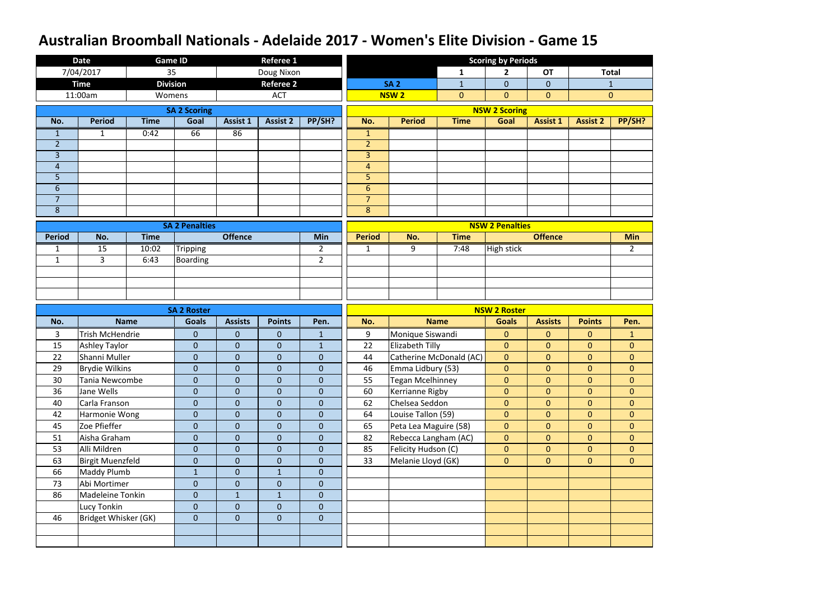|                | <b>Date</b>            |             | <b>Game ID</b>        |                  | <b>Referee 1</b> |                |                |                         |                | <b>Scoring by Periods</b> |                 |                 |                |
|----------------|------------------------|-------------|-----------------------|------------------|------------------|----------------|----------------|-------------------------|----------------|---------------------------|-----------------|-----------------|----------------|
|                | 7/04/2017              |             | 35                    |                  | Doug Nixon       |                |                |                         | $\mathbf{1}$   | 2 <sup>1</sup>            | <b>OT</b>       |                 | <b>Total</b>   |
|                | <b>Time</b>            |             | <b>Division</b>       |                  | <b>Referee 2</b> |                |                | <b>SA 2</b>             | $\mathbf{1}$   | $\overline{0}$            | $\overline{0}$  |                 | $\mathbf{1}$   |
|                | 11:00am                |             | Womens                |                  | <b>ACT</b>       |                |                | <b>NSW2</b>             | $\overline{0}$ | $\overline{0}$            | $\overline{0}$  |                 | $\mathbf{0}$   |
|                |                        |             | <b>SA 2 Scoring</b>   |                  |                  |                |                |                         |                | <b>NSW 2 Scoring</b>      |                 |                 |                |
| No.            | <b>Period</b>          | <b>Time</b> | Goal                  | <b>Assist 1</b>  | <b>Assist 2</b>  | PP/SH?         | No.            | <b>Period</b>           | <b>Time</b>    | Goal                      | <b>Assist 1</b> | <b>Assist 2</b> | PP/SH?         |
| $\mathbf{1}$   | $\mathbf{1}$           | 0:42        | 66                    | 86               |                  |                | $\mathbf{1}$   |                         |                |                           |                 |                 |                |
| $\overline{2}$ |                        |             |                       |                  |                  |                | $\overline{2}$ |                         |                |                           |                 |                 |                |
| $\overline{3}$ |                        |             |                       |                  |                  |                | $\overline{3}$ |                         |                |                           |                 |                 |                |
| $\overline{4}$ |                        |             |                       |                  |                  |                | $\overline{4}$ |                         |                |                           |                 |                 |                |
| 5              |                        |             |                       |                  |                  |                | 5              |                         |                |                           |                 |                 |                |
| $6\,$          |                        |             |                       |                  |                  |                | $6\phantom{1}$ |                         |                |                           |                 |                 |                |
| $\overline{7}$ |                        |             |                       |                  |                  |                | $\overline{7}$ |                         |                |                           |                 |                 |                |
| $\bf 8$        |                        |             |                       |                  |                  |                | $\bf 8$        |                         |                |                           |                 |                 |                |
|                |                        |             | <b>SA 2 Penalties</b> |                  |                  |                |                |                         |                | <b>NSW 2 Penalties</b>    |                 |                 |                |
| <b>Period</b>  | No.                    | <b>Time</b> |                       | <b>Offence</b>   |                  | Min            | <b>Period</b>  | No.                     | <b>Time</b>    |                           | <b>Offence</b>  |                 | <b>Min</b>     |
| $\mathbf{1}$   | 15                     | 10:02       | <b>Tripping</b>       |                  |                  | $\overline{2}$ | $\mathbf{1}$   | 9                       | 7:48           | <b>High stick</b>         |                 |                 | $\overline{2}$ |
| $\mathbf{1}$   | $\overline{3}$         | 6:43        | <b>Boarding</b>       |                  |                  | $\overline{2}$ |                |                         |                |                           |                 |                 |                |
|                |                        |             |                       |                  |                  |                |                |                         |                |                           |                 |                 |                |
|                |                        |             |                       |                  |                  |                |                |                         |                |                           |                 |                 |                |
|                |                        |             |                       |                  |                  |                |                |                         |                |                           |                 |                 |                |
|                |                        |             |                       |                  |                  |                |                |                         |                |                           |                 |                 |                |
|                |                        |             | <b>SA 2 Roster</b>    |                  |                  |                |                |                         |                | <b>NSW 2 Roster</b>       |                 |                 |                |
| No.            |                        | <b>Name</b> | <b>Goals</b>          | <b>Assists</b>   | <b>Points</b>    | Pen.           | No.            |                         | <b>Name</b>    | <b>Goals</b>              | <b>Assists</b>  | <b>Points</b>   | Pen.           |
| 3              | <b>Trish McHendrie</b> |             | $\mathbf{0}$          | $\mathbf{0}$     | $\mathbf{0}$     | $\mathbf{1}$   | 9              | Monique Siswandi        |                | $\overline{0}$            | $\overline{0}$  | $\overline{0}$  | $\mathbf{1}$   |
| 15             | <b>Ashley Taylor</b>   |             | $\mathbf 0$           | $\mathbf{0}$     | $\mathbf 0$      | $\mathbf{1}$   | 22             | Elizabeth Tilly         |                | $\overline{0}$            | $\overline{0}$  | $\overline{0}$  | $\mathbf{0}$   |
| 22             | Shanni Muller          |             | $\mathbf 0$           | $\boldsymbol{0}$ | $\overline{0}$   | $\mathbf 0$    | 44             | Catherine McDonald (AC) |                | $\overline{0}$            | $\overline{0}$  | $\overline{0}$  | $\mathbf 0$    |
| 29             | <b>Brydie Wilkins</b>  |             | $\pmb{0}$             | $\theta$         | $\mathbf 0$      | $\mathbf 0$    | 46             | Emma Lidbury (53)       |                | $\overline{0}$            | $\overline{0}$  | $\overline{0}$  | $\mathbf{0}$   |
| 30             | Tania Newcombe         |             | $\mathbf{0}$          | $\overline{0}$   | $\mathbf 0$      | $\overline{0}$ | 55             | <b>Tegan Mcelhinney</b> |                | $\overline{0}$            | $\overline{0}$  | $\overline{0}$  | $\overline{0}$ |
| 36             | Jane Wells             |             | $\mathbf{0}$          | $\overline{0}$   | $\mathbf 0$      | $\overline{0}$ | 60             | Kerrianne Rigby         |                | $\overline{0}$            | $\overline{0}$  | $\overline{0}$  | $\overline{0}$ |
| 40             | Carla Franson          |             | $\mathbf{0}$          | $\mathbf{0}$     | $\mathbf 0$      | $\overline{0}$ | 62             | Chelsea Seddon          |                | $\overline{0}$            | $\overline{0}$  | $\overline{0}$  | $\overline{0}$ |
| 42             | Harmonie Wong          |             | $\mathbf{0}$          | $\mathbf{0}$     | $\mathbf 0$      | $\overline{0}$ | 64             | Louise Tallon (59)      |                | $\overline{0}$            | $\overline{0}$  | $\overline{0}$  | $\overline{0}$ |
| 45             | Zoe Pfieffer           |             | $\mathbf{0}$          | $\mathbf{0}$     | $\overline{0}$   | $\overline{0}$ | 65             | Peta Lea Maguire (58)   |                | $\overline{0}$            | $\overline{0}$  | $\overline{0}$  | $\overline{0}$ |
| 51             | Aisha Graham           |             | $\mathbf{0}$          | $\mathbf{0}$     | $\overline{0}$   | $\overline{0}$ | 82             | Rebecca Langham (AC)    |                | $\overline{0}$            | $\overline{0}$  | $\overline{0}$  | $\mathbf{0}$   |
| 53             | Alli Mildren           |             | $\mathbf{0}$          | $\mathbf{0}$     | $\mathbf 0$      | $\overline{0}$ | 85             | Felicity Hudson (C)     |                | $\overline{0}$            | $\mathbf{0}$    | $\overline{0}$  | $\overline{0}$ |
| 63             | Birgit Muenzfeld       |             | $\overline{0}$        | $\overline{0}$   | $\overline{0}$   | $\overline{0}$ | 33             | Melanie Lloyd (GK)      |                | $\overline{0}$            | $\overline{0}$  | $\overline{0}$  | $\overline{0}$ |
| 66             | Maddy Plumb            |             | $\mathbf{1}$          | $\mathbf 0$      | $\mathbf{1}$     | $\overline{0}$ |                |                         |                |                           |                 |                 |                |
| 73             | Abi Mortimer           |             | $\mathbf{0}$          | $\mathbf{0}$     | $\mathbf 0$      | $\mathbf 0$    |                |                         |                |                           |                 |                 |                |
| 86             | Madeleine Tonkin       |             | $\overline{0}$        | $\mathbf{1}$     | 1                | $\overline{0}$ |                |                         |                |                           |                 |                 |                |
|                | Lucy Tonkin            |             | $\boldsymbol{0}$      | $\mathbf 0$      | $\mathbf 0$      | $\overline{0}$ |                |                         |                |                           |                 |                 |                |
| 46             | Bridget Whisker (GK)   |             | $\overline{0}$        | $\mathbf{0}$     | $\mathbf{0}$     | $\overline{0}$ |                |                         |                |                           |                 |                 |                |
|                |                        |             |                       |                  |                  |                |                |                         |                |                           |                 |                 |                |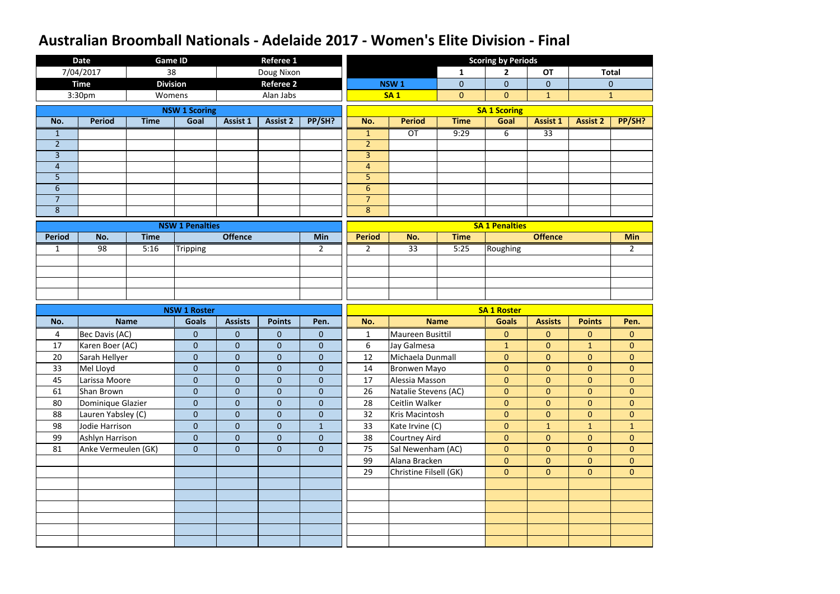|                     | <b>Date</b>                             | <b>Game ID</b>  |                                  |                              | <b>Referee 1</b>                 |                               |                           |                                        |                | <b>Scoring by Periods</b>        |                                  |                                  |                                  |
|---------------------|-----------------------------------------|-----------------|----------------------------------|------------------------------|----------------------------------|-------------------------------|---------------------------|----------------------------------------|----------------|----------------------------------|----------------------------------|----------------------------------|----------------------------------|
|                     | 7/04/2017                               | 38              |                                  |                              | Doug Nixon                       |                               |                           |                                        | $\mathbf{1}$   | $\mathbf{2}$                     | <b>OT</b>                        |                                  | <b>Total</b>                     |
|                     | <b>Time</b>                             | <b>Division</b> |                                  |                              | <b>Referee 2</b>                 |                               |                           | <b>NSW1</b>                            | $\overline{0}$ | $\overline{0}$                   | $\overline{0}$                   |                                  | $\mathbf{0}$                     |
|                     | 3:30pm                                  | Womens          |                                  |                              | Alan Jabs                        |                               |                           | <b>SA1</b>                             | $\mathbf{0}$   | $\overline{0}$                   | $\mathbf{1}$                     |                                  | $\mathbf{1}$                     |
|                     |                                         |                 | <b>NSW 1 Scoring</b>             |                              |                                  |                               |                           |                                        |                | <b>SA 1 Scoring</b>              |                                  |                                  |                                  |
| No.                 | <b>Period</b>                           | <b>Time</b>     | Goal                             | Assist 1                     | <b>Assist 2</b>                  | PP/SH?                        | No.                       | <b>Period</b>                          | <b>Time</b>    | Goal                             | <b>Assist 1</b>                  | <b>Assist 2</b>                  | PP/SH?                           |
| $\mathbf{1}$        |                                         |                 |                                  |                              |                                  |                               | $\mathbf{1}$              | OT                                     | 9:29           | 6                                | $\overline{33}$                  |                                  |                                  |
| $\overline{2}$      |                                         |                 |                                  |                              |                                  |                               | $\overline{2}$            |                                        |                |                                  |                                  |                                  |                                  |
| $\overline{3}$      |                                         |                 |                                  |                              |                                  |                               | $\overline{3}$            |                                        |                |                                  |                                  |                                  |                                  |
| $\overline{4}$      |                                         |                 |                                  |                              |                                  |                               | $\overline{4}$            |                                        |                |                                  |                                  |                                  |                                  |
| 5                   |                                         |                 |                                  |                              |                                  |                               | 5                         |                                        |                |                                  |                                  |                                  |                                  |
| $6\phantom{1}6$     |                                         |                 |                                  |                              |                                  |                               | $6\phantom{1}$            |                                        |                |                                  |                                  |                                  |                                  |
| $\overline{7}$<br>8 |                                         |                 |                                  |                              |                                  |                               | $\overline{7}$<br>$\bf 8$ |                                        |                |                                  |                                  |                                  |                                  |
|                     |                                         |                 |                                  |                              |                                  |                               |                           |                                        |                |                                  |                                  |                                  |                                  |
|                     |                                         |                 | <b>NSW 1 Penalties</b>           |                              |                                  |                               |                           |                                        |                | <b>SA 1 Penalties</b>            |                                  |                                  |                                  |
| <b>Period</b>       | No.                                     | <b>Time</b>     |                                  | <b>Offence</b>               |                                  | Min                           | <b>Period</b>             | No.                                    | <b>Time</b>    |                                  | <b>Offence</b>                   |                                  | <b>Min</b>                       |
| $\mathbf{1}$        | 98                                      | 5:16            | Tripping                         |                              |                                  | $\overline{2}$                | $\overline{2}$            | 33                                     | 5:25           | Roughing                         |                                  |                                  | $\overline{2}$                   |
|                     |                                         |                 |                                  |                              |                                  |                               |                           |                                        |                |                                  |                                  |                                  |                                  |
|                     |                                         |                 |                                  |                              |                                  |                               |                           |                                        |                |                                  |                                  |                                  |                                  |
|                     |                                         |                 |                                  |                              |                                  |                               |                           |                                        |                |                                  |                                  |                                  |                                  |
|                     |                                         |                 |                                  |                              |                                  |                               |                           |                                        |                |                                  |                                  |                                  |                                  |
|                     |                                         |                 |                                  |                              |                                  |                               |                           |                                        |                |                                  |                                  |                                  |                                  |
|                     |                                         |                 | <b>NSW 1 Roster</b>              |                              |                                  |                               |                           |                                        |                | <b>SA 1 Roster</b>               |                                  |                                  |                                  |
| No.                 |                                         | <b>Name</b>     | <b>Goals</b>                     | <b>Assists</b>               | <b>Points</b>                    | Pen.                          | No.                       |                                        | <b>Name</b>    | <b>Goals</b>                     | <b>Assists</b>                   | <b>Points</b>                    | Pen.                             |
| $\overline{4}$      | Bec Davis (AC)                          |                 | $\overline{0}$                   | $\boldsymbol{0}$             | $\mathbf{0}$                     | $\boldsymbol{0}$              | $\mathbf{1}$              | Maureen Busittil                       |                | $\overline{0}$                   | $\overline{0}$                   | $\overline{0}$                   | $\overline{0}$                   |
| 17                  | Karen Boer (AC)                         |                 | $\overline{0}$                   | $\mathbf{0}$                 | $\mathbf{0}$                     | $\mathbf 0$                   | $6\phantom{1}$            | Jay Galmesa                            |                | $\mathbf{1}$                     | $\overline{0}$                   | $\mathbf{1}$                     | $\overline{0}$                   |
| 20                  | Sarah Hellyer                           |                 | $\overline{0}$                   | $\boldsymbol{0}$             | $\mathbf 0$                      | $\boldsymbol{0}$              | 12                        | Michaela Dunmall                       |                | $\overline{0}$                   | $\overline{0}$                   | $\overline{0}$                   | $\overline{0}$                   |
| 33                  | Mel Lloyd                               |                 | $\overline{0}$                   | $\overline{0}$               | $\overline{0}$                   | $\overline{0}$                | 14                        | Bronwen Mayo                           |                | $\overline{0}$                   | $\overline{0}$                   | $\overline{0}$                   | $\overline{0}$                   |
| 45                  | Larissa Moore                           |                 | $\overline{0}$                   | $\overline{0}$               | $\overline{0}$                   | $\overline{0}$                | 17                        | Alessia Masson                         |                | $\overline{0}$<br>$\overline{0}$ | $\overline{0}$                   | $\overline{0}$                   | $\overline{0}$                   |
| 61<br>80            | Shan Brown                              |                 | $\overline{0}$<br>$\overline{0}$ | $\mathbf{0}$<br>$\mathbf{0}$ | $\overline{0}$<br>$\overline{0}$ | $\overline{0}$<br>$\mathbf 0$ | 26<br>28                  | Natalie Stevens (AC)<br>Ceitlin Walker |                | $\overline{0}$                   | $\overline{0}$<br>$\overline{0}$ | $\overline{0}$<br>$\overline{0}$ | $\overline{0}$<br>$\overline{0}$ |
| 88                  | Dominique Glazier<br>Lauren Yabsley (C) |                 | $\pmb{0}$                        | $\mathbf 0$                  | $\mathbf{0}$                     | $\pmb{0}$                     | 32                        | Kris Macintosh                         |                | $\overline{0}$                   | $\overline{0}$                   | $\overline{0}$                   | $\overline{0}$                   |
| 98                  | Jodie Harrison                          |                 | $\overline{0}$                   | $\boldsymbol{0}$             | $\overline{0}$                   | $\mathbf{1}$                  | 33                        | Kate Irvine (C)                        |                | $\overline{0}$                   | 1                                | $\mathbf{1}$                     | $\mathbf{1}$                     |
| 99                  | Ashlyn Harrison                         |                 | $\overline{0}$                   | $\boldsymbol{0}$             | $\overline{0}$                   | $\overline{0}$                | 38                        | Courtney Aird                          |                | $\overline{0}$                   | $\overline{0}$                   | $\overline{0}$                   | $\overline{0}$                   |
| 81                  | Anke Vermeulen (GK)                     |                 | $\overline{0}$                   | $\mathbf{0}$                 | $\overline{0}$                   | $\pmb{0}$                     | 75                        | Sal Newenham (AC)                      |                | $\overline{0}$                   | $\overline{0}$                   | $\overline{0}$                   | $\overline{0}$                   |
|                     |                                         |                 |                                  |                              |                                  |                               | 99                        | Alana Bracken                          |                | $\overline{0}$                   | $\overline{0}$                   | $\overline{0}$                   | $\overline{0}$                   |
|                     |                                         |                 |                                  |                              |                                  |                               | 29                        | Christine Filsell (GK)                 |                | $\overline{0}$                   | $\overline{0}$                   | $\overline{0}$                   | $\overline{0}$                   |
|                     |                                         |                 |                                  |                              |                                  |                               |                           |                                        |                |                                  |                                  |                                  |                                  |
|                     |                                         |                 |                                  |                              |                                  |                               |                           |                                        |                |                                  |                                  |                                  |                                  |
|                     |                                         |                 |                                  |                              |                                  |                               |                           |                                        |                |                                  |                                  |                                  |                                  |
|                     |                                         |                 |                                  |                              |                                  |                               |                           |                                        |                |                                  |                                  |                                  |                                  |
|                     |                                         |                 |                                  |                              |                                  |                               |                           |                                        |                |                                  |                                  |                                  |                                  |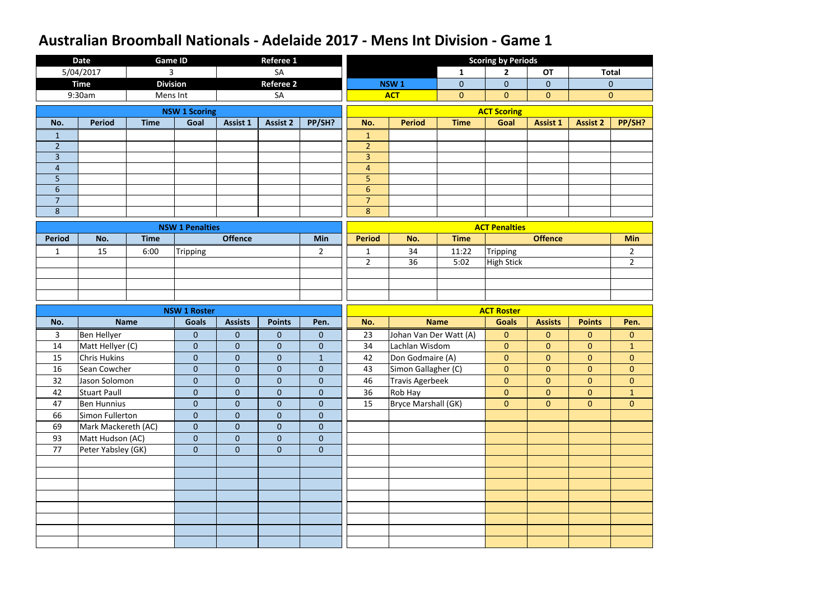|                                  | <b>Date</b>                             | <b>Game ID</b>  |                                  |                                  | Referee 1                     |                                |                     |                        |                | <b>Scoring by Periods</b>        |                                  |                                  |                                |
|----------------------------------|-----------------------------------------|-----------------|----------------------------------|----------------------------------|-------------------------------|--------------------------------|---------------------|------------------------|----------------|----------------------------------|----------------------------------|----------------------------------|--------------------------------|
|                                  | 5/04/2017                               | 3               |                                  |                                  | SA                            |                                |                     |                        | 1              | $\overline{2}$                   | <b>OT</b>                        |                                  | <b>Total</b>                   |
|                                  | <b>Time</b>                             | <b>Division</b> |                                  |                                  | <b>Referee 2</b>              |                                |                     | NSW <sub>1</sub>       | $\overline{0}$ | $\overline{0}$                   | $\overline{0}$                   |                                  | $\mathbf{0}$                   |
|                                  | 9:30am                                  | Mens Int        |                                  |                                  | SA                            |                                |                     | <b>ACT</b>             | $\mathbf{0}$   | $\overline{0}$                   | $\mathbf{0}$                     |                                  | $\mathbf{0}$                   |
|                                  |                                         |                 | <b>NSW 1 Scoring</b>             |                                  |                               |                                |                     |                        |                | <b>ACT Scoring</b>               |                                  |                                  |                                |
| No.                              | <b>Period</b>                           | <b>Time</b>     | Goal                             | <b>Assist 1</b>                  | <b>Assist 2</b>               | PP/SH?                         | No.                 | <b>Period</b>          | <b>Time</b>    | Goal                             | <b>Assist 1</b>                  | <b>Assist 2</b>                  | PP/SH?                         |
| 1                                |                                         |                 |                                  |                                  |                               |                                | $\mathbf{1}$        |                        |                |                                  |                                  |                                  |                                |
| $\overline{2}$                   |                                         |                 |                                  |                                  |                               |                                | $\overline{2}$      |                        |                |                                  |                                  |                                  |                                |
| 3                                |                                         |                 |                                  |                                  |                               |                                | $\overline{3}$      |                        |                |                                  |                                  |                                  |                                |
| $\overline{4}$                   |                                         |                 |                                  |                                  |                               |                                | 4                   |                        |                |                                  |                                  |                                  |                                |
| 5                                |                                         |                 |                                  |                                  |                               |                                | 5                   |                        |                |                                  |                                  |                                  |                                |
| $6\phantom{1}$<br>$\overline{7}$ |                                         |                 |                                  |                                  |                               |                                | $6\phantom{1}$      |                        |                |                                  |                                  |                                  |                                |
| 8                                |                                         |                 |                                  |                                  |                               |                                | $\overline{7}$<br>8 |                        |                |                                  |                                  |                                  |                                |
|                                  |                                         |                 |                                  |                                  |                               |                                |                     |                        |                |                                  |                                  |                                  |                                |
|                                  |                                         |                 | <b>NSW 1 Penalties</b>           |                                  |                               |                                |                     |                        |                | <b>ACT Penalties</b>             |                                  |                                  |                                |
| <b>Period</b>                    | No.                                     | <b>Time</b>     |                                  | <b>Offence</b>                   |                               | <b>Min</b>                     | <b>Period</b>       | No.                    | <b>Time</b>    |                                  | <b>Offence</b>                   |                                  | <b>Min</b>                     |
| $\mathbf{1}$                     | 15                                      | 6:00            | <b>Tripping</b>                  |                                  |                               | $\overline{2}$                 | $\mathbf{1}$        | 34                     | 11:22          | <b>Tripping</b>                  |                                  |                                  | $\overline{2}$                 |
|                                  |                                         |                 |                                  |                                  |                               |                                | $\overline{2}$      | 36                     | 5:02           | <b>High Stick</b>                |                                  |                                  | $2^{\circ}$                    |
|                                  |                                         |                 |                                  |                                  |                               |                                |                     |                        |                |                                  |                                  |                                  |                                |
|                                  |                                         |                 |                                  |                                  |                               |                                |                     |                        |                |                                  |                                  |                                  |                                |
|                                  |                                         |                 |                                  |                                  |                               |                                |                     |                        |                |                                  |                                  |                                  |                                |
|                                  |                                         |                 |                                  |                                  |                               |                                |                     |                        |                |                                  |                                  |                                  |                                |
|                                  |                                         |                 | <b>NSW 1 Roster</b>              |                                  |                               |                                |                     |                        |                | <b>ACT Roster</b>                |                                  |                                  |                                |
| No.                              |                                         | <b>Name</b>     | <b>Goals</b>                     | <b>Assists</b>                   | <b>Points</b>                 | Pen.                           | No.                 |                        | <b>Name</b>    | <b>Goals</b>                     | <b>Assists</b>                   | <b>Points</b>                    | Pen.                           |
| 3                                | Ben Hellyer                             |                 | $\mathbf{0}$                     | $\mathbf{0}$                     | $\boldsymbol{0}$              | $\mathbf{0}$                   | 23                  | Johan Van Der Watt (A) |                | $\overline{0}$                   | $\overline{0}$                   | $\overline{0}$                   | $\mathbf{0}$                   |
| 14                               | Matt Hellyer (C)                        |                 | $\overline{0}$                   | $\mathbf{0}$                     | $\mathbf 0$                   | $\mathbf 0$                    | 34                  | Lachlan Wisdom         |                | $\overline{0}$                   | $\overline{0}$                   | $\overline{0}$                   | $\mathbf{1}$                   |
| 15                               | Chris Hukins                            |                 | $\overline{0}$                   | $\mathbf{0}$                     | $\mathbf 0$                   | $\overline{1}$                 | 42                  | Don Godmaire (A)       |                | $\overline{0}$                   | $\overline{0}$                   | $\overline{0}$                   | $\mathbf{0}$                   |
| 16                               | Sean Cowcher                            |                 | $\bf 0$                          | $\bf 0$                          | $\pmb{0}$                     | $\overline{0}$                 | 43                  | Simon Gallagher (C)    |                | $\overline{0}$                   | $\overline{0}$                   | $\mathbf{0}$                     | $\overline{0}$                 |
| 32                               | Jason Solomon                           |                 | $\overline{0}$                   | $\overline{0}$                   | $\overline{0}$                | $\overline{0}$                 | 46                  | Travis Agerbeek        |                | $\overline{0}$                   | $\overline{0}$                   | $\overline{0}$                   | $\overline{0}$                 |
| 42<br>47                         | <b>Stuart Paull</b>                     |                 | $\overline{0}$<br>$\overline{0}$ | $\overline{0}$<br>$\overline{0}$ | $\mathbf 0$<br>$\overline{0}$ | $\mathbf{0}$<br>$\overline{0}$ | 36<br>15            | Rob Hay                |                | $\overline{0}$<br>$\overline{0}$ | $\overline{0}$<br>$\overline{0}$ | $\overline{0}$<br>$\overline{0}$ | $\mathbf{1}$<br>$\overline{0}$ |
| 66                               | <b>Ben Hunnius</b><br>Simon Fullerton   |                 | $\mathbf{0}$                     | $\mathbf{0}$                     | $\mathbf{0}$                  | $\overline{0}$                 |                     | Bryce Marshall (GK)    |                |                                  |                                  |                                  |                                |
| 69                               |                                         |                 | $\overline{0}$                   | $\overline{0}$                   | $\overline{0}$                | $\overline{0}$                 |                     |                        |                |                                  |                                  |                                  |                                |
| 93                               | Mark Mackereth (AC)<br>Matt Hudson (AC) |                 | $\overline{0}$                   | $\mathbf{0}$                     | $\mathbf 0$                   | $\overline{0}$                 |                     |                        |                |                                  |                                  |                                  |                                |
| 77                               | Peter Yabsley (GK)                      |                 | $\overline{0}$                   | $\overline{0}$                   | $\mathbf{0}$                  | $\overline{0}$                 |                     |                        |                |                                  |                                  |                                  |                                |
|                                  |                                         |                 |                                  |                                  |                               |                                |                     |                        |                |                                  |                                  |                                  |                                |
|                                  |                                         |                 |                                  |                                  |                               |                                |                     |                        |                |                                  |                                  |                                  |                                |
|                                  |                                         |                 |                                  |                                  |                               |                                |                     |                        |                |                                  |                                  |                                  |                                |
|                                  |                                         |                 |                                  |                                  |                               |                                |                     |                        |                |                                  |                                  |                                  |                                |
|                                  |                                         |                 |                                  |                                  |                               |                                |                     |                        |                |                                  |                                  |                                  |                                |
|                                  |                                         |                 |                                  |                                  |                               |                                |                     |                        |                |                                  |                                  |                                  |                                |
|                                  |                                         |                 |                                  |                                  |                               |                                |                     |                        |                |                                  |                                  |                                  |                                |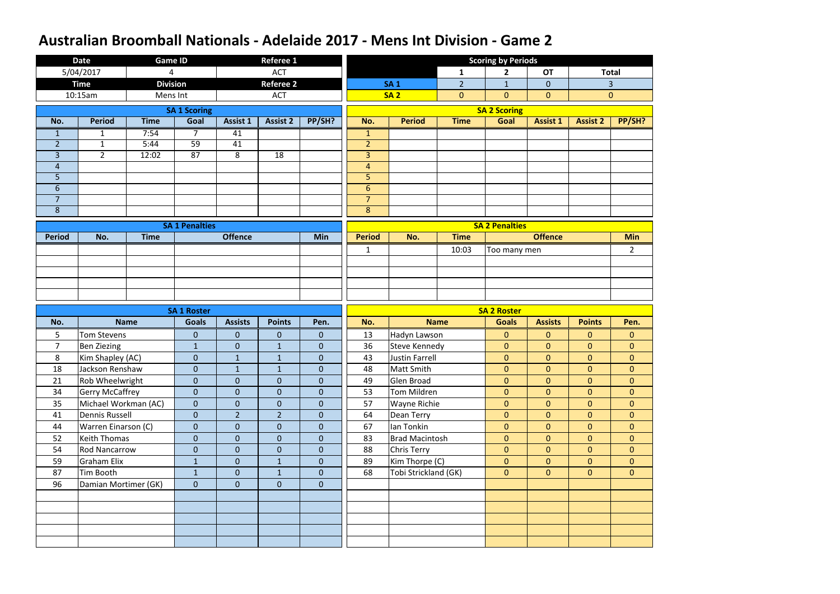|                | <b>Date</b>            | <b>Game ID</b>  |                       |                 | <b>Referee 1</b> |                  |                |                       |                | <b>Scoring by Periods</b> |                 |                 |                |
|----------------|------------------------|-----------------|-----------------------|-----------------|------------------|------------------|----------------|-----------------------|----------------|---------------------------|-----------------|-----------------|----------------|
|                | 5/04/2017              | 4               |                       |                 | <b>ACT</b>       |                  |                |                       | $\mathbf{1}$   | $\overline{2}$            | <b>OT</b>       |                 | <b>Total</b>   |
|                | <b>Time</b>            | <b>Division</b> |                       |                 | <b>Referee 2</b> |                  |                | <b>SA1</b>            | $\overline{2}$ | $\mathbf{1}$              | $\overline{0}$  |                 | 3              |
|                | 10:15am                | Mens Int        |                       |                 | <b>ACT</b>       |                  |                | <b>SA2</b>            | $\overline{0}$ | $\overline{0}$            | $\mathbf{0}$    |                 | $\mathbf{0}$   |
|                |                        |                 | <b>SA 1 Scoring</b>   |                 |                  |                  |                |                       |                | <b>SA 2 Scoring</b>       |                 |                 |                |
| No.            | <b>Period</b>          | <b>Time</b>     | Goal                  | <b>Assist 1</b> | <b>Assist 2</b>  | PP/SH?           | No.            | <b>Period</b>         | <b>Time</b>    | Goal                      | <b>Assist 1</b> | <b>Assist 2</b> | PP/SH?         |
| $\mathbf{1}$   | $\mathbf{1}$           | 7:54            | $\overline{7}$        | 41              |                  |                  | $\mathbf{1}$   |                       |                |                           |                 |                 |                |
| $\overline{2}$ | $\mathbf{1}$           | 5:44            | 59                    | 41              |                  |                  | $\overline{2}$ |                       |                |                           |                 |                 |                |
| 3              | $2^{\circ}$            | 12:02           | 87                    | 8               | 18               |                  | $\overline{3}$ |                       |                |                           |                 |                 |                |
| $\overline{4}$ |                        |                 |                       |                 |                  |                  | $\overline{4}$ |                       |                |                           |                 |                 |                |
| 5              |                        |                 |                       |                 |                  |                  | 5              |                       |                |                           |                 |                 |                |
| $6\phantom{1}$ |                        |                 |                       |                 |                  |                  | 6              |                       |                |                           |                 |                 |                |
| $\overline{7}$ |                        |                 |                       |                 |                  |                  | $\overline{7}$ |                       |                |                           |                 |                 |                |
| 8              |                        |                 |                       |                 |                  |                  | 8              |                       |                |                           |                 |                 |                |
|                |                        |                 | <b>SA 1 Penalties</b> |                 |                  |                  |                |                       |                | <b>SA 2 Penalties</b>     |                 |                 |                |
| <b>Period</b>  | No.                    | <b>Time</b>     |                       | <b>Offence</b>  |                  | Min              | <b>Period</b>  | No.                   | <b>Time</b>    |                           | <b>Offence</b>  |                 | <b>Min</b>     |
|                |                        |                 |                       |                 |                  |                  | $\mathbf{1}$   |                       | 10:03          | Too many men              |                 |                 | $\overline{2}$ |
|                |                        |                 |                       |                 |                  |                  |                |                       |                |                           |                 |                 |                |
|                |                        |                 |                       |                 |                  |                  |                |                       |                |                           |                 |                 |                |
|                |                        |                 |                       |                 |                  |                  |                |                       |                |                           |                 |                 |                |
|                |                        |                 |                       |                 |                  |                  |                |                       |                |                           |                 |                 |                |
|                |                        |                 |                       |                 |                  |                  |                |                       |                |                           |                 |                 |                |
|                |                        |                 | <b>SA 1 Roster</b>    |                 |                  |                  |                |                       |                | <b>SA 2 Roster</b>        |                 |                 |                |
| No.            |                        | <b>Name</b>     | <b>Goals</b>          | <b>Assists</b>  | <b>Points</b>    | Pen.             | No.            |                       | <b>Name</b>    | <b>Goals</b>              | <b>Assists</b>  | <b>Points</b>   | Pen.           |
| 5              | <b>Tom Stevens</b>     |                 | $\overline{0}$        | $\mathbf{0}$    | $\mathbf{0}$     | $\mathbf{0}$     | 13             | Hadyn Lawson          |                | $\overline{0}$            | $\overline{0}$  | $\overline{0}$  | $\overline{0}$ |
| $\overline{7}$ | <b>Ben Ziezing</b>     |                 | $\mathbf{1}$          | $\pmb{0}$       | $\mathbf{1}$     | $\overline{0}$   | 36             | <b>Steve Kennedy</b>  |                | $\mathbf{0}$              | $\overline{0}$  | $\overline{0}$  | $\overline{0}$ |
| 8              | Kim Shapley (AC)       |                 | $\overline{0}$        | $\mathbf{1}$    | $\mathbf{1}$     | $\boldsymbol{0}$ | 43             | <b>Justin Farrell</b> |                | $\mathbf{0}$              | $\overline{0}$  | $\overline{0}$  | $\overline{0}$ |
| 18             | Jackson Renshaw        |                 | $\pmb{0}$             | $\mathbf{1}$    | $\mathbf{1}$     | $\overline{0}$   | 48             | Matt Smith            |                | $\mathbf{0}$              | $\overline{0}$  | $\overline{0}$  | $\overline{0}$ |
| 21             | Rob Wheelwright        |                 | $\overline{0}$        | $\mathbf{0}$    | $\mathbf{0}$     | $\overline{0}$   | 49             | Glen Broad            |                | $\overline{0}$            | $\overline{0}$  | $\overline{0}$  | $\overline{0}$ |
| 34             | <b>Gerry McCaffrey</b> |                 | $\overline{0}$        | $\mathbf{0}$    | $\mathbf{0}$     | $\mathbf{0}$     | 53             | Tom Mildren           |                | $\overline{0}$            | $\overline{0}$  | $\overline{0}$  | $\overline{0}$ |
| 35             | Michael Workman (AC)   |                 | $\overline{0}$        | $\mathbf{0}$    | $\mathbf{0}$     | $\overline{0}$   | 57             | <b>Wayne Richie</b>   |                | $\overline{0}$            | $\overline{0}$  | $\overline{0}$  | $\overline{0}$ |
| 41             | <b>Dennis Russell</b>  |                 | $\overline{0}$        | $\overline{2}$  | $\overline{2}$   | $\overline{0}$   | 64             | Dean Terry            |                | $\overline{0}$            | $\overline{0}$  | $\overline{0}$  | $\overline{0}$ |
| 44             | Warren Einarson (C)    |                 | $\overline{0}$        | $\mathbf{0}$    | $\mathbf{0}$     | $\mathbf{0}$     | 67             | Ian Tonkin            |                | $\overline{0}$            | $\overline{0}$  | $\overline{0}$  | $\overline{0}$ |
| 52             | Keith Thomas           |                 | $\overline{0}$        | $\mathbf{0}$    | $\overline{0}$   | $\overline{0}$   | 83             | <b>Brad Macintosh</b> |                | $\overline{0}$            | $\overline{0}$  | $\overline{0}$  | $\overline{0}$ |
| 54             | <b>Rod Nancarrow</b>   |                 | $\overline{0}$        | $\mathbf{0}$    | $\mathbf{0}$     | $\overline{0}$   | 88             | <b>Chris Terry</b>    |                | $\overline{0}$            | $\overline{0}$  | $\overline{0}$  | $\overline{0}$ |
| 59             | <b>Graham Elix</b>     |                 | $\mathbf{1}$          | $\overline{0}$  | $\mathbf{1}$     | $\mathbf{0}$     | 89             | Kim Thorpe (C)        |                | $\overline{0}$            | $\overline{0}$  | $\overline{0}$  | $\overline{0}$ |
| 87             | Tim Booth              |                 | $\mathbf{1}$          | $\mathbf{0}$    | $\mathbf{1}$     | $\overline{0}$   | 68             | Tobi Strickland (GK)  |                | $\overline{0}$            | $\overline{0}$  | $\overline{0}$  | $\overline{0}$ |
| 96             | Damian Mortimer (GK)   |                 | $\overline{0}$        | $\mathbf{0}$    | $\mathbf{0}$     | $\overline{0}$   |                |                       |                |                           |                 |                 |                |
|                |                        |                 |                       |                 |                  |                  |                |                       |                |                           |                 |                 |                |
|                |                        |                 |                       |                 |                  |                  |                |                       |                |                           |                 |                 |                |
|                |                        |                 |                       |                 |                  |                  |                |                       |                |                           |                 |                 |                |
|                |                        |                 |                       |                 |                  |                  |                |                       |                |                           |                 |                 |                |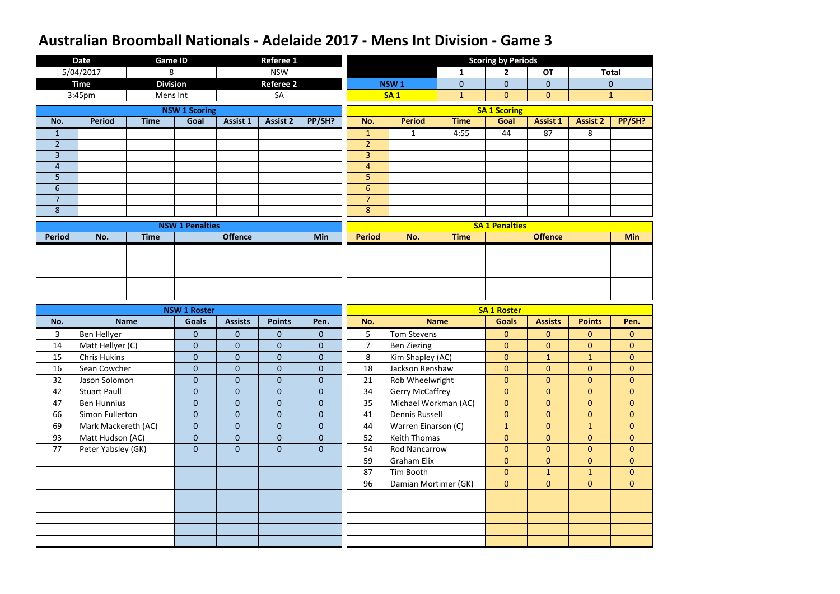|                     | <b>Date</b>                             | <b>Game ID</b>  |                                  |                              | <b>Referee 1</b>                 |                                  |                     |                                            |              | <b>Scoring by Periods</b>        |                                  |                                  |                                  |
|---------------------|-----------------------------------------|-----------------|----------------------------------|------------------------------|----------------------------------|----------------------------------|---------------------|--------------------------------------------|--------------|----------------------------------|----------------------------------|----------------------------------|----------------------------------|
|                     | 5/04/2017                               | 8               |                                  |                              | <b>NSW</b>                       |                                  |                     |                                            | $\mathbf{1}$ | $\overline{2}$                   | <b>OT</b>                        |                                  | <b>Total</b>                     |
|                     | <b>Time</b>                             | <b>Division</b> |                                  |                              | <b>Referee 2</b>                 |                                  |                     | NSW <sub>1</sub>                           | $\mathbf 0$  | $\overline{0}$                   | $\overline{0}$                   |                                  | $\mathbf 0$                      |
|                     | 3:45pm                                  | Mens Int        |                                  |                              | SA                               |                                  |                     | <b>SA1</b>                                 | $\mathbf{1}$ | $\overline{0}$                   | $\mathbf{0}$                     |                                  | $\mathbf{1}$                     |
|                     |                                         |                 | <b>NSW 1 Scoring</b>             |                              |                                  |                                  |                     |                                            |              | <b>SA 1 Scoring</b>              |                                  |                                  |                                  |
| No.                 | <b>Period</b>                           | <b>Time</b>     | Goal                             | <b>Assist 1</b>              | <b>Assist 2</b>                  | PP/SH?                           | No.                 | <b>Period</b>                              | <b>Time</b>  | Goal                             | <b>Assist 1</b>                  | <b>Assist 2</b>                  | PP/SH?                           |
| $\mathbf{1}$        |                                         |                 |                                  |                              |                                  |                                  | $\mathbf{1}$        | $\mathbf{1}$                               | 4:55         | 44                               | 87                               | 8                                |                                  |
| $\overline{2}$      |                                         |                 |                                  |                              |                                  |                                  | $\overline{2}$      |                                            |              |                                  |                                  |                                  |                                  |
| 3                   |                                         |                 |                                  |                              |                                  |                                  | $\overline{3}$      |                                            |              |                                  |                                  |                                  |                                  |
| $\overline{4}$      |                                         |                 |                                  |                              |                                  |                                  | $\overline{4}$      |                                            |              |                                  |                                  |                                  |                                  |
| 5                   |                                         |                 |                                  |                              |                                  |                                  | 5                   |                                            |              |                                  |                                  |                                  |                                  |
| $6\phantom{1}$      |                                         |                 |                                  |                              |                                  |                                  | 6                   |                                            |              |                                  |                                  |                                  |                                  |
| $\overline{7}$<br>8 |                                         |                 |                                  |                              |                                  |                                  | $\overline{7}$<br>8 |                                            |              |                                  |                                  |                                  |                                  |
|                     |                                         |                 |                                  |                              |                                  |                                  |                     |                                            |              |                                  |                                  |                                  |                                  |
|                     |                                         |                 | <b>NSW 1 Penalties</b>           |                              |                                  |                                  |                     |                                            |              | <b>SA 1 Penalties</b>            |                                  |                                  |                                  |
| <b>Period</b>       | No.                                     | <b>Time</b>     |                                  | <b>Offence</b>               |                                  | Min                              | <b>Period</b>       | No.                                        | <b>Time</b>  |                                  | <b>Offence</b>                   |                                  | <b>Min</b>                       |
|                     |                                         |                 |                                  |                              |                                  |                                  |                     |                                            |              |                                  |                                  |                                  |                                  |
|                     |                                         |                 |                                  |                              |                                  |                                  |                     |                                            |              |                                  |                                  |                                  |                                  |
|                     |                                         |                 |                                  |                              |                                  |                                  |                     |                                            |              |                                  |                                  |                                  |                                  |
|                     |                                         |                 |                                  |                              |                                  |                                  |                     |                                            |              |                                  |                                  |                                  |                                  |
|                     |                                         |                 |                                  |                              |                                  |                                  |                     |                                            |              |                                  |                                  |                                  |                                  |
|                     |                                         |                 |                                  |                              |                                  |                                  |                     |                                            |              |                                  |                                  |                                  |                                  |
|                     |                                         |                 | <b>NSW 1 Roster</b>              |                              |                                  |                                  |                     |                                            |              | <b>SA 1 Roster</b>               |                                  |                                  |                                  |
| No.                 |                                         | <b>Name</b>     | <b>Goals</b>                     | <b>Assists</b>               | <b>Points</b>                    | Pen.                             | No.                 |                                            | <b>Name</b>  | <b>Goals</b>                     | <b>Assists</b>                   | <b>Points</b>                    | Pen.                             |
| 3                   | <b>Ben Hellyer</b>                      |                 | $\mathbf{0}$                     | $\pmb{0}$                    | $\mathbf{0}$                     | $\mathbf 0$                      | 5                   | <b>Tom Stevens</b>                         |              | $\overline{0}$                   | $\mathbf{0}$                     | $\overline{0}$                   | $\overline{0}$                   |
| 14                  | Matt Hellyer (C)                        |                 | $\overline{0}$                   | $\mathbf{0}$                 | $\overline{0}$                   | $\mathbf{0}$                     | $\overline{7}$      | <b>Ben Ziezing</b>                         |              | $\overline{0}$                   | $\overline{0}$                   | $\overline{0}$                   | $\overline{0}$                   |
| 15                  | <b>Chris Hukins</b>                     |                 | $\mathbf{0}$                     | $\pmb{0}$                    | $\mathbf{0}$                     | $\pmb{0}$                        | 8                   | Kim Shapley (AC)                           |              | $\overline{0}$                   | $\mathbf{1}$                     | $\mathbf{1}$                     | $\overline{0}$                   |
| 16                  | Sean Cowcher                            |                 | $\overline{0}$                   | $\mathbf{0}$                 | $\overline{0}$                   | $\overline{0}$                   | 18                  | Jackson Renshaw                            |              | $\overline{0}$                   | $\overline{0}$                   | $\overline{0}$                   | $\overline{0}$                   |
| 32                  | Jason Solomon                           |                 | $\overline{0}$                   | $\mathbf{0}$                 | $\overline{0}$                   | $\overline{0}$                   | 21                  | Rob Wheelwright                            |              | $\overline{0}$                   | $\overline{0}$                   | $\overline{0}$                   | $\overline{0}$                   |
| 42                  | <b>Stuart Paull</b>                     |                 | $\overline{0}$<br>$\overline{0}$ | $\mathbf{0}$<br>$\mathbf{0}$ | $\boldsymbol{0}$<br>$\mathbf{0}$ | $\overline{0}$<br>$\overline{0}$ | 34                  | <b>Gerry McCaffrey</b>                     |              | $\overline{0}$<br>$\overline{0}$ | $\overline{0}$<br>$\overline{0}$ | $\overline{0}$<br>$\overline{0}$ | $\overline{0}$<br>$\overline{0}$ |
| 47<br>66            | <b>Ben Hunnius</b>                      |                 | $\overline{0}$                   | $\mathbf{0}$                 | $\mathbf{0}$                     | $\mathbf{0}$                     | 35<br>41            | Michael Workman (AC)<br>Dennis Russell     |              | $\overline{0}$                   | $\overline{0}$                   | $\overline{0}$                   | $\overline{0}$                   |
| 69                  | Simon Fullerton                         |                 | $\overline{0}$                   | $\mathbf{0}$                 | $\mathbf{0}$                     | $\mathbf{0}$                     | 44                  |                                            |              | $\mathbf{1}$                     | $\overline{0}$                   | 1                                | $\overline{0}$                   |
| 93                  | Mark Mackereth (AC)<br>Matt Hudson (AC) |                 | $\overline{0}$                   | $\mathbf{0}$                 | $\overline{0}$                   | $\overline{0}$                   | 52                  | Warren Einarson (C)<br><b>Keith Thomas</b> |              | $\overline{0}$                   | $\overline{0}$                   | $\overline{0}$                   | $\overline{0}$                   |
| 77                  | Peter Yabsley (GK)                      |                 | $\overline{0}$                   | $\mathbf{0}$                 | $\mathbf{0}$                     | $\mathbf{0}$                     | 54                  | <b>Rod Nancarrow</b>                       |              | $\overline{0}$                   | $\overline{0}$                   | $\overline{0}$                   | $\overline{0}$                   |
|                     |                                         |                 |                                  |                              |                                  |                                  | 59                  | <b>Graham Elix</b>                         |              | $\overline{0}$                   | $\overline{0}$                   | $\overline{0}$                   | $\overline{0}$                   |
|                     |                                         |                 |                                  |                              |                                  |                                  | 87                  | Tim Booth                                  |              | $\overline{0}$                   | 1                                | $\mathbf{1}$                     | $\overline{0}$                   |
|                     |                                         |                 |                                  |                              |                                  |                                  | 96                  | Damian Mortimer (GK)                       |              | $\overline{0}$                   | $\overline{0}$                   | $\overline{0}$                   | $\overline{0}$                   |
|                     |                                         |                 |                                  |                              |                                  |                                  |                     |                                            |              |                                  |                                  |                                  |                                  |
|                     |                                         |                 |                                  |                              |                                  |                                  |                     |                                            |              |                                  |                                  |                                  |                                  |
|                     |                                         |                 |                                  |                              |                                  |                                  |                     |                                            |              |                                  |                                  |                                  |                                  |
|                     |                                         |                 |                                  |                              |                                  |                                  |                     |                                            |              |                                  |                                  |                                  |                                  |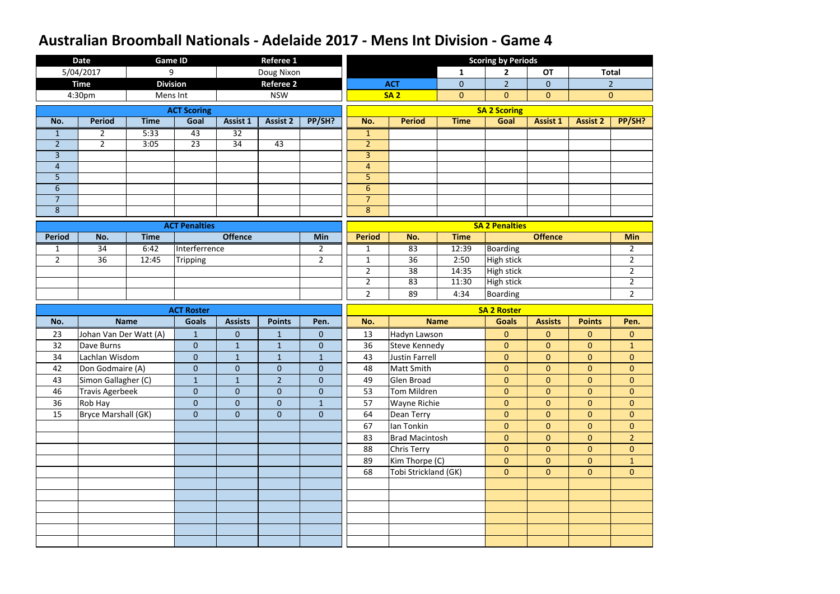|                | <b>Date</b>            |             | <b>Game ID</b>       |                 | <b>Referee 1</b> |                  |                |                       |                | <b>Scoring by Periods</b> |                 |                 |                |
|----------------|------------------------|-------------|----------------------|-----------------|------------------|------------------|----------------|-----------------------|----------------|---------------------------|-----------------|-----------------|----------------|
|                | 5/04/2017              |             | 9                    |                 | Doug Nixon       |                  |                |                       | $\mathbf{1}$   | $\mathbf{2}$              | <b>OT</b>       |                 | <b>Total</b>   |
|                | <b>Time</b>            |             | <b>Division</b>      |                 | <b>Referee 2</b> |                  |                | <b>ACT</b>            | $\overline{0}$ | $\overline{2}$            | $\overline{0}$  |                 | $\overline{2}$ |
|                | 4:30pm                 |             | Mens Int             |                 | <b>NSW</b>       |                  |                | <b>SA2</b>            | $\overline{0}$ | $\overline{0}$            | $\mathbf{0}$    |                 | $\mathbf{0}$   |
|                |                        |             | <b>ACT Scoring</b>   |                 |                  |                  |                |                       |                | <b>SA 2 Scoring</b>       |                 |                 |                |
| No.            | <b>Period</b>          | <b>Time</b> | Goal                 | <b>Assist 1</b> | <b>Assist 2</b>  | PP/SH?           | No.            | <b>Period</b>         | <b>Time</b>    | Goal                      | <b>Assist 1</b> | <b>Assist 2</b> | PP/SH?         |
| $\mathbf{1}$   | $\overline{2}$         | 5:33        | 43                   | $\overline{32}$ |                  |                  | $\mathbf{1}$   |                       |                |                           |                 |                 |                |
| $\overline{2}$ | $2^{\circ}$            | 3:05        | 23                   | 34              | 43               |                  | $\overline{2}$ |                       |                |                           |                 |                 |                |
| $\overline{3}$ |                        |             |                      |                 |                  |                  | $\overline{3}$ |                       |                |                           |                 |                 |                |
| $\overline{4}$ |                        |             |                      |                 |                  |                  | $\overline{4}$ |                       |                |                           |                 |                 |                |
| 5              |                        |             |                      |                 |                  |                  | 5              |                       |                |                           |                 |                 |                |
| $6\,$          |                        |             |                      |                 |                  |                  | $6\,$          |                       |                |                           |                 |                 |                |
| $\overline{7}$ |                        |             |                      |                 |                  |                  | $\overline{7}$ |                       |                |                           |                 |                 |                |
| $\bf 8$        |                        |             |                      |                 |                  |                  | $8\phantom{1}$ |                       |                |                           |                 |                 |                |
|                |                        |             | <b>ACT Penalties</b> |                 |                  |                  |                |                       |                | <b>SA 2 Penalties</b>     |                 |                 |                |
| <b>Period</b>  | No.                    | <b>Time</b> |                      | <b>Offence</b>  |                  | Min              | <b>Period</b>  | No.                   | <b>Time</b>    |                           | <b>Offence</b>  |                 | <b>Min</b>     |
| 1              | 34                     | 6:42        | Interferrence        |                 |                  | $\overline{2}$   | $\mathbf{1}$   | 83                    | 12:39          | <b>Boarding</b>           |                 |                 | $\overline{2}$ |
| $\overline{2}$ | 36                     | 12:45       | Tripping             |                 |                  | $\overline{2}$   | $\mathbf{1}$   | 36                    | 2:50           | <b>High stick</b>         |                 |                 | $\overline{2}$ |
|                |                        |             |                      |                 |                  |                  | $\overline{2}$ | 38                    | 14:35          | <b>High stick</b>         |                 |                 | $\overline{2}$ |
|                |                        |             |                      |                 |                  |                  | $\overline{2}$ | 83                    | 11:30          | <b>High stick</b>         |                 |                 | $\overline{2}$ |
|                |                        |             |                      |                 |                  |                  | $\overline{2}$ | 89                    | 4:34           | Boarding                  |                 |                 | $\overline{2}$ |
|                |                        |             |                      |                 |                  |                  |                |                       |                |                           |                 |                 |                |
|                |                        |             | <b>ACT Roster</b>    |                 |                  |                  |                |                       |                | <b>SA 2 Roster</b>        |                 |                 |                |
| No.            |                        | <b>Name</b> | <b>Goals</b>         | <b>Assists</b>  | <b>Points</b>    | Pen.             | No.            |                       | <b>Name</b>    | <b>Goals</b>              | <b>Assists</b>  | <b>Points</b>   | Pen.           |
| 23             | Johan Van Der Watt (A) |             | $\mathbf{1}$         | $\mathbf{0}$    | $\mathbf{1}$     | $\mathbf{0}$     | 13             | Hadyn Lawson          |                | $\mathbf{0}$              | $\overline{0}$  | $\overline{0}$  | $\overline{0}$ |
| 32             | Dave Burns             |             | $\overline{0}$       | $1\,$           | $\mathbf{1}$     | $\boldsymbol{0}$ | 36             | <b>Steve Kennedy</b>  |                | $\mathbf{0}$              | $\overline{0}$  | $\overline{0}$  | $\mathbf{1}$   |
| 34             | Lachlan Wisdom         |             | $\overline{0}$       | $1\,$           | $\mathbf{1}$     | $\mathbf{1}$     | 43             | <b>Justin Farrell</b> |                | $\mathbf{0}$              | $\overline{0}$  | $\overline{0}$  | $\overline{0}$ |
| 42             | Don Godmaire (A)       |             | $\pmb{0}$            | $\pmb{0}$       | $\boldsymbol{0}$ | $\pmb{0}$        | 48             | Matt Smith            |                | $\mathbf{0}$              | $\overline{0}$  | $\overline{0}$  | $\overline{0}$ |
| 43             | Simon Gallagher (C)    |             | $\mathbf{1}$         | $\mathbf{1}$    | $\overline{2}$   | $\overline{0}$   | 49             | Glen Broad            |                | $\overline{0}$            | $\overline{0}$  | $\overline{0}$  | $\overline{0}$ |
| 46             | <b>Travis Agerbeek</b> |             | $\mathbf{0}$         | $\mathbf{0}$    | $\mathbf{0}$     | $\mathbf{0}$     | 53             | Tom Mildren           |                | $\overline{0}$            | $\overline{0}$  | $\overline{0}$  | $\overline{0}$ |
| 36             | Rob Hay                |             | $\overline{0}$       | $\mathbf{0}$    | $\mathbf{0}$     | $\mathbf{1}$     | 57             | Wayne Richie          |                | $\overline{0}$            | $\overline{0}$  | $\overline{0}$  | $\overline{0}$ |
| 15             | Bryce Marshall (GK)    |             | $\overline{0}$       | $\pmb{0}$       | $\mathbf{0}$     | $\overline{0}$   | 64             | Dean Terry            |                | $\overline{0}$            | $\overline{0}$  | $\overline{0}$  | $\overline{0}$ |
|                |                        |             |                      |                 |                  |                  | 67             | Ian Tonkin            |                | $\overline{0}$            | $\overline{0}$  | $\overline{0}$  | $\overline{0}$ |
|                |                        |             |                      |                 |                  |                  | 83             | <b>Brad Macintosh</b> |                | $\overline{0}$            | $\overline{0}$  | $\overline{0}$  | 2 <sup>1</sup> |
|                |                        |             |                      |                 |                  |                  | 88             | <b>Chris Terry</b>    |                | $\overline{0}$            | $\overline{0}$  | $\overline{0}$  | $\overline{0}$ |
|                |                        |             |                      |                 |                  |                  | 89             | Kim Thorpe (C)        |                | $\overline{0}$            | $\overline{0}$  | $\overline{0}$  | $\mathbf{1}$   |
|                |                        |             |                      |                 |                  |                  | 68             | Tobi Strickland (GK)  |                | $\overline{0}$            | $\overline{0}$  | $\overline{0}$  | $\overline{0}$ |
|                |                        |             |                      |                 |                  |                  |                |                       |                |                           |                 |                 |                |
|                |                        |             |                      |                 |                  |                  |                |                       |                |                           |                 |                 |                |
|                |                        |             |                      |                 |                  |                  |                |                       |                |                           |                 |                 |                |
|                |                        |             |                      |                 |                  |                  |                |                       |                |                           |                 |                 |                |
|                |                        |             |                      |                 |                  |                  |                |                       |                |                           |                 |                 |                |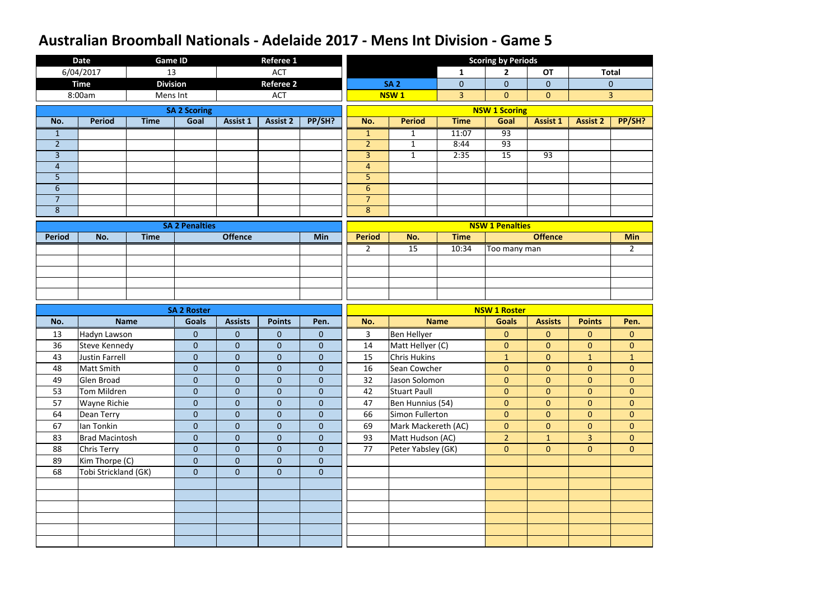|                | <b>Date</b>           | <b>Game ID</b>  |                       |                  | <b>Referee 1</b> |                  |                |                     |                | <b>Scoring by Periods</b> |                 |                 |                |
|----------------|-----------------------|-----------------|-----------------------|------------------|------------------|------------------|----------------|---------------------|----------------|---------------------------|-----------------|-----------------|----------------|
|                | 6/04/2017             | 13              |                       |                  | <b>ACT</b>       |                  |                |                     | 1              | $\mathbf{2}$              | <b>OT</b>       |                 | <b>Total</b>   |
|                | <b>Time</b>           | <b>Division</b> |                       |                  | <b>Referee 2</b> |                  |                | <b>SA 2</b>         | $\mathbf 0$    | $\overline{0}$            | $\overline{0}$  |                 | $\mathbf{0}$   |
|                | 8:00am                | Mens Int        |                       |                  | <b>ACT</b>       |                  |                | <b>NSW1</b>         | $\overline{3}$ | $\overline{0}$            | $\overline{0}$  |                 | $\overline{3}$ |
|                |                       |                 | <b>SA 2 Scoring</b>   |                  |                  |                  |                |                     |                | <b>NSW 1 Scoring</b>      |                 |                 |                |
| No.            | <b>Period</b>         | <b>Time</b>     | Goal                  | <b>Assist 1</b>  | <b>Assist 2</b>  | PP/SH?           | No.            | <b>Period</b>       | <b>Time</b>    | Goal                      | <b>Assist 1</b> | <b>Assist 2</b> | PP/SH?         |
| $\mathbf{1}$   |                       |                 |                       |                  |                  |                  | $\mathbf{1}$   | $\mathbf{1}$        | 11:07          | 93                        |                 |                 |                |
| $\overline{2}$ |                       |                 |                       |                  |                  |                  | $\overline{2}$ | $\mathbf{1}$        | 8:44           | 93                        |                 |                 |                |
| $\overline{3}$ |                       |                 |                       |                  |                  |                  | $\overline{3}$ | $\mathbf{1}$        | 2:35           | 15                        | 93              |                 |                |
| $\overline{4}$ |                       |                 |                       |                  |                  |                  | $\overline{4}$ |                     |                |                           |                 |                 |                |
| 5              |                       |                 |                       |                  |                  |                  | 5              |                     |                |                           |                 |                 |                |
| $6\phantom{1}$ |                       |                 |                       |                  |                  |                  | $6\phantom{1}$ |                     |                |                           |                 |                 |                |
| $\overline{7}$ |                       |                 |                       |                  |                  |                  | $\overline{7}$ |                     |                |                           |                 |                 |                |
| 8              |                       |                 |                       |                  |                  |                  | 8              |                     |                |                           |                 |                 |                |
|                |                       |                 | <b>SA 2 Penalties</b> |                  |                  |                  |                |                     |                | <b>NSW 1 Penalties</b>    |                 |                 |                |
| <b>Period</b>  | No.                   | <b>Time</b>     |                       | <b>Offence</b>   |                  | Min              | <b>Period</b>  | No.                 | <b>Time</b>    |                           | <b>Offence</b>  |                 | <b>Min</b>     |
|                |                       |                 |                       |                  |                  |                  | $\overline{2}$ | 15                  | 10:34          | Too many man              |                 |                 | $\overline{2}$ |
|                |                       |                 |                       |                  |                  |                  |                |                     |                |                           |                 |                 |                |
|                |                       |                 |                       |                  |                  |                  |                |                     |                |                           |                 |                 |                |
|                |                       |                 |                       |                  |                  |                  |                |                     |                |                           |                 |                 |                |
|                |                       |                 |                       |                  |                  |                  |                |                     |                |                           |                 |                 |                |
|                |                       |                 |                       |                  |                  |                  |                |                     |                |                           |                 |                 |                |
|                |                       |                 | <b>SA 2 Roster</b>    |                  |                  |                  |                |                     |                | <b>NSW 1 Roster</b>       |                 |                 |                |
| No.            |                       | <b>Name</b>     | <b>Goals</b>          | <b>Assists</b>   | <b>Points</b>    | Pen.             | No.            |                     | <b>Name</b>    | <b>Goals</b>              | <b>Assists</b>  | <b>Points</b>   | Pen.           |
| 13             | Hadyn Lawson          |                 | $\pmb{0}$             | $\mathbf{0}$     | $\mathbf 0$      | $\overline{0}$   | 3              | Ben Hellyer         |                | $\overline{0}$            | $\overline{0}$  | $\overline{0}$  | $\mathbf{0}$   |
| 36             | <b>Steve Kennedy</b>  |                 | $\mathbf 0$           | $\mathbf{0}$     | $\overline{0}$   | $\mathbf{0}$     | 14             | Matt Hellyer (C)    |                | $\overline{0}$            | $\overline{0}$  | $\overline{0}$  | $\overline{0}$ |
| 43             | <b>Justin Farrell</b> |                 | $\pmb{0}$             | $\boldsymbol{0}$ | $\mathbf 0$      | $\boldsymbol{0}$ | 15             | <b>Chris Hukins</b> |                | $\mathbf{1}$              | $\overline{0}$  | $\mathbf{1}$    | $\mathbf{1}$   |
| 48             | Matt Smith            |                 | $\pmb{0}$             | $\overline{0}$   | $\boldsymbol{0}$ | $\mathbf{0}$     | 16             | Sean Cowcher        |                | $\overline{0}$            | $\overline{0}$  | $\overline{0}$  | $\overline{0}$ |
| 49             | Glen Broad            |                 | $\mathbf{0}$          | $\overline{0}$   | $\mathbf{0}$     | $\overline{0}$   | 32             | Jason Solomon       |                | $\overline{0}$            | $\overline{0}$  | $\overline{0}$  | $\overline{0}$ |
| 53             | Tom Mildren           |                 | $\mathbf{0}$          | $\overline{0}$   | $\mathbf 0$      | $\overline{0}$   | 42             | Stuart Paull        |                | $\overline{0}$            | $\overline{0}$  | $\overline{0}$  | $\overline{0}$ |
| 57             | Wayne Richie          |                 | $\pmb{0}$             | $\overline{0}$   | $\overline{0}$   | $\overline{0}$   | 47             | Ben Hunnius (54)    |                | $\overline{0}$            | $\overline{0}$  | $\overline{0}$  | $\overline{0}$ |
| 64             | Dean Terry            |                 | $\boldsymbol{0}$      | $\overline{0}$   | $\mathbf 0$      | $\overline{0}$   | 66             | Simon Fullerton     |                | $\overline{0}$            | $\overline{0}$  | $\overline{0}$  | $\overline{0}$ |
| 67             | Ian Tonkin            |                 | $\boldsymbol{0}$      | $\overline{0}$   | $\mathbf 0$      | $\overline{0}$   | 69             | Mark Mackereth (AC) |                | $\overline{0}$            | $\overline{0}$  | $\overline{0}$  | $\overline{0}$ |
| 83             | <b>Brad Macintosh</b> |                 | $\mathbf{0}$          | $\overline{0}$   | $\boldsymbol{0}$ | $\overline{0}$   | 93             | Matt Hudson (AC)    |                | 2 <sup>1</sup>            | 1               | 3 <sup>1</sup>  | $\overline{0}$ |
| 88             | <b>Chris Terry</b>    |                 | $\pmb{0}$             | $\overline{0}$   | $\boldsymbol{0}$ | $\overline{0}$   | 77             | Peter Yabsley (GK)  |                | $\overline{0}$            | $\overline{0}$  | $\overline{0}$  | $\overline{0}$ |
| 89             | Kim Thorpe (C)        |                 | $\mathbf{0}$          | $\mathbf{0}$     | $\mathbf 0$      | $\overline{0}$   |                |                     |                |                           |                 |                 |                |
| 68             | Tobi Strickland (GK)  |                 | $\mathbf{0}$          | $\mathbf{0}$     | $\mathbf 0$      | $\mathbf{0}$     |                |                     |                |                           |                 |                 |                |
|                |                       |                 |                       |                  |                  |                  |                |                     |                |                           |                 |                 |                |
|                |                       |                 |                       |                  |                  |                  |                |                     |                |                           |                 |                 |                |
|                |                       |                 |                       |                  |                  |                  |                |                     |                |                           |                 |                 |                |
|                |                       |                 |                       |                  |                  |                  |                |                     |                |                           |                 |                 |                |
|                |                       |                 |                       |                  |                  |                  |                |                     |                |                           |                 |                 |                |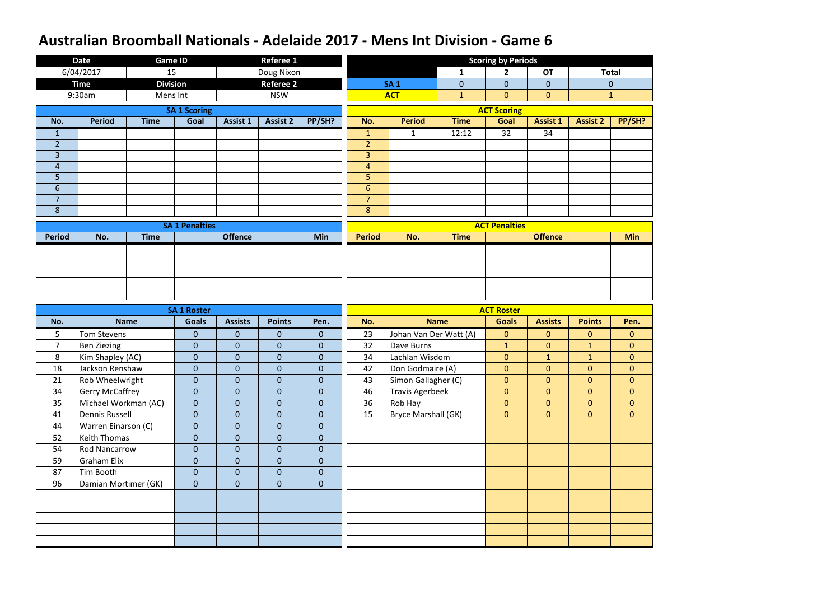|                                  | <b>Date</b>                                | <b>Game ID</b>  |                                  |                               | <b>Referee 1</b>          |                              |                                  |                            |                | <b>Scoring by Periods</b> |                 |                 |                |
|----------------------------------|--------------------------------------------|-----------------|----------------------------------|-------------------------------|---------------------------|------------------------------|----------------------------------|----------------------------|----------------|---------------------------|-----------------|-----------------|----------------|
|                                  | 6/04/2017                                  | 15              |                                  |                               | Doug Nixon                |                              |                                  |                            | 1              | 2                         | <b>OT</b>       |                 | <b>Total</b>   |
|                                  | <b>Time</b>                                | <b>Division</b> |                                  |                               | <b>Referee 2</b>          |                              |                                  | <b>SA1</b>                 | $\overline{0}$ | $\overline{0}$            | $\overline{0}$  |                 | $\overline{0}$ |
|                                  | 9:30am                                     | Mens Int        |                                  |                               | <b>NSW</b>                |                              |                                  | <b>ACT</b>                 | $\mathbf{1}$   | $\overline{0}$            | $\overline{0}$  |                 | $\mathbf{1}$   |
|                                  |                                            |                 | <b>SA 1 Scoring</b>              |                               |                           |                              |                                  |                            |                | <b>ACT Scoring</b>        |                 |                 |                |
| No.                              | <b>Period</b>                              | <b>Time</b>     | Goal                             | Assist 1                      | <b>Assist 2</b>           | PP/SH?                       | No.                              | <b>Period</b>              | <b>Time</b>    | Goal                      | <b>Assist 1</b> | <b>Assist 2</b> | PP/SH?         |
| $\mathbf{1}$                     |                                            |                 |                                  |                               |                           |                              | $\mathbf{1}$                     | $\mathbf{1}$               | 12:12          | $\overline{32}$           | 34              |                 |                |
| $\overline{2}$                   |                                            |                 |                                  |                               |                           |                              | $\overline{2}$                   |                            |                |                           |                 |                 |                |
| $\overline{3}$                   |                                            |                 |                                  |                               |                           |                              | 3                                |                            |                |                           |                 |                 |                |
| $\overline{4}$                   |                                            |                 |                                  |                               |                           |                              | $\overline{4}$                   |                            |                |                           |                 |                 |                |
| 5                                |                                            |                 |                                  |                               |                           |                              | 5                                |                            |                |                           |                 |                 |                |
| $6\phantom{1}$<br>$\overline{7}$ |                                            |                 |                                  |                               |                           |                              | $6\phantom{1}$<br>$\overline{7}$ |                            |                |                           |                 |                 |                |
| 8                                |                                            |                 |                                  |                               |                           |                              | $\bf 8$                          |                            |                |                           |                 |                 |                |
|                                  |                                            |                 |                                  |                               |                           |                              |                                  |                            |                |                           |                 |                 |                |
|                                  |                                            |                 | <b>SA 1 Penalties</b>            |                               |                           |                              |                                  |                            |                | <b>ACT Penalties</b>      |                 |                 |                |
| <b>Period</b>                    | No.                                        | <b>Time</b>     |                                  | <b>Offence</b>                |                           | Min                          | <b>Period</b>                    | No.                        | <b>Time</b>    |                           | <b>Offence</b>  |                 | <b>Min</b>     |
|                                  |                                            |                 |                                  |                               |                           |                              |                                  |                            |                |                           |                 |                 |                |
|                                  |                                            |                 |                                  |                               |                           |                              |                                  |                            |                |                           |                 |                 |                |
|                                  |                                            |                 |                                  |                               |                           |                              |                                  |                            |                |                           |                 |                 |                |
|                                  |                                            |                 |                                  |                               |                           |                              |                                  |                            |                |                           |                 |                 |                |
|                                  |                                            |                 |                                  |                               |                           |                              |                                  |                            |                |                           |                 |                 |                |
|                                  |                                            |                 |                                  |                               |                           |                              |                                  |                            |                |                           |                 |                 |                |
|                                  |                                            |                 | <b>SA 1 Roster</b>               |                               |                           |                              |                                  |                            |                | <b>ACT Roster</b>         |                 |                 |                |
| No.                              |                                            | <b>Name</b>     | <b>Goals</b>                     | <b>Assists</b>                | <b>Points</b>             | Pen.                         | No.                              |                            | <b>Name</b>    | <b>Goals</b>              | <b>Assists</b>  | <b>Points</b>   | Pen.           |
| 5                                | <b>Tom Stevens</b>                         |                 | $\boldsymbol{0}$                 | $\mathbf{0}$                  | $\mathbf 0$               | $\overline{0}$               | 23                               | Johan Van Der Watt (A)     |                | $\overline{0}$            | $\overline{0}$  | $\overline{0}$  | $\pmb{0}$      |
| $\overline{7}$                   | <b>Ben Ziezing</b>                         |                 | $\overline{0}$                   | $\mathbf{0}$                  | $\mathbf{0}$              | $\mathbf 0$                  | 32                               | Dave Burns                 |                | $\mathbf{1}$              | $\overline{0}$  | $\mathbf{1}$    | $\overline{0}$ |
| 8                                | Kim Shapley (AC)                           |                 | $\boldsymbol{0}$                 | $\boldsymbol{0}$              | $\mathbf 0$               | $\boldsymbol{0}$             | 34                               | Lachlan Wisdom             |                | $\mathbf{0}$              | $\mathbf{1}$    | $\mathbf{1}$    | $\mathbf{0}$   |
| 18                               | Jackson Renshaw                            |                 | $\overline{0}$                   | $\mathbf 0$                   | $\overline{0}$            | $\overline{0}$               | 42                               | Don Godmaire (A)           |                | $\overline{0}$            | $\overline{0}$  | $\overline{0}$  | $\mathbf{0}$   |
| 21                               | Rob Wheelwright                            |                 | $\overline{0}$                   | $\overline{0}$                | $\overline{0}$            | $\overline{0}$               | 43                               | Simon Gallagher (C)        |                | $\overline{0}$            | $\overline{0}$  | $\overline{0}$  | $\overline{0}$ |
| 34                               | <b>Gerry McCaffrey</b>                     |                 | $\mathbf{0}$                     | $\mathbf{0}$                  | $\mathbf 0$               | $\overline{0}$               | 46                               | <b>Travis Agerbeek</b>     |                | $\overline{0}$            | $\overline{0}$  | $\overline{0}$  | $\overline{0}$ |
| 35                               | Michael Workman (AC)                       |                 | $\mathbf{0}$                     | $\mathbf{0}$                  | $\overline{0}$            | $\overline{0}$               | 36<br>15                         | Rob Hay                    |                | $\overline{0}$            | $\overline{0}$  | $\overline{0}$  | $\overline{0}$ |
| 41<br>44                         | <b>Dennis Russell</b>                      |                 | $\boldsymbol{0}$<br>$\mathbf{0}$ | $\mathbf 0$<br>$\overline{0}$ | $\pmb{0}$<br>$\mathbf{0}$ | $\mathbf{0}$<br>$\mathbf{0}$ |                                  | <b>Bryce Marshall (GK)</b> |                | $\overline{0}$            | $\overline{0}$  | $\overline{0}$  | $\overline{0}$ |
| 52                               | Warren Einarson (C)<br><b>Keith Thomas</b> |                 | $\mathbf{0}$                     | $\mathbf{0}$                  | $\mathbf 0$               | $\overline{0}$               |                                  |                            |                |                           |                 |                 |                |
| 54                               | <b>Rod Nancarrow</b>                       |                 | $\boldsymbol{0}$                 | $\mathbf{0}$                  | $\mathbf 0$               | $\mathbf 0$                  |                                  |                            |                |                           |                 |                 |                |
| 59                               | <b>Graham Elix</b>                         |                 | $\mathbf{0}$                     | $\mathbf{0}$                  | $\overline{0}$            | $\overline{0}$               |                                  |                            |                |                           |                 |                 |                |
| 87                               | Tim Booth                                  |                 | $\mathbf{0}$                     | $\mathbf{0}$                  | $\overline{0}$            | $\overline{0}$               |                                  |                            |                |                           |                 |                 |                |
| 96                               | Damian Mortimer (GK)                       |                 | $\mathbf{0}$                     | $\pmb{0}$                     | $\mathbf 0$               | $\overline{0}$               |                                  |                            |                |                           |                 |                 |                |
|                                  |                                            |                 |                                  |                               |                           |                              |                                  |                            |                |                           |                 |                 |                |
|                                  |                                            |                 |                                  |                               |                           |                              |                                  |                            |                |                           |                 |                 |                |
|                                  |                                            |                 |                                  |                               |                           |                              |                                  |                            |                |                           |                 |                 |                |
|                                  |                                            |                 |                                  |                               |                           |                              |                                  |                            |                |                           |                 |                 |                |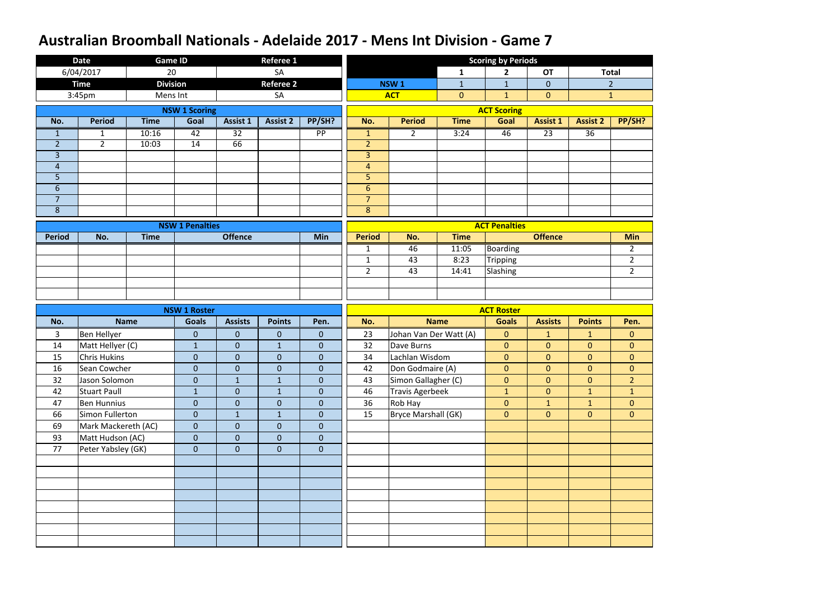|                | <b>Date</b>         | <b>Game ID</b>  |                        |                 | <b>Referee 1</b> |                 |                     |                            |                | <b>Scoring by Periods</b> |                 |                 |                |
|----------------|---------------------|-----------------|------------------------|-----------------|------------------|-----------------|---------------------|----------------------------|----------------|---------------------------|-----------------|-----------------|----------------|
|                | 6/04/2017           | 20              |                        |                 | SA               |                 |                     |                            | 1              | $\mathbf{2}$              | <b>OT</b>       |                 | <b>Total</b>   |
|                | <b>Time</b>         | <b>Division</b> |                        |                 | <b>Referee 2</b> |                 |                     | NSW <sub>1</sub>           | $\mathbf{1}$   | $\mathbf{1}$              | $\overline{0}$  |                 | $\overline{2}$ |
|                | 3:45pm              | Mens Int        |                        |                 | SA               |                 |                     | <b>ACT</b>                 | $\overline{0}$ | $\mathbf{1}$              | $\overline{0}$  |                 | $\mathbf{1}$   |
|                |                     |                 | <b>NSW 1 Scoring</b>   |                 |                  |                 |                     |                            |                | <b>ACT Scoring</b>        |                 |                 |                |
| No.            | <b>Period</b>       | <b>Time</b>     | Goal                   | <b>Assist 1</b> | <b>Assist 2</b>  | PP/SH?          | No.                 | <b>Period</b>              | <b>Time</b>    | Goal                      | <b>Assist 1</b> | <b>Assist 2</b> | PP/SH?         |
| $\mathbf{1}$   | $\mathbf{1}$        | 10:16           | $\overline{42}$        | $\overline{32}$ |                  | $\overline{PP}$ | $\mathbf{1}$        | $\overline{2}$             | 3:24           | 46                        | $\overline{23}$ | $\overline{36}$ |                |
| $\overline{2}$ | $2^{\circ}$         | 10:03           | 14                     | 66              |                  |                 | $\overline{2}$      |                            |                |                           |                 |                 |                |
| $\overline{3}$ |                     |                 |                        |                 |                  |                 | $\overline{3}$      |                            |                |                           |                 |                 |                |
| $\overline{4}$ |                     |                 |                        |                 |                  |                 | $\overline{4}$      |                            |                |                           |                 |                 |                |
| 5              |                     |                 |                        |                 |                  |                 | 5                   |                            |                |                           |                 |                 |                |
| $6\phantom{1}$ |                     |                 |                        |                 |                  |                 | $6\phantom{1}$      |                            |                |                           |                 |                 |                |
| $\overline{7}$ |                     |                 |                        |                 |                  |                 | $\overline{7}$<br>8 |                            |                |                           |                 |                 |                |
| $\bf 8$        |                     |                 |                        |                 |                  |                 |                     |                            |                |                           |                 |                 |                |
|                |                     |                 | <b>NSW 1 Penalties</b> |                 |                  |                 |                     |                            |                | <b>ACT Penalties</b>      |                 |                 |                |
| <b>Period</b>  | No.                 | <b>Time</b>     |                        | <b>Offence</b>  |                  | <b>Min</b>      | <b>Period</b>       | No.                        | <b>Time</b>    |                           | <b>Offence</b>  |                 | <b>Min</b>     |
|                |                     |                 |                        |                 |                  |                 | $\mathbf{1}$        | 46                         | 11:05          | <b>Boarding</b>           |                 |                 | $\overline{2}$ |
|                |                     |                 |                        |                 |                  |                 | $\mathbf{1}$        | 43                         | 8:23           | <b>Tripping</b>           |                 |                 | $\overline{2}$ |
|                |                     |                 |                        |                 |                  |                 | $\overline{2}$      | 43                         | 14:41          | Slashing                  |                 |                 | $\overline{2}$ |
|                |                     |                 |                        |                 |                  |                 |                     |                            |                |                           |                 |                 |                |
|                |                     |                 |                        |                 |                  |                 |                     |                            |                |                           |                 |                 |                |
|                |                     |                 |                        |                 |                  |                 |                     |                            |                |                           |                 |                 |                |
|                |                     |                 | <b>NSW 1 Roster</b>    |                 |                  |                 |                     |                            |                | <b>ACT Roster</b>         |                 |                 |                |
| No.            |                     | <b>Name</b>     | <b>Goals</b>           | <b>Assists</b>  | <b>Points</b>    | Pen.            | No.                 |                            | <b>Name</b>    | <b>Goals</b>              | <b>Assists</b>  | <b>Points</b>   | Pen.           |
| 3              | Ben Hellyer         |                 | $\mathbf{0}$           | $\mathbf{0}$    | $\mathbf 0$      | $\overline{0}$  | 23                  | Johan Van Der Watt (A)     |                | $\overline{0}$            | $\mathbf{1}$    | $\mathbf{1}$    | $\mathbf{0}$   |
| 14             | Matt Hellyer (C)    |                 | $\mathbf{1}$           | $\mathbf{0}$    | $\mathbf{1}$     | $\mathbf 0$     | 32                  | Dave Burns                 |                | $\overline{0}$            | $\overline{0}$  | $\overline{0}$  | $\mathbf{0}$   |
| 15             | <b>Chris Hukins</b> |                 | $\mathbf{0}$           | $\mathbf 0$     | $\mathbf 0$      | $\mathbf 0$     | 34                  | Lachlan Wisdom             |                | $\overline{0}$            | $\overline{0}$  | $\overline{0}$  | $\mathbf{0}$   |
| 16             | Sean Cowcher        |                 | $\pmb{0}$              | $\mathbf{0}$    | $\overline{0}$   | $\mathbf 0$     | 42                  | Don Godmaire (A)           |                | $\overline{0}$            | $\overline{0}$  | $\overline{0}$  | $\overline{0}$ |
| 32             | Jason Solomon       |                 | $\mathbf{0}$           | $\mathbf{1}$    | $\mathbf{1}$     | $\overline{0}$  | 43                  | Simon Gallagher (C)        |                | $\overline{0}$            | $\overline{0}$  | $\overline{0}$  | $\overline{2}$ |
| 42             | <b>Stuart Paull</b> |                 | $\mathbf{1}$           | $\overline{0}$  | $\mathbf{1}$     | $\overline{0}$  | 46                  | <b>Travis Agerbeek</b>     |                | $\mathbf{1}$              | $\overline{0}$  | $\mathbf{1}$    | 1              |
| 47             | <b>Ben Hunnius</b>  |                 | $\mathbf{0}$           | $\mathbf{0}$    | $\mathbf 0$      | $\mathbf{0}$    | 36                  | Rob Hay                    |                | $\overline{0}$            | 1               | 1 <sup>1</sup>  | $\overline{0}$ |
| 66             | Simon Fullerton     |                 | $\mathbf{0}$           | $\mathbf{1}$    | $\mathbf{1}$     | $\overline{0}$  | 15                  | <b>Bryce Marshall (GK)</b> |                | $\overline{0}$            | $\overline{0}$  | $\overline{0}$  | $\overline{0}$ |
| 69             | Mark Mackereth (AC) |                 | $\mathbf 0$            | $\overline{0}$  | $\overline{0}$   | $\overline{0}$  |                     |                            |                |                           |                 |                 |                |
| 93             | Matt Hudson (AC)    |                 | $\boldsymbol{0}$       | $\mathbf{0}$    | $\mathbf{0}$     | $\overline{0}$  |                     |                            |                |                           |                 |                 |                |
| 77             | Peter Yabsley (GK)  |                 | $\mathbf 0$            | $\mathbf{0}$    | $\overline{0}$   | $\overline{0}$  |                     |                            |                |                           |                 |                 |                |
|                |                     |                 |                        |                 |                  |                 |                     |                            |                |                           |                 |                 |                |
|                |                     |                 |                        |                 |                  |                 |                     |                            |                |                           |                 |                 |                |
|                |                     |                 |                        |                 |                  |                 |                     |                            |                |                           |                 |                 |                |
|                |                     |                 |                        |                 |                  |                 |                     |                            |                |                           |                 |                 |                |
|                |                     |                 |                        |                 |                  |                 |                     |                            |                |                           |                 |                 |                |
|                |                     |                 |                        |                 |                  |                 |                     |                            |                |                           |                 |                 |                |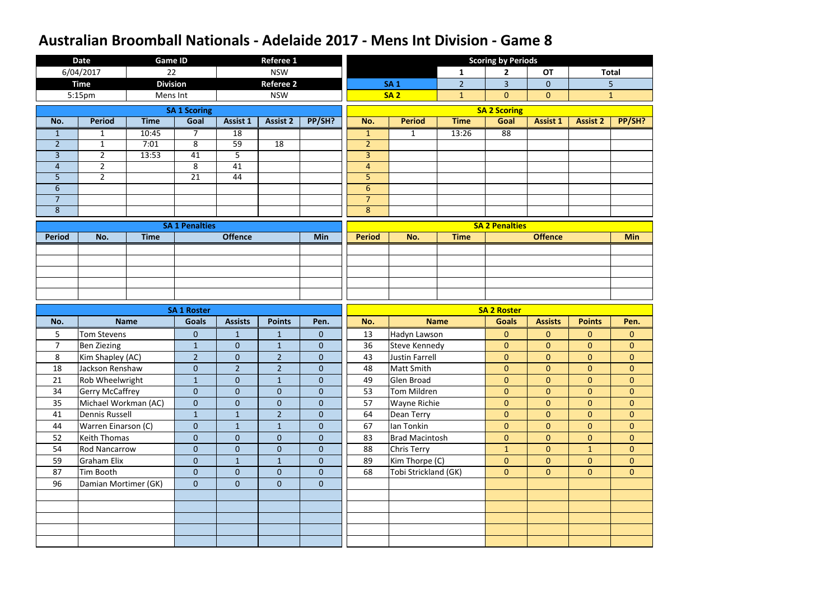|                | <b>Date</b>            | <b>Game ID</b>  |                       |                  | <b>Referee 1</b> |                  |                |                       |                | <b>Scoring by Periods</b> |                 |                 |                |
|----------------|------------------------|-----------------|-----------------------|------------------|------------------|------------------|----------------|-----------------------|----------------|---------------------------|-----------------|-----------------|----------------|
|                | 6/04/2017              | 22              |                       |                  | <b>NSW</b>       |                  |                |                       | $\mathbf{1}$   | $\overline{2}$            | <b>OT</b>       |                 | <b>Total</b>   |
|                | <b>Time</b>            | <b>Division</b> |                       |                  | <b>Referee 2</b> |                  |                | <b>SA1</b>            | $\overline{2}$ | $\overline{3}$            | $\overline{0}$  |                 | 5              |
|                | 5:15pm                 | Mens Int        |                       |                  | <b>NSW</b>       |                  |                | <b>SA2</b>            | $\mathbf{1}$   | $\overline{0}$            | $\overline{0}$  |                 | $\mathbf{1}$   |
|                |                        |                 | <b>SA 1 Scoring</b>   |                  |                  |                  |                |                       |                | <b>SA 2 Scoring</b>       |                 |                 |                |
| No.            | <b>Period</b>          | <b>Time</b>     | Goal                  | Assist 1         | <b>Assist 2</b>  | PP/SH?           | No.            | <b>Period</b>         | <b>Time</b>    | Goal                      | <b>Assist 1</b> | <b>Assist 2</b> | PP/SH?         |
| $\mathbf{1}$   | $\mathbf{1}$           | 10:45           | $\overline{7}$        | 18               |                  |                  | $\mathbf{1}$   | $\mathbf{1}$          | 13:26          | 88                        |                 |                 |                |
| $\overline{2}$ | $\mathbf{1}$           | 7:01            | 8                     | 59               | 18               |                  | $\overline{2}$ |                       |                |                           |                 |                 |                |
| $\overline{3}$ | $2^{\circ}$            | 13:53           | 41                    | 5                |                  |                  | $\overline{3}$ |                       |                |                           |                 |                 |                |
| $\overline{4}$ | $\overline{2}$         |                 | 8                     | 41               |                  |                  | $\overline{4}$ |                       |                |                           |                 |                 |                |
| 5              | $2^{\circ}$            |                 | 21                    | 44               |                  |                  | 5              |                       |                |                           |                 |                 |                |
| 6              |                        |                 |                       |                  |                  |                  | 6              |                       |                |                           |                 |                 |                |
| $\overline{7}$ |                        |                 |                       |                  |                  |                  | $\overline{7}$ |                       |                |                           |                 |                 |                |
| 8              |                        |                 |                       |                  |                  |                  | 8              |                       |                |                           |                 |                 |                |
|                |                        |                 | <b>SA 1 Penalties</b> |                  |                  |                  |                |                       |                | <b>SA 2 Penalties</b>     |                 |                 |                |
| <b>Period</b>  | No.                    | <b>Time</b>     |                       | <b>Offence</b>   |                  | Min              | <b>Period</b>  | No.                   | <b>Time</b>    |                           | <b>Offence</b>  |                 | <b>Min</b>     |
|                |                        |                 |                       |                  |                  |                  |                |                       |                |                           |                 |                 |                |
|                |                        |                 |                       |                  |                  |                  |                |                       |                |                           |                 |                 |                |
|                |                        |                 |                       |                  |                  |                  |                |                       |                |                           |                 |                 |                |
|                |                        |                 |                       |                  |                  |                  |                |                       |                |                           |                 |                 |                |
|                |                        |                 |                       |                  |                  |                  |                |                       |                |                           |                 |                 |                |
|                |                        |                 |                       |                  |                  |                  |                |                       |                |                           |                 |                 |                |
|                |                        |                 | <b>SA 1 Roster</b>    |                  |                  |                  |                |                       |                | <b>SA 2 Roster</b>        |                 |                 |                |
| No.            |                        | <b>Name</b>     | <b>Goals</b>          | <b>Assists</b>   | <b>Points</b>    | Pen.             | No.            |                       | <b>Name</b>    | <b>Goals</b>              | <b>Assists</b>  | <b>Points</b>   | Pen.           |
| 5              | <b>Tom Stevens</b>     |                 | $\overline{0}$        | $\mathbf{1}$     | $\mathbf{1}$     | $\mathbf{0}$     | 13             | Hadyn Lawson          |                | $\overline{0}$            | $\overline{0}$  | $\overline{0}$  | $\overline{0}$ |
| $\overline{7}$ | <b>Ben Ziezing</b>     |                 | $\mathbf{1}$          | $\pmb{0}$        | $\mathbf{1}$     | $\mathbf{0}$     | 36             | <b>Steve Kennedy</b>  |                | $\mathbf{0}$              | $\overline{0}$  | $\overline{0}$  | $\overline{0}$ |
| 8              | Kim Shapley (AC)       |                 | $\overline{2}$        | $\pmb{0}$        | $\overline{2}$   | $\pmb{0}$        | 43             | <b>Justin Farrell</b> |                | $\overline{0}$            | $\overline{0}$  | $\overline{0}$  | $\overline{0}$ |
| 18             | Jackson Renshaw        |                 | $\overline{0}$        | $\overline{2}$   | $\overline{2}$   | $\overline{0}$   | 48             | Matt Smith            |                | $\overline{0}$            | $\overline{0}$  | $\overline{0}$  | $\overline{0}$ |
| 21             | Rob Wheelwright        |                 | $\mathbf{1}$          | $\mathbf{0}$     | $\mathbf{1}$     | $\overline{0}$   | 49             | Glen Broad            |                | $\overline{0}$            | $\overline{0}$  | $\overline{0}$  | $\overline{0}$ |
| 34             | <b>Gerry McCaffrey</b> |                 | $\overline{0}$        | $\mathbf{0}$     | $\mathbf{0}$     | $\mathbf{0}$     | 53             | Tom Mildren           |                | $\overline{0}$            | $\overline{0}$  | $\overline{0}$  | $\overline{0}$ |
| 35             | Michael Workman (AC)   |                 | $\boldsymbol{0}$      | $\pmb{0}$        | $\mathbf{0}$     | $\overline{0}$   | 57             | <b>Wayne Richie</b>   |                | $\overline{0}$            | $\overline{0}$  | $\overline{0}$  | $\overline{0}$ |
| 41             | <b>Dennis Russell</b>  |                 | $\mathbf{1}$          | $\mathbf{1}$     | $\overline{2}$   | $\boldsymbol{0}$ | 64             | Dean Terry            |                | $\overline{0}$            | $\overline{0}$  | $\overline{0}$  | $\overline{0}$ |
| 44             | Warren Einarson (C)    |                 | $\overline{0}$        | $\mathbf{1}$     | $\mathbf{1}$     | $\mathbf{0}$     | 67             | Ian Tonkin            |                | $\overline{0}$            | $\overline{0}$  | $\overline{0}$  | $\overline{0}$ |
| 52             | <b>Keith Thomas</b>    |                 | $\overline{0}$        | $\mathbf{0}$     | $\overline{0}$   | $\overline{0}$   | 83             | <b>Brad Macintosh</b> |                | $\overline{0}$            | $\overline{0}$  | $\overline{0}$  | $\overline{0}$ |
| 54             | <b>Rod Nancarrow</b>   |                 | $\mathbf{0}$          | $\pmb{0}$        | $\mathbf{0}$     | $\mathbf{0}$     | 88             | <b>Chris Terry</b>    |                | $\mathbf{1}$              | $\overline{0}$  | $\mathbf{1}$    | $\overline{0}$ |
| 59             | <b>Graham Elix</b>     |                 | $\overline{0}$        | $\mathbf{1}$     | $\mathbf{1}$     | $\overline{0}$   | 89             | Kim Thorpe (C)        |                | $\overline{0}$            | $\overline{0}$  | $\overline{0}$  | $\overline{0}$ |
| 87             | Tim Booth              |                 | $\overline{0}$        | $\mathbf{0}$     | $\overline{0}$   | $\overline{0}$   | 68             | Tobi Strickland (GK)  |                | $\mathbf{0}$              | $\overline{0}$  | $\overline{0}$  | $\overline{0}$ |
| 96             | Damian Mortimer (GK)   |                 | $\overline{0}$        | $\boldsymbol{0}$ | $\mathbf{0}$     | $\overline{0}$   |                |                       |                |                           |                 |                 |                |
|                |                        |                 |                       |                  |                  |                  |                |                       |                |                           |                 |                 |                |
|                |                        |                 |                       |                  |                  |                  |                |                       |                |                           |                 |                 |                |
|                |                        |                 |                       |                  |                  |                  |                |                       |                |                           |                 |                 |                |
|                |                        |                 |                       |                  |                  |                  |                |                       |                |                           |                 |                 |                |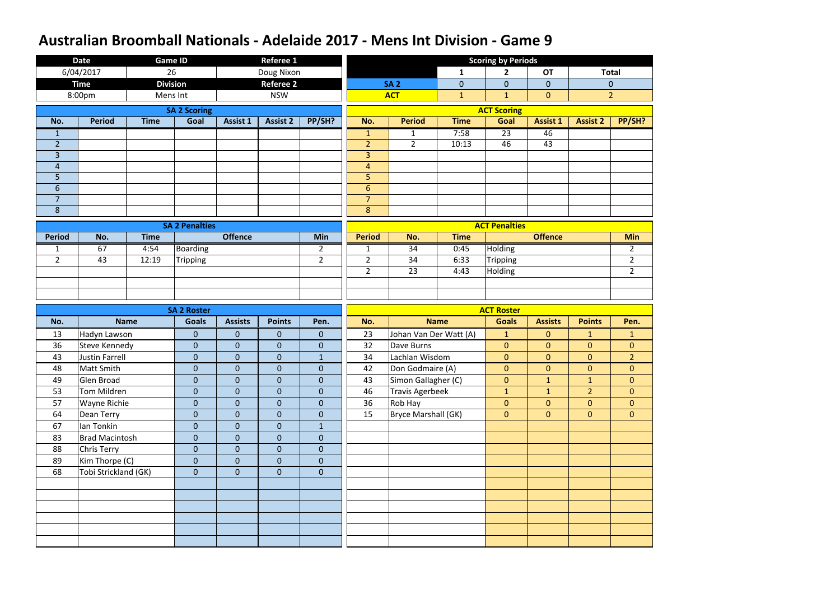|                | <b>Date</b>           |             | <b>Game ID</b>        |                  | <b>Referee 1</b> |                  |                |                            |                | <b>Scoring by Periods</b> |                 |                 |                |
|----------------|-----------------------|-------------|-----------------------|------------------|------------------|------------------|----------------|----------------------------|----------------|---------------------------|-----------------|-----------------|----------------|
|                | 6/04/2017             |             | 26                    |                  | Doug Nixon       |                  |                |                            | $\mathbf{1}$   | $\mathbf{2}$              | <b>OT</b>       |                 | <b>Total</b>   |
|                | <b>Time</b>           |             | <b>Division</b>       |                  | <b>Referee 2</b> |                  |                | <b>SA 2</b>                | $\overline{0}$ | $\overline{0}$            | $\overline{0}$  |                 | $\overline{0}$ |
|                | 8:00pm                |             | Mens Int              |                  | <b>NSW</b>       |                  |                | <b>ACT</b>                 | $\mathbf{1}$   | $\mathbf{1}$              | $\overline{0}$  |                 | $\overline{2}$ |
|                |                       |             | <b>SA 2 Scoring</b>   |                  |                  |                  |                |                            |                | <b>ACT Scoring</b>        |                 |                 |                |
| No.            | <b>Period</b>         | <b>Time</b> | Goal                  | <b>Assist 1</b>  | <b>Assist 2</b>  | PP/SH?           | No.            | <b>Period</b>              | <b>Time</b>    | Goal                      | <b>Assist 1</b> | <b>Assist 2</b> | PP/SH?         |
| $\mathbf{1}$   |                       |             |                       |                  |                  |                  | $\mathbf{1}$   | $\mathbf{1}$               | 7:58           | $\overline{23}$           | 46              |                 |                |
| $\overline{2}$ |                       |             |                       |                  |                  |                  | $\overline{2}$ | $2^{\circ}$                | 10:13          | 46                        | 43              |                 |                |
| $\overline{3}$ |                       |             |                       |                  |                  |                  | $\overline{3}$ |                            |                |                           |                 |                 |                |
| $\overline{4}$ |                       |             |                       |                  |                  |                  | 4              |                            |                |                           |                 |                 |                |
| 5              |                       |             |                       |                  |                  |                  | 5              |                            |                |                           |                 |                 |                |
| $6\,$          |                       |             |                       |                  |                  |                  | $6\phantom{1}$ |                            |                |                           |                 |                 |                |
| $\overline{7}$ |                       |             |                       |                  |                  |                  | $\overline{7}$ |                            |                |                           |                 |                 |                |
| $\bf 8$        |                       |             |                       |                  |                  |                  | $\bf 8$        |                            |                |                           |                 |                 |                |
|                |                       |             | <b>SA 2 Penalties</b> |                  |                  |                  |                |                            |                | <b>ACT Penalties</b>      |                 |                 |                |
| <b>Period</b>  | No.                   | <b>Time</b> |                       | <b>Offence</b>   |                  | Min              | <b>Period</b>  | No.                        | <b>Time</b>    |                           | <b>Offence</b>  |                 | <b>Min</b>     |
| $\mathbf{1}$   | 67                    | 4:54        | <b>Boarding</b>       |                  |                  | $\overline{2}$   | $\mathbf{1}$   | 34                         | 0:45           | Holding                   |                 |                 | $\overline{2}$ |
| $\overline{2}$ | 43                    | 12:19       | <b>Tripping</b>       |                  |                  | $\overline{2}$   | $\overline{2}$ | 34                         | 6:33           | <b>Tripping</b>           |                 |                 | $\overline{2}$ |
|                |                       |             |                       |                  |                  |                  | $\overline{2}$ | 23                         | 4:43           | <b>Holding</b>            |                 |                 | $\overline{2}$ |
|                |                       |             |                       |                  |                  |                  |                |                            |                |                           |                 |                 |                |
|                |                       |             |                       |                  |                  |                  |                |                            |                |                           |                 |                 |                |
|                |                       |             |                       |                  |                  |                  |                |                            |                |                           |                 |                 |                |
|                |                       |             | <b>SA 2 Roster</b>    |                  |                  |                  |                |                            |                | <b>ACT Roster</b>         |                 |                 |                |
| No.            |                       | <b>Name</b> | <b>Goals</b>          | <b>Assists</b>   | <b>Points</b>    | Pen.             | No.            |                            | <b>Name</b>    | <b>Goals</b>              | <b>Assists</b>  | <b>Points</b>   | Pen.           |
| 13             | Hadyn Lawson          |             | $\mathbf{0}$          | $\mathbf{0}$     | $\mathbf 0$      | $\mathbf{0}$     | 23             | Johan Van Der Watt (A)     |                | $\mathbf{1}$              | $\overline{0}$  | $\mathbf{1}$    | $\mathbf{1}$   |
| 36             | <b>Steve Kennedy</b>  |             | $\mathbf{0}$          | $\mathbf{0}$     | $\mathbf 0$      | $\mathbf 0$      | 32             | Dave Burns                 |                | $\overline{0}$            | $\overline{0}$  | $\overline{0}$  | $\overline{0}$ |
| 43             | <b>Justin Farrell</b> |             | $\mathbf 0$           | $\boldsymbol{0}$ | $\overline{0}$   | $\mathbf{1}$     | 34             | Lachlan Wisdom             |                | $\overline{0}$            | $\overline{0}$  | $\overline{0}$  | $\overline{2}$ |
| 48             | Matt Smith            |             | $\pmb{0}$             | $\theta$         | $\boldsymbol{0}$ | $\boldsymbol{0}$ | 42             | Don Godmaire (A)           |                | $\mathbf{0}$              | $\overline{0}$  | $\overline{0}$  | $\overline{0}$ |
| 49             | Glen Broad            |             | $\mathbf{0}$          | $\mathbf{0}$     | $\mathbf 0$      | $\overline{0}$   | 43             | Simon Gallagher (C)        |                | $\overline{0}$            | $\mathbf{1}$    | $\mathbf{1}$    | $\overline{0}$ |
| 53             | Tom Mildren           |             | $\mathbf{0}$          | $\mathbf{0}$     | $\mathbf 0$      | $\mathbf{0}$     | 46             | <b>Travis Agerbeek</b>     |                | 1                         | 1               | 2 <sup>1</sup>  | $\overline{0}$ |
| 57             | Wayne Richie          |             | $\boldsymbol{0}$      | $\mathbf{0}$     | $\mathbf 0$      | $\mathbf{0}$     | 36             | Rob Hay                    |                | $\overline{0}$            | $\overline{0}$  | $\overline{0}$  | $\overline{0}$ |
| 64             | Dean Terry            |             | $\boldsymbol{0}$      | $\mathbf{0}$     | $\mathbf 0$      | $\overline{0}$   | 15             | <b>Bryce Marshall (GK)</b> |                | $\overline{0}$            | $\overline{0}$  | $\overline{0}$  | $\overline{0}$ |
| 67             | lan Tonkin            |             | $\mathbf{0}$          | $\mathbf{0}$     | $\mathbf 0$      | $\mathbf{1}$     |                |                            |                |                           |                 |                 |                |
| 83             | <b>Brad Macintosh</b> |             | $\boldsymbol{0}$      | $\mathbf{0}$     | $\overline{0}$   | $\overline{0}$   |                |                            |                |                           |                 |                 |                |
| 88             | Chris Terry           |             | $\boldsymbol{0}$      | $\mathbf{0}$     | $\mathbf 0$      | $\overline{0}$   |                |                            |                |                           |                 |                 |                |
| 89             | Kim Thorpe (C)        |             | $\overline{0}$        | $\mathbf{0}$     | $\mathbf{0}$     | $\overline{0}$   |                |                            |                |                           |                 |                 |                |
| 68             | Tobi Strickland (GK)  |             | $\mathbf 0$           | $\pmb{0}$        | $\mathbf 0$      | $\overline{0}$   |                |                            |                |                           |                 |                 |                |
|                |                       |             |                       |                  |                  |                  |                |                            |                |                           |                 |                 |                |
|                |                       |             |                       |                  |                  |                  |                |                            |                |                           |                 |                 |                |
|                |                       |             |                       |                  |                  |                  |                |                            |                |                           |                 |                 |                |
|                |                       |             |                       |                  |                  |                  |                |                            |                |                           |                 |                 |                |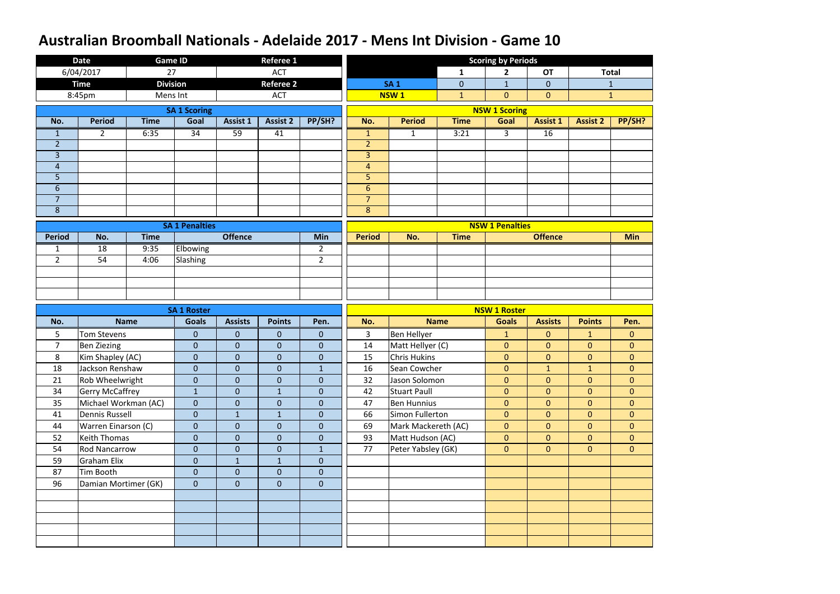|                     | <b>Date</b>            |             | <b>Game ID</b>        |                | <b>Referee 1</b> |                |                     |                     |              | <b>Scoring by Periods</b> |                 |                 |                |
|---------------------|------------------------|-------------|-----------------------|----------------|------------------|----------------|---------------------|---------------------|--------------|---------------------------|-----------------|-----------------|----------------|
|                     | 6/04/2017              | 27          |                       |                | <b>ACT</b>       |                |                     |                     | 1            | $\overline{2}$            | <b>OT</b>       |                 | <b>Total</b>   |
|                     | <b>Time</b>            |             | <b>Division</b>       |                | <b>Referee 2</b> |                |                     | <b>SA1</b>          | $\mathbf 0$  | $\mathbf{1}$              | $\overline{0}$  |                 | $\mathbf{1}$   |
|                     | 8:45pm                 | Mens Int    |                       |                | <b>ACT</b>       |                |                     | <b>NSW1</b>         | $\mathbf{1}$ | $\overline{0}$            | $\overline{0}$  |                 | $\mathbf{1}$   |
|                     |                        |             | <b>SA 1 Scoring</b>   |                |                  |                |                     |                     |              | <b>NSW 1 Scoring</b>      |                 |                 |                |
| No.                 | <b>Period</b>          | <b>Time</b> | Goal                  | Assist 1       | <b>Assist 2</b>  | PP/SH?         | No.                 | <b>Period</b>       | <b>Time</b>  | Goal                      | <b>Assist 1</b> | <b>Assist 2</b> | PP/SH?         |
| $\mathbf{1}$        | $2^{\circ}$            | 6:35        | $\overline{34}$       | 59             | 41               |                | $\mathbf{1}$        | $\mathbf{1}$        | 3:21         | 3 <sup>1</sup>            | 16              |                 |                |
| $\overline{2}$      |                        |             |                       |                |                  |                | $\overline{2}$      |                     |              |                           |                 |                 |                |
| $\overline{3}$      |                        |             |                       |                |                  |                | $\overline{3}$      |                     |              |                           |                 |                 |                |
| $\overline{4}$      |                        |             |                       |                |                  |                | $\overline{4}$      |                     |              |                           |                 |                 |                |
| 5                   |                        |             |                       |                |                  |                | 5                   |                     |              |                           |                 |                 |                |
| $6\phantom{1}$      |                        |             |                       |                |                  |                | $6\phantom{1}$      |                     |              |                           |                 |                 |                |
| $\overline{7}$<br>8 |                        |             |                       |                |                  |                | $\overline{7}$<br>8 |                     |              |                           |                 |                 |                |
|                     |                        |             |                       |                |                  |                |                     |                     |              |                           |                 |                 |                |
|                     |                        |             | <b>SA 1 Penalties</b> |                |                  |                |                     |                     |              | <b>NSW 1 Penalties</b>    |                 |                 |                |
| <b>Period</b>       | No.                    | <b>Time</b> |                       | <b>Offence</b> |                  | <b>Min</b>     | <b>Period</b>       | No.                 | <b>Time</b>  |                           | <b>Offence</b>  |                 | <b>Min</b>     |
| $\mathbf{1}$        | 18                     | 9:35        | Elbowing              |                |                  | $\overline{2}$ |                     |                     |              |                           |                 |                 |                |
| $\overline{2}$      | 54                     | 4:06        | Slashing              |                |                  | $\overline{2}$ |                     |                     |              |                           |                 |                 |                |
|                     |                        |             |                       |                |                  |                |                     |                     |              |                           |                 |                 |                |
|                     |                        |             |                       |                |                  |                |                     |                     |              |                           |                 |                 |                |
|                     |                        |             |                       |                |                  |                |                     |                     |              |                           |                 |                 |                |
|                     |                        |             |                       |                |                  |                |                     |                     |              |                           |                 |                 |                |
|                     |                        |             | <b>SA 1 Roster</b>    |                |                  |                |                     |                     |              | <b>NSW 1 Roster</b>       |                 |                 |                |
| No.                 |                        | <b>Name</b> | <b>Goals</b>          | <b>Assists</b> | <b>Points</b>    | Pen.           | No.                 | <b>Name</b>         |              | <b>Goals</b>              | <b>Assists</b>  | <b>Points</b>   | Pen.           |
| 5                   | <b>Tom Stevens</b>     |             | $\boldsymbol{0}$      | $\mathbf{0}$   | $\mathbf 0$      | $\overline{0}$ | 3                   | <b>Ben Hellyer</b>  |              | $\mathbf{1}$              | $\overline{0}$  | $\mathbf{1}$    | $\overline{0}$ |
| $\overline{7}$      | <b>Ben Ziezing</b>     |             | $\overline{0}$        | $\mathbf{0}$   | $\mathbf{0}$     | $\overline{0}$ | 14                  | Matt Hellyer (C)    |              | $\overline{0}$            | $\overline{0}$  | $\overline{0}$  | $\overline{0}$ |
| 8                   | Kim Shapley (AC)       |             | $\mathbf 0$           | $\theta$       | $\mathbf 0$      | $\mathbf 0$    | 15                  | <b>Chris Hukins</b> |              | $\overline{0}$            | $\overline{0}$  | $\overline{0}$  | $\mathbf{0}$   |
| 18                  | Jackson Renshaw        |             | $\boldsymbol{0}$      | $\overline{0}$ | $\overline{0}$   | 1              | 16                  | Sean Cowcher        |              | $\overline{0}$            | $\mathbf{1}$    | $\mathbf{1}$    | $\overline{0}$ |
| 21                  | Rob Wheelwright        |             | $\mathbf{0}$          | $\mathbf{0}$   | $\overline{0}$   | $\overline{0}$ | 32                  | Jason Solomon       |              | $\overline{0}$            | $\overline{0}$  | $\overline{0}$  | $\overline{0}$ |
| 34                  | <b>Gerry McCaffrey</b> |             | $\mathbf{1}$          | $\mathbf{0}$   | $\mathbf{1}$     | $\overline{0}$ | 42                  | <b>Stuart Paull</b> |              | $\overline{0}$            | $\overline{0}$  | $\overline{0}$  | $\overline{0}$ |
| 35                  | Michael Workman (AC)   |             | $\mathbf{0}$          | $\mathbf{0}$   | $\mathbf 0$      | $\overline{0}$ | 47                  | <b>Ben Hunnius</b>  |              | $\overline{0}$            | $\overline{0}$  | $\overline{0}$  | $\overline{0}$ |
| 41                  | <b>Dennis Russell</b>  |             | $\mathbf{0}$          | $\mathbf{1}$   | $\mathbf{1}$     | $\overline{0}$ | 66                  | Simon Fullerton     |              | $\overline{0}$            | $\overline{0}$  | $\overline{0}$  | $\overline{0}$ |
| 44                  | Warren Einarson (C)    |             | $\mathbf{0}$          | $\mathbf{0}$   | $\overline{0}$   | $\mathbf{0}$   | 69                  | Mark Mackereth (AC) |              | $\overline{0}$            | $\overline{0}$  | $\overline{0}$  | $\overline{0}$ |
| 52                  | <b>Keith Thomas</b>    |             | $\mathbf{0}$          | $\mathbf{0}$   | $\mathbf 0$      | $\overline{0}$ | 93                  | Matt Hudson (AC)    |              | $\overline{0}$            | $\overline{0}$  | $\overline{0}$  | $\overline{0}$ |
| 54                  | <b>Rod Nancarrow</b>   |             | $\mathbf{0}$          | $\mathbf{0}$   | $\mathbf 0$      | 1              | 77                  | Peter Yabsley (GK)  |              | $\overline{0}$            | $\overline{0}$  | $\overline{0}$  | $\overline{0}$ |
| 59                  | <b>Graham Elix</b>     |             | $\mathbf{0}$          | $\mathbf{1}$   | $\mathbf{1}$     | $\overline{0}$ |                     |                     |              |                           |                 |                 |                |
| 87                  | Tim Booth              |             | $\overline{0}$        | $\mathbf{0}$   | $\overline{0}$   | $\overline{0}$ |                     |                     |              |                           |                 |                 |                |
| 96                  | Damian Mortimer (GK)   |             | $\mathbf{0}$          | $\mathbf{0}$   | $\mathbf 0$      | $\overline{0}$ |                     |                     |              |                           |                 |                 |                |
|                     |                        |             |                       |                |                  |                |                     |                     |              |                           |                 |                 |                |
|                     |                        |             |                       |                |                  |                |                     |                     |              |                           |                 |                 |                |
|                     |                        |             |                       |                |                  |                |                     |                     |              |                           |                 |                 |                |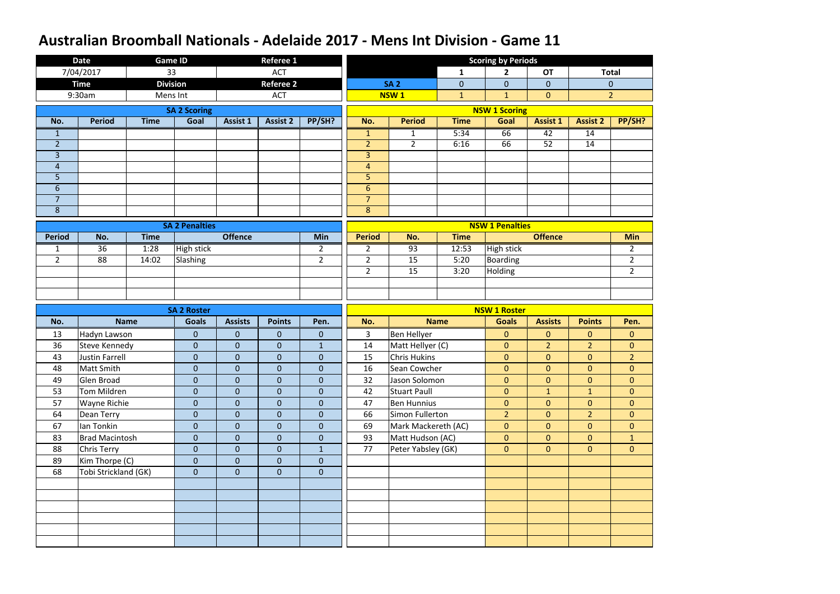|                | <b>Date</b>           |             | Game ID               |                  | <b>Referee 1</b> |                |                |                     |              | <b>Scoring by Periods</b> |                 |                 |                |
|----------------|-----------------------|-------------|-----------------------|------------------|------------------|----------------|----------------|---------------------|--------------|---------------------------|-----------------|-----------------|----------------|
|                | 7/04/2017             |             | 33                    |                  | <b>ACT</b>       |                |                |                     | $\mathbf{1}$ | $\mathbf{2}$              | <b>OT</b>       |                 | <b>Total</b>   |
|                | <b>Time</b>           |             | <b>Division</b>       |                  | <b>Referee 2</b> |                |                | <b>SA 2</b>         | $\mathbf 0$  | $\overline{0}$            | $\overline{0}$  |                 | $\overline{0}$ |
|                | 9:30am                |             | Mens Int              |                  | <b>ACT</b>       |                |                | NSW <sub>1</sub>    | $\mathbf{1}$ | $\mathbf{1}$              | $\overline{0}$  |                 | $\overline{2}$ |
|                |                       |             | <b>SA 2 Scoring</b>   |                  |                  |                |                |                     |              | <b>NSW 1 Scoring</b>      |                 |                 |                |
| No.            | <b>Period</b>         | <b>Time</b> | Goal                  | <b>Assist 1</b>  | <b>Assist 2</b>  | PP/SH?         | No.            | <b>Period</b>       | <b>Time</b>  | Goal                      | <b>Assist 1</b> | <b>Assist 2</b> | PP/SH?         |
| $\mathbf{1}$   |                       |             |                       |                  |                  |                | $\mathbf{1}$   | $\mathbf{1}$        | 5:34         | 66                        | 42              | 14              |                |
| $\overline{2}$ |                       |             |                       |                  |                  |                | $\overline{2}$ | $2^{\circ}$         | 6:16         | 66                        | 52              | 14              |                |
| $\overline{3}$ |                       |             |                       |                  |                  |                | $\overline{3}$ |                     |              |                           |                 |                 |                |
| $\overline{4}$ |                       |             |                       |                  |                  |                | $\overline{4}$ |                     |              |                           |                 |                 |                |
| 5              |                       |             |                       |                  |                  |                | 5              |                     |              |                           |                 |                 |                |
| $6\phantom{1}$ |                       |             |                       |                  |                  |                | $6\phantom{1}$ |                     |              |                           |                 |                 |                |
| $\overline{7}$ |                       |             |                       |                  |                  |                | $\overline{7}$ |                     |              |                           |                 |                 |                |
| 8              |                       |             |                       |                  |                  |                | 8              |                     |              |                           |                 |                 |                |
|                |                       |             | <b>SA 2 Penalties</b> |                  |                  |                |                |                     |              | <b>NSW 1 Penalties</b>    |                 |                 |                |
| <b>Period</b>  | No.                   | <b>Time</b> |                       | <b>Offence</b>   |                  | Min            | <b>Period</b>  | No.                 | <b>Time</b>  |                           | <b>Offence</b>  |                 | <b>Min</b>     |
| $\mathbf{1}$   | 36                    | 1:28        | <b>High stick</b>     |                  |                  | $\overline{2}$ | $\overline{2}$ | $\overline{93}$     | 12:53        | High stick                |                 |                 | $\overline{2}$ |
| $\overline{2}$ | 88                    | 14:02       | Slashing              |                  |                  | $\overline{2}$ | $\overline{2}$ | 15                  | 5:20         | <b>Boarding</b>           |                 |                 | $\overline{2}$ |
|                |                       |             |                       |                  |                  |                | $\overline{2}$ | 15                  | 3:20         | Holding                   |                 |                 | $\overline{2}$ |
|                |                       |             |                       |                  |                  |                |                |                     |              |                           |                 |                 |                |
|                |                       |             |                       |                  |                  |                |                |                     |              |                           |                 |                 |                |
|                |                       |             |                       |                  |                  |                |                |                     |              |                           |                 |                 |                |
|                |                       |             | <b>SA 2 Roster</b>    |                  |                  |                |                |                     |              | <b>NSW 1 Roster</b>       |                 |                 |                |
| No.            |                       | <b>Name</b> | <b>Goals</b>          | <b>Assists</b>   | <b>Points</b>    | Pen.           | No.            |                     | <b>Name</b>  | <b>Goals</b>              | <b>Assists</b>  | <b>Points</b>   | Pen.           |
| 13             | Hadyn Lawson          |             | $\mathbf{0}$          | $\mathbf{0}$     | 0                | $\mathbf{0}$   | 3              | Ben Hellyer         |              | $\mathbf{0}$              | $\overline{0}$  | $\overline{0}$  | $\mathbf{0}$   |
| 36             | <b>Steve Kennedy</b>  |             | $\mathbf 0$           | $\mathbf{0}$     | $\mathbf 0$      | $\mathbf{1}$   | 14             | Matt Hellyer (C)    |              | $\overline{0}$            | $\overline{2}$  | 2 <sup>1</sup>  | $\overline{0}$ |
| 43             | <b>Justin Farrell</b> |             | $\mathbf 0$           | $\pmb{0}$        | $\mathbf 0$      | $\overline{0}$ | 15             | <b>Chris Hukins</b> |              | $\overline{0}$            | $\overline{0}$  | $\overline{0}$  | $\overline{2}$ |
| 48             | Matt Smith            |             | ${\bf 0}$             | $\boldsymbol{0}$ | $\boldsymbol{0}$ | $\pmb{0}$      | 16             | Sean Cowcher        |              | $\overline{0}$            | $\overline{0}$  | $\overline{0}$  | $\overline{0}$ |
| 49             | Glen Broad            |             | $\mathbf{0}$          | $\overline{0}$   | $\overline{0}$   | $\overline{0}$ | 32             | Jason Solomon       |              | $\overline{0}$            | $\overline{0}$  | $\overline{0}$  | $\overline{0}$ |
| 53             | Tom Mildren           |             | $\mathbf{0}$          | $\overline{0}$   | $\mathbf{0}$     | $\overline{0}$ | 42             | <b>Stuart Paull</b> |              | $\overline{0}$            | 1               | $\mathbf{1}$    | $\overline{0}$ |
| 57             | Wayne Richie          |             | $\pmb{0}$             | $\overline{0}$   | $\mathbf{0}$     | $\overline{0}$ | 47             | <b>Ben Hunnius</b>  |              | $\overline{0}$            | $\overline{0}$  | $\overline{0}$  | $\overline{0}$ |
| 64             | Dean Terry            |             | $\boldsymbol{0}$      | $\overline{0}$   | $\mathbf{0}$     | $\overline{0}$ | 66             | Simon Fullerton     |              | 2 <sup>1</sup>            | $\overline{0}$  | $\overline{2}$  | $\mathbf{0}$   |
| 67             | Ian Tonkin            |             | $\pmb{0}$             | $\overline{0}$   | $\mathbf 0$      | $\overline{0}$ | 69             | Mark Mackereth (AC) |              | $\overline{0}$            | $\overline{0}$  | $\overline{0}$  | $\overline{0}$ |
| 83             | <b>Brad Macintosh</b> |             | $\mathbf{0}$          | $\overline{0}$   | $\overline{0}$   | $\overline{0}$ | 93             | Matt Hudson (AC)    |              | $\overline{0}$            | $\overline{0}$  | $\overline{0}$  | 1 <sup>1</sup> |
| 88             | <b>Chris Terry</b>    |             | $\pmb{0}$             | $\overline{0}$   | $\mathbf{0}$     | $\mathbf{1}$   | 77             | Peter Yabsley (GK)  |              | $\overline{0}$            | $\overline{0}$  | $\overline{0}$  | $\overline{0}$ |
| 89             | Kim Thorpe (C)        |             | $\mathbf 0$           | $\overline{0}$   | $\overline{0}$   | $\overline{0}$ |                |                     |              |                           |                 |                 |                |
| 68             | Tobi Strickland (GK)  |             | $\mathbf{0}$          | $\overline{0}$   | $\overline{0}$   | $\mathbf{0}$   |                |                     |              |                           |                 |                 |                |
|                |                       |             |                       |                  |                  |                |                |                     |              |                           |                 |                 |                |
|                |                       |             |                       |                  |                  |                |                |                     |              |                           |                 |                 |                |
|                |                       |             |                       |                  |                  |                |                |                     |              |                           |                 |                 |                |
|                |                       |             |                       |                  |                  |                |                |                     |              |                           |                 |                 |                |
|                |                       |             |                       |                  |                  |                |                |                     |              |                           |                 |                 |                |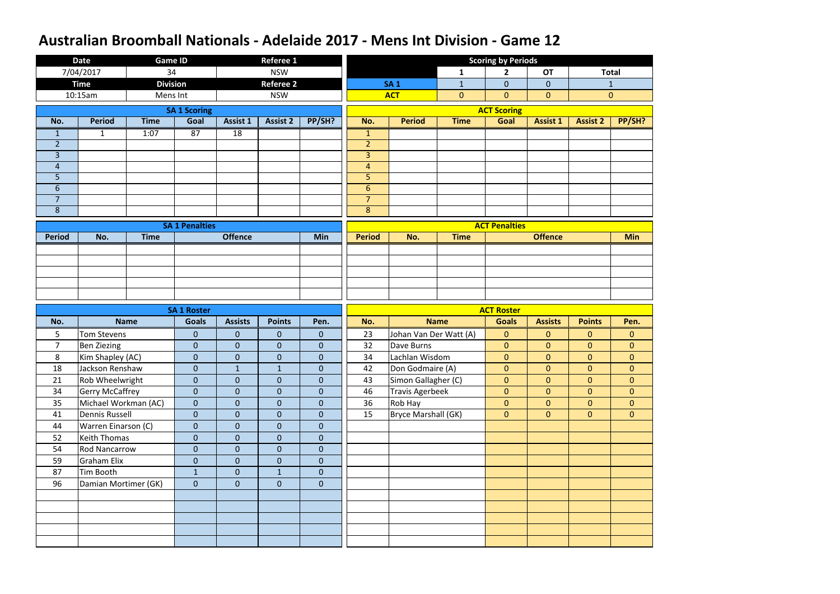|                     | <b>Date</b>                                | <b>Game ID</b>  |                              |                                | <b>Referee 1</b>              |                                  |                     |                        |                | <b>Scoring by Periods</b>        |                                  |                                  |                                  |
|---------------------|--------------------------------------------|-----------------|------------------------------|--------------------------------|-------------------------------|----------------------------------|---------------------|------------------------|----------------|----------------------------------|----------------------------------|----------------------------------|----------------------------------|
|                     | 7/04/2017                                  | 34              |                              |                                | <b>NSW</b>                    |                                  |                     |                        | 1              | $\mathbf{2}$                     | <b>OT</b>                        |                                  | <b>Total</b>                     |
|                     | <b>Time</b>                                | <b>Division</b> |                              |                                | <b>Referee 2</b>              |                                  |                     | <b>SA1</b>             | $\mathbf{1}$   | $\overline{0}$                   | $\overline{0}$                   |                                  | $\mathbf{1}$                     |
|                     | 10:15am                                    | Mens Int        |                              |                                | <b>NSW</b>                    |                                  |                     | <b>ACT</b>             | $\overline{0}$ | $\overline{0}$                   | $\overline{0}$                   |                                  | $\mathbf{0}$                     |
|                     |                                            |                 | <b>SA 1 Scoring</b>          |                                |                               |                                  |                     |                        |                | <b>ACT Scoring</b>               |                                  |                                  |                                  |
| No.                 | <b>Period</b>                              | <b>Time</b>     | Goal                         | Assist 1                       | <b>Assist 2</b>               | PP/SH?                           | No.                 | <b>Period</b>          | <b>Time</b>    | Goal                             | <b>Assist 1</b>                  | <b>Assist 2</b>                  | PP/SH?                           |
| $\mathbf{1}$        | $\mathbf{1}$                               | 1:07            | 87                           | $\overline{18}$                |                               |                                  | $\mathbf{1}$        |                        |                |                                  |                                  |                                  |                                  |
| $\overline{2}$      |                                            |                 |                              |                                |                               |                                  | $\overline{2}$      |                        |                |                                  |                                  |                                  |                                  |
| $\overline{3}$      |                                            |                 |                              |                                |                               |                                  | $\overline{3}$      |                        |                |                                  |                                  |                                  |                                  |
| $\overline{4}$      |                                            |                 |                              |                                |                               |                                  | $\overline{4}$      |                        |                |                                  |                                  |                                  |                                  |
| 5                   |                                            |                 |                              |                                |                               |                                  | 5                   |                        |                |                                  |                                  |                                  |                                  |
| 6                   |                                            |                 |                              |                                |                               |                                  | $6\phantom{1}$      |                        |                |                                  |                                  |                                  |                                  |
| $\overline{7}$<br>8 |                                            |                 |                              |                                |                               |                                  | $\overline{7}$<br>8 |                        |                |                                  |                                  |                                  |                                  |
|                     |                                            |                 |                              |                                |                               |                                  |                     |                        |                |                                  |                                  |                                  |                                  |
|                     |                                            |                 | <b>SA 1 Penalties</b>        |                                |                               |                                  |                     |                        |                | <b>ACT Penalties</b>             |                                  |                                  |                                  |
| <b>Period</b>       | No.                                        | <b>Time</b>     |                              | <b>Offence</b>                 |                               | Min                              | <b>Period</b>       | No.                    | <b>Time</b>    |                                  | <b>Offence</b>                   |                                  | <b>Min</b>                       |
|                     |                                            |                 |                              |                                |                               |                                  |                     |                        |                |                                  |                                  |                                  |                                  |
|                     |                                            |                 |                              |                                |                               |                                  |                     |                        |                |                                  |                                  |                                  |                                  |
|                     |                                            |                 |                              |                                |                               |                                  |                     |                        |                |                                  |                                  |                                  |                                  |
|                     |                                            |                 |                              |                                |                               |                                  |                     |                        |                |                                  |                                  |                                  |                                  |
|                     |                                            |                 |                              |                                |                               |                                  |                     |                        |                |                                  |                                  |                                  |                                  |
|                     |                                            |                 |                              |                                |                               |                                  |                     |                        |                |                                  |                                  |                                  |                                  |
|                     |                                            |                 | <b>SA 1 Roster</b>           |                                |                               |                                  |                     |                        |                | <b>ACT Roster</b>                |                                  |                                  |                                  |
| No.                 |                                            | <b>Name</b>     | <b>Goals</b>                 | <b>Assists</b>                 | <b>Points</b>                 | Pen.                             | No.                 |                        | <b>Name</b>    | <b>Goals</b>                     | <b>Assists</b>                   | <b>Points</b>                    | Pen.                             |
| 5                   | <b>Tom Stevens</b>                         |                 | $\pmb{0}$                    | $\mathbf{0}$                   | $\mathbf 0$                   | $\overline{0}$                   | 23                  | Johan Van Der Watt (A) |                | $\overline{0}$                   | $\overline{0}$                   | $\overline{0}$                   | $\mathbf{0}$                     |
| $\overline{7}$      | <b>Ben Ziezing</b>                         |                 | $\mathbf 0$                  | $\mathbf{0}$                   | $\overline{0}$                | $\overline{0}$                   | 32                  | Dave Burns             |                | $\overline{0}$                   | $\overline{0}$                   | $\overline{0}$                   | $\mathbf{0}$                     |
| 8                   | Kim Shapley (AC)                           |                 | $\pmb{0}$                    | $\boldsymbol{0}$               | $\mathbf 0$                   | $\boldsymbol{0}$                 | 34                  | Lachlan Wisdom         |                | $\overline{0}$                   | $\overline{0}$                   | $\overline{0}$                   | $\mathbf{0}$                     |
| 18                  | Jackson Renshaw                            |                 | $\pmb{0}$                    | $\mathbf{1}$                   | $\overline{1}$                | $\boldsymbol{0}$                 | 42                  | Don Godmaire (A)       |                | $\overline{0}$                   | $\overline{0}$                   | $\overline{0}$                   | $\overline{0}$                   |
| 21                  | Rob Wheelwright                            |                 | $\mathbf{0}$                 | $\overline{0}$                 | $\mathbf 0$                   | $\overline{0}$                   | 43                  | Simon Gallagher (C)    |                | $\overline{0}$                   | $\overline{0}$                   | $\overline{0}$                   | $\overline{0}$                   |
| 34                  | <b>Gerry McCaffrey</b>                     |                 | $\mathbf{0}$                 | $\overline{0}$                 | $\boldsymbol{0}$              | $\overline{0}$                   | 46                  | Travis Agerbeek        |                | $\overline{0}$                   | $\overline{0}$                   | $\overline{0}$                   | $\mathbf{0}$                     |
| 35<br>41            | Michael Workman (AC)                       |                 | $\mathbf{0}$<br>$\mathbf{0}$ | $\mathbf{0}$<br>$\overline{0}$ | $\overline{0}$<br>$\mathbf 0$ | $\overline{0}$<br>$\overline{0}$ | 36<br>15            | Rob Hay                |                | $\overline{0}$<br>$\overline{0}$ | $\overline{0}$<br>$\overline{0}$ | $\overline{0}$<br>$\overline{0}$ | $\overline{0}$<br>$\overline{0}$ |
| 44                  | Dennis Russell                             |                 | $\mathbf{0}$                 | $\overline{0}$                 | $\overline{0}$                | $\overline{0}$                   |                     | Bryce Marshall (GK)    |                |                                  |                                  |                                  |                                  |
| 52                  | Warren Einarson (C)<br><b>Keith Thomas</b> |                 | $\mathbf{0}$                 | $\mathbf{0}$                   | $\overline{0}$                | $\overline{0}$                   |                     |                        |                |                                  |                                  |                                  |                                  |
| 54                  | <b>Rod Nancarrow</b>                       |                 | $\pmb{0}$                    | $\mathbf{0}$                   | $\boldsymbol{0}$              | $\overline{0}$                   |                     |                        |                |                                  |                                  |                                  |                                  |
| 59                  | Graham Elix                                |                 | $\pmb{0}$                    | $\mathbf{0}$                   | $\mathbf 0$                   | $\overline{0}$                   |                     |                        |                |                                  |                                  |                                  |                                  |
| 87                  | Tim Booth                                  |                 | $\mathbf{1}$                 | $\overline{0}$                 | $\mathbf{1}$                  | $\overline{0}$                   |                     |                        |                |                                  |                                  |                                  |                                  |
| 96                  | Damian Mortimer (GK)                       |                 | $\mathbf{0}$                 | $\overline{0}$                 | $\overline{0}$                | $\overline{0}$                   |                     |                        |                |                                  |                                  |                                  |                                  |
|                     |                                            |                 |                              |                                |                               |                                  |                     |                        |                |                                  |                                  |                                  |                                  |
|                     |                                            |                 |                              |                                |                               |                                  |                     |                        |                |                                  |                                  |                                  |                                  |
|                     |                                            |                 |                              |                                |                               |                                  |                     |                        |                |                                  |                                  |                                  |                                  |
|                     |                                            |                 |                              |                                |                               |                                  |                     |                        |                |                                  |                                  |                                  |                                  |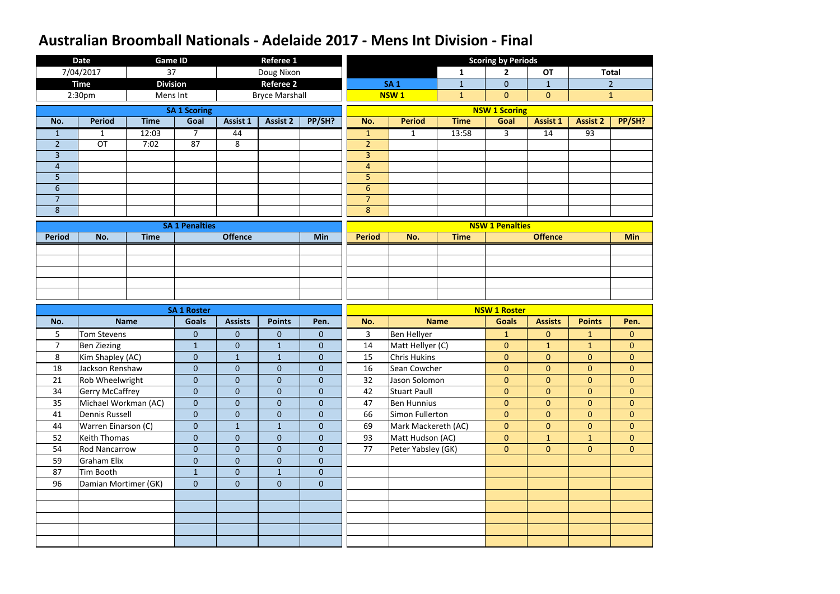|                | <b>Date</b>                                | <b>Game ID</b>  |                              |                              | <b>Referee 1</b>              |                                  |                |                                         |              | <b>Scoring by Periods</b>        |                                  |                                    |                                |
|----------------|--------------------------------------------|-----------------|------------------------------|------------------------------|-------------------------------|----------------------------------|----------------|-----------------------------------------|--------------|----------------------------------|----------------------------------|------------------------------------|--------------------------------|
|                | 7/04/2017                                  | 37              |                              |                              | Doug Nixon                    |                                  |                |                                         | 1            | $\overline{2}$                   | <b>OT</b>                        |                                    | <b>Total</b>                   |
|                | <b>Time</b>                                | <b>Division</b> |                              |                              | <b>Referee 2</b>              |                                  |                | <b>SA1</b>                              | $\mathbf{1}$ | $\overline{0}$                   | $\mathbf{1}$                     |                                    | $\overline{2}$                 |
|                | 2:30 <sub>pm</sub>                         | Mens Int        |                              |                              | <b>Bryce Marshall</b>         |                                  |                | <b>NSW1</b>                             | $\mathbf{1}$ | $\overline{0}$                   | $\overline{0}$                   |                                    | $\mathbf{1}$                   |
|                |                                            |                 | <b>SA 1 Scoring</b>          |                              |                               |                                  |                |                                         |              | <b>NSW 1 Scoring</b>             |                                  |                                    |                                |
| No.            | <b>Period</b>                              | <b>Time</b>     | Goal                         | Assist 1                     | <b>Assist 2</b>               | PP/SH?                           | No.            | <b>Period</b>                           | <b>Time</b>  | Goal                             | <b>Assist 1</b>                  | <b>Assist 2</b>                    | PP/SH?                         |
| $\mathbf{1}$   | $\mathbf{1}$                               | 12:03           | $\overline{7}$               | 44                           |                               |                                  | $\mathbf{1}$   | $\mathbf{1}$                            | 13:58        | 3 <sup>1</sup>                   | 14                               | $\overline{93}$                    |                                |
| $\overline{2}$ | <b>OT</b>                                  | 7:02            | 87                           | 8                            |                               |                                  | $\overline{2}$ |                                         |              |                                  |                                  |                                    |                                |
| $\overline{3}$ |                                            |                 |                              |                              |                               |                                  | $\overline{3}$ |                                         |              |                                  |                                  |                                    |                                |
| $\overline{4}$ |                                            |                 |                              |                              |                               |                                  | $\overline{4}$ |                                         |              |                                  |                                  |                                    |                                |
| 5              |                                            |                 |                              |                              |                               |                                  | 5              |                                         |              |                                  |                                  |                                    |                                |
| 6              |                                            |                 |                              |                              |                               |                                  | 6              |                                         |              |                                  |                                  |                                    |                                |
| $\overline{7}$ |                                            |                 |                              |                              |                               |                                  | $\overline{7}$ |                                         |              |                                  |                                  |                                    |                                |
| 8              |                                            |                 |                              |                              |                               |                                  | $\bf 8$        |                                         |              |                                  |                                  |                                    |                                |
|                |                                            |                 | <b>SA 1 Penalties</b>        |                              |                               |                                  |                |                                         |              | <b>NSW 1 Penalties</b>           |                                  |                                    |                                |
| <b>Period</b>  | No.                                        | <b>Time</b>     |                              | <b>Offence</b>               |                               | Min                              | <b>Period</b>  | No.                                     | <b>Time</b>  |                                  | <b>Offence</b>                   |                                    | <b>Min</b>                     |
|                |                                            |                 |                              |                              |                               |                                  |                |                                         |              |                                  |                                  |                                    |                                |
|                |                                            |                 |                              |                              |                               |                                  |                |                                         |              |                                  |                                  |                                    |                                |
|                |                                            |                 |                              |                              |                               |                                  |                |                                         |              |                                  |                                  |                                    |                                |
|                |                                            |                 |                              |                              |                               |                                  |                |                                         |              |                                  |                                  |                                    |                                |
|                |                                            |                 |                              |                              |                               |                                  |                |                                         |              |                                  |                                  |                                    |                                |
|                |                                            |                 |                              |                              |                               |                                  |                |                                         |              |                                  |                                  |                                    |                                |
|                |                                            |                 | <b>SA 1 Roster</b>           |                              |                               |                                  |                |                                         |              | <b>NSW 1 Roster</b>              |                                  |                                    |                                |
| No.            |                                            | <b>Name</b>     | <b>Goals</b>                 | <b>Assists</b>               | <b>Points</b>                 | Pen.                             | No.            |                                         | <b>Name</b>  | <b>Goals</b>                     | <b>Assists</b>                   | <b>Points</b>                      | Pen.                           |
| 5              | <b>Tom Stevens</b>                         |                 | $\boldsymbol{0}$             | $\mathbf{0}$                 | $\mathbf 0$                   | $\overline{0}$                   | 3              | Ben Hellyer                             |              | $\mathbf{1}$                     | $\overline{0}$                   | $\mathbf{1}$                       | $\mathbf{0}$                   |
| $\overline{7}$ | <b>Ben Ziezing</b>                         |                 | $\mathbf{1}$                 | $\mathbf{0}$                 | $\mathbf{1}$                  | $\overline{0}$                   | 14             | Matt Hellyer (C)                        |              | $\overline{0}$                   | $\mathbf{1}$                     | $\mathbf{1}$                       | $\mathbf{0}$                   |
| 8              | Kim Shapley (AC)                           |                 | $\boldsymbol{0}$             | $\mathbf{1}$                 | $\mathbf{1}$                  | $\overline{0}$                   | 15             | <b>Chris Hukins</b>                     |              | $\overline{0}$                   | $\overline{0}$                   | $\mathbf{0}$                       | $\mathbf{0}$                   |
| 18             | Jackson Renshaw                            |                 | $\overline{0}$               | $\overline{0}$               | $\overline{0}$                | $\overline{0}$                   | 16             | Sean Cowcher                            |              | $\overline{0}$                   | $\overline{0}$                   | $\overline{0}$                     | $\overline{0}$                 |
| 21             | Rob Wheelwright                            |                 | $\overline{0}$               | $\overline{0}$               | $\overline{0}$                | $\overline{0}$                   | 32             | Jason Solomon                           |              | $\overline{0}$                   | $\overline{0}$                   | $\overline{0}$                     | $\overline{0}$                 |
| 34             | <b>Gerry McCaffrey</b>                     |                 | $\mathbf{0}$                 | $\overline{0}$               | $\overline{0}$                | $\overline{0}$                   | 42             | <b>Stuart Paull</b>                     |              | $\overline{0}$                   | $\overline{0}$                   | $\mathbf{0}$                       | $\overline{0}$                 |
| 35             | Michael Workman (AC)                       |                 | $\mathbf{0}$<br>$\mathbf{0}$ | $\mathbf{0}$<br>$\mathbf{0}$ | $\overline{0}$<br>$\mathbf 0$ | $\overline{0}$<br>$\overline{0}$ | 47             | <b>Ben Hunnius</b>                      |              | $\overline{0}$<br>$\overline{0}$ | $\overline{0}$<br>$\overline{0}$ | $\overline{0}$                     | $\overline{0}$                 |
| 41<br>44       | <b>Dennis Russell</b>                      |                 | $\mathbf{0}$                 | $\mathbf{1}$                 | $\mathbf{1}$                  | $\overline{0}$                   | 66<br>69       | Simon Fullerton                         |              | $\overline{0}$                   | $\overline{0}$                   | $\boldsymbol{0}$<br>$\overline{0}$ | $\mathbf{0}$<br>$\overline{0}$ |
| 52             | Warren Einarson (C)<br><b>Keith Thomas</b> |                 | $\mathbf{0}$                 | $\mathbf{0}$                 | $\mathbf 0$                   | $\overline{0}$                   | 93             | Mark Mackereth (AC)<br>Matt Hudson (AC) |              | $\overline{0}$                   | $\mathbf{1}$                     | $\mathbf{1}$                       | $\overline{0}$                 |
| 54             | <b>Rod Nancarrow</b>                       |                 | $\mathbf{0}$                 | $\mathbf{0}$                 | $\mathbf 0$                   | $\overline{0}$                   | 77             |                                         |              | $\overline{0}$                   | $\overline{0}$                   | $\overline{0}$                     | $\overline{0}$                 |
| 59             | <b>Graham Elix</b>                         |                 | $\mathbf{0}$                 | $\overline{0}$               | $\overline{0}$                | $\overline{0}$                   |                | Peter Yabsley (GK)                      |              |                                  |                                  |                                    |                                |
| 87             | Tim Booth                                  |                 | $\mathbf{1}$                 | $\overline{0}$               | $\mathbf{1}$                  | $\overline{0}$                   |                |                                         |              |                                  |                                  |                                    |                                |
| 96             | Damian Mortimer (GK)                       |                 | $\mathbf{0}$                 | $\mathbf{0}$                 | $\overline{0}$                | $\overline{0}$                   |                |                                         |              |                                  |                                  |                                    |                                |
|                |                                            |                 |                              |                              |                               |                                  |                |                                         |              |                                  |                                  |                                    |                                |
|                |                                            |                 |                              |                              |                               |                                  |                |                                         |              |                                  |                                  |                                    |                                |
|                |                                            |                 |                              |                              |                               |                                  |                |                                         |              |                                  |                                  |                                    |                                |
|                |                                            |                 |                              |                              |                               |                                  |                |                                         |              |                                  |                                  |                                    |                                |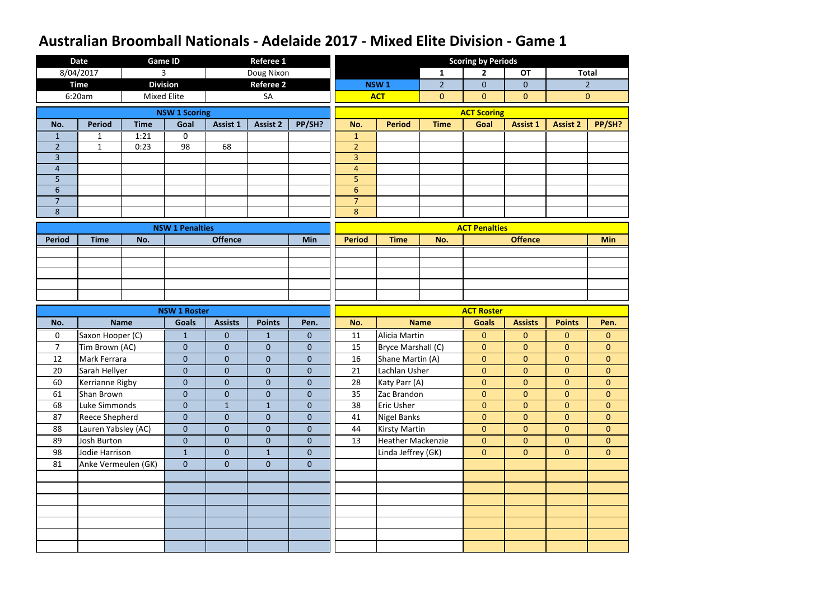|                | <b>Date</b>           | <b>Game ID</b>     |                        |                  | <b>Referee 1</b> |                |                  |                          |                | <b>Scoring by Periods</b> |                 |                 |                |
|----------------|-----------------------|--------------------|------------------------|------------------|------------------|----------------|------------------|--------------------------|----------------|---------------------------|-----------------|-----------------|----------------|
|                | 8/04/2017             | 3                  |                        |                  | Doug Nixon       |                |                  |                          | $\mathbf{1}$   | $\overline{2}$            | <b>OT</b>       | <b>Total</b>    |                |
|                | <b>Time</b>           | <b>Division</b>    |                        |                  | <b>Referee 2</b> |                |                  | NSW <sub>1</sub>         | $\overline{2}$ | $\mathbf{0}$              | $\overline{0}$  |                 | $\overline{2}$ |
|                | 6:20am                | <b>Mixed Elite</b> |                        |                  | SA               |                |                  | <b>ACT</b>               | $\overline{0}$ | $\mathbf{0}$              | $\mathbf{0}$    |                 | $\overline{0}$ |
|                |                       |                    | <b>NSW 1 Scoring</b>   |                  |                  |                |                  |                          |                | <b>ACT Scoring</b>        |                 |                 |                |
| No.            | <b>Period</b>         | <b>Time</b>        | Goal                   | <b>Assist 1</b>  | <b>Assist 2</b>  | PP/SH?         | No.              | <b>Period</b>            | <b>Time</b>    | Goal                      | <b>Assist 1</b> | <b>Assist 2</b> | PP/SH?         |
| 1              | 1                     | 1:21               | 0                      |                  |                  |                | $\mathbf{1}$     |                          |                |                           |                 |                 |                |
| $\overline{2}$ | $\mathbf{1}$          | 0:23               | 98                     | 68               |                  |                | $\overline{2}$   |                          |                |                           |                 |                 |                |
| $\overline{3}$ |                       |                    |                        |                  |                  |                | $\overline{3}$   |                          |                |                           |                 |                 |                |
| $\overline{4}$ |                       |                    |                        |                  |                  |                | $\overline{4}$   |                          |                |                           |                 |                 |                |
| 5              |                       |                    |                        |                  |                  |                | 5                |                          |                |                           |                 |                 |                |
| 6              |                       |                    |                        |                  |                  |                | $6 \overline{6}$ |                          |                |                           |                 |                 |                |
| $\overline{7}$ |                       |                    |                        |                  |                  |                | $\overline{7}$   |                          |                |                           |                 |                 |                |
| 8              |                       |                    |                        |                  |                  |                | 8                |                          |                |                           |                 |                 |                |
|                |                       |                    | <b>NSW 1 Penalties</b> |                  |                  |                |                  |                          |                | <b>ACT Penalties</b>      |                 |                 |                |
| <b>Period</b>  | <b>Time</b>           | No.                |                        | <b>Offence</b>   |                  | <b>Min</b>     | <b>Period</b>    | <b>Time</b>              | No.            |                           | <b>Offence</b>  |                 | <b>Min</b>     |
|                |                       |                    |                        |                  |                  |                |                  |                          |                |                           |                 |                 |                |
|                |                       |                    |                        |                  |                  |                |                  |                          |                |                           |                 |                 |                |
|                |                       |                    |                        |                  |                  |                |                  |                          |                |                           |                 |                 |                |
|                |                       |                    |                        |                  |                  |                |                  |                          |                |                           |                 |                 |                |
|                |                       |                    |                        |                  |                  |                |                  |                          |                |                           |                 |                 |                |
|                |                       |                    | <b>NSW 1 Roster</b>    |                  |                  |                |                  |                          |                | <b>ACT Roster</b>         |                 |                 |                |
| No.            |                       | <b>Name</b>        | <b>Goals</b>           | <b>Assists</b>   | <b>Points</b>    | Pen.           | No.              | <b>Name</b>              |                | <b>Goals</b>              | <b>Assists</b>  |                 | Pen.           |
|                |                       |                    |                        |                  |                  |                |                  |                          |                |                           |                 | <b>Points</b>   |                |
| $\mathbf 0$    | Saxon Hooper (C)      |                    | $\mathbf{1}$           | $\overline{0}$   | $\mathbf{1}$     | $\overline{0}$ | 11               | Alicia Martin            |                | $\mathbf{0}$              | $\mathbf{0}$    | $\overline{0}$  | $\mathbf{0}$   |
| $\overline{7}$ | Tim Brown (AC)        |                    | $\overline{0}$         | $\overline{0}$   | $\mathbf{0}$     | $\mathbf{0}$   | 15               | Bryce Marshall (C)       |                | $\mathbf{0}$              | $\mathbf{0}$    | $\overline{0}$  | $\overline{0}$ |
| 12             | Mark Ferrara          |                    | $\overline{0}$         | $\boldsymbol{0}$ | $\boldsymbol{0}$ | $\mathbf{0}$   | 16               | Shane Martin (A)         |                | $\boldsymbol{0}$          | $\mathbf{0}$    | $\overline{0}$  | $\mathbf 0$    |
| 20             | Sarah Hellyer         |                    | $\overline{0}$         | $\overline{0}$   | $\pmb{0}$        | $\pmb{0}$      | 21               | Lachlan Usher            |                | $\mathbf{0}$              | $\overline{0}$  | $\overline{0}$  | $\overline{0}$ |
| 60             | Kerrianne Rigby       |                    | $\overline{0}$         | $\overline{0}$   | $\overline{0}$   | $\mathbf{0}$   | 28               | Katy Parr (A)            |                | $\mathbf{0}$              | $\overline{0}$  | $\overline{0}$  | $\overline{0}$ |
| 61             | Shan Brown            |                    | $\overline{0}$         | $\overline{0}$   | $\overline{0}$   | $\mathbf{0}$   | 35               | Zac Brandon              |                | $\mathbf{0}$              | $\overline{0}$  | $\overline{0}$  | $\overline{0}$ |
| 68             | Luke Simmonds         |                    | $\boldsymbol{0}$       | $\mathbf{1}$     | $\mathbf{1}$     | $\mathbf{0}$   | 38               | <b>Eric Usher</b>        |                | $\mathbf{0}$              | $\overline{0}$  | $\overline{0}$  | $\overline{0}$ |
| 87             | <b>Reece Shepherd</b> |                    | $\overline{0}$         | $\overline{0}$   | $\overline{0}$   | $\overline{0}$ | 41               | Nigel Banks              |                | $\mathbf{0}$              | $\overline{0}$  | $\overline{0}$  | $\overline{0}$ |
| 88             | Lauren Yabsley (AC)   |                    | $\overline{0}$         | $\overline{0}$   | $\overline{0}$   | $\overline{0}$ | 44               | <b>Kirsty Martin</b>     |                | $\mathbf{0}$              | $\overline{0}$  | $\overline{0}$  | $\overline{0}$ |
| 89             | Josh Burton           |                    | $\overline{0}$         | $\overline{0}$   | $\overline{0}$   | $\overline{0}$ | 13               | <b>Heather Mackenzie</b> |                | $\mathbf{0}$              | $\overline{0}$  | $\overline{0}$  | $\overline{0}$ |
| 98             | Jodie Harrison        |                    | $\mathbf{1}$           | $\overline{0}$   | $\mathbf{1}$     | $\overline{0}$ |                  | Linda Jeffrey (GK)       |                | $\mathbf{0}$              | $\overline{0}$  | $\overline{0}$  | $\overline{0}$ |
| 81             | Anke Vermeulen (GK)   |                    | $\overline{0}$         | $\overline{0}$   | $\overline{0}$   | $\overline{0}$ |                  |                          |                |                           |                 |                 |                |
|                |                       |                    |                        |                  |                  |                |                  |                          |                |                           |                 |                 |                |
|                |                       |                    |                        |                  |                  |                |                  |                          |                |                           |                 |                 |                |
|                |                       |                    |                        |                  |                  |                |                  |                          |                |                           |                 |                 |                |
|                |                       |                    |                        |                  |                  |                |                  |                          |                |                           |                 |                 |                |
|                |                       |                    |                        |                  |                  |                |                  |                          |                |                           |                 |                 |                |
|                |                       |                    |                        |                  |                  |                |                  |                          |                |                           |                 |                 |                |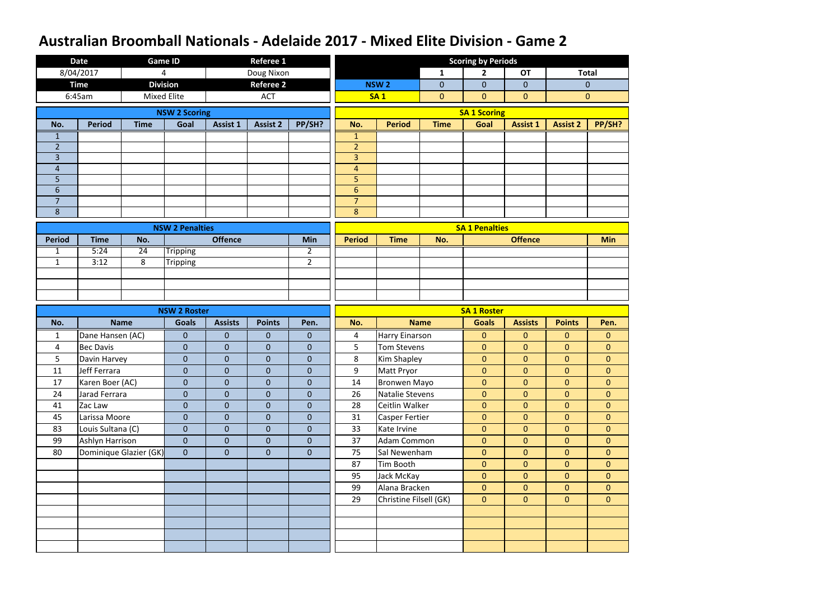|                | <b>Date</b>       |                        | <b>Game ID</b>         |                 | <b>Referee 1</b> |                  |                       |                        |                | <b>Scoring by Periods</b> |                 |                 |                |
|----------------|-------------------|------------------------|------------------------|-----------------|------------------|------------------|-----------------------|------------------------|----------------|---------------------------|-----------------|-----------------|----------------|
|                | 8/04/2017         |                        | 4                      |                 | Doug Nixon       |                  |                       |                        | $\mathbf{1}$   | $\overline{2}$            | <b>OT</b>       |                 | <b>Total</b>   |
|                | <b>Time</b>       |                        | <b>Division</b>        |                 | <b>Referee 2</b> |                  |                       | <b>NSW2</b>            | $\overline{0}$ | $\mathbf{0}$              | $\overline{0}$  |                 | $\mathbf{0}$   |
|                | 6:45am            |                        | Mixed Elite            |                 | <b>ACT</b>       |                  |                       | <b>SA1</b>             | $\overline{0}$ | $\overline{0}$            | $\overline{0}$  |                 | $\overline{0}$ |
|                |                   |                        | <b>NSW 2 Scoring</b>   |                 |                  |                  |                       |                        |                | <b>SA 1 Scoring</b>       |                 |                 |                |
| No.            | <b>Period</b>     | <b>Time</b>            | Goal                   | <b>Assist 1</b> | <b>Assist 2</b>  | PP/SH?           | No.                   | <b>Period</b>          | <b>Time</b>    | Goal                      | <b>Assist 1</b> | <b>Assist 2</b> | PP/SH?         |
| 1              |                   |                        |                        |                 |                  |                  | 1                     |                        |                |                           |                 |                 |                |
| $\overline{2}$ |                   |                        |                        |                 |                  |                  | $\overline{2}$        |                        |                |                           |                 |                 |                |
| $\overline{3}$ |                   |                        |                        |                 |                  |                  | $\overline{3}$        |                        |                |                           |                 |                 |                |
| $\overline{4}$ |                   |                        |                        |                 |                  |                  | $\overline{4}$        |                        |                |                           |                 |                 |                |
| 5<br>6         |                   |                        |                        |                 |                  |                  | 5<br>$6 \overline{6}$ |                        |                |                           |                 |                 |                |
| $\overline{7}$ |                   |                        |                        |                 |                  |                  | $\overline{7}$        |                        |                |                           |                 |                 |                |
| 8              |                   |                        |                        |                 |                  |                  | 8                     |                        |                |                           |                 |                 |                |
|                |                   |                        |                        |                 |                  |                  |                       |                        |                |                           |                 |                 |                |
| <b>Period</b>  | <b>Time</b>       | No.                    | <b>NSW 2 Penalties</b> | <b>Offence</b>  |                  | Min              | <b>Period</b>         | <b>Time</b>            | No.            | <b>SA 1 Penalties</b>     | <b>Offence</b>  |                 | <b>Min</b>     |
| $\mathbf{1}$   | 5:24              | 24                     | <b>Tripping</b>        |                 |                  | $\overline{2}$   |                       |                        |                |                           |                 |                 |                |
| $\mathbf{1}$   | 3:12              | 8                      | <b>Tripping</b>        |                 |                  | $\overline{2}$   |                       |                        |                |                           |                 |                 |                |
|                |                   |                        |                        |                 |                  |                  |                       |                        |                |                           |                 |                 |                |
|                |                   |                        |                        |                 |                  |                  |                       |                        |                |                           |                 |                 |                |
|                |                   |                        |                        |                 |                  |                  |                       |                        |                |                           |                 |                 |                |
|                |                   |                        |                        |                 |                  |                  |                       |                        |                |                           |                 |                 |                |
|                |                   |                        | <b>NSW 2 Roster</b>    |                 |                  |                  |                       |                        |                | <b>SA 1 Roster</b>        |                 |                 |                |
| No.            |                   | <b>Name</b>            | <b>Goals</b>           | <b>Assists</b>  | <b>Points</b>    | Pen.             | No.                   |                        | <b>Name</b>    | <b>Goals</b>              | <b>Assists</b>  | <b>Points</b>   | Pen.           |
| $\mathbf{1}$   | Dane Hansen (AC)  |                        | $\overline{0}$         | $\overline{0}$  | $\mathbf{0}$     | $\mathbf{0}$     | 4                     | Harry Einarson         |                | $\mathbf{0}$              | $\mathbf{0}$    | $\overline{0}$  | $\mathbf{0}$   |
| 4              | <b>Bec Davis</b>  |                        | $\overline{0}$         | $\overline{0}$  | $\mathbf{0}$     | $\mathbf{0}$     | 5                     | <b>Tom Stevens</b>     |                | $\mathbf{0}$              | $\overline{0}$  | $\overline{0}$  | $\overline{0}$ |
| 5              | Davin Harvey      |                        | $\overline{0}$         | $\overline{0}$  | $\overline{0}$   | $\boldsymbol{0}$ | 8                     | Kim Shapley            |                | $\mathbf{0}$              | $\mathbf{0}$    | $\overline{0}$  | $\overline{0}$ |
| 11             | Jeff Ferrara      |                        | $\overline{0}$         | $\overline{0}$  | $\mathbf{0}$     | $\pmb{0}$        | 9                     | Matt Pryor             |                | $\mathbf{0}$              | $\overline{0}$  | $\overline{0}$  | $\overline{0}$ |
| 17             | Karen Boer (AC)   |                        | $\overline{0}$         | $\overline{0}$  | $\overline{0}$   | $\overline{0}$   | 14                    | <b>Bronwen Mayo</b>    |                | $\overline{0}$            | $\overline{0}$  | $\overline{0}$  | $\overline{0}$ |
| 24             | Jarad Ferrara     |                        | $\overline{0}$         | $\overline{0}$  | $\overline{0}$   | $\mathbf{0}$     | 26                    | Natalie Stevens        |                | $\mathbf{0}$              | $\overline{0}$  | $\overline{0}$  | $\overline{0}$ |
| 41             | Zac Law           |                        | $\overline{0}$         | $\overline{0}$  | $\overline{0}$   | $\mathbf{0}$     | 28                    | Ceitlin Walker         |                | $\mathbf{0}$              | $\overline{0}$  | $\overline{0}$  | $\overline{0}$ |
| 45             | Larissa Moore     |                        | $\overline{0}$         | $\overline{0}$  | $\overline{0}$   | $\overline{0}$   | 31                    | <b>Casper Fertier</b>  |                | $\mathbf{0}$              | $\overline{0}$  | $\overline{0}$  | $\overline{0}$ |
| 83             | Louis Sultana (C) |                        | $\overline{0}$         | $\overline{0}$  | $\overline{0}$   | $\overline{0}$   | 33                    | Kate Irvine            |                | $\mathbf{0}$              | $\overline{0}$  | $\overline{0}$  | $\overline{0}$ |
| 99             | Ashlyn Harrison   |                        | $\overline{0}$         | $\overline{0}$  | $\overline{0}$   | $\mathbf{0}$     | 37                    | Adam Common            |                | $\mathbf{0}$              | $\overline{0}$  | $\overline{0}$  | $\overline{0}$ |
| 80             |                   | Dominique Glazier (GK) | $\overline{0}$         | $\overline{0}$  | $\overline{0}$   | $\mathbf{0}$     | 75                    | Sal Newenham           |                | $\mathbf{0}$              | $\overline{0}$  | $\overline{0}$  | $\overline{0}$ |
|                |                   |                        |                        |                 |                  |                  | 87                    | Tim Booth              |                | $\mathbf{0}$              | $\overline{0}$  | $\overline{0}$  | $\overline{0}$ |
|                |                   |                        |                        |                 |                  |                  | 95                    | Jack McKay             |                | $\mathbf{0}$              | $\overline{0}$  | $\overline{0}$  | $\overline{0}$ |
|                |                   |                        |                        |                 |                  |                  | 99                    | Alana Bracken          |                | $\mathbf{0}$              | $\overline{0}$  | $\overline{0}$  | $\overline{0}$ |
|                |                   |                        |                        |                 |                  |                  | 29                    | Christine Filsell (GK) |                | $\mathbf{0}$              | $\overline{0}$  | $\overline{0}$  | $\overline{0}$ |
|                |                   |                        |                        |                 |                  |                  |                       |                        |                |                           |                 |                 |                |
|                |                   |                        |                        |                 |                  |                  |                       |                        |                |                           |                 |                 |                |
|                |                   |                        |                        |                 |                  |                  |                       |                        |                |                           |                 |                 |                |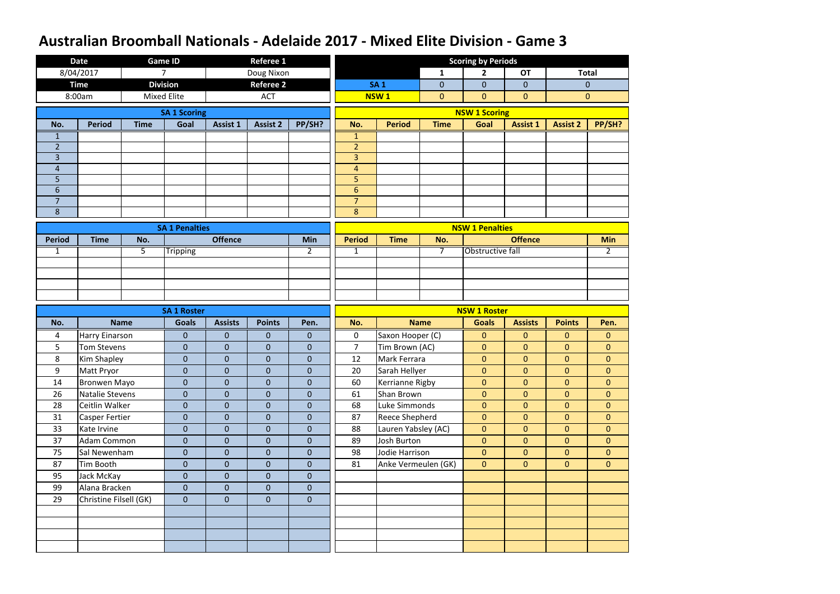|                | <b>Date</b>            |             | <b>Game ID</b>        |                 | <b>Referee 1</b> |                |                     |                       |                | <b>Scoring by Periods</b> |                  |                 |                |
|----------------|------------------------|-------------|-----------------------|-----------------|------------------|----------------|---------------------|-----------------------|----------------|---------------------------|------------------|-----------------|----------------|
|                | 8/04/2017              |             | 7                     |                 | Doug Nixon       |                |                     |                       | $\mathbf{1}$   | $\overline{2}$            | <b>OT</b>        |                 | <b>Total</b>   |
|                | <b>Time</b>            |             | <b>Division</b>       |                 | <b>Referee 2</b> |                |                     | <b>SA1</b>            | $\overline{0}$ | $\mathbf 0$               | $\mathbf{0}$     |                 | $\mathbf{0}$   |
|                | 8:00am                 |             | <b>Mixed Elite</b>    |                 | <b>ACT</b>       |                |                     | <b>NSW1</b>           | $\overline{0}$ | $\overline{0}$            | $\mathbf{0}$     |                 | $\mathbf{0}$   |
|                |                        |             | <b>SA 1 Scoring</b>   |                 |                  |                |                     |                       |                | <b>NSW 1 Scoring</b>      |                  |                 |                |
| No.            | <b>Period</b>          | <b>Time</b> | Goal                  | <b>Assist 1</b> | <b>Assist 2</b>  | PP/SH?         | No.                 | <b>Period</b>         | <b>Time</b>    | Goal                      | <b>Assist 1</b>  | <b>Assist 2</b> | PP/SH?         |
| 1              |                        |             |                       |                 |                  |                | $\mathbf{1}$        |                       |                |                           |                  |                 |                |
| $\overline{2}$ |                        |             |                       |                 |                  |                | $\overline{2}$      |                       |                |                           |                  |                 |                |
| $\overline{3}$ |                        |             |                       |                 |                  |                | $\overline{3}$      |                       |                |                           |                  |                 |                |
| $\overline{4}$ |                        |             |                       |                 |                  |                | $\overline{4}$      |                       |                |                           |                  |                 |                |
| 5<br>6         |                        |             |                       |                 |                  |                | 5<br>$6\phantom{1}$ |                       |                |                           |                  |                 |                |
| $\overline{7}$ |                        |             |                       |                 |                  |                | $\overline{7}$      |                       |                |                           |                  |                 |                |
| 8              |                        |             |                       |                 |                  |                | 8                   |                       |                |                           |                  |                 |                |
|                |                        |             |                       |                 |                  |                |                     |                       |                |                           |                  |                 |                |
| <b>Period</b>  | <b>Time</b>            | No.         | <b>SA 1 Penalties</b> | <b>Offence</b>  |                  | <b>Min</b>     | <b>Period</b>       | <b>Time</b>           | No.            | <b>NSW 1 Penalties</b>    | <b>Offence</b>   |                 | <b>Min</b>     |
| $\mathbf{1}$   |                        | 5           | <b>Tripping</b>       |                 |                  | $\overline{2}$ | $\mathbf{1}$        |                       | 7              | <b>Obstructive fall</b>   |                  |                 | $\overline{2}$ |
|                |                        |             |                       |                 |                  |                |                     |                       |                |                           |                  |                 |                |
|                |                        |             |                       |                 |                  |                |                     |                       |                |                           |                  |                 |                |
|                |                        |             |                       |                 |                  |                |                     |                       |                |                           |                  |                 |                |
|                |                        |             |                       |                 |                  |                |                     |                       |                |                           |                  |                 |                |
|                |                        |             | <b>SA 1 Roster</b>    |                 |                  |                |                     |                       |                | <b>NSW 1 Roster</b>       |                  |                 |                |
| No.            |                        |             |                       |                 | <b>Points</b>    | Pen.           |                     | <b>Name</b>           |                | <b>Goals</b>              | <b>Assists</b>   |                 | Pen.           |
|                |                        | <b>Name</b> | <b>Goals</b>          | <b>Assists</b>  |                  |                | No.                 |                       |                |                           |                  | <b>Points</b>   |                |
| 4              | <b>Harry Einarson</b>  |             | $\overline{0}$        | $\overline{0}$  | 0                | $\mathbf{0}$   | $\mathbf 0$         | Saxon Hooper (C)      |                | $\mathbf{0}$              | $\mathbf{0}$     | $\overline{0}$  | $\mathbf{0}$   |
| 5              | Tom Stevens            |             | $\overline{0}$        | $\overline{0}$  | $\mathbf{0}$     | $\mathbf 0$    | $\overline{7}$      | Tim Brown (AC)        |                | $\mathbf{0}$              | $\overline{0}$   | $\overline{0}$  | $\overline{0}$ |
| 8              | Kim Shapley            |             | $\overline{0}$        | $\overline{0}$  | $\overline{0}$   | $\mathbf 0$    | 12                  | Mark Ferrara          |                | $\mathbf{0}$              | $\mathbf{0}$     | $\overline{0}$  | $\overline{0}$ |
| 9              | Matt Pryor             |             | $\overline{0}$        | $\overline{0}$  | $\overline{0}$   | $\pmb{0}$      | 20                  | Sarah Hellyer         |                | $\mathbf{0}$              | $\overline{0}$   | $\overline{0}$  | $\overline{0}$ |
| 14             | <b>Bronwen Mayo</b>    |             | $\overline{0}$        | $\overline{0}$  | $\overline{0}$   | $\overline{0}$ | 60                  | Kerrianne Rigby       |                | $\overline{0}$            | $\overline{0}$   | $\overline{0}$  | $\overline{0}$ |
| 26             | Natalie Stevens        |             | $\overline{0}$        | $\overline{0}$  | $\overline{0}$   | $\mathbf{0}$   | 61                  | Shan Brown            |                | $\mathbf{0}$              | $\overline{0}$   | $\overline{0}$  | $\overline{0}$ |
| 28             | Ceitlin Walker         |             | $\boldsymbol{0}$      | $\overline{0}$  | $\overline{0}$   | $\mathbf 0$    | 68                  | Luke Simmonds         |                | $\mathbf{0}$              | $\boldsymbol{0}$ | $\overline{0}$  | $\overline{0}$ |
| 31             | <b>Casper Fertier</b>  |             | $\overline{0}$        | $\overline{0}$  | $\overline{0}$   | $\mathbf{0}$   | 87                  | <b>Reece Shepherd</b> |                | $\overline{0}$            | $\overline{0}$   | $\overline{0}$  | $\overline{0}$ |
| 33             | Kate Irvine            |             | $\overline{0}$        | $\overline{0}$  | $\overline{0}$   | $\mathbf{0}$   | 88                  | Lauren Yabsley (AC)   |                | $\mathbf{0}$              | $\overline{0}$   | $\overline{0}$  | $\overline{0}$ |
| 37             | Adam Common            |             | $\overline{0}$        | $\overline{0}$  | $\overline{0}$   | $\mathbf 0$    | 89                  | Josh Burton           |                | $\mathbf{0}$              | $\overline{0}$   | $\overline{0}$  | $\overline{0}$ |
| 75             | Sal Newenham           |             | $\overline{0}$        | $\overline{0}$  | $\mathbf{0}$     | $\mathbf{0}$   | 98                  | Jodie Harrison        |                | $\overline{0}$            | $\overline{0}$   | $\overline{0}$  | $\overline{0}$ |
| 87             | Tim Booth              |             | $\overline{0}$        | $\overline{0}$  | $\overline{0}$   | $\overline{0}$ | 81                  | Anke Vermeulen (GK)   |                | $\overline{0}$            | $\overline{0}$   | $\overline{0}$  | $\overline{0}$ |
| 95             | Jack McKay             |             | $\overline{0}$        | $\overline{0}$  | $\overline{0}$   | $\overline{0}$ |                     |                       |                |                           |                  |                 |                |
| 99             | Alana Bracken          |             | $\overline{0}$        | $\overline{0}$  | $\overline{0}$   | $\overline{0}$ |                     |                       |                |                           |                  |                 |                |
| 29             | Christine Filsell (GK) |             | $\overline{0}$        | $\overline{0}$  | $\overline{0}$   | $\mathbf{0}$   |                     |                       |                |                           |                  |                 |                |
|                |                        |             |                       |                 |                  |                |                     |                       |                |                           |                  |                 |                |
|                |                        |             |                       |                 |                  |                |                     |                       |                |                           |                  |                 |                |
|                |                        |             |                       |                 |                  |                |                     |                       |                |                           |                  |                 |                |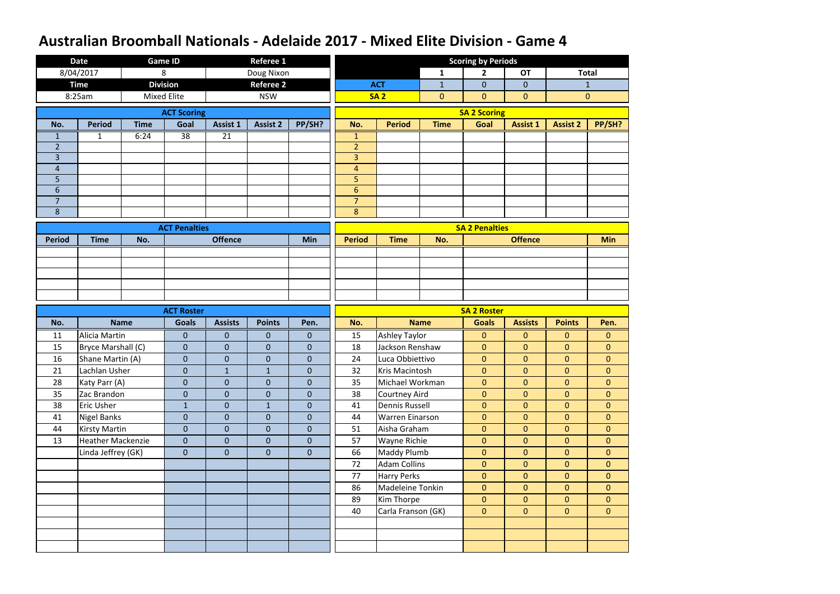|                | <b>Date</b>              |             | <b>Game ID</b>       |                 | <b>Referee 1</b> |                  |                |                        |                | <b>Scoring by Periods</b> |                 |                 |                  |
|----------------|--------------------------|-------------|----------------------|-----------------|------------------|------------------|----------------|------------------------|----------------|---------------------------|-----------------|-----------------|------------------|
|                | 8/04/2017                |             | 8                    |                 | Doug Nixon       |                  |                |                        | $\mathbf{1}$   | $\overline{2}$            | <b>OT</b>       |                 | <b>Total</b>     |
|                | <b>Time</b>              |             | <b>Division</b>      |                 | <b>Referee 2</b> |                  |                | <b>ACT</b>             | $\mathbf{1}$   | $\mathbf{0}$              | $\mathbf{0}$    |                 | $\mathbf{1}$     |
|                | 8:25am                   |             | <b>Mixed Elite</b>   |                 | <b>NSW</b>       |                  |                | <b>SA2</b>             | $\overline{0}$ | $\mathbf{0}$              | $\mathbf{0}$    |                 | $\boldsymbol{0}$ |
|                |                          |             | <b>ACT Scoring</b>   |                 |                  |                  |                |                        |                | <b>SA 2 Scoring</b>       |                 |                 |                  |
| No.            | <b>Period</b>            | <b>Time</b> | Goal                 | Assist 1        | <b>Assist 2</b>  | PP/SH?           | No.            | <b>Period</b>          | <b>Time</b>    | Goal                      | <b>Assist 1</b> | <b>Assist 2</b> | PP/SH?           |
| $\mathbf 1$    | 1                        | 6:24        | $\overline{38}$      | $\overline{21}$ |                  |                  | 1              |                        |                |                           |                 |                 |                  |
| $\overline{2}$ |                          |             |                      |                 |                  |                  | $\overline{2}$ |                        |                |                           |                 |                 |                  |
| 3              |                          |             |                      |                 |                  |                  | 3              |                        |                |                           |                 |                 |                  |
| $\overline{4}$ |                          |             |                      |                 |                  |                  | $\overline{4}$ |                        |                |                           |                 |                 |                  |
| 5              |                          |             |                      |                 |                  |                  | 5              |                        |                |                           |                 |                 |                  |
| 6              |                          |             |                      |                 |                  |                  | $6\phantom{1}$ |                        |                |                           |                 |                 |                  |
| $\overline{7}$ |                          |             |                      |                 |                  |                  | $\overline{7}$ |                        |                |                           |                 |                 |                  |
| 8              |                          |             |                      |                 |                  |                  | 8              |                        |                |                           |                 |                 |                  |
|                |                          |             | <b>ACT Penalties</b> |                 |                  |                  |                |                        |                | <b>SA 2 Penalties</b>     |                 |                 |                  |
| <b>Period</b>  | <b>Time</b>              | No.         |                      | <b>Offence</b>  |                  | Min              | <b>Period</b>  | <b>Time</b>            | No.            |                           | <b>Offence</b>  |                 | <b>Min</b>       |
|                |                          |             |                      |                 |                  |                  |                |                        |                |                           |                 |                 |                  |
|                |                          |             |                      |                 |                  |                  |                |                        |                |                           |                 |                 |                  |
|                |                          |             |                      |                 |                  |                  |                |                        |                |                           |                 |                 |                  |
|                |                          |             |                      |                 |                  |                  |                |                        |                |                           |                 |                 |                  |
|                |                          |             |                      |                 |                  |                  |                |                        |                |                           |                 |                 |                  |
|                |                          |             | <b>ACT Roster</b>    |                 |                  |                  |                |                        |                | <b>SA 2 Roster</b>        |                 |                 |                  |
| No.            |                          | <b>Name</b> | <b>Goals</b>         | <b>Assists</b>  | <b>Points</b>    | Pen.             | No.            |                        | <b>Name</b>    | <b>Goals</b>              | <b>Assists</b>  | <b>Points</b>   | Pen.             |
| 11             | Alicia Martin            |             | $\mathbf{0}$         | $\mathbf{0}$    | $\mathbf{0}$     | $\mathbf{0}$     | 15             | <b>Ashley Taylor</b>   |                | $\mathbf{0}$              | $\mathbf{0}$    | $\overline{0}$  | $\mathbf{0}$     |
| 15             | Bryce Marshall (C)       |             | $\overline{0}$       | $\overline{0}$  | $\mathbf{0}$     | $\mathbf{0}$     | 18             | Jackson Renshaw        |                | $\mathbf{0}$              | $\mathbf{0}$    | $\overline{0}$  | $\overline{0}$   |
| 16             | Shane Martin (A)         |             | $\overline{0}$       | $\mathbf{0}$    | $\overline{0}$   | $\boldsymbol{0}$ | 24             | Luca Obbiettivo        |                | $\boldsymbol{0}$          | $\mathbf{0}$    | $\overline{0}$  | $\mathbf 0$      |
| 21             | Lachlan Usher            |             | $\overline{0}$       | $\mathbf{1}$    | $\mathbf{1}$     | $\pmb{0}$        | 32             | Kris Macintosh         |                | $\mathbf{0}$              | $\overline{0}$  | $\overline{0}$  | $\mathbf{0}$     |
| 28             | Katy Parr (A)            |             | $\overline{0}$       | $\overline{0}$  | $\overline{0}$   | $\overline{0}$   | 35             | Michael Workman        |                | $\mathbf{0}$              | $\overline{0}$  | $\overline{0}$  | $\overline{0}$   |
| 35             | Zac Brandon              |             | $\overline{0}$       | $\overline{0}$  | $\mathbf{0}$     | $\mathbf{0}$     | 38             | Courtney Aird          |                | $\mathbf{0}$              | $\overline{0}$  | $\overline{0}$  | $\overline{0}$   |
| 38             | <b>Eric Usher</b>        |             | $\mathbf{1}$         | $\overline{0}$  | $\mathbf{1}$     | $\mathbf{0}$     | 41             | <b>Dennis Russell</b>  |                | $\mathbf{0}$              | $\mathbf{0}$    | $\overline{0}$  | $\overline{0}$   |
| 41             | <b>Nigel Banks</b>       |             | $\overline{0}$       | $\overline{0}$  | $\overline{0}$   | $\overline{0}$   | 44             | <b>Warren Einarson</b> |                | $\mathbf{0}$              | $\overline{0}$  | $\overline{0}$  | $\overline{0}$   |
| 44             | <b>Kirsty Martin</b>     |             | $\overline{0}$       | $\overline{0}$  | $\overline{0}$   | $\mathbf{0}$     | 51             | Aisha Graham           |                | $\mathbf{0}$              | $\overline{0}$  | $\overline{0}$  | $\overline{0}$   |
| 13             | <b>Heather Mackenzie</b> |             | $\overline{0}$       | $\overline{0}$  | $\mathbf{0}$     | $\overline{0}$   | 57             | <b>Wayne Richie</b>    |                | $\mathbf{0}$              | $\overline{0}$  | $\overline{0}$  | $\overline{0}$   |
|                | Linda Jeffrey (GK)       |             | $\overline{0}$       | $\overline{0}$  | $\mathbf{0}$     | $\mathbf 0$      | 66             | Maddy Plumb            |                | $\mathbf{0}$              | $\overline{0}$  | $\overline{0}$  | $\overline{0}$   |
|                |                          |             |                      |                 |                  |                  | 72             | <b>Adam Collins</b>    |                | $\mathbf{0}$              | $\mathbf{0}$    | $\overline{0}$  | $\overline{0}$   |
|                |                          |             |                      |                 |                  |                  | 77             | <b>Harry Perks</b>     |                | $\mathbf{0}$              | $\overline{0}$  | $\overline{0}$  | $\overline{0}$   |
|                |                          |             |                      |                 |                  |                  | 86             | Madeleine Tonkin       |                | $\mathbf{0}$              | $\overline{0}$  | $\overline{0}$  | $\overline{0}$   |
|                |                          |             |                      |                 |                  |                  | 89             | Kim Thorpe             |                | $\mathbf{0}$              | $\overline{0}$  | $\overline{0}$  | $\overline{0}$   |
|                |                          |             |                      |                 |                  |                  | 40             | Carla Franson (GK)     |                | $\mathbf{0}$              | $\overline{0}$  | $\overline{0}$  | $\mathbf{0}$     |
|                |                          |             |                      |                 |                  |                  |                |                        |                |                           |                 |                 |                  |
|                |                          |             |                      |                 |                  |                  |                |                        |                |                           |                 |                 |                  |
|                |                          |             |                      |                 |                  |                  |                |                        |                |                           |                 |                 |                  |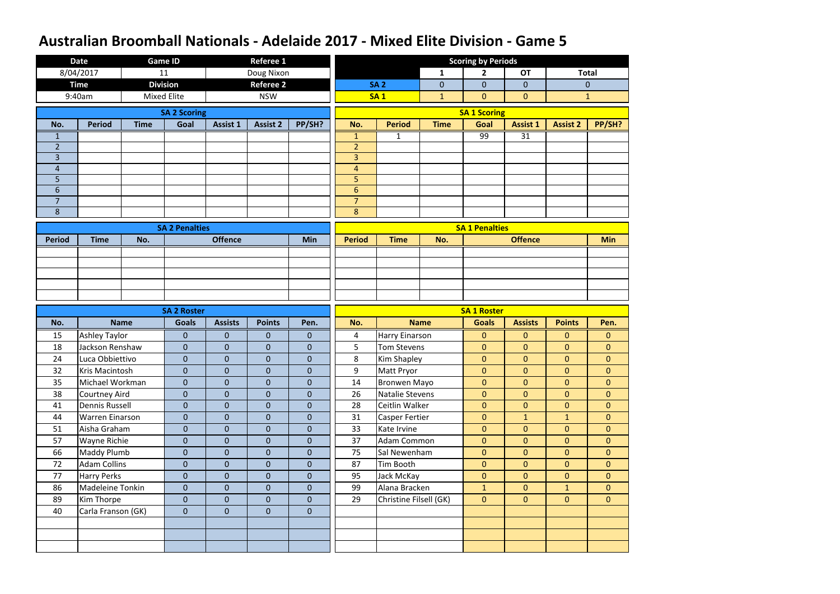|                     | <b>Date</b>            |                    | Game ID               |                 | <b>Referee 1</b> |                |                                  |                        |                | <b>Scoring by Periods</b> |                 |                 |                |
|---------------------|------------------------|--------------------|-----------------------|-----------------|------------------|----------------|----------------------------------|------------------------|----------------|---------------------------|-----------------|-----------------|----------------|
|                     | 8/04/2017              | 11                 |                       |                 | Doug Nixon       |                |                                  |                        | $\mathbf{1}$   | $\overline{2}$            | <b>OT</b>       |                 | <b>Total</b>   |
|                     | <b>Time</b>            |                    | <b>Division</b>       |                 | <b>Referee 2</b> |                |                                  | <b>SA 2</b>            | $\overline{0}$ | $\mathbf{0}$              | $\mathbf{0}$    |                 | $\mathbf{0}$   |
|                     | 9:40am                 | <b>Mixed Elite</b> |                       |                 | <b>NSW</b>       |                |                                  | <b>SA1</b>             | $\mathbf{1}$   | $\mathbf{0}$              | $\mathbf{0}$    |                 | $\mathbf{1}$   |
|                     |                        |                    | <b>SA 2 Scoring</b>   |                 |                  |                |                                  |                        |                | <b>SA 1 Scoring</b>       |                 |                 |                |
| No.                 | <b>Period</b>          | <b>Time</b>        | Goal                  | <b>Assist 1</b> | <b>Assist 2</b>  | PP/SH?         | No.                              | <b>Period</b>          | <b>Time</b>    | Goal                      | <b>Assist 1</b> | <b>Assist 2</b> | PP/SH?         |
| 1                   |                        |                    |                       |                 |                  |                | 1                                | 1                      |                | 99                        | 31              |                 |                |
| $\overline{2}$      |                        |                    |                       |                 |                  |                | $\overline{2}$                   |                        |                |                           |                 |                 |                |
| 3                   |                        |                    |                       |                 |                  |                | $\overline{3}$                   |                        |                |                           |                 |                 |                |
| $\overline{4}$      |                        |                    |                       |                 |                  |                | $\overline{4}$                   |                        |                |                           |                 |                 |                |
| 5                   |                        |                    |                       |                 |                  |                | 5                                |                        |                |                           |                 |                 |                |
| 6<br>$\overline{7}$ |                        |                    |                       |                 |                  |                | $\overline{6}$<br>$\overline{7}$ |                        |                |                           |                 |                 |                |
| 8                   |                        |                    |                       |                 |                  |                | 8                                |                        |                |                           |                 |                 |                |
|                     |                        |                    |                       |                 |                  |                |                                  |                        |                |                           |                 |                 |                |
|                     |                        |                    | <b>SA 2 Penalties</b> |                 |                  |                |                                  |                        |                | <b>SA 1 Penalties</b>     |                 |                 |                |
| <b>Period</b>       | <b>Time</b>            | No.                |                       | <b>Offence</b>  |                  | Min            | <b>Period</b>                    | <b>Time</b>            | No.            |                           | <b>Offence</b>  |                 | <b>Min</b>     |
|                     |                        |                    |                       |                 |                  |                |                                  |                        |                |                           |                 |                 |                |
|                     |                        |                    |                       |                 |                  |                |                                  |                        |                |                           |                 |                 |                |
|                     |                        |                    |                       |                 |                  |                |                                  |                        |                |                           |                 |                 |                |
|                     |                        |                    |                       |                 |                  |                |                                  |                        |                |                           |                 |                 |                |
|                     |                        |                    | <b>SA 2 Roster</b>    |                 |                  |                |                                  |                        |                | <b>SA 1 Roster</b>        |                 |                 |                |
| No.                 |                        | <b>Name</b>        | <b>Goals</b>          | <b>Assists</b>  | <b>Points</b>    | Pen.           | No.                              |                        | <b>Name</b>    | <b>Goals</b>              | <b>Assists</b>  | <b>Points</b>   | Pen.           |
| 15                  | <b>Ashley Taylor</b>   |                    | $\overline{0}$        | $\overline{0}$  | 0                | $\overline{0}$ | 4                                | Harry Einarson         |                | $\mathbf{0}$              | $\mathbf{0}$    | $\overline{0}$  | $\mathbf{0}$   |
| 18                  | Jackson Renshaw        |                    | $\overline{0}$        | $\overline{0}$  | $\mathbf 0$      | $\overline{0}$ | 5                                | <b>Tom Stevens</b>     |                | $\mathbf{0}$              | $\mathbf{0}$    | $\overline{0}$  | $\overline{0}$ |
| 24                  | Luca Obbiettivo        |                    | $\overline{0}$        | $\mathbf{0}$    | $\mathbf{0}$     | $\mathbf{0}$   | 8                                | <b>Kim Shapley</b>     |                | $\mathbf{0}$              | $\mathbf{0}$    | $\overline{0}$  | $\overline{0}$ |
| 32                  | Kris Macintosh         |                    | $\overline{0}$        | $\overline{0}$  | $\boldsymbol{0}$ | $\pmb{0}$      | 9                                | Matt Pryor             |                | $\mathbf{0}$              | $\overline{0}$  | $\overline{0}$  | $\overline{0}$ |
| 35                  | Michael Workman        |                    | $\overline{0}$        | $\overline{0}$  | $\overline{0}$   | $\mathbf{0}$   | 14                               | <b>Bronwen Mayo</b>    |                | $\mathbf{0}$              | $\overline{0}$  | $\overline{0}$  | $\overline{0}$ |
| 38                  | Courtney Aird          |                    | $\overline{0}$        | $\overline{0}$  | $\overline{0}$   | $\mathbf{0}$   | 26                               | Natalie Stevens        |                | $\mathbf{0}$              | $\overline{0}$  | $\overline{0}$  | $\overline{0}$ |
| 41                  | <b>Dennis Russell</b>  |                    | $\boldsymbol{0}$      | $\overline{0}$  | $\mathbf{0}$     | $\mathbf{0}$   | 28                               | Ceitlin Walker         |                | $\mathbf{0}$              | $\mathbf{0}$    | $\overline{0}$  | $\overline{0}$ |
| 44                  | <b>Warren Einarson</b> |                    | $\overline{0}$        | $\overline{0}$  | $\overline{0}$   | $\mathbf{0}$   | 31                               | <b>Casper Fertier</b>  |                | $\mathbf{0}$              | $\mathbf{1}$    | 1               | $\overline{0}$ |
| 51                  | Aisha Graham           |                    | $\mathbf{0}$          | $\overline{0}$  | $\mathbf{0}$     | $\mathbf{0}$   | 33                               | Kate Irvine            |                | $\mathbf{0}$              | $\overline{0}$  | $\overline{0}$  | $\overline{0}$ |
| 57                  | <b>Wayne Richie</b>    |                    | $\overline{0}$        | $\overline{0}$  | $\mathbf{0}$     | $\mathbf{0}$   | 37                               | <b>Adam Common</b>     |                | $\mathbf{0}$              | $\overline{0}$  | $\overline{0}$  | $\overline{0}$ |
| 66                  | <b>Maddy Plumb</b>     |                    | $\mathbf{0}$          | $\overline{0}$  | $\mathbf{0}$     | $\overline{0}$ | 75                               | Sal Newenham           |                | $\mathbf{0}$              | $\overline{0}$  | $\overline{0}$  | $\overline{0}$ |
| 72                  | <b>Adam Collins</b>    |                    | $\overline{0}$        | $\overline{0}$  | $\overline{0}$   | $\mathbf{0}$   | 87                               | Tim Booth              |                | $\mathbf{0}$              | $\overline{0}$  | $\overline{0}$  | $\overline{0}$ |
| 77                  | <b>Harry Perks</b>     |                    | $\mathbf{0}$          | $\overline{0}$  | $\mathbf{0}$     | $\mathbf{0}$   | 95                               | Jack McKay             |                | $\mathbf{0}$              | $\overline{0}$  | $\overline{0}$  | $\overline{0}$ |
| 86                  | Madeleine Tonkin       |                    | $\overline{0}$        | $\overline{0}$  | $\overline{0}$   | $\mathbf{0}$   | 99                               | Alana Bracken          |                | $\mathbf{1}$              | $\overline{0}$  | 1               | $\overline{0}$ |
| 89                  | Kim Thorpe             |                    | $\overline{0}$        | $\overline{0}$  | $\mathbf{0}$     | $\overline{0}$ | 29                               | Christine Filsell (GK) |                | $\mathbf{0}$              | $\overline{0}$  | $\overline{0}$  | $\overline{0}$ |
| 40                  | Carla Franson (GK)     |                    | $\overline{0}$        | $\overline{0}$  | $\overline{0}$   | $\mathbf{0}$   |                                  |                        |                |                           |                 |                 |                |
|                     |                        |                    |                       |                 |                  |                |                                  |                        |                |                           |                 |                 |                |
|                     |                        |                    |                       |                 |                  |                |                                  |                        |                |                           |                 |                 |                |
|                     |                        |                    |                       |                 |                  |                |                                  |                        |                |                           |                 |                 |                |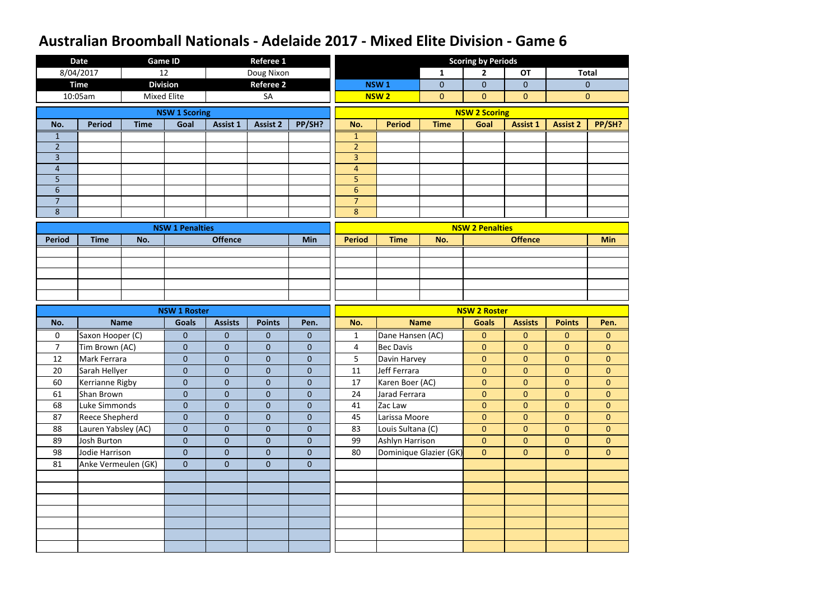|                | <b>Date</b>           | <b>Game ID</b>     |                        |                 | <b>Referee 1</b> |                |                     |                        |                | <b>Scoring by Periods</b> |                 |                 |                |
|----------------|-----------------------|--------------------|------------------------|-----------------|------------------|----------------|---------------------|------------------------|----------------|---------------------------|-----------------|-----------------|----------------|
|                | 8/04/2017             | 12                 |                        |                 | Doug Nixon       |                |                     |                        | $\mathbf{1}$   | $\overline{2}$            | <b>OT</b>       | <b>Total</b>    |                |
|                | <b>Time</b>           | <b>Division</b>    |                        |                 | <b>Referee 2</b> |                |                     | <b>NSW1</b>            | $\overline{0}$ | $\mathbf 0$               | $\overline{0}$  | $\mathbf{0}$    |                |
|                | 10:05am               | <b>Mixed Elite</b> |                        |                 | SA               |                |                     | <b>NSW2</b>            | $\overline{0}$ | $\overline{0}$            | $\mathbf{0}$    | $\mathbf{0}$    |                |
|                |                       |                    | <b>NSW 1 Scoring</b>   |                 |                  |                |                     |                        |                | <b>NSW 2 Scoring</b>      |                 |                 |                |
| No.            | <b>Period</b>         | <b>Time</b>        | Goal                   | <b>Assist 1</b> | <b>Assist 2</b>  | PP/SH?         | No.                 | <b>Period</b>          | <b>Time</b>    | Goal                      | <b>Assist 1</b> | <b>Assist 2</b> | PP/SH?         |
| 1              |                       |                    |                        |                 |                  |                | $\mathbf{1}$        |                        |                |                           |                 |                 |                |
| $\overline{2}$ |                       |                    |                        |                 |                  |                | $\overline{2}$      |                        |                |                           |                 |                 |                |
| $\overline{3}$ |                       |                    |                        |                 |                  |                | $\overline{3}$      |                        |                |                           |                 |                 |                |
| $\overline{4}$ |                       |                    |                        |                 |                  |                | $\overline{4}$      |                        |                |                           |                 |                 |                |
| 5<br>6         |                       |                    |                        |                 |                  |                | 5<br>$6\phantom{a}$ |                        |                |                           |                 |                 |                |
| $\overline{7}$ |                       |                    |                        |                 |                  |                | $\overline{7}$      |                        |                |                           |                 |                 |                |
| 8              |                       |                    |                        |                 |                  |                | 8                   |                        |                |                           |                 |                 |                |
|                |                       |                    | <b>NSW 1 Penalties</b> |                 |                  |                |                     |                        |                | <b>NSW 2 Penalties</b>    |                 |                 |                |
| <b>Period</b>  | <b>Time</b>           | No.                |                        | <b>Offence</b>  |                  | <b>Min</b>     | <b>Period</b>       | <b>Time</b>            | No.            |                           | <b>Offence</b>  |                 | <b>Min</b>     |
|                |                       |                    |                        |                 |                  |                |                     |                        |                |                           |                 |                 |                |
|                |                       |                    |                        |                 |                  |                |                     |                        |                |                           |                 |                 |                |
|                |                       |                    |                        |                 |                  |                |                     |                        |                |                           |                 |                 |                |
|                |                       |                    |                        |                 |                  |                |                     |                        |                |                           |                 |                 |                |
|                |                       |                    |                        |                 |                  |                |                     |                        |                |                           |                 |                 |                |
|                |                       |                    | <b>NSW 1 Roster</b>    |                 |                  |                |                     |                        |                | <b>NSW 2 Roster</b>       |                 |                 |                |
| No.            | <b>Name</b>           |                    | <b>Goals</b>           | <b>Assists</b>  | <b>Points</b>    | Pen.           | No.                 | <b>Name</b>            |                | <b>Goals</b>              | <b>Assists</b>  | <b>Points</b>   | Pen.           |
| $\mathbf 0$    | Saxon Hooper (C)      |                    | $\mathbf{0}$           | $\overline{0}$  | 0                | $\mathbf{0}$   | $\mathbf{1}$        | Dane Hansen (AC)       |                | $\mathbf{0}$              | $\mathbf{0}$    | $\overline{0}$  | $\mathbf{0}$   |
| $\overline{7}$ | Tim Brown (AC)        |                    | $\overline{0}$         | $\overline{0}$  | $\mathbf{0}$     | $\mathbf{0}$   | $\overline{4}$      | <b>Bec Davis</b>       |                | $\overline{0}$            | $\mathbf{0}$    | $\overline{0}$  | $\overline{0}$ |
| 12             | Mark Ferrara          |                    |                        |                 |                  | $\mathbf 0$    |                     |                        |                |                           |                 |                 |                |
|                |                       |                    | $\overline{0}$         | $\overline{0}$  | $\overline{0}$   |                | 5                   | Davin Harvey           |                | $\mathbf{0}$              | $\mathbf{0}$    | $\overline{0}$  | $\overline{0}$ |
| 20             | Sarah Hellyer         |                    | $\overline{0}$         | $\overline{0}$  | $\overline{0}$   | $\pmb{0}$      | 11                  | Jeff Ferrara           |                | $\mathbf{0}$              | $\overline{0}$  | $\overline{0}$  | $\overline{0}$ |
| 60             | Kerrianne Rigby       |                    | $\overline{0}$         | $\overline{0}$  | $\overline{0}$   | $\overline{0}$ | 17                  | Karen Boer (AC)        |                | $\overline{0}$            | $\overline{0}$  | $\overline{0}$  | $\overline{0}$ |
| 61             | Shan Brown            |                    | $\overline{0}$         | $\overline{0}$  | $\overline{0}$   | $\mathbf{0}$   | 24                  | Jarad Ferrara          |                | $\overline{0}$            | $\overline{0}$  | $\overline{0}$  | $\overline{0}$ |
| 68             | Luke Simmonds         |                    | $\overline{0}$         | $\overline{0}$  | $\overline{0}$   | $\mathbf{0}$   | 41                  | Zac Law                |                | $\mathbf{0}$              | $\overline{0}$  | $\overline{0}$  | $\overline{0}$ |
| 87             | <b>Reece Shepherd</b> |                    | $\overline{0}$         | $\overline{0}$  | $\overline{0}$   | $\mathbf{0}$   | 45                  | Larissa Moore          |                | $\overline{0}$            | $\overline{0}$  | $\overline{0}$  | $\overline{0}$ |
| 88             | Lauren Yabsley (AC)   |                    | $\overline{0}$         | $\overline{0}$  | $\overline{0}$   | $\overline{0}$ | 83                  | Louis Sultana (C)      |                | $\overline{0}$            | $\overline{0}$  | $\overline{0}$  | $\overline{0}$ |
| 89             | Josh Burton           |                    | $\overline{0}$         | $\overline{0}$  | $\overline{0}$   | $\mathbf{0}$   | 99                  | Ashlyn Harrison        |                | $\mathbf{0}$              | $\overline{0}$  | $\overline{0}$  | $\overline{0}$ |
| 98             | Jodie Harrison        |                    | $\overline{0}$         | $\overline{0}$  | $\overline{0}$   | $\overline{0}$ | 80                  | Dominique Glazier (GK) |                | $\overline{0}$            | $\overline{0}$  | $\overline{0}$  | $\overline{0}$ |
| 81             | Anke Vermeulen (GK)   |                    | $\overline{0}$         | $\overline{0}$  | $\overline{0}$   | $\overline{0}$ |                     |                        |                |                           |                 |                 |                |
|                |                       |                    |                        |                 |                  |                |                     |                        |                |                           |                 |                 |                |
|                |                       |                    |                        |                 |                  |                |                     |                        |                |                           |                 |                 |                |
|                |                       |                    |                        |                 |                  |                |                     |                        |                |                           |                 |                 |                |
|                |                       |                    |                        |                 |                  |                |                     |                        |                |                           |                 |                 |                |
|                |                       |                    |                        |                 |                  |                |                     |                        |                |                           |                 |                 |                |
|                |                       |                    |                        |                 |                  |                |                     |                        |                |                           |                 |                 |                |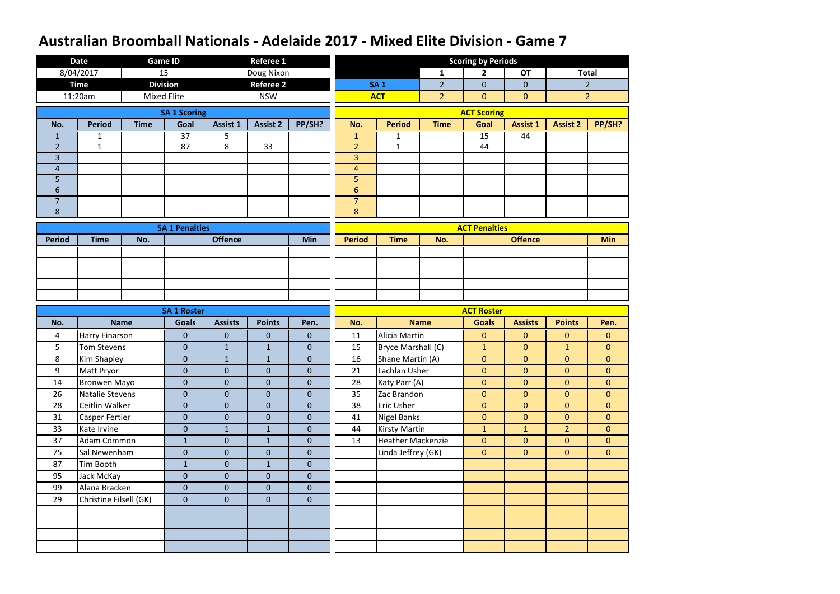|                     | <b>Date</b>                          |                    | <b>Game ID</b>                     |                                | <b>Referee 1</b>             |                              |                         |                                        |                | <b>Scoring by Periods</b>         |                              |                                |                                |
|---------------------|--------------------------------------|--------------------|------------------------------------|--------------------------------|------------------------------|------------------------------|-------------------------|----------------------------------------|----------------|-----------------------------------|------------------------------|--------------------------------|--------------------------------|
|                     | 8/04/2017                            | 15                 |                                    |                                | Doug Nixon                   |                              |                         |                                        | $\mathbf{1}$   | $\overline{2}$                    | <b>OT</b>                    |                                | <b>Total</b>                   |
|                     | <b>Time</b>                          |                    | <b>Division</b>                    |                                | <b>Referee 2</b>             |                              |                         | <b>SA1</b>                             | $\overline{2}$ | $\mathbf{0}$                      | $\mathbf{0}$                 |                                | $\overline{2}$                 |
|                     | 11:20am                              | <b>Mixed Elite</b> |                                    |                                | <b>NSW</b>                   |                              |                         | <b>ACT</b>                             | $\overline{2}$ | $\mathbf{0}$                      | $\mathbf{0}$                 |                                | $\overline{2}$                 |
|                     |                                      |                    | <b>SA 1 Scoring</b>                |                                |                              |                              |                         |                                        |                | <b>ACT Scoring</b>                |                              |                                |                                |
| No.                 | <b>Period</b>                        | <b>Time</b>        | Goal                               | Assist 1                       | <b>Assist 2</b>              | PP/SH?                       | No.                     | <b>Period</b>                          | <b>Time</b>    | Goal                              | <b>Assist 1</b>              | <b>Assist 2</b>                | PP/SH?                         |
| 1                   | $\mathbf{1}$                         |                    | $\overline{37}$                    | 5                              |                              |                              | $\mathbf{1}$            | 1                                      |                | $\overline{15}$                   | 44                           |                                |                                |
| $\overline{2}$      | $\mathbf{1}$                         |                    | 87                                 | 8                              | 33                           |                              | $\overline{2}$          | $\mathbf{1}$                           |                | 44                                |                              |                                |                                |
| $\overline{3}$      |                                      |                    |                                    |                                |                              |                              | $\overline{3}$          |                                        |                |                                   |                              |                                |                                |
| $\overline{a}$      |                                      |                    |                                    |                                |                              |                              | $\overline{\mathbf{r}}$ |                                        |                |                                   |                              |                                |                                |
| 5                   |                                      |                    |                                    |                                |                              |                              | 5                       |                                        |                |                                   |                              |                                |                                |
| 6<br>$\overline{7}$ |                                      |                    |                                    |                                |                              |                              | $6\phantom{1}$          |                                        |                |                                   |                              |                                |                                |
| 8                   |                                      |                    |                                    |                                |                              |                              | $\overline{7}$<br>8     |                                        |                |                                   |                              |                                |                                |
|                     |                                      |                    |                                    |                                |                              |                              |                         |                                        |                |                                   |                              |                                |                                |
|                     |                                      |                    | <b>SA 1 Penalties</b>              |                                |                              |                              |                         |                                        |                | <b>ACT Penalties</b>              |                              |                                |                                |
| <b>Period</b>       | <b>Time</b>                          | No.                |                                    | <b>Offence</b>                 |                              | <b>Min</b>                   | <b>Period</b>           | <b>Time</b>                            | No.            |                                   | <b>Offence</b>               |                                | <b>Min</b>                     |
|                     |                                      |                    |                                    |                                |                              |                              |                         |                                        |                |                                   |                              |                                |                                |
|                     |                                      |                    |                                    |                                |                              |                              |                         |                                        |                |                                   |                              |                                |                                |
|                     |                                      |                    |                                    |                                |                              |                              |                         |                                        |                |                                   |                              |                                |                                |
|                     |                                      |                    |                                    |                                |                              |                              |                         |                                        |                |                                   |                              |                                |                                |
|                     |                                      |                    |                                    |                                |                              |                              |                         |                                        |                |                                   |                              |                                |                                |
| No.                 |                                      | <b>Name</b>        | <b>SA 1 Roster</b><br><b>Goals</b> | <b>Assists</b>                 | <b>Points</b>                | Pen.                         | No.                     |                                        | <b>Name</b>    | <b>ACT Roster</b><br><b>Goals</b> | <b>Assists</b>               | <b>Points</b>                  | Pen.                           |
|                     |                                      |                    |                                    |                                |                              |                              |                         |                                        |                |                                   |                              |                                |                                |
| 4<br>5              | Harry Einarson<br><b>Tom Stevens</b> |                    | $\mathbf{0}$<br>$\mathbf{0}$       | $\overline{0}$<br>$\mathbf{1}$ | $\mathbf{0}$<br>$\mathbf{1}$ | $\mathbf{0}$<br>$\mathbf{0}$ | 11<br>15                | Alicia Martin                          |                | $\mathbf{0}$                      | $\mathbf{0}$<br>$\mathbf{0}$ | $\overline{0}$<br>$\mathbf{1}$ | $\mathbf{0}$<br>$\overline{0}$ |
| 8                   | Kim Shapley                          |                    | $\mathbf{0}$                       | $\mathbf{1}$                   | $\mathbf{1}$                 | $\boldsymbol{0}$             | 16                      | Bryce Marshall (C)<br>Shane Martin (A) |                | $\mathbf{1}$<br>$\mathbf{0}$      | $\mathbf{0}$                 | $\overline{0}$                 | $\overline{0}$                 |
| 9                   | Matt Pryor                           |                    | $\overline{0}$                     | $\boldsymbol{0}$               | $\overline{0}$               | $\pmb{0}$                    | 21                      | Lachlan Usher                          |                | $\mathbf{0}$                      | $\mathbf{0}$                 | $\overline{0}$                 | $\overline{0}$                 |
| 14                  | <b>Bronwen Mayo</b>                  |                    | $\overline{0}$                     | $\overline{0}$                 | $\overline{0}$               | $\mathbf{0}$                 | 28                      | Katy Parr (A)                          |                | $\overline{0}$                    | $\overline{0}$               | $\overline{0}$                 | $\overline{0}$                 |
| 26                  | Natalie Stevens                      |                    | $\overline{0}$                     | $\overline{0}$                 | $\boldsymbol{0}$             | $\mathbf{0}$                 | 35                      | Zac Brandon                            |                | $\mathbf{0}$                      | $\overline{0}$               | $\overline{0}$                 | $\overline{0}$                 |
| 28                  | Ceitlin Walker                       |                    | $\overline{0}$                     | $\boldsymbol{0}$               | $\overline{0}$               | $\mathbf 0$                  | 38                      | <b>Eric Usher</b>                      |                | $\boldsymbol{0}$                  | $\overline{0}$               | $\overline{0}$                 | $\overline{0}$                 |
| 31                  | <b>Casper Fertier</b>                |                    | $\overline{0}$                     | $\boldsymbol{0}$               | $\overline{0}$               | $\mathbf{0}$                 | 41                      | <b>Nigel Banks</b>                     |                | $\mathbf{0}$                      | $\overline{0}$               | $\overline{0}$                 | $\overline{0}$                 |
| 33                  | Kate Irvine                          |                    | $\mathbf 0$                        | $\mathbf{1}$                   | $\mathbf{1}$                 | $\mathbf{0}$                 | 44                      | <b>Kirsty Martin</b>                   |                | $\mathbf{1}$                      | $\mathbf{1}$                 | 2 <sup>1</sup>                 | $\overline{0}$                 |
| 37                  | Adam Common                          |                    | $\mathbf{1}$                       | $\overline{0}$                 | $\mathbf{1}$                 | $\mathbf{0}$                 | 13                      | <b>Heather Mackenzie</b>               |                | $\overline{0}$                    | $\overline{0}$               | $\overline{0}$                 | $\overline{0}$                 |
| 75                  | Sal Newenham                         |                    | $\mathbf 0$                        | $\boldsymbol{0}$               | $\overline{0}$               | $\mathbf 0$                  |                         | Linda Jeffrey (GK)                     |                | $\mathbf{0}$                      | $\mathbf{0}$                 | $\overline{0}$                 | $\overline{0}$                 |
| 87                  | Tim Booth                            |                    | $\mathbf{1}$                       | $\pmb{0}$                      | $\mathbf{1}$                 | $\mathbf{0}$                 |                         |                                        |                |                                   |                              |                                |                                |
| 95                  | Jack McKay                           |                    | $\overline{0}$                     | $\overline{0}$                 | $\overline{0}$               | $\mathbf{0}$                 |                         |                                        |                |                                   |                              |                                |                                |
| 99                  | Alana Bracken                        |                    | $\overline{0}$                     | $\overline{0}$                 | $\overline{0}$               | $\mathbf{0}$                 |                         |                                        |                |                                   |                              |                                |                                |
| 29                  | Christine Filsell (GK)               |                    | $\mathbf{0}$                       | $\overline{0}$                 | $\overline{0}$               | $\mathbf{0}$                 |                         |                                        |                |                                   |                              |                                |                                |
|                     |                                      |                    |                                    |                                |                              |                              |                         |                                        |                |                                   |                              |                                |                                |
|                     |                                      |                    |                                    |                                |                              |                              |                         |                                        |                |                                   |                              |                                |                                |
|                     |                                      |                    |                                    |                                |                              |                              |                         |                                        |                |                                   |                              |                                |                                |
|                     |                                      |                    |                                    |                                |                              |                              |                         |                                        |                |                                   |                              |                                |                                |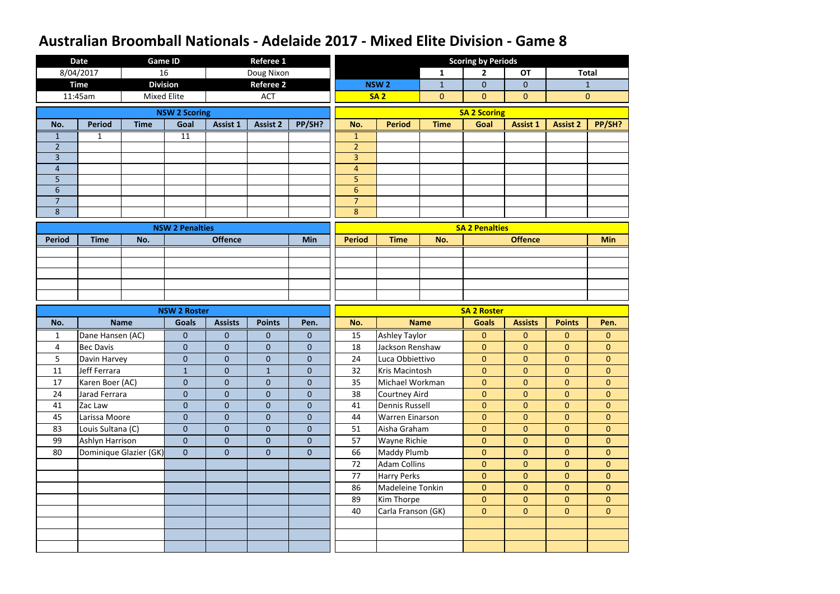|                | <b>Date</b>       | <b>Game ID</b>         |                        |                 | <b>Referee 1</b> |                |                     |                                        |                | <b>Scoring by Periods</b>    |                                  |                                  |                                  |
|----------------|-------------------|------------------------|------------------------|-----------------|------------------|----------------|---------------------|----------------------------------------|----------------|------------------------------|----------------------------------|----------------------------------|----------------------------------|
|                | 8/04/2017         | 16                     |                        |                 | Doug Nixon       |                |                     |                                        | $\mathbf{1}$   | $\overline{2}$               | <b>OT</b>                        |                                  | <b>Total</b>                     |
|                | <b>Time</b>       | <b>Division</b>        |                        |                 | <b>Referee 2</b> |                |                     | <b>NSW<sub>2</sub></b>                 | $\mathbf{1}$   | $\mathbf{0}$                 | $\mathbf{0}$                     |                                  | $\mathbf{1}$                     |
|                | 11:45am           | <b>Mixed Elite</b>     |                        |                 | <b>ACT</b>       |                |                     | <b>SA2</b>                             | $\overline{0}$ | $\mathbf{0}$                 | $\mathbf{0}$                     |                                  | $\mathbf{0}$                     |
|                |                   |                        | <b>NSW 2 Scoring</b>   |                 |                  |                |                     |                                        |                | <b>SA 2 Scoring</b>          |                                  |                                  |                                  |
| No.            | <b>Period</b>     | <b>Time</b>            | Goal                   | <b>Assist 1</b> | <b>Assist 2</b>  | PP/SH?         | No.                 | <b>Period</b>                          | <b>Time</b>    | Goal                         | <b>Assist 1</b>                  | <b>Assist 2</b>                  | PP/SH?                           |
| 1              | 1                 |                        | $\overline{11}$        |                 |                  |                | 1                   |                                        |                |                              |                                  |                                  |                                  |
| $\overline{2}$ |                   |                        |                        |                 |                  |                | $\overline{2}$      |                                        |                |                              |                                  |                                  |                                  |
| $\overline{3}$ |                   |                        |                        |                 |                  |                | $\overline{3}$      |                                        |                |                              |                                  |                                  |                                  |
| $\overline{4}$ |                   |                        |                        |                 |                  |                | $\overline{4}$      |                                        |                |                              |                                  |                                  |                                  |
| 5<br>6         |                   |                        |                        |                 |                  |                | 5<br>$6\phantom{a}$ |                                        |                |                              |                                  |                                  |                                  |
| $\overline{7}$ |                   |                        |                        |                 |                  |                | $\overline{7}$      |                                        |                |                              |                                  |                                  |                                  |
| 8              |                   |                        |                        |                 |                  |                | 8                   |                                        |                |                              |                                  |                                  |                                  |
|                |                   |                        | <b>NSW 2 Penalties</b> |                 |                  |                |                     |                                        |                | <b>SA 2 Penalties</b>        |                                  |                                  |                                  |
| <b>Period</b>  | <b>Time</b>       | No.                    |                        | <b>Offence</b>  |                  | Min            | <b>Period</b>       | <b>Time</b>                            | No.            |                              | <b>Offence</b>                   |                                  | <b>Min</b>                       |
|                |                   |                        |                        |                 |                  |                |                     |                                        |                |                              |                                  |                                  |                                  |
|                |                   |                        |                        |                 |                  |                |                     |                                        |                |                              |                                  |                                  |                                  |
|                |                   |                        |                        |                 |                  |                |                     |                                        |                |                              |                                  |                                  |                                  |
|                |                   |                        |                        |                 |                  |                |                     |                                        |                |                              |                                  |                                  |                                  |
|                |                   |                        |                        |                 |                  |                |                     |                                        |                |                              |                                  |                                  |                                  |
|                |                   |                        | <b>NSW 2 Roster</b>    |                 |                  |                |                     |                                        |                | <b>SA 2 Roster</b>           |                                  |                                  |                                  |
| No.            |                   | <b>Name</b>            | <b>Goals</b>           | <b>Assists</b>  | <b>Points</b>    | Pen.           | No.                 |                                        | <b>Name</b>    | <b>Goals</b>                 | <b>Assists</b>                   | <b>Points</b>                    | Pen.                             |
| 1              | Dane Hansen (AC)  |                        | $\mathbf{0}$           | $\overline{0}$  | 0                | $\mathbf{0}$   | 15                  | <b>Ashley Taylor</b>                   |                | $\mathbf{0}$                 | $\overline{0}$                   | $\overline{0}$                   | $\mathbf{0}$                     |
| 4              | <b>Bec Davis</b>  |                        | $\overline{0}$         | $\overline{0}$  | $\mathbf{0}$     | $\mathbf{0}$   | 18                  | Jackson Renshaw                        |                | $\mathbf{0}$                 | $\mathbf{0}$                     | $\overline{0}$                   | $\overline{0}$                   |
| 5              | Davin Harvey      |                        | $\overline{0}$         | $\mathbf{0}$    | $\mathbf 0$      | $\mathbf{0}$   | 24                  | Luca Obbiettivo                        |                | $\mathbf{0}$                 | $\mathbf{0}$                     | $\overline{0}$                   | $\overline{0}$                   |
| 11             | Jeff Ferrara      |                        | $\mathbf{1}$           | $\overline{0}$  | $\mathbf{1}$     | $\pmb{0}$      | 32                  | Kris Macintosh                         |                | $\mathbf{0}$                 | $\overline{0}$                   | $\overline{0}$                   | $\overline{0}$                   |
| 17             | Karen Boer (AC)   |                        | $\overline{0}$         | $\overline{0}$  | $\overline{0}$   | $\mathbf{0}$   | 35                  | Michael Workman                        |                | $\mathbf{0}$                 | $\overline{0}$                   | $\overline{0}$                   | $\overline{0}$                   |
| 24             | Jarad Ferrara     |                        | $\mathbf{0}$           | $\overline{0}$  | $\overline{0}$   | $\mathbf{0}$   | 38                  | Courtney Aird                          |                | $\mathbf{0}$                 | $\overline{0}$                   | $\overline{0}$                   | $\overline{0}$                   |
| 41             | Zac Law           |                        | $\boldsymbol{0}$       | $\overline{0}$  | $\overline{0}$   | $\mathbf{0}$   | 41                  | <b>Dennis Russell</b>                  |                | $\mathbf{0}$                 | $\mathbf{0}$                     | $\overline{0}$                   | $\overline{0}$                   |
| 45             | Larissa Moore     |                        | $\boldsymbol{0}$       | $\overline{0}$  | $\overline{0}$   | $\mathbf{0}$   | 44                  | <b>Warren Einarson</b>                 |                | $\mathbf{0}$                 | $\overline{0}$                   | $\overline{0}$                   | $\overline{0}$                   |
| 83             | Louis Sultana (C) |                        | $\mathbf{0}$           | $\overline{0}$  | $\mathbf{0}$     | $\overline{0}$ | 51                  | Aisha Graham                           |                | $\mathbf{0}$                 | $\overline{0}$                   | $\overline{0}$                   | $\overline{0}$                   |
| 99             | Ashlyn Harrison   |                        | $\overline{0}$         | $\overline{0}$  | $\mathbf{0}$     | $\mathbf{0}$   | 57                  | <b>Wayne Richie</b>                    |                | $\mathbf{0}$                 | $\overline{0}$                   | $\overline{0}$                   | $\overline{0}$                   |
| 80             |                   | Dominique Glazier (GK) | $\overline{0}$         | $\overline{0}$  | $\mathbf{0}$     | $\mathbf{0}$   | 66                  | Maddy Plumb                            |                | $\mathbf{0}$                 | $\overline{0}$                   | $\overline{0}$                   | $\overline{0}$                   |
|                |                   |                        |                        |                 |                  |                | 72<br>77            | <b>Adam Collins</b>                    |                | $\mathbf{0}$                 | $\overline{0}$<br>$\overline{0}$ | $\overline{0}$                   | $\overline{0}$                   |
|                |                   |                        |                        |                 |                  |                | 86                  | <b>Harry Perks</b><br>Madeleine Tonkin |                | $\mathbf{0}$<br>$\mathbf{0}$ | $\overline{0}$                   | $\overline{0}$<br>$\overline{0}$ | $\overline{0}$<br>$\overline{0}$ |
|                |                   |                        |                        |                 |                  |                | 89                  | Kim Thorpe                             |                | $\mathbf{0}$                 | $\overline{0}$                   | $\overline{0}$                   | $\overline{0}$                   |
|                |                   |                        |                        |                 |                  |                | 40                  | Carla Franson (GK)                     |                | $\mathbf{0}$                 | $\overline{0}$                   | $\overline{0}$                   | $\overline{0}$                   |
|                |                   |                        |                        |                 |                  |                |                     |                                        |                |                              |                                  |                                  |                                  |
|                |                   |                        |                        |                 |                  |                |                     |                                        |                |                              |                                  |                                  |                                  |
|                |                   |                        |                        |                 |                  |                |                     |                                        |                |                              |                                  |                                  |                                  |
|                |                   |                        |                        |                 |                  |                |                     |                                        |                |                              |                                  |                                  |                                  |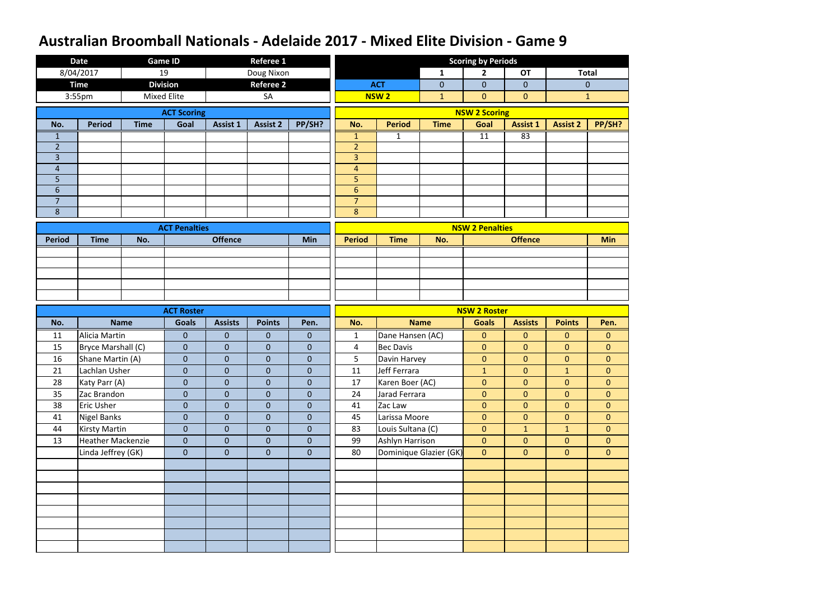|                | <b>Date</b>                    |             | <b>Game ID</b>                 |                                | <b>Referee 1</b>                 |                           |                  |                                 |                        | <b>Scoring by Periods</b>      |                                  |                                |                                  |
|----------------|--------------------------------|-------------|--------------------------------|--------------------------------|----------------------------------|---------------------------|------------------|---------------------------------|------------------------|--------------------------------|----------------------------------|--------------------------------|----------------------------------|
|                | 8/04/2017                      |             | 19                             |                                | Doug Nixon                       |                           |                  |                                 | $\mathbf{1}$           | $\overline{2}$                 | <b>OT</b>                        |                                | <b>Total</b>                     |
|                | <b>Time</b>                    |             | <b>Division</b>                |                                | <b>Referee 2</b>                 |                           |                  | <b>ACT</b>                      | $\mathbf{0}$           | $\mathbf{0}$                   | $\overline{0}$                   |                                | $\mathbf{0}$                     |
|                | 3:55pm                         |             | <b>Mixed Elite</b>             |                                | SA                               |                           |                  | <b>NSW2</b>                     | $\mathbf{1}$           | $\mathbf{0}$                   | $\mathbf{0}$                     |                                | $\mathbf{1}$                     |
|                |                                |             | <b>ACT Scoring</b>             |                                |                                  |                           |                  |                                 |                        | <b>NSW 2 Scoring</b>           |                                  |                                |                                  |
| No.            | <b>Period</b>                  | <b>Time</b> | Goal                           | Assist 1                       | <b>Assist 2</b>                  | PP/SH?                    | No.              | <b>Period</b>                   | <b>Time</b>            | Goal                           | <b>Assist 1</b>                  | <b>Assist 2</b>                | PP/SH?                           |
| 1              |                                |             |                                |                                |                                  |                           | $\mathbf{1}$     | 1                               |                        | 11                             | 83                               |                                |                                  |
| $\overline{2}$ |                                |             |                                |                                |                                  |                           | $\overline{2}$   |                                 |                        |                                |                                  |                                |                                  |
| $\overline{3}$ |                                |             |                                |                                |                                  |                           | $\overline{3}$   |                                 |                        |                                |                                  |                                |                                  |
| $\overline{4}$ |                                |             |                                |                                |                                  |                           | $\overline{4}$   |                                 |                        |                                |                                  |                                |                                  |
| 5              |                                |             |                                |                                |                                  |                           | 5                |                                 |                        |                                |                                  |                                |                                  |
| 6              |                                |             |                                |                                |                                  |                           | $6 \overline{6}$ |                                 |                        |                                |                                  |                                |                                  |
| $\overline{7}$ |                                |             |                                |                                |                                  |                           | $\overline{7}$   |                                 |                        |                                |                                  |                                |                                  |
| 8              |                                |             |                                |                                |                                  |                           | 8                |                                 |                        |                                |                                  |                                |                                  |
|                |                                |             | <b>ACT Penalties</b>           |                                |                                  |                           |                  |                                 |                        | <b>NSW 2 Penalties</b>         |                                  |                                |                                  |
| <b>Period</b>  | <b>Time</b>                    | No.         |                                | <b>Offence</b>                 |                                  | Min                       | <b>Period</b>    | <b>Time</b>                     | No.                    |                                | <b>Offence</b>                   |                                | <b>Min</b>                       |
|                |                                |             |                                |                                |                                  |                           |                  |                                 |                        |                                |                                  |                                |                                  |
|                |                                |             |                                |                                |                                  |                           |                  |                                 |                        |                                |                                  |                                |                                  |
|                |                                |             |                                |                                |                                  |                           |                  |                                 |                        |                                |                                  |                                |                                  |
|                |                                |             |                                |                                |                                  |                           |                  |                                 |                        |                                |                                  |                                |                                  |
|                |                                |             |                                |                                |                                  |                           |                  |                                 |                        |                                |                                  |                                |                                  |
|                |                                |             |                                |                                |                                  |                           |                  |                                 |                        |                                |                                  |                                |                                  |
|                |                                |             | <b>ACT Roster</b>              |                                |                                  |                           |                  |                                 |                        | <b>NSW 2 Roster</b>            |                                  |                                |                                  |
| No.            |                                | <b>Name</b> | <b>Goals</b>                   | <b>Assists</b>                 | <b>Points</b>                    | Pen.                      | No.              |                                 | <b>Name</b>            | <b>Goals</b>                   | <b>Assists</b>                   | <b>Points</b>                  | Pen.                             |
| 11             | Alicia Martin                  |             | $\mathbf{0}$                   | $\mathbf{0}$                   | $\overline{0}$                   | $\mathbf{0}$              | $\mathbf{1}$     | Dane Hansen (AC)                |                        | $\mathbf{0}$                   | $\mathbf{0}$                     | $\mathbf{0}$                   | $\mathbf{0}$                     |
| 15             | Bryce Marshall (C)             |             | $\mathbf{0}$                   | $\mathbf{0}$                   | $\overline{0}$                   | $\mathbf 0$               | 4                | <b>Bec Davis</b>                |                        | $\mathbf{0}$                   | $\overline{0}$                   | $\mathbf{0}$                   | $\overline{0}$                   |
| 16             | Shane Martin (A)               |             | $\mathbf{0}$                   | $\mathbf{0}$                   | $\overline{0}$                   | $\boldsymbol{0}$          | 5                | Davin Harvey                    |                        | $\boldsymbol{0}$               | $\pmb{0}$                        | $\mathbf{0}$                   | $\mathbf 0$                      |
| 21<br>28       | Lachlan Usher<br>Katy Parr (A) |             | $\mathbf{0}$<br>$\overline{0}$ | $\mathbf{0}$<br>$\overline{0}$ | $\overline{0}$<br>$\overline{0}$ | $\bf 0$<br>$\overline{0}$ | 11<br>17         | Jeff Ferrara<br>Karen Boer (AC) |                        | $\mathbf{1}$<br>$\overline{0}$ | $\overline{0}$<br>$\overline{0}$ | $\mathbf{1}$<br>$\overline{0}$ | $\overline{0}$<br>$\overline{0}$ |
| 35             | Zac Brandon                    |             | $\overline{0}$                 | $\mathbf{0}$                   | $\overline{0}$                   | $\mathbf{0}$              | 24               | Jarad Ferrara                   |                        | $\mathbf{0}$                   | $\overline{0}$                   | $\overline{0}$                 | $\overline{0}$                   |
| 38             | Eric Usher                     |             | $\overline{0}$                 | $\pmb{0}$                      | $\mathbf{0}$                     | $\bf 0$                   | 41               | Zac Law                         |                        | $\mathbf{0}$                   | $\overline{0}$                   | $\mathbf{0}$                   | $\overline{0}$                   |
| 41             | <b>Nigel Banks</b>             |             | $\boldsymbol{0}$               | $\overline{0}$                 | $\overline{0}$                   | $\mathbf{0}$              | 45               | Larissa Moore                   |                        | $\mathbf{0}$                   | $\overline{0}$                   | $\overline{0}$                 | $\overline{0}$                   |
| 44             | <b>Kirsty Martin</b>           |             | $\overline{0}$                 | $\mathbf{0}$                   | $\overline{0}$                   | $\mathbf{0}$              | 83               | Louis Sultana (C)               |                        | $\mathbf{0}$                   | $\mathbf{1}$                     | 1                              | $\overline{0}$                   |
| 13             | <b>Heather Mackenzie</b>       |             | $\mathbf{0}$                   | $\mathbf{0}$                   | $\overline{0}$                   | $\mathbf{0}$              | 99               | Ashlyn Harrison                 |                        | $\overline{0}$                 | $\overline{0}$                   | $\overline{0}$                 | $\overline{0}$                   |
|                | Linda Jeffrey (GK)             |             | $\overline{0}$                 | $\mathbf{0}$                   | $\overline{0}$                   | $\mathbf{0}$              | 80               |                                 | Dominique Glazier (GK) | $\overline{0}$                 | $\overline{0}$                   | $\overline{0}$                 | $\overline{0}$                   |
|                |                                |             |                                |                                |                                  |                           |                  |                                 |                        |                                |                                  |                                |                                  |
|                |                                |             |                                |                                |                                  |                           |                  |                                 |                        |                                |                                  |                                |                                  |
|                |                                |             |                                |                                |                                  |                           |                  |                                 |                        |                                |                                  |                                |                                  |
|                |                                |             |                                |                                |                                  |                           |                  |                                 |                        |                                |                                  |                                |                                  |
|                |                                |             |                                |                                |                                  |                           |                  |                                 |                        |                                |                                  |                                |                                  |
|                |                                |             |                                |                                |                                  |                           |                  |                                 |                        |                                |                                  |                                |                                  |
|                |                                |             |                                |                                |                                  |                           |                  |                                 |                        |                                |                                  |                                |                                  |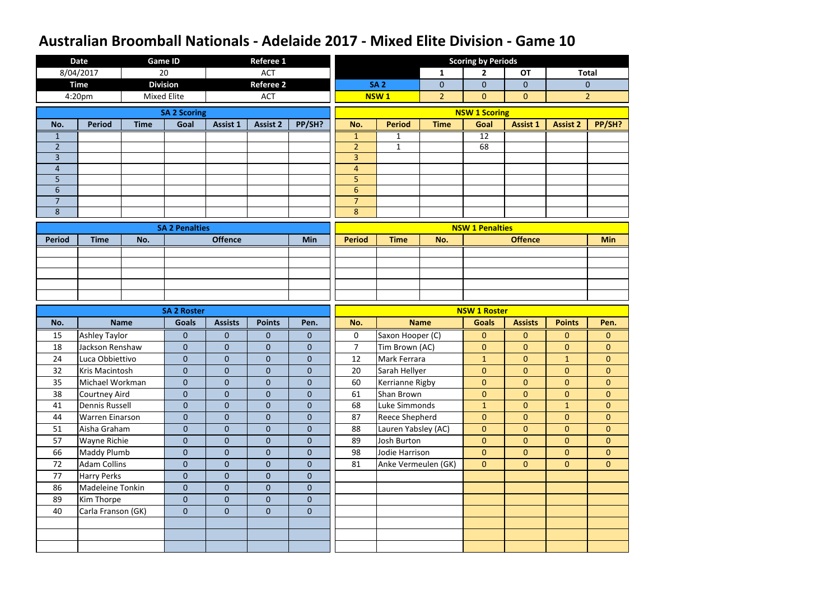|                     | <b>Date</b>                             |                    | <b>Game ID</b>                     |                                                                                                                                                                                                                                                                                                                                                                                                                                                                                                                                                                                                      | <b>Referee 1</b> |              |                               |                                |                | <b>Scoring by Periods</b>           |                                  |                                  |                                  |
|---------------------|-----------------------------------------|--------------------|------------------------------------|------------------------------------------------------------------------------------------------------------------------------------------------------------------------------------------------------------------------------------------------------------------------------------------------------------------------------------------------------------------------------------------------------------------------------------------------------------------------------------------------------------------------------------------------------------------------------------------------------|------------------|--------------|-------------------------------|--------------------------------|----------------|-------------------------------------|----------------------------------|----------------------------------|----------------------------------|
|                     | 8/04/2017                               | 20                 |                                    |                                                                                                                                                                                                                                                                                                                                                                                                                                                                                                                                                                                                      | <b>ACT</b>       |              |                               |                                | $\mathbf{1}$   | $\overline{2}$                      | <b>OT</b>                        | <b>Total</b>                     |                                  |
|                     | <b>Time</b>                             |                    | <b>Division</b>                    |                                                                                                                                                                                                                                                                                                                                                                                                                                                                                                                                                                                                      |                  |              |                               | <b>SA2</b>                     | $\overline{0}$ | $\mathbf 0$                         | $\overline{0}$                   |                                  | $\mathbf{0}$                     |
|                     | 4:20pm                                  | <b>Mixed Elite</b> |                                    |                                                                                                                                                                                                                                                                                                                                                                                                                                                                                                                                                                                                      | <b>ACT</b>       |              |                               | <b>NSW1</b>                    | $\overline{2}$ | $\overline{0}$                      | $\overline{0}$                   |                                  | $\overline{2}$                   |
|                     |                                         |                    | <b>SA 2 Scoring</b>                | <b>Referee 2</b><br>Assist 1<br><b>Assist 2</b><br><b>Offence</b><br>Min<br><b>Points</b><br><b>Assists</b><br>$\overline{0}$<br>$\overline{0}$<br>$\mathbf{0}$<br>$\overline{0}$<br>$\overline{0}$<br>$\mathbf{0}$<br>$\overline{0}$<br>$\boldsymbol{0}$<br>$\mathbf 0$<br>$\overline{0}$<br>$\overline{0}$<br>$\overline{0}$<br>$\overline{0}$<br>$\overline{0}$<br>$\overline{0}$<br>$\overline{0}$<br>$\overline{0}$<br>$\mathbf{0}$<br>$\overline{0}$<br>$\overline{0}$<br>$\mathbf{0}$<br>$\overline{0}$<br>$\overline{0}$<br>$\mathbf{0}$<br>$\overline{0}$<br>$\overline{0}$<br>$\mathbf{0}$ |                  |              |                               |                                |                | <b>NSW 1 Scoring</b>                |                                  |                                  |                                  |
| No.                 | <b>Period</b>                           | <b>Time</b>        | Goal                               |                                                                                                                                                                                                                                                                                                                                                                                                                                                                                                                                                                                                      | PP/SH?<br>Pen.   |              | No.                           | <b>Period</b>                  | <b>Time</b>    | Goal                                | <b>Assist 1</b>                  | <b>Assist 2</b>                  | PP/SH?                           |
| $\mathbf 1$         |                                         |                    |                                    |                                                                                                                                                                                                                                                                                                                                                                                                                                                                                                                                                                                                      |                  |              | $\mathbf{1}$                  | $\mathbf{1}$                   |                | $\overline{12}$                     |                                  |                                  |                                  |
| $\overline{2}$      |                                         |                    |                                    |                                                                                                                                                                                                                                                                                                                                                                                                                                                                                                                                                                                                      |                  |              | $\overline{2}$                | $1\,$                          |                | 68                                  |                                  |                                  |                                  |
| 3                   |                                         |                    |                                    |                                                                                                                                                                                                                                                                                                                                                                                                                                                                                                                                                                                                      |                  |              | $\overline{3}$                |                                |                |                                     |                                  |                                  |                                  |
| $\overline{4}$      |                                         |                    |                                    |                                                                                                                                                                                                                                                                                                                                                                                                                                                                                                                                                                                                      |                  |              | $\overline{4}$                |                                |                |                                     |                                  |                                  |                                  |
| 5                   |                                         |                    |                                    |                                                                                                                                                                                                                                                                                                                                                                                                                                                                                                                                                                                                      |                  |              | 5                             |                                |                |                                     |                                  |                                  |                                  |
| 6                   |                                         |                    |                                    |                                                                                                                                                                                                                                                                                                                                                                                                                                                                                                                                                                                                      |                  |              | $6\phantom{1}$                |                                |                |                                     |                                  |                                  |                                  |
| $\overline{7}$<br>8 |                                         |                    |                                    |                                                                                                                                                                                                                                                                                                                                                                                                                                                                                                                                                                                                      |                  |              | $\overline{7}$<br>8           |                                |                |                                     |                                  |                                  |                                  |
|                     |                                         |                    |                                    |                                                                                                                                                                                                                                                                                                                                                                                                                                                                                                                                                                                                      |                  |              |                               |                                |                |                                     |                                  |                                  |                                  |
|                     |                                         |                    | <b>SA 2 Penalties</b>              |                                                                                                                                                                                                                                                                                                                                                                                                                                                                                                                                                                                                      |                  |              |                               |                                |                | <b>NSW 1 Penalties</b>              |                                  |                                  |                                  |
| <b>Period</b>       | <b>Time</b>                             | No.                |                                    |                                                                                                                                                                                                                                                                                                                                                                                                                                                                                                                                                                                                      |                  |              | <b>Period</b>                 | <b>Time</b>                    | No.            |                                     | <b>Offence</b>                   |                                  | <b>Min</b>                       |
|                     |                                         |                    |                                    |                                                                                                                                                                                                                                                                                                                                                                                                                                                                                                                                                                                                      |                  |              |                               |                                |                |                                     |                                  |                                  |                                  |
|                     |                                         |                    |                                    |                                                                                                                                                                                                                                                                                                                                                                                                                                                                                                                                                                                                      |                  |              |                               |                                |                |                                     |                                  |                                  |                                  |
|                     |                                         |                    |                                    |                                                                                                                                                                                                                                                                                                                                                                                                                                                                                                                                                                                                      |                  |              |                               |                                |                |                                     |                                  |                                  |                                  |
|                     |                                         |                    |                                    |                                                                                                                                                                                                                                                                                                                                                                                                                                                                                                                                                                                                      |                  |              |                               |                                |                |                                     |                                  |                                  |                                  |
|                     |                                         |                    |                                    |                                                                                                                                                                                                                                                                                                                                                                                                                                                                                                                                                                                                      |                  |              |                               |                                |                |                                     |                                  |                                  |                                  |
| No.                 |                                         | <b>Name</b>        | <b>SA 2 Roster</b><br><b>Goals</b> |                                                                                                                                                                                                                                                                                                                                                                                                                                                                                                                                                                                                      |                  |              | No.                           |                                | <b>Name</b>    | <b>NSW 1 Roster</b><br><b>Goals</b> | <b>Assists</b>                   | <b>Points</b>                    | Pen.                             |
|                     |                                         |                    |                                    |                                                                                                                                                                                                                                                                                                                                                                                                                                                                                                                                                                                                      |                  |              |                               |                                |                |                                     |                                  |                                  |                                  |
| 15<br>18            | <b>Ashley Taylor</b><br>Jackson Renshaw |                    | $\overline{0}$<br>$\overline{0}$   |                                                                                                                                                                                                                                                                                                                                                                                                                                                                                                                                                                                                      |                  |              | $\mathbf 0$<br>$\overline{7}$ | Saxon Hooper (C)               |                | $\mathbf{0}$                        | $\overline{0}$<br>$\overline{0}$ | $\overline{0}$<br>$\overline{0}$ | $\overline{0}$<br>$\overline{0}$ |
| 24                  | Luca Obbiettivo                         |                    | $\overline{0}$                     |                                                                                                                                                                                                                                                                                                                                                                                                                                                                                                                                                                                                      |                  |              | 12                            | Tim Brown (AC)<br>Mark Ferrara |                | $\mathbf{0}$                        | $\mathbf{0}$                     |                                  | $\overline{0}$                   |
| 32                  | Kris Macintosh                          |                    | $\overline{0}$                     |                                                                                                                                                                                                                                                                                                                                                                                                                                                                                                                                                                                                      |                  |              | 20                            | Sarah Hellyer                  |                | $\mathbf{1}$<br>$\mathbf{0}$        | $\overline{0}$                   | $\mathbf{1}$<br>$\overline{0}$   | $\overline{0}$                   |
| 35                  | Michael Workman                         |                    | $\overline{0}$                     |                                                                                                                                                                                                                                                                                                                                                                                                                                                                                                                                                                                                      |                  |              | 60                            | Kerrianne Rigby                |                | $\overline{0}$                      | $\overline{0}$                   | $\overline{0}$                   | $\overline{0}$                   |
| 38                  | <b>Courtney Aird</b>                    |                    | $\overline{0}$                     |                                                                                                                                                                                                                                                                                                                                                                                                                                                                                                                                                                                                      |                  |              | 61                            | Shan Brown                     |                | $\mathbf{0}$                        | $\overline{0}$                   | $\overline{0}$                   | $\overline{0}$                   |
| 41                  | <b>Dennis Russell</b>                   |                    | $\overline{0}$                     |                                                                                                                                                                                                                                                                                                                                                                                                                                                                                                                                                                                                      |                  |              | 68                            | Luke Simmonds                  |                | $\mathbf{1}$                        | $\mathbf{0}$                     | 1                                | $\overline{0}$                   |
| 44                  | <b>Warren Einarson</b>                  |                    | $\overline{0}$                     |                                                                                                                                                                                                                                                                                                                                                                                                                                                                                                                                                                                                      |                  |              | 87                            | <b>Reece Shepherd</b>          |                | $\overline{0}$                      | $\mathbf{0}$                     | $\overline{0}$                   | $\overline{0}$                   |
| 51                  | Aisha Graham                            |                    | $\overline{0}$                     |                                                                                                                                                                                                                                                                                                                                                                                                                                                                                                                                                                                                      |                  |              | 88                            | Lauren Yabsley (AC)            |                | $\overline{0}$                      | $\overline{0}$                   | $\overline{0}$                   | $\overline{0}$                   |
| 57                  | <b>Wayne Richie</b>                     |                    | $\overline{0}$                     | $\overline{0}$                                                                                                                                                                                                                                                                                                                                                                                                                                                                                                                                                                                       | $\overline{0}$   | $\mathbf{0}$ | 89                            | Josh Burton                    |                | $\mathbf{0}$                        | $\overline{0}$                   | $\overline{0}$                   | $\mathbf{0}$                     |
| 66                  | Maddy Plumb                             |                    | $\overline{0}$                     | $\overline{0}$                                                                                                                                                                                                                                                                                                                                                                                                                                                                                                                                                                                       | $\mathbf{0}$     | $\mathbf{0}$ | 98                            | Jodie Harrison                 |                | $\mathbf{0}$                        | $\overline{0}$                   | $\overline{0}$                   | $\overline{0}$                   |
| 72                  | <b>Adam Collins</b>                     |                    | $\boldsymbol{0}$                   | $\overline{0}$                                                                                                                                                                                                                                                                                                                                                                                                                                                                                                                                                                                       | $\overline{0}$   | $\mathbf 0$  | 81                            | Anke Vermeulen (GK)            |                | $\overline{0}$                      | $\overline{0}$                   | $\overline{0}$                   | $\overline{0}$                   |
| 77                  | <b>Harry Perks</b>                      |                    | $\overline{0}$                     | $\overline{0}$                                                                                                                                                                                                                                                                                                                                                                                                                                                                                                                                                                                       | $\overline{0}$   | $\mathbf{0}$ |                               |                                |                |                                     |                                  |                                  |                                  |
| 86                  | Madeleine Tonkin                        |                    | $\overline{0}$                     | $\overline{0}$                                                                                                                                                                                                                                                                                                                                                                                                                                                                                                                                                                                       | $\overline{0}$   | $\mathbf{0}$ |                               |                                |                |                                     |                                  |                                  |                                  |
| 89                  | Kim Thorpe                              |                    | $\overline{0}$                     | $\overline{0}$                                                                                                                                                                                                                                                                                                                                                                                                                                                                                                                                                                                       | $\overline{0}$   | $\mathbf{0}$ |                               |                                |                |                                     |                                  |                                  |                                  |
| 40                  | Carla Franson (GK)                      |                    | $\mathbf{0}$                       | $\overline{0}$                                                                                                                                                                                                                                                                                                                                                                                                                                                                                                                                                                                       | $\overline{0}$   | $\mathbf{0}$ |                               |                                |                |                                     |                                  |                                  |                                  |
|                     |                                         |                    |                                    |                                                                                                                                                                                                                                                                                                                                                                                                                                                                                                                                                                                                      |                  |              |                               |                                |                |                                     |                                  |                                  |                                  |
|                     |                                         |                    |                                    |                                                                                                                                                                                                                                                                                                                                                                                                                                                                                                                                                                                                      |                  |              |                               |                                |                |                                     |                                  |                                  |                                  |
|                     |                                         |                    |                                    |                                                                                                                                                                                                                                                                                                                                                                                                                                                                                                                                                                                                      |                  |              |                               |                                |                |                                     |                                  |                                  |                                  |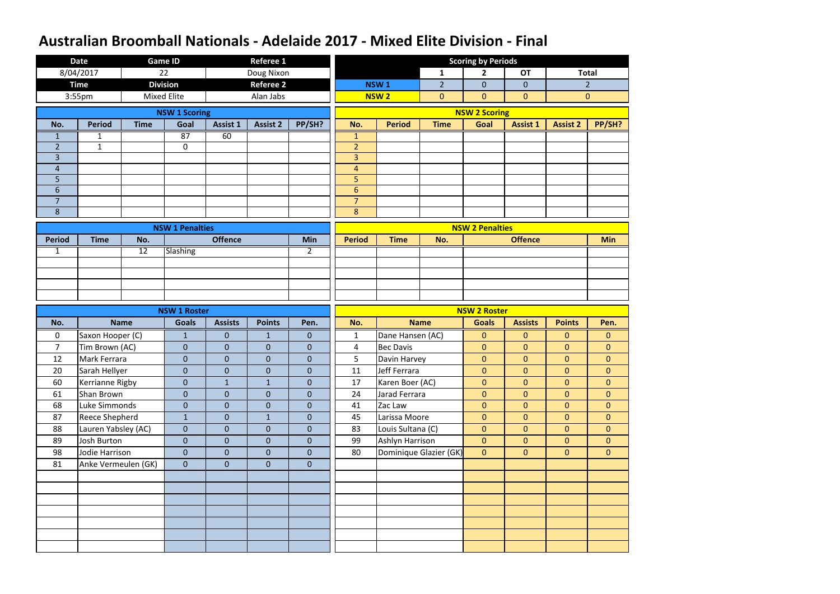|                     | <b>Date</b>           |                 | <b>Game ID</b>         |                 | <b>Referee 1</b> |                |                                  |                        |                | <b>Scoring by Periods</b> |                 |                 |                |
|---------------------|-----------------------|-----------------|------------------------|-----------------|------------------|----------------|----------------------------------|------------------------|----------------|---------------------------|-----------------|-----------------|----------------|
|                     | 8/04/2017             |                 | 22                     |                 | Doug Nixon       |                |                                  |                        | $\mathbf{1}$   | $\overline{2}$            | <b>OT</b>       |                 | <b>Total</b>   |
|                     | <b>Time</b>           |                 | <b>Division</b>        |                 | <b>Referee 2</b> |                |                                  | <b>NSW1</b>            | $\overline{2}$ | $\mathbf 0$               | $\overline{0}$  |                 | $\overline{2}$ |
|                     | 3:55pm                |                 | <b>Mixed Elite</b>     |                 | Alan Jabs        |                |                                  | <b>NSW2</b>            | $\overline{0}$ | $\overline{0}$            | $\overline{0}$  |                 | $\overline{0}$ |
|                     |                       |                 | <b>NSW 1 Scoring</b>   |                 |                  |                |                                  |                        |                | <b>NSW 2 Scoring</b>      |                 |                 |                |
| No.                 | <b>Period</b>         | <b>Time</b>     | Goal                   | <b>Assist 1</b> | <b>Assist 2</b>  | PP/SH?         | No.                              | <b>Period</b>          | <b>Time</b>    | Goal                      | <b>Assist 1</b> | <b>Assist 2</b> | PP/SH?         |
| 1                   | 1                     |                 | 87                     | 60              |                  |                | $\mathbf{1}$                     |                        |                |                           |                 |                 |                |
| $\overline{2}$      | $\mathbf{1}$          |                 | $\mathbf 0$            |                 |                  |                | $\overline{2}$                   |                        |                |                           |                 |                 |                |
| 3                   |                       |                 |                        |                 |                  |                | $\overline{3}$                   |                        |                |                           |                 |                 |                |
| $\overline{4}$      |                       |                 |                        |                 |                  |                | $\overline{4}$                   |                        |                |                           |                 |                 |                |
| 5                   |                       |                 |                        |                 |                  |                | 5                                |                        |                |                           |                 |                 |                |
| 6<br>$\overline{7}$ |                       |                 |                        |                 |                  |                | $6\phantom{a}$<br>$\overline{7}$ |                        |                |                           |                 |                 |                |
| 8                   |                       |                 |                        |                 |                  |                | 8                                |                        |                |                           |                 |                 |                |
|                     |                       |                 |                        |                 |                  |                |                                  |                        |                |                           |                 |                 |                |
|                     |                       |                 | <b>NSW 1 Penalties</b> |                 |                  |                |                                  |                        |                | <b>NSW 2 Penalties</b>    |                 |                 |                |
| <b>Period</b>       | <b>Time</b>           | No.             |                        | <b>Offence</b>  |                  | Min            | <b>Period</b>                    | <b>Time</b>            | No.            |                           | <b>Offence</b>  |                 | <b>Min</b>     |
| $\mathbf{1}$        |                       | $\overline{12}$ | <b>Slashing</b>        |                 |                  | $\overline{2}$ |                                  |                        |                |                           |                 |                 |                |
|                     |                       |                 |                        |                 |                  |                |                                  |                        |                |                           |                 |                 |                |
|                     |                       |                 |                        |                 |                  |                |                                  |                        |                |                           |                 |                 |                |
|                     |                       |                 |                        |                 |                  |                |                                  |                        |                |                           |                 |                 |                |
|                     |                       |                 | <b>NSW 1 Roster</b>    |                 |                  |                |                                  |                        |                | <b>NSW 2 Roster</b>       |                 |                 |                |
|                     |                       |                 |                        |                 |                  |                |                                  |                        |                |                           |                 |                 |                |
| No.                 |                       | <b>Name</b>     | <b>Goals</b>           | <b>Assists</b>  | <b>Points</b>    | Pen.           | No.                              | <b>Name</b>            |                | <b>Goals</b>              | <b>Assists</b>  | <b>Points</b>   | Pen.           |
| $\mathbf 0$         | Saxon Hooper (C)      |                 | $\mathbf{1}$           | $\overline{0}$  | $\mathbf{1}$     | $\mathbf{0}$   | $\mathbf{1}$                     | Dane Hansen (AC)       |                | $\mathbf{0}$              | $\mathbf{0}$    | $\overline{0}$  | $\mathbf{0}$   |
| $\overline{7}$      | Tim Brown (AC)        |                 | $\overline{0}$         | $\overline{0}$  | $\mathbf{0}$     | $\mathbf{0}$   | $\overline{4}$                   | <b>Bec Davis</b>       |                | $\overline{0}$            | $\overline{0}$  | $\overline{0}$  | $\overline{0}$ |
| 12                  | Mark Ferrara          |                 | $\overline{0}$         | $\overline{0}$  | $\overline{0}$   | $\mathbf 0$    | 5                                | Davin Harvey           |                | $\overline{0}$            | $\mathbf{0}$    | $\overline{0}$  | $\overline{0}$ |
| 20                  | Sarah Hellyer         |                 | $\overline{0}$         | $\overline{0}$  | $\overline{0}$   | $\pmb{0}$      | 11                               | Jeff Ferrara           |                | $\mathbf{0}$              | $\overline{0}$  | $\overline{0}$  | $\overline{0}$ |
| 60                  | Kerrianne Rigby       |                 | $\overline{0}$         | $\mathbf{1}$    | $\mathbf{1}$     | $\mathbf{0}$   | 17                               | Karen Boer (AC)        |                | $\overline{0}$            | $\overline{0}$  | $\overline{0}$  | $\overline{0}$ |
| 61                  | Shan Brown            |                 | $\overline{0}$         | $\overline{0}$  | $\overline{0}$   | $\mathbf{0}$   | 24                               | Jarad Ferrara          |                | $\mathbf{0}$              | $\overline{0}$  | $\overline{0}$  | $\overline{0}$ |
| 68                  | Luke Simmonds         |                 | $\overline{0}$         | $\overline{0}$  | $\overline{0}$   | $\mathbf{0}$   | 41                               | Zac Law                |                | $\mathbf{0}$              | $\overline{0}$  | $\overline{0}$  | $\overline{0}$ |
| 87                  | <b>Reece Shepherd</b> |                 | $\mathbf{1}$           | $\overline{0}$  | $\mathbf{1}$     | $\mathbf{0}$   | 45                               | Larissa Moore          |                | $\overline{0}$            | $\overline{0}$  | $\overline{0}$  | $\overline{0}$ |
| 88                  | Lauren Yabsley (AC)   |                 | $\overline{0}$         | $\overline{0}$  | $\overline{0}$   | $\overline{0}$ | 83                               | Louis Sultana (C)      |                | $\overline{0}$            | $\overline{0}$  | $\overline{0}$  | $\overline{0}$ |
| 89                  | Josh Burton           |                 | $\overline{0}$         | $\overline{0}$  | $\overline{0}$   | $\mathbf{0}$   | 99                               | Ashlyn Harrison        |                | $\mathbf{0}$              | $\overline{0}$  | $\overline{0}$  | $\overline{0}$ |
| 98                  | Jodie Harrison        |                 | $\overline{0}$         | $\overline{0}$  | $\overline{0}$   | $\overline{0}$ | 80                               | Dominique Glazier (GK) |                | $\overline{0}$            | $\overline{0}$  | $\overline{0}$  | $\overline{0}$ |
| 81                  | Anke Vermeulen (GK)   |                 | $\overline{0}$         | $\overline{0}$  | $\overline{0}$   | $\overline{0}$ |                                  |                        |                |                           |                 |                 |                |
|                     |                       |                 |                        |                 |                  |                |                                  |                        |                |                           |                 |                 |                |
|                     |                       |                 |                        |                 |                  |                |                                  |                        |                |                           |                 |                 |                |
|                     |                       |                 |                        |                 |                  |                |                                  |                        |                |                           |                 |                 |                |
|                     |                       |                 |                        |                 |                  |                |                                  |                        |                |                           |                 |                 |                |
|                     |                       |                 |                        |                 |                  |                |                                  |                        |                |                           |                 |                 |                |
|                     |                       |                 |                        |                 |                  |                |                                  |                        |                |                           |                 |                 |                |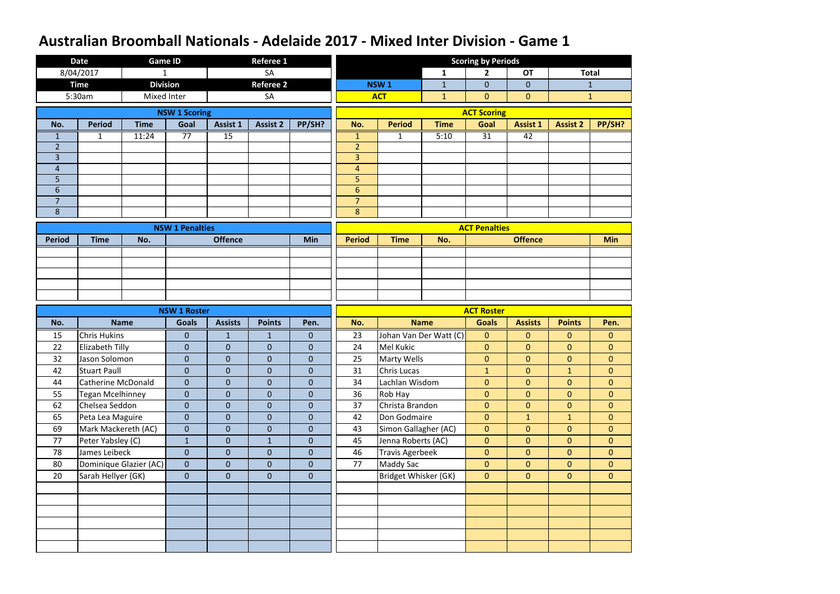|                                  | <b>Date</b>               | <b>Game ID</b>         |                                     |                 | <b>Referee 1</b> |                  |                                    |                        |                        | <b>Scoring by Periods</b>         |                 |                 |                |
|----------------------------------|---------------------------|------------------------|-------------------------------------|-----------------|------------------|------------------|------------------------------------|------------------------|------------------------|-----------------------------------|-----------------|-----------------|----------------|
|                                  | 8/04/2017                 | $\mathbf{1}$           |                                     |                 | <b>SA</b>        |                  |                                    |                        | $\mathbf{1}$           | $\overline{2}$                    | <b>OT</b>       |                 | <b>Total</b>   |
|                                  | <b>Time</b>               | <b>Division</b>        |                                     |                 | <b>Referee 2</b> |                  |                                    | NSW <sub>1</sub>       | $\mathbf{1}$           | $\overline{0}$                    | $\mathbf{0}$    |                 | $\mathbf{1}$   |
|                                  | 5:30am                    | Mixed Inter            |                                     |                 | SA               |                  |                                    | <b>ACT</b>             | $\mathbf{1}$           | $\mathbf{0}$                      | $\mathbf{0}$    |                 | $\mathbf{1}$   |
|                                  |                           |                        | <b>NSW 1 Scoring</b>                |                 |                  |                  |                                    |                        |                        | <b>ACT Scoring</b>                |                 |                 |                |
| No.                              | <b>Period</b>             | <b>Time</b>            | Goal                                | <b>Assist 1</b> | <b>Assist 2</b>  | PP/SH?           | No.                                | <b>Period</b>          | <b>Time</b>            | Goal                              | <b>Assist 1</b> | <b>Assist 2</b> | PP/SH?         |
| 1                                | 1                         | 11:24                  | 77                                  | $\overline{15}$ |                  |                  | $\mathbf{1}$                       | 1                      | 5:10                   | $\overline{31}$                   | 42              |                 |                |
| $\overline{2}$                   |                           |                        |                                     |                 |                  |                  | $\overline{2}$                     |                        |                        |                                   |                 |                 |                |
| $\overline{3}$                   |                           |                        |                                     |                 |                  |                  | $\overline{3}$                     |                        |                        |                                   |                 |                 |                |
| $\overline{4}$                   |                           |                        |                                     |                 |                  |                  | $\overline{4}$                     |                        |                        |                                   |                 |                 |                |
| 5                                |                           |                        |                                     |                 |                  |                  | 5                                  |                        |                        |                                   |                 |                 |                |
| $6\phantom{1}$<br>$\overline{7}$ |                           |                        |                                     |                 |                  |                  | $6 \overline{6}$<br>$\overline{7}$ |                        |                        |                                   |                 |                 |                |
| 8                                |                           |                        |                                     |                 |                  |                  | 8                                  |                        |                        |                                   |                 |                 |                |
|                                  |                           |                        |                                     |                 |                  |                  |                                    |                        |                        |                                   |                 |                 |                |
|                                  |                           |                        | <b>NSW 1 Penalties</b>              |                 |                  |                  |                                    |                        |                        | <b>ACT Penalties</b>              |                 |                 |                |
| <b>Period</b>                    | <b>Time</b>               | No.                    |                                     | <b>Offence</b>  |                  | Min              | <b>Period</b>                      | <b>Time</b>            | No.                    |                                   | <b>Offence</b>  |                 | <b>Min</b>     |
|                                  |                           |                        |                                     |                 |                  |                  |                                    |                        |                        |                                   |                 |                 |                |
|                                  |                           |                        |                                     |                 |                  |                  |                                    |                        |                        |                                   |                 |                 |                |
|                                  |                           |                        |                                     |                 |                  |                  |                                    |                        |                        |                                   |                 |                 |                |
|                                  |                           |                        |                                     |                 |                  |                  |                                    |                        |                        |                                   |                 |                 |                |
|                                  |                           |                        |                                     |                 |                  |                  |                                    |                        |                        |                                   |                 |                 |                |
|                                  |                           |                        |                                     |                 |                  |                  |                                    |                        |                        |                                   |                 |                 |                |
| No.                              |                           | <b>Name</b>            | <b>NSW 1 Roster</b><br><b>Goals</b> | <b>Assists</b>  | <b>Points</b>    | Pen.             | No.                                |                        | <b>Name</b>            | <b>ACT Roster</b><br><b>Goals</b> | <b>Assists</b>  | <b>Points</b>   | Pen.           |
| 15                               | <b>Chris Hukins</b>       |                        | $\overline{0}$                      | $\mathbf{1}$    | 1                | $\mathbf{0}$     | 23                                 |                        | Johan Van Der Watt (C) | $\mathbf{0}$                      | $\mathbf{0}$    | $\overline{0}$  | $\overline{0}$ |
| 22                               | Elizabeth Tilly           |                        | $\overline{0}$                      | $\overline{0}$  | $\overline{0}$   | $\theta$         | 24                                 | Mel Kukic              |                        | $\mathbf{0}$                      | $\mathbf{0}$    | $\overline{0}$  | $\mathbf{0}$   |
| 32                               | Jason Solomon             |                        | $\overline{0}$                      | $\mathbf 0$     | $\overline{0}$   | $\theta$         | 25                                 | Marty Wells            |                        | $\mathbf{0}$                      | $\mathbf{0}$    | $\overline{0}$  | $\mathbf{0}$   |
| 42                               | <b>Stuart Paull</b>       |                        | $\overline{0}$                      | $\mathbf{0}$    | $\overline{0}$   | $\pmb{0}$        | 31                                 | Chris Lucas            |                        | $\mathbf{1}$                      | $\overline{0}$  | $\mathbf{1}$    | $\mathbf{0}$   |
| 44                               | <b>Catherine McDonald</b> |                        | $\overline{0}$                      | $\overline{0}$  | $\overline{0}$   | $\mathbf{0}$     | 34                                 | Lachlan Wisdom         |                        | $\overline{0}$                    | $\overline{0}$  | $\overline{0}$  | $\overline{0}$ |
| 55                               | Tegan Mcelhinney          |                        | $\overline{0}$                      | $\mathbf 0$     | $\overline{0}$   | $\mathbf{0}$     | 36                                 | Rob Hay                |                        | $\mathbf{0}$                      | $\overline{0}$  | $\overline{0}$  | $\mathbf{0}$   |
| 62                               | Chelsea Seddon            |                        | $\overline{0}$                      | $\mathbf 0$     | $\overline{0}$   | $\mathbf{0}$     | 37                                 | Christa Brandon        |                        | $\mathbf{0}$                      | $\overline{0}$  | $\mathbf{0}$    | $\mathbf{0}$   |
| 65                               | Peta Lea Maguire          |                        | $\mathbf 0$                         | $\overline{0}$  | $\overline{0}$   | $\mathbf{0}$     | 42                                 | Don Godmaire           |                        | $\overline{0}$                    | $\mathbf{1}$    | 1               | $\overline{0}$ |
| 69                               | Mark Mackereth (AC)       |                        | $\overline{0}$                      | $\mathbf 0$     | $\overline{0}$   | $\boldsymbol{0}$ | 43                                 | Simon Gallagher (AC)   |                        | $\overline{0}$                    | $\overline{0}$  | $\overline{0}$  | $\overline{0}$ |
| 77                               | Peter Yabsley (C)         |                        | $\mathbf{1}$                        | $\overline{0}$  | $\mathbf{1}$     | $\mathbf{0}$     | 45                                 | Jenna Roberts (AC)     |                        | $\mathbf{0}$                      | $\overline{0}$  | $\overline{0}$  | $\overline{0}$ |
| 78                               | James Leibeck             |                        | $\overline{0}$                      | $\mathbf 0$     | $\overline{0}$   | $\mathbf{0}$     | 46                                 | <b>Travis Agerbeek</b> |                        | $\mathbf{0}$                      | $\overline{0}$  | $\overline{0}$  | $\overline{0}$ |
| 80                               |                           | Dominique Glazier (AC) | $\overline{0}$                      | $\overline{0}$  | $\overline{0}$   | $\mathbf{0}$     | 77                                 | <b>Maddy Sac</b>       |                        | $\overline{0}$                    | $\overline{0}$  | $\overline{0}$  | $\overline{0}$ |
| 20                               | Sarah Hellyer (GK)        |                        | $\overline{0}$                      | $\overline{0}$  | $\overline{0}$   | $\mathbf{0}$     |                                    | Bridget Whisker (GK)   |                        | $\overline{0}$                    | $\overline{0}$  | $\overline{0}$  | $\overline{0}$ |
|                                  |                           |                        |                                     |                 |                  |                  |                                    |                        |                        |                                   |                 |                 |                |
|                                  |                           |                        |                                     |                 |                  |                  |                                    |                        |                        |                                   |                 |                 |                |
|                                  |                           |                        |                                     |                 |                  |                  |                                    |                        |                        |                                   |                 |                 |                |
|                                  |                           |                        |                                     |                 |                  |                  |                                    |                        |                        |                                   |                 |                 |                |
|                                  |                           |                        |                                     |                 |                  |                  |                                    |                        |                        |                                   |                 |                 |                |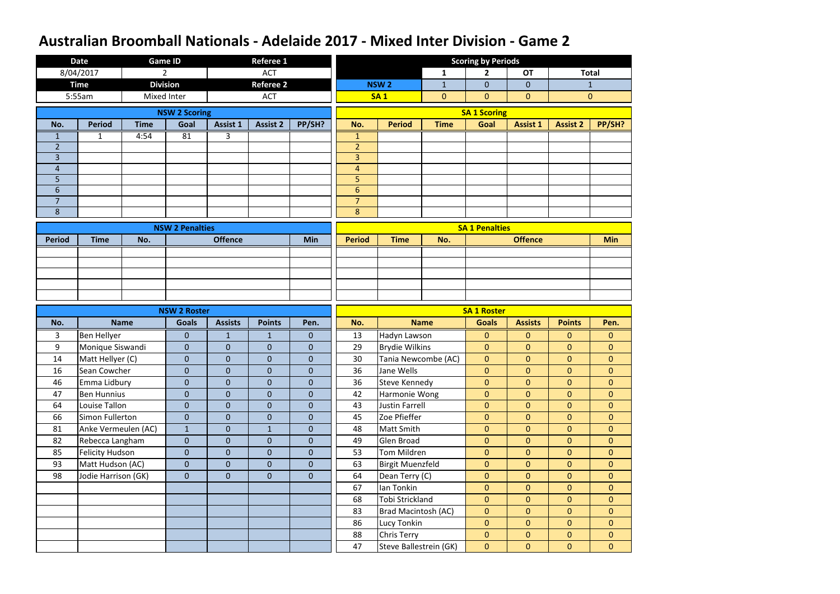|                                  | <b>Date</b>                      | <b>Game ID</b>  |                                     |                                | <b>Referee 1</b> |                |                                  |                                       |              | <b>Scoring by Periods</b>          |                                  |                                  |                                |
|----------------------------------|----------------------------------|-----------------|-------------------------------------|--------------------------------|------------------|----------------|----------------------------------|---------------------------------------|--------------|------------------------------------|----------------------------------|----------------------------------|--------------------------------|
|                                  | 8/04/2017                        | $\overline{2}$  |                                     |                                | <b>ACT</b>       |                |                                  |                                       | $\mathbf{1}$ | $\mathbf{2}$                       | <b>OT</b>                        |                                  | <b>Total</b>                   |
|                                  | <b>Time</b>                      | <b>Division</b> |                                     |                                | <b>Referee 2</b> |                |                                  | <b>NSW2</b>                           | $\mathbf{1}$ | $\overline{0}$                     | $\overline{0}$                   |                                  | $\mathbf{1}$                   |
|                                  | 5:55am                           | Mixed Inter     |                                     |                                | <b>ACT</b>       |                |                                  | <b>SA1</b>                            | $\mathbf{0}$ | $\mathbf{0}$                       | $\mathbf{0}$                     |                                  | $\mathbf{0}$                   |
|                                  |                                  |                 | <b>NSW 2 Scoring</b>                |                                |                  |                |                                  |                                       |              | <b>SA 1 Scoring</b>                |                                  |                                  |                                |
| No.                              | <b>Period</b>                    | <b>Time</b>     | Goal                                | <b>Assist 1</b>                | <b>Assist 2</b>  | PP/SH?         | No.                              | <b>Period</b>                         | <b>Time</b>  | Goal                               | <b>Assist 1</b>                  | <b>Assist 2</b>                  | PP/SH?                         |
| 1                                | 1                                | 4:54            | 81                                  | 3                              |                  |                | $\mathbf{1}$                     |                                       |              |                                    |                                  |                                  |                                |
| $\overline{2}$                   |                                  |                 |                                     |                                |                  |                | $\overline{2}$                   |                                       |              |                                    |                                  |                                  |                                |
| $\overline{3}$                   |                                  |                 |                                     |                                |                  |                | $\overline{3}$                   |                                       |              |                                    |                                  |                                  |                                |
| $\overline{4}$                   |                                  |                 |                                     |                                |                  |                | $\overline{4}$                   |                                       |              |                                    |                                  |                                  |                                |
| 5                                |                                  |                 |                                     |                                |                  |                | 5                                |                                       |              |                                    |                                  |                                  |                                |
| $6\phantom{1}$<br>$\overline{7}$ |                                  |                 |                                     |                                |                  |                | $6\phantom{1}$<br>$\overline{7}$ |                                       |              |                                    |                                  |                                  |                                |
| 8                                |                                  |                 |                                     |                                |                  |                | 8                                |                                       |              |                                    |                                  |                                  |                                |
|                                  |                                  |                 |                                     |                                |                  |                |                                  |                                       |              |                                    |                                  |                                  |                                |
|                                  |                                  |                 | <b>NSW 2 Penalties</b>              |                                |                  |                |                                  |                                       |              | <b>SA 1 Penalties</b>              |                                  |                                  |                                |
| <b>Period</b>                    | <b>Time</b>                      | No.             |                                     | <b>Offence</b>                 |                  | Min            | <b>Period</b>                    | <b>Time</b>                           | No.          |                                    | <b>Offence</b>                   |                                  | <b>Min</b>                     |
|                                  |                                  |                 |                                     |                                |                  |                |                                  |                                       |              |                                    |                                  |                                  |                                |
|                                  |                                  |                 |                                     |                                |                  |                |                                  |                                       |              |                                    |                                  |                                  |                                |
|                                  |                                  |                 |                                     |                                |                  |                |                                  |                                       |              |                                    |                                  |                                  |                                |
|                                  |                                  |                 |                                     |                                |                  |                |                                  |                                       |              |                                    |                                  |                                  |                                |
|                                  |                                  |                 |                                     |                                |                  |                |                                  |                                       |              |                                    |                                  |                                  |                                |
|                                  |                                  |                 |                                     |                                |                  |                |                                  |                                       |              |                                    |                                  |                                  |                                |
| No.                              |                                  | <b>Name</b>     | <b>NSW 2 Roster</b><br><b>Goals</b> | <b>Assists</b>                 | <b>Points</b>    | Pen.           | No.                              |                                       | <b>Name</b>  | <b>SA 1 Roster</b><br><b>Goals</b> | <b>Assists</b>                   | <b>Points</b>                    |                                |
|                                  |                                  |                 |                                     |                                | 1                | $\mathbf{0}$   |                                  |                                       |              | $\mathbf{0}$                       | $\mathbf{0}$                     | $\overline{0}$                   | Pen.                           |
| 3<br>9                           | <b>Ben Hellyer</b>               |                 | $\overline{0}$<br>$\overline{0}$    | $\mathbf{1}$<br>$\overline{0}$ | $\overline{0}$   | $\theta$       | 13<br>29                         | Hadyn Lawson                          |              | $\mathbf{0}$                       | $\mathbf{0}$                     | $\mathbf{0}$                     | $\overline{0}$<br>$\mathbf{0}$ |
| 14                               | Monique Siswandi                 |                 | $\overline{0}$                      | $\mathbf 0$                    | $\overline{0}$   | $\mathbf 0$    | 30                               | <b>Brydie Wilkins</b>                 |              | $\mathbf{0}$                       | $\mathbf{0}$                     | $\overline{0}$                   | $\mathbf{0}$                   |
| 16                               | Matt Hellyer (C)<br>Sean Cowcher |                 | $\overline{0}$                      | $\pmb{0}$                      | $\overline{0}$   | $\pmb{0}$      | 36                               | Tania Newcombe (AC)<br>Jane Wells     |              | $\overline{0}$                     | $\overline{0}$                   | $\overline{0}$                   | $\mathbf 0$                    |
| 46                               | Emma Lidbury                     |                 | $\overline{0}$                      | $\overline{0}$                 | $\overline{0}$   | $\overline{0}$ | 36                               | <b>Steve Kennedy</b>                  |              | $\overline{0}$                     | $\overline{0}$                   | $\overline{0}$                   | $\overline{0}$                 |
| 47                               | <b>Ben Hunnius</b>               |                 | $\overline{0}$                      | $\mathbf 0$                    | $\overline{0}$   | $\mathbf{0}$   | 42                               | Harmonie Wong                         |              | $\mathbf{0}$                       | $\overline{0}$                   | $\overline{0}$                   | $\overline{0}$                 |
| 64                               | Louise Tallon                    |                 | $\mathbf 0$                         | $\mathbf 0$                    | $\overline{0}$   | $\mathbf{0}$   | 43                               | Justin Farrell                        |              | $\mathbf{0}$                       | $\mathbf{0}$                     | $\mathbf{0}$                     | $\overline{0}$                 |
| 66                               | Simon Fullerton                  |                 | $\overline{0}$                      | $\mathbf 0$                    | $\overline{0}$   | $\mathbf{0}$   | 45                               | Zoe Pfieffer                          |              | $\mathbf{0}$                       | $\overline{0}$                   | $\overline{0}$                   | $\overline{0}$                 |
| 81                               | Anke Vermeulen (AC)              |                 | $\mathbf{1}$                        | $\mathbf 0$                    | $\mathbf{1}$     | $\theta$       | 48                               | Matt Smith                            |              | $\mathbf{0}$                       | $\overline{0}$                   | $\overline{0}$                   | $\overline{0}$                 |
| 82                               | Rebecca Langham                  |                 | $\overline{0}$                      | $\mathbf 0$                    | $\overline{0}$   | $\mathbf{0}$   | 49                               | Glen Broad                            |              | $\mathbf{0}$                       | $\overline{0}$                   | $\overline{0}$                   | $\overline{0}$                 |
| 85                               | <b>Felicity Hudson</b>           |                 | $\overline{0}$                      | $\mathbf 0$                    | $\overline{0}$   | $\overline{0}$ | 53                               | Tom Mildren                           |              | $\mathbf{0}$                       | $\mathbf{0}$                     | $\overline{0}$                   | $\overline{0}$                 |
| 93                               | Matt Hudson (AC)                 |                 | $\overline{0}$                      | $\overline{0}$                 | $\overline{0}$   | $\mathbf{0}$   | 63                               | <b>Birgit Muenzfeld</b>               |              | $\overline{0}$                     | $\overline{0}$                   | $\overline{0}$                   | $\overline{0}$                 |
| 98                               | Jodie Harrison (GK)              |                 | $\overline{0}$                      | $\overline{0}$                 | $\overline{0}$   | $\mathbf{0}$   | 64                               | Dean Terry (C)                        |              | $\overline{0}$                     | $\overline{0}$                   | $\overline{0}$                   | $\overline{0}$                 |
|                                  |                                  |                 |                                     |                                |                  |                | 67                               | Ian Tonkin                            |              | $\overline{0}$                     | $\overline{0}$                   | $\overline{0}$                   | $\overline{0}$                 |
|                                  |                                  |                 |                                     |                                |                  |                | 68                               | Tobi Strickland                       |              | $\mathbf{0}$                       | $\overline{0}$                   | $\overline{0}$                   | $\overline{0}$                 |
|                                  |                                  |                 |                                     |                                |                  |                | 83                               | Brad Macintosh (AC)                   |              | $\overline{0}$                     | $\overline{0}$                   | $\overline{0}$                   | $\overline{0}$                 |
|                                  |                                  |                 |                                     |                                |                  |                | 86                               | Lucy Tonkin                           |              | $\mathbf{0}$                       | $\overline{0}$                   | $\overline{0}$                   | $\overline{0}$                 |
|                                  |                                  |                 |                                     |                                |                  |                | 88<br>47                         | Chris Terry<br>Steve Ballestrein (GK) |              | $\mathbf{0}$<br>$\mathbf{0}$       | $\overline{0}$<br>$\overline{0}$ | $\overline{0}$<br>$\overline{0}$ | $\mathbf{0}$<br>$\mathbf{0}$   |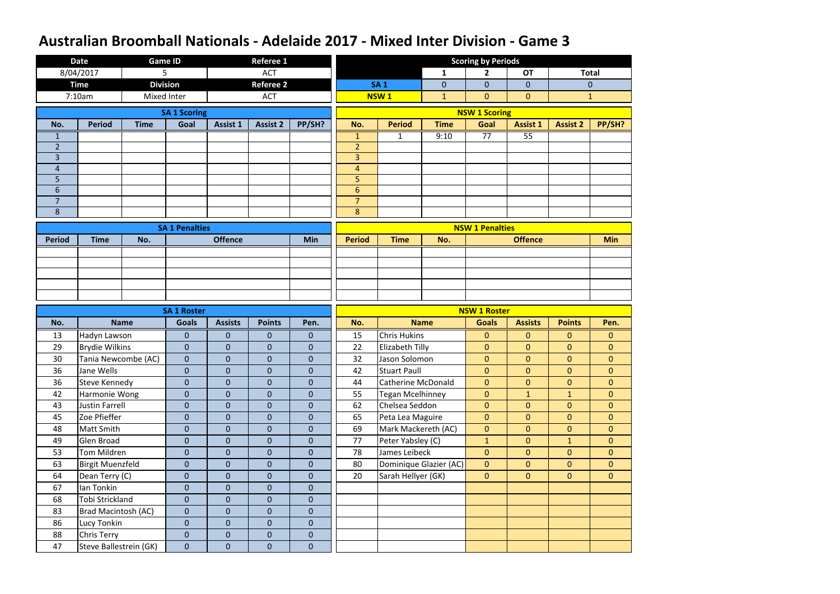|                     | <b>Date</b>                                  | <b>Game ID</b>  |                                    |                               | <b>Referee 1</b>                 |                                         |                                  |                           |              | <b>Scoring by Periods</b>           |                 |                 |                |
|---------------------|----------------------------------------------|-----------------|------------------------------------|-------------------------------|----------------------------------|-----------------------------------------|----------------------------------|---------------------------|--------------|-------------------------------------|-----------------|-----------------|----------------|
|                     | 8/04/2017                                    | 5               |                                    |                               | <b>ACT</b>                       |                                         |                                  |                           | $\mathbf{1}$ | 2                                   | <b>OT</b>       |                 | <b>Total</b>   |
|                     | <b>Time</b>                                  | <b>Division</b> |                                    |                               | <b>Referee 2</b>                 |                                         |                                  | <b>SA1</b>                | $\mathbf{0}$ | $\mathbf{0}$                        | $\overline{0}$  |                 | $\theta$       |
|                     | 7:10am                                       | Mixed Inter     |                                    |                               | <b>ACT</b>                       |                                         |                                  | <b>NSW1</b>               | $\mathbf{1}$ | $\mathbf{0}$                        | $\mathbf{0}$    |                 | $\mathbf{1}$   |
|                     |                                              |                 | <b>SA 1 Scoring</b>                |                               |                                  |                                         |                                  |                           |              | <b>NSW 1 Scoring</b>                |                 |                 |                |
| No.                 | <b>Period</b>                                | <b>Time</b>     | Goal                               | Assist 1                      | <b>Assist 2</b>                  | PP/SH?                                  | No.                              | <b>Period</b>             | <b>Time</b>  | Goal                                | <b>Assist 1</b> | <b>Assist 2</b> | PP/SH?         |
| 1                   |                                              |                 |                                    |                               |                                  |                                         | $\mathbf{1}$                     | 1                         | 9:10         | 77                                  | 55              |                 |                |
| $\overline{2}$      |                                              |                 |                                    |                               |                                  |                                         | $\overline{2}$                   |                           |              |                                     |                 |                 |                |
| 3                   |                                              |                 |                                    |                               |                                  |                                         | 3                                |                           |              |                                     |                 |                 |                |
| $\overline{4}$      |                                              |                 |                                    |                               |                                  |                                         | $\overline{4}$                   |                           |              |                                     |                 |                 |                |
| 5                   |                                              |                 |                                    |                               |                                  |                                         | 5                                |                           |              |                                     |                 |                 |                |
| 6<br>$\overline{7}$ |                                              |                 |                                    |                               |                                  |                                         | $6\phantom{1}$<br>$\overline{7}$ |                           |              |                                     |                 |                 |                |
| 8                   |                                              |                 |                                    |                               |                                  |                                         | 8                                |                           |              |                                     |                 |                 |                |
|                     |                                              |                 |                                    |                               |                                  |                                         |                                  |                           |              |                                     |                 |                 |                |
|                     |                                              |                 | <b>SA 1 Penalties</b>              |                               |                                  |                                         |                                  |                           |              | <b>NSW 1 Penalties</b>              |                 |                 |                |
| <b>Period</b>       | <b>Time</b>                                  | No.             |                                    | <b>Offence</b>                |                                  | <b>Min</b>                              | <b>Period</b>                    | <b>Time</b>               | No.          |                                     | <b>Offence</b>  |                 | <b>Min</b>     |
|                     |                                              |                 |                                    |                               |                                  |                                         |                                  |                           |              |                                     |                 |                 |                |
|                     |                                              |                 |                                    |                               |                                  |                                         |                                  |                           |              |                                     |                 |                 |                |
|                     |                                              |                 |                                    |                               |                                  |                                         |                                  |                           |              |                                     |                 |                 |                |
|                     |                                              |                 |                                    |                               |                                  |                                         |                                  |                           |              |                                     |                 |                 |                |
|                     |                                              |                 |                                    |                               |                                  |                                         |                                  |                           |              |                                     |                 |                 |                |
|                     |                                              |                 |                                    |                               |                                  |                                         |                                  |                           |              |                                     |                 |                 |                |
| No.                 |                                              | <b>Name</b>     | <b>SA 1 Roster</b><br><b>Goals</b> | <b>Assists</b>                | <b>Points</b>                    | Pen.                                    | No.                              |                           | <b>Name</b>  | <b>NSW 1 Roster</b><br><b>Goals</b> | <b>Assists</b>  | <b>Points</b>   | Pen.           |
| 13                  | Hadyn Lawson                                 |                 | $\overline{0}$                     | $\mathbf{0}$                  | $\overline{0}$                   | $\mathbf{0}$                            | 15                               | <b>Chris Hukins</b>       |              | $\mathbf{0}$                        | $\mathbf{0}$    | $\overline{0}$  | $\mathbf{0}$   |
| 29                  | <b>Brydie Wilkins</b>                        |                 | $\overline{0}$                     | $\overline{0}$                | $\overline{0}$                   | $\mathbf{0}$                            | 22                               | <b>Elizabeth Tilly</b>    |              | $\mathbf{0}$                        | $\mathbf{0}$    | $\overline{0}$  | $\overline{0}$ |
| 30                  | Tania Newcombe (AC)                          |                 | $\overline{0}$                     | $\overline{0}$                | $\overline{0}$                   | $\mathbf 0$                             | 32                               | Jason Solomon             |              | $\mathbf{0}$                        | $\mathbf{0}$    | $\overline{0}$  | $\overline{0}$ |
| 36                  | Jane Wells                                   |                 | $\mathbf{0}$                       | $\mathbf 0$                   | $\overline{0}$                   | $\pmb{0}$                               | 42                               | <b>Stuart Paull</b>       |              | $\overline{0}$                      | $\overline{0}$  | $\overline{0}$  | $\mathbf{0}$   |
| 36                  | <b>Steve Kennedy</b>                         |                 | $\overline{0}$                     | $\overline{0}$                | $\overline{0}$                   | $\mathbf{0}$                            | 44                               | <b>Catherine McDonald</b> |              | $\overline{0}$                      | $\overline{0}$  | $\overline{0}$  | $\overline{0}$ |
| 42                  | Harmonie Wong                                |                 | $\overline{0}$                     | $\mathbf{0}$                  | $\overline{0}$                   | $\overline{0}$                          | 55                               | <b>Tegan Mcelhinney</b>   |              | $\mathbf{0}$                        | $\mathbf{1}$    | $\mathbf{1}$    | $\overline{0}$ |
| 43                  | Justin Farrell                               |                 | $\overline{0}$                     | $\mathbf{0}$                  | $\overline{0}$                   | $\overline{0}$                          | 62                               | Chelsea Seddon            |              | $\overline{0}$                      | $\overline{0}$  | $\overline{0}$  | $\overline{0}$ |
| 45                  | Zoe Pfieffer                                 |                 | $\overline{0}$                     | $\overline{0}$                | $\overline{0}$                   | $\overline{0}$                          | 65                               | Peta Lea Maguire          |              | $\overline{0}$                      | $\overline{0}$  | $\overline{0}$  | $\overline{0}$ |
| 48                  | Matt Smith                                   |                 | $\overline{0}$                     | $\overline{0}$                | $\overline{0}$                   | $\overline{0}$                          | 69                               | Mark Mackereth (AC)       |              | $\overline{0}$                      | $\overline{0}$  | $\overline{0}$  | $\overline{0}$ |
| 49                  | Glen Broad                                   |                 | $\overline{0}$                     | $\overline{0}$                | $\overline{0}$                   | $\overline{0}$                          | 77                               | Peter Yabsley (C)         |              | $\mathbf{1}$                        | $\overline{0}$  | $\mathbf{1}$    | $\overline{0}$ |
| 53                  | Tom Mildren                                  |                 | $\overline{0}$                     | $\mathbf{0}$                  | $\overline{0}$                   | $\overline{0}$                          | 78                               | James Leibeck             |              | $\mathbf{0}$                        | $\overline{0}$  | $\overline{0}$  | $\overline{0}$ |
| 63                  | <b>Birgit Muenzfeld</b>                      |                 | $\overline{0}$                     | $\overline{0}$                | $\overline{0}$                   | $\mathbf{0}$                            | 80                               | Dominique Glazier (AC)    |              | $\overline{0}$                      | $\overline{0}$  | $\overline{0}$  | $\overline{0}$ |
| 64                  | Dean Terry (C)                               |                 | $\overline{0}$                     | $\overline{0}$                | $\overline{0}$                   | $\mathbf{0}$                            | 20                               | Sarah Hellyer (GK)        |              | $\overline{0}$                      | $\overline{0}$  | $\overline{0}$  | $\mathbf{0}$   |
| 67                  | Ian Tonkin                                   |                 | $\overline{0}$                     | $\boldsymbol{0}$              | $\overline{0}$                   | $\mathbf{0}$                            |                                  |                           |              |                                     |                 |                 |                |
| 68                  | Tobi Strickland                              |                 | $\overline{0}$                     | $\overline{0}$                | $\overline{0}$                   | $\boldsymbol{0}$                        |                                  |                           |              |                                     |                 |                 |                |
| 83                  | Brad Macintosh (AC)                          |                 | $\overline{0}$                     | $\overline{0}$                | $\overline{0}$                   | $\mathbf{0}$                            |                                  |                           |              |                                     |                 |                 |                |
| 86                  | Lucy Tonkin                                  |                 | $\overline{0}$                     | $\overline{0}$                | $\overline{0}$                   | $\mathbf{0}$                            |                                  |                           |              |                                     |                 |                 |                |
| 88<br>47            | <b>Chris Terry</b><br>Steve Ballestrein (GK) |                 | $\overline{0}$<br>$\overline{0}$   | $\overline{0}$<br>$\mathbf 0$ | $\overline{0}$<br>$\overline{0}$ | $\mathbf{0}$<br>$\overline{\mathbf{0}}$ |                                  |                           |              |                                     |                 |                 |                |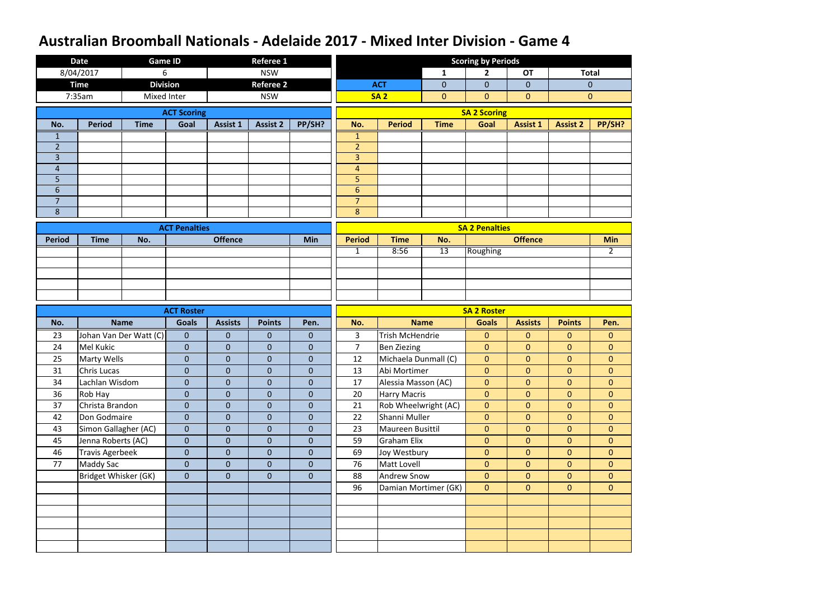|                     | <b>Date</b>            | <b>Game ID</b>         |                      |                  | <b>Referee 1</b> |                |                                  |                        |                 | <b>Scoring by Periods</b> |                 |                 |                |
|---------------------|------------------------|------------------------|----------------------|------------------|------------------|----------------|----------------------------------|------------------------|-----------------|---------------------------|-----------------|-----------------|----------------|
|                     | 8/04/2017              | 6                      |                      |                  | <b>NSW</b>       |                |                                  |                        | $\mathbf{1}$    | $\overline{2}$            | <b>OT</b>       |                 | <b>Total</b>   |
|                     | <b>Time</b>            | <b>Division</b>        |                      |                  | <b>Referee 2</b> |                |                                  | <b>ACT</b>             | $\mathbf{0}$    | $\overline{0}$            | $\mathbf{0}$    |                 | $\mathbf{0}$   |
|                     | 7:35am                 | Mixed Inter            |                      |                  | <b>NSW</b>       |                |                                  | <b>SA 2</b>            | $\overline{0}$  | $\mathbf{0}$              | $\mathbf{0}$    |                 | $\mathbf{0}$   |
|                     |                        |                        | <b>ACT Scoring</b>   |                  |                  |                |                                  |                        |                 | <b>SA 2 Scoring</b>       |                 |                 |                |
| No.                 | <b>Period</b>          | <b>Time</b>            | Goal                 | <b>Assist 1</b>  | <b>Assist 2</b>  | PP/SH?         | No.                              | <b>Period</b>          | <b>Time</b>     | Goal                      | <b>Assist 1</b> | <b>Assist 2</b> | PP/SH?         |
| $\mathbf 1$         |                        |                        |                      |                  |                  |                | $\mathbf{1}$                     |                        |                 |                           |                 |                 |                |
| $\overline{2}$      |                        |                        |                      |                  |                  |                | $\overline{2}$                   |                        |                 |                           |                 |                 |                |
| $\overline{3}$      |                        |                        |                      |                  |                  |                | $\overline{3}$                   |                        |                 |                           |                 |                 |                |
| $\overline{4}$      |                        |                        |                      |                  |                  |                | $\overline{4}$                   |                        |                 |                           |                 |                 |                |
| 5                   |                        |                        |                      |                  |                  |                | 5                                |                        |                 |                           |                 |                 |                |
| 6<br>$\overline{7}$ |                        |                        |                      |                  |                  |                | $6\phantom{1}$<br>$\overline{7}$ |                        |                 |                           |                 |                 |                |
| 8                   |                        |                        |                      |                  |                  |                | 8                                |                        |                 |                           |                 |                 |                |
|                     |                        |                        |                      |                  |                  |                |                                  |                        |                 |                           |                 |                 |                |
| <b>Period</b>       | <b>Time</b>            | No.                    | <b>ACT Penalties</b> | <b>Offence</b>   |                  | <b>Min</b>     | <b>Period</b>                    | <b>Time</b>            | No.             | <b>SA 2 Penalties</b>     | <b>Offence</b>  |                 | <b>Min</b>     |
|                     |                        |                        |                      |                  |                  |                | $\mathbf{1}$                     | 8:56                   | $\overline{13}$ | Roughing                  |                 |                 | $2^{\circ}$    |
|                     |                        |                        |                      |                  |                  |                |                                  |                        |                 |                           |                 |                 |                |
|                     |                        |                        |                      |                  |                  |                |                                  |                        |                 |                           |                 |                 |                |
|                     |                        |                        |                      |                  |                  |                |                                  |                        |                 |                           |                 |                 |                |
|                     |                        |                        |                      |                  |                  |                |                                  |                        |                 |                           |                 |                 |                |
|                     |                        |                        |                      |                  |                  |                |                                  |                        |                 |                           |                 |                 |                |
|                     |                        |                        | <b>ACT Roster</b>    |                  |                  |                |                                  |                        |                 | <b>SA 2 Roster</b>        |                 |                 |                |
| No.                 |                        | <b>Name</b>            | <b>Goals</b>         | <b>Assists</b>   | <b>Points</b>    | Pen.           | No.                              |                        | <b>Name</b>     | <b>Goals</b>              | <b>Assists</b>  | <b>Points</b>   | Pen.           |
| 23                  |                        | Johan Van Der Watt (C) | $\mathbf{0}$         | $\mathbf{0}$     | $\mathbf{0}$     | $\mathbf{0}$   | 3                                | <b>Trish McHendrie</b> |                 | $\mathbf{0}$              | $\mathbf{0}$    | $\mathbf{0}$    | $\mathbf{0}$   |
| 24                  | <b>Mel Kukic</b>       |                        | $\mathbf{0}$         | $\mathbf{0}$     | $\overline{0}$   | $\theta$       | $\overline{7}$                   | <b>Ben Ziezing</b>     |                 | $\mathbf{0}$              | $\mathbf{0}$    | $\overline{0}$  | $\overline{0}$ |
| 25                  | <b>Marty Wells</b>     |                        | $\overline{0}$       | $\mathbf 0$      | $\overline{0}$   | $\mathbf 0$    | 12                               | Michaela Dunmall (C)   |                 | $\mathbf{0}$              | $\mathbf{0}$    | $\overline{0}$  | $\overline{0}$ |
| 31                  | Chris Lucas            |                        | $\mathbf{0}$         | $\boldsymbol{0}$ | $\overline{0}$   | $\pmb{0}$      | 13                               | Abi Mortimer           |                 | $\overline{0}$            | $\overline{0}$  | $\overline{0}$  | $\mathbf{0}$   |
| 34                  | Lachlan Wisdom         |                        | $\overline{0}$       | $\overline{0}$   | $\overline{0}$   | $\overline{0}$ | 17                               | Alessia Masson (AC)    |                 | $\overline{0}$            | $\overline{0}$  | $\overline{0}$  | $\overline{0}$ |
| 36                  | Rob Hay                |                        | $\overline{0}$       | $\mathbf{0}$     | $\overline{0}$   | $\overline{0}$ | 20                               | <b>Harry Macris</b>    |                 | $\mathbf{0}$              | $\overline{0}$  | $\overline{0}$  | $\overline{0}$ |
| 37                  | Christa Brandon        |                        | $\overline{0}$       | $\overline{0}$   | $\mathbf{0}$     | $\mathbf{0}$   | 21                               | Rob Wheelwright (AC)   |                 | $\overline{0}$            | $\mathbf{0}$    | $\overline{0}$  | $\overline{0}$ |
| 42                  | Don Godmaire           |                        | $\overline{0}$       | $\overline{0}$   | $\overline{0}$   | $\mathbf{0}$   | 22                               | Shanni Muller          |                 | $\mathbf{0}$              | $\overline{0}$  | $\overline{0}$  | $\overline{0}$ |
| 43                  | Simon Gallagher (AC)   |                        | $\overline{0}$       | $\overline{0}$   | $\mathbf{0}$     | $\mathbf{0}$   | 23                               | Maureen Busittil       |                 | $\mathbf{0}$              | $\overline{0}$  | $\overline{0}$  | $\overline{0}$ |
| 45                  | Jenna Roberts (AC)     |                        | $\overline{0}$       | $\overline{0}$   | $\mathbf{0}$     | $\mathbf{0}$   | 59                               | <b>Graham Elix</b>     |                 | $\mathbf{0}$              | $\overline{0}$  | $\overline{0}$  | $\overline{0}$ |
| 46                  | <b>Travis Agerbeek</b> |                        | $\mathbf{0}$         | $\boldsymbol{0}$ | $\mathbf{0}$     | $\mathbf{0}$   | 69                               | Joy Westbury           |                 | $\mathbf{0}$              | $\mathbf{0}$    | $\overline{0}$  | $\overline{0}$ |
| 77                  | <b>Maddy Sac</b>       |                        | $\overline{0}$       | $\overline{0}$   | $\overline{0}$   | $\mathbf{0}$   | 76                               | Matt Lovell            |                 | $\mathbf{0}$              | $\overline{0}$  | $\overline{0}$  | $\overline{0}$ |
|                     | Bridget Whisker (GK)   |                        | $\overline{0}$       | $\overline{0}$   | $\overline{0}$   | $\overline{0}$ | 88                               | Andrew Snow            |                 | $\overline{0}$            | $\overline{0}$  | $\overline{0}$  | $\overline{0}$ |
|                     |                        |                        |                      |                  |                  |                | 96                               | Damian Mortimer (GK)   |                 | $\overline{0}$            | $\overline{0}$  | $\overline{0}$  | $\overline{0}$ |
|                     |                        |                        |                      |                  |                  |                |                                  |                        |                 |                           |                 |                 |                |
|                     |                        |                        |                      |                  |                  |                |                                  |                        |                 |                           |                 |                 |                |
|                     |                        |                        |                      |                  |                  |                |                                  |                        |                 |                           |                 |                 |                |
|                     |                        |                        |                      |                  |                  |                |                                  |                        |                 |                           |                 |                 |                |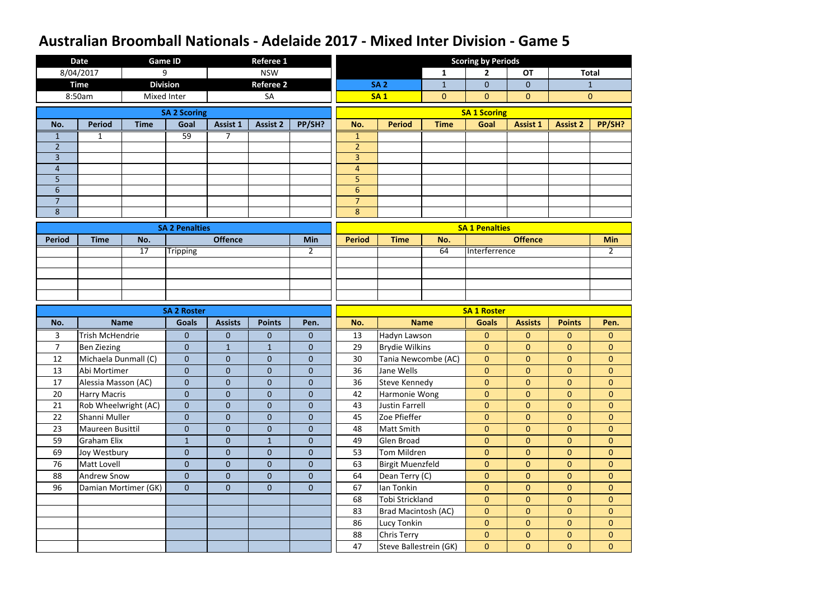|                                  | <b>Date</b>            |                      | <b>Game ID</b>        |                | <b>Referee 1</b> |                  |                                  |                                       |                | <b>Scoring by Periods</b>        |                                  |                                |                                |
|----------------------------------|------------------------|----------------------|-----------------------|----------------|------------------|------------------|----------------------------------|---------------------------------------|----------------|----------------------------------|----------------------------------|--------------------------------|--------------------------------|
|                                  | 8/04/2017              |                      | 9                     |                | <b>NSW</b>       |                  |                                  |                                       | $\mathbf{1}$   | $\mathbf{2}$                     | <b>OT</b>                        |                                | <b>Total</b>                   |
|                                  | <b>Time</b>            |                      | <b>Division</b>       |                | <b>Referee 2</b> |                  |                                  | <b>SA 2</b>                           | $\mathbf{1}$   | $\overline{0}$                   | $\overline{0}$                   |                                | $\mathbf{1}$                   |
|                                  | 8:50am                 |                      | Mixed Inter           |                | <b>SA</b>        |                  |                                  | <b>SA1</b>                            | $\overline{0}$ | $\overline{0}$                   | $\mathbf{0}$                     |                                | $\mathbf{0}$                   |
|                                  |                        |                      | <b>SA 2 Scoring</b>   |                |                  |                  |                                  |                                       |                | <b>SA 1 Scoring</b>              |                                  |                                |                                |
| No.                              | <b>Period</b>          | <b>Time</b>          | Goal                  | Assist 1       | <b>Assist 2</b>  | PP/SH?           | No.                              | <b>Period</b>                         | <b>Time</b>    | Goal                             | <b>Assist 1</b>                  | <b>Assist 2</b>                | PP/SH?                         |
| 1                                | 1                      |                      | 59                    |                |                  |                  | $\mathbf{1}$                     |                                       |                |                                  |                                  |                                |                                |
| $\overline{2}$                   |                        |                      |                       |                |                  |                  | $\overline{2}$                   |                                       |                |                                  |                                  |                                |                                |
| $\overline{3}$                   |                        |                      |                       |                |                  |                  | $\overline{3}$                   |                                       |                |                                  |                                  |                                |                                |
| $\overline{4}$                   |                        |                      |                       |                |                  |                  | $\overline{4}$                   |                                       |                |                                  |                                  |                                |                                |
| 5                                |                        |                      |                       |                |                  |                  | 5                                |                                       |                |                                  |                                  |                                |                                |
| $6\phantom{1}$<br>$\overline{7}$ |                        |                      |                       |                |                  |                  | $6\phantom{1}$<br>$\overline{7}$ |                                       |                |                                  |                                  |                                |                                |
| 8                                |                        |                      |                       |                |                  |                  | 8                                |                                       |                |                                  |                                  |                                |                                |
|                                  |                        |                      |                       |                |                  |                  |                                  |                                       |                |                                  |                                  |                                |                                |
| <b>Period</b>                    | <b>Time</b>            | No.                  | <b>SA 2 Penalties</b> | <b>Offence</b> |                  | Min              | <b>Period</b>                    | <b>Time</b>                           | No.            | <b>SA 1 Penalties</b>            | <b>Offence</b>                   |                                | <b>Min</b>                     |
|                                  |                        | 17                   | <b>Tripping</b>       |                |                  | 2                |                                  |                                       | 64             | Interferrence                    |                                  |                                | $\overline{2}$                 |
|                                  |                        |                      |                       |                |                  |                  |                                  |                                       |                |                                  |                                  |                                |                                |
|                                  |                        |                      |                       |                |                  |                  |                                  |                                       |                |                                  |                                  |                                |                                |
|                                  |                        |                      |                       |                |                  |                  |                                  |                                       |                |                                  |                                  |                                |                                |
|                                  |                        |                      |                       |                |                  |                  |                                  |                                       |                |                                  |                                  |                                |                                |
|                                  |                        |                      |                       |                |                  |                  |                                  |                                       |                |                                  |                                  |                                |                                |
|                                  |                        |                      | <b>SA 2 Roster</b>    |                |                  |                  |                                  |                                       |                | <b>SA 1 Roster</b>               |                                  |                                |                                |
| No.                              |                        | <b>Name</b>          | <b>Goals</b>          | <b>Assists</b> | <b>Points</b>    | Pen.             | No.                              |                                       | <b>Name</b>    | <b>Goals</b>                     | <b>Assists</b>                   | <b>Points</b>                  | Pen.                           |
| 3                                | <b>Trish McHendrie</b> |                      | $\overline{0}$        | $\mathbf{0}$   | $\mathbf{0}$     | $\mathbf{0}$     | 13                               | Hadyn Lawson                          |                | $\mathbf{0}$                     | $\mathbf{0}$                     | $\overline{0}$                 | $\mathbf{0}$                   |
| $\overline{7}$                   | <b>Ben Ziezing</b>     |                      | $\overline{0}$        | $\mathbf{1}$   | $\mathbf{1}$     | $\theta$         | 29                               | <b>Brydie Wilkins</b>                 |                | $\mathbf{0}$                     | $\mathbf{0}$                     | $\mathbf{0}$                   | $\overline{0}$                 |
| 12                               | Michaela Dunmall (C)   |                      | $\overline{0}$        | $\overline{0}$ | $\overline{0}$   | $\boldsymbol{0}$ | 30                               | Tania Newcombe (AC)                   |                | $\mathbf{0}$                     | $\mathbf{0}$                     | $\overline{0}$                 | $\mathbf{0}$                   |
| 13                               | Abi Mortimer           |                      | $\overline{0}$        | $\pmb{0}$      | $\overline{0}$   | $\pmb{0}$        | 36                               | Jane Wells                            |                | $\overline{0}$                   | $\overline{0}$                   | $\overline{0}$                 | $\mathbf{0}$                   |
| 17                               | Alessia Masson (AC)    |                      | $\overline{0}$        | $\overline{0}$ | $\overline{0}$   | $\overline{0}$   | 36                               | Steve Kennedy                         |                | $\overline{0}$                   | $\overline{0}$                   | $\overline{0}$                 | $\overline{0}$                 |
| 20                               | <b>Harry Macris</b>    |                      | $\overline{0}$        | $\overline{0}$ | $\overline{0}$   | $\overline{0}$   | 42                               | Harmonie Wong                         |                | $\mathbf{0}$                     | $\overline{0}$                   | $\overline{0}$                 | $\overline{0}$                 |
| 21                               | Rob Wheelwright (AC)   |                      | $\overline{0}$        | $\overline{0}$ | $\overline{0}$   | $\mathbf{0}$     | 43                               | Justin Farrell                        |                | $\mathbf{0}$                     | $\overline{0}$                   | $\overline{0}$                 | $\overline{0}$                 |
| 22                               | Shanni Muller          |                      | $\overline{0}$        | $\overline{0}$ | $\overline{0}$   | $\mathbf{0}$     | 45                               | Zoe Pfieffer                          |                | $\overline{0}$                   | $\overline{0}$                   | $\overline{0}$                 | $\overline{0}$                 |
| 23                               | Maureen Busittil       |                      | $\overline{0}$        | $\overline{0}$ | $\overline{0}$   | $\overline{0}$   | 48                               | Matt Smith                            |                | $\overline{0}$                   | $\overline{0}$                   | $\overline{0}$                 | $\overline{0}$                 |
| 59                               | <b>Graham Elix</b>     |                      | $\mathbf{1}$          | $\mathbf 0$    | $\mathbf{1}$     | $\mathbf{0}$     | 49                               | Glen Broad                            |                | $\mathbf{0}$                     | $\overline{0}$                   | $\overline{0}$                 | $\overline{0}$                 |
| 69                               | Joy Westbury           |                      | $\overline{0}$        | $\overline{0}$ | $\overline{0}$   | $\mathbf{0}$     | 53                               | Tom Mildren                           |                | $\mathbf{0}$                     | $\overline{0}$                   | $\overline{0}$                 | $\overline{0}$                 |
| 76                               | Matt Lovell            |                      | $\overline{0}$        | $\mathbf 0$    | $\overline{0}$   | $\mathbf{0}$     | 63                               | <b>Birgit Muenzfeld</b>               |                | $\overline{0}$                   | $\overline{0}$                   | $\overline{0}$                 | $\overline{0}$                 |
| 88                               | <b>Andrew Snow</b>     |                      | $\overline{0}$        | $\overline{0}$ | $\overline{0}$   | $\mathbf{0}$     | 64                               | Dean Terry (C)                        |                | $\overline{0}$                   | $\overline{0}$                   | $\overline{0}$                 | $\overline{0}$                 |
| 96                               |                        | Damian Mortimer (GK) | $\overline{0}$        | $\overline{0}$ | $\overline{0}$   | $\mathbf{0}$     | 67                               | Ian Tonkin                            |                | $\mathbf{0}$                     | $\overline{0}$                   | $\overline{0}$                 | $\overline{0}$                 |
|                                  |                        |                      |                       |                |                  |                  | 68                               | Tobi Strickland                       |                | $\overline{0}$                   | $\mathbf{0}$                     | $\overline{0}$                 | $\overline{0}$                 |
|                                  |                        |                      |                       |                |                  |                  | 83                               | Brad Macintosh (AC)                   |                | $\mathbf{0}$                     | $\overline{0}$                   | $\overline{0}$                 | $\overline{0}$                 |
|                                  |                        |                      |                       |                |                  |                  | 86                               | Lucy Tonkin                           |                | $\overline{0}$                   | $\overline{0}$                   | $\overline{0}$                 | $\overline{0}$                 |
|                                  |                        |                      |                       |                |                  |                  | 88<br>47                         | Chris Terry<br>Steve Ballestrein (GK) |                | $\overline{0}$<br>$\overline{0}$ | $\overline{0}$<br>$\overline{0}$ | $\overline{0}$<br>$\mathbf{0}$ | $\overline{0}$<br>$\mathbf{0}$ |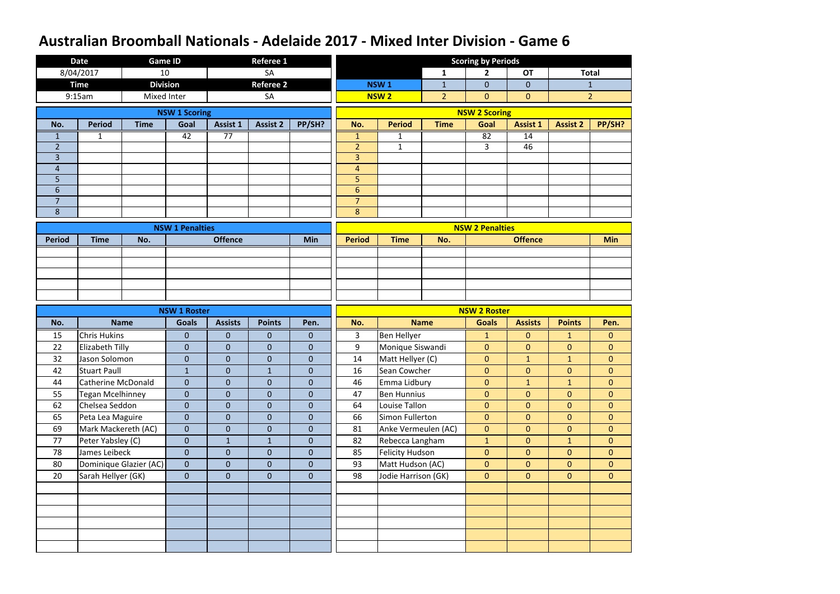|                     | <b>Date</b>               | <b>Game ID</b>         |                        |                  | Referee 1        |                |                                  |                        |                | <b>Scoring by Periods</b> |                 |                 |                  |
|---------------------|---------------------------|------------------------|------------------------|------------------|------------------|----------------|----------------------------------|------------------------|----------------|---------------------------|-----------------|-----------------|------------------|
|                     | 8/04/2017                 | 10                     |                        |                  | <b>SA</b>        |                |                                  |                        | $\mathbf{1}$   | $\overline{2}$            | <b>OT</b>       |                 | <b>Total</b>     |
|                     | <b>Time</b>               | <b>Division</b>        |                        |                  | <b>Referee 2</b> |                |                                  | NSW <sub>1</sub>       | $\mathbf{1}$   | $\overline{0}$            | $\overline{0}$  |                 | 1                |
|                     | 9:15am                    | <b>Mixed Inter</b>     |                        |                  | SA               |                |                                  | <b>NSW2</b>            | $\overline{2}$ | $\overline{0}$            | $\overline{0}$  |                 | $\overline{2}$   |
|                     |                           |                        | <b>NSW 1 Scoring</b>   |                  |                  |                |                                  |                        |                | <b>NSW 2 Scoring</b>      |                 |                 |                  |
| No.                 | <b>Period</b>             | <b>Time</b>            | Goal                   | Assist 1         | <b>Assist 2</b>  | PP/SH?         | No.                              | <b>Period</b>          | <b>Time</b>    | Goal                      | <b>Assist 1</b> | <b>Assist 2</b> | PP/SH?           |
| 1                   | 1                         |                        | 42                     | $\overline{77}$  |                  |                | 1                                |                        |                | 82                        | 14              |                 |                  |
| $\overline{2}$      |                           |                        |                        |                  |                  |                | $\overline{2}$                   | $\mathbf{1}$           |                | 3                         | 46              |                 |                  |
| $\overline{3}$      |                           |                        |                        |                  |                  |                | $\overline{3}$                   |                        |                |                           |                 |                 |                  |
| $\overline{4}$      |                           |                        |                        |                  |                  |                | $\overline{4}$                   |                        |                |                           |                 |                 |                  |
| 5                   |                           |                        |                        |                  |                  |                | 5                                |                        |                |                           |                 |                 |                  |
| 6                   |                           |                        |                        |                  |                  |                | $6\phantom{1}$<br>$\overline{7}$ |                        |                |                           |                 |                 |                  |
| $\overline{7}$<br>8 |                           |                        |                        |                  |                  |                | 8                                |                        |                |                           |                 |                 |                  |
|                     |                           |                        |                        |                  |                  |                |                                  |                        |                |                           |                 |                 |                  |
|                     |                           |                        | <b>NSW 1 Penalties</b> |                  |                  |                |                                  |                        |                | <b>NSW 2 Penalties</b>    |                 |                 |                  |
| <b>Period</b>       | <b>Time</b>               | No.                    |                        | <b>Offence</b>   |                  | <b>Min</b>     | <b>Period</b>                    | <b>Time</b>            | No.            |                           | <b>Offence</b>  |                 | <b>Min</b>       |
|                     |                           |                        |                        |                  |                  |                |                                  |                        |                |                           |                 |                 |                  |
|                     |                           |                        |                        |                  |                  |                |                                  |                        |                |                           |                 |                 |                  |
|                     |                           |                        |                        |                  |                  |                |                                  |                        |                |                           |                 |                 |                  |
|                     |                           |                        |                        |                  |                  |                |                                  |                        |                |                           |                 |                 |                  |
|                     |                           |                        |                        |                  |                  |                |                                  |                        |                |                           |                 |                 |                  |
|                     |                           |                        |                        |                  |                  |                |                                  |                        |                |                           |                 |                 |                  |
|                     |                           |                        | <b>NSW 1 Roster</b>    |                  |                  |                |                                  |                        |                | <b>NSW 2 Roster</b>       |                 |                 |                  |
| No.                 |                           | <b>Name</b>            | <b>Goals</b>           | <b>Assists</b>   | <b>Points</b>    | Pen.           | No.                              |                        | <b>Name</b>    | <b>Goals</b>              | <b>Assists</b>  | <b>Points</b>   | Pen.             |
| 15                  | <b>Chris Hukins</b>       |                        | $\boldsymbol{0}$       | $\mathbf 0$      | $\mathbf{0}$     | $\mathbf{0}$   | 3                                | <b>Ben Hellyer</b>     |                | $\mathbf{1}$              | $\overline{0}$  | $\mathbf{1}$    | $\mathbf{0}$     |
| 22                  | <b>Elizabeth Tilly</b>    |                        | $\overline{0}$         | $\mathbf{0}$     | $\overline{0}$   | $\mathbf{0}$   | 9                                | Monique Siswandi       |                | $\mathbf{0}$              | $\overline{0}$  | $\overline{0}$  | $\mathbf{0}$     |
| 32                  | Jason Solomon             |                        | 0                      | $\mathbf 0$      | $\overline{0}$   | $\mathbf 0$    | 14                               | Matt Hellyer (C)       |                | $\mathbf{0}$              | $\mathbf{1}$    | $\mathbf{1}$    | $\boldsymbol{0}$ |
| 42                  | Stuart Paull              |                        | $\mathbf{1}$           | $\overline{0}$   | $\mathbf{1}$     | $\overline{0}$ | 16                               | Sean Cowcher           |                | $\overline{0}$            | $\overline{0}$  | $\overline{0}$  | $\overline{0}$   |
| 44                  | <b>Catherine McDonald</b> |                        | $\overline{0}$         | $\overline{0}$   | $\overline{0}$   | $\overline{0}$ | 46                               | Emma Lidbury           |                | $\overline{0}$            | $\mathbf{1}$    | 1               | $\mathbf{0}$     |
| 55                  | <b>Tegan Mcelhinney</b>   |                        | $\overline{0}$         | $\overline{0}$   | $\overline{0}$   | $\overline{0}$ | 47                               | <b>Ben Hunnius</b>     |                | $\overline{0}$            | $\overline{0}$  | $\overline{0}$  | $\mathbf{0}$     |
| 62                  | Chelsea Seddon            |                        | $\overline{0}$         | $\pmb{0}$        | $\boldsymbol{0}$ | $\overline{0}$ | 64                               | Louise Tallon          |                | $\overline{0}$            | $\overline{0}$  | $\overline{0}$  | $\overline{0}$   |
| 65                  | Peta Lea Maguire          |                        | $\overline{0}$         | $\overline{0}$   | $\overline{0}$   | $\overline{0}$ | 66                               | Simon Fullerton        |                | $\overline{0}$            | $\overline{0}$  | $\overline{0}$  | $\overline{0}$   |
| 69                  | Mark Mackereth (AC)       |                        | $\overline{0}$         | $\mathbf{0}$     | $\overline{0}$   | $\overline{0}$ | 81                               | Anke Vermeulen (AC)    |                | $\overline{0}$            | $\overline{0}$  | $\overline{0}$  | $\mathbf{0}$     |
| 77                  | Peter Yabsley (C)         |                        | $\overline{0}$         | $\mathbf{1}$     | $\mathbf{1}$     | $\mathbf{0}$   | 82                               | Rebecca Langham        |                | $\mathbf{1}$              | $\overline{0}$  | 1               | $\overline{0}$   |
| 78                  | James Leibeck             |                        | $\overline{0}$         | $\mathbf{0}$     | $\overline{0}$   | $\mathbf{0}$   | 85                               | <b>Felicity Hudson</b> |                | $\mathbf{0}$              | $\overline{0}$  | $\overline{0}$  | $\overline{0}$   |
| 80                  |                           | Dominique Glazier (AC) | $\overline{0}$         | $\boldsymbol{0}$ | $\overline{0}$   | $\mathbf{0}$   | 93                               | Matt Hudson (AC)       |                | $\overline{0}$            | $\overline{0}$  | $\overline{0}$  | $\overline{0}$   |
| 20                  | Sarah Hellyer (GK)        |                        | $\overline{0}$         | $\overline{0}$   | $\overline{0}$   | $\overline{0}$ | 98                               | Jodie Harrison (GK)    |                | $\overline{0}$            | $\overline{0}$  | $\overline{0}$  | $\overline{0}$   |
|                     |                           |                        |                        |                  |                  |                |                                  |                        |                |                           |                 |                 |                  |
|                     |                           |                        |                        |                  |                  |                |                                  |                        |                |                           |                 |                 |                  |
|                     |                           |                        |                        |                  |                  |                |                                  |                        |                |                           |                 |                 |                  |
|                     |                           |                        |                        |                  |                  |                |                                  |                        |                |                           |                 |                 |                  |
|                     |                           |                        |                        |                  |                  |                |                                  |                        |                |                           |                 |                 |                  |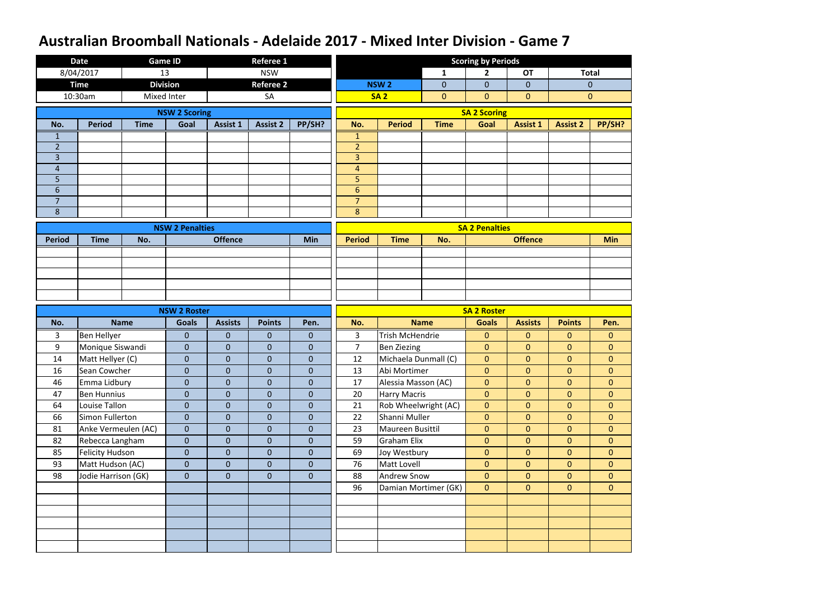|                     | <b>Date</b>            | <b>Game ID</b>  |                        |                  | <b>Referee 1</b> |                  |                     |                        |                      | <b>Scoring by Periods</b> |                 |                 |                |
|---------------------|------------------------|-----------------|------------------------|------------------|------------------|------------------|---------------------|------------------------|----------------------|---------------------------|-----------------|-----------------|----------------|
|                     | 8/04/2017              | 13              |                        |                  | <b>NSW</b>       |                  |                     |                        | $\mathbf{1}$         | $\mathbf{2}$              | <b>OT</b>       |                 | <b>Total</b>   |
|                     | <b>Time</b>            | <b>Division</b> |                        |                  | <b>Referee 2</b> |                  |                     | <b>NSW2</b>            | $\overline{0}$       | $\overline{0}$            | $\overline{0}$  |                 | $\theta$       |
|                     | 10:30am                | Mixed Inter     |                        |                  | SA               |                  |                     | <b>SA2</b>             | $\overline{0}$       | $\overline{0}$            | $\mathbf{0}$    |                 | $\mathbf{0}$   |
|                     |                        |                 | <b>NSW 2 Scoring</b>   |                  |                  |                  |                     |                        |                      | <b>SA 2 Scoring</b>       |                 |                 |                |
| No.                 | <b>Period</b>          | <b>Time</b>     | Goal                   | <b>Assist 1</b>  | <b>Assist 2</b>  | PP/SH?           | No.                 | <b>Period</b>          | <b>Time</b>          | Goal                      | <b>Assist 1</b> | <b>Assist 2</b> | PP/SH?         |
| 1                   |                        |                 |                        |                  |                  |                  | $\mathbf{1}$        |                        |                      |                           |                 |                 |                |
| $\overline{2}$      |                        |                 |                        |                  |                  |                  | $\overline{2}$      |                        |                      |                           |                 |                 |                |
| $\overline{3}$      |                        |                 |                        |                  |                  |                  | $\overline{3}$      |                        |                      |                           |                 |                 |                |
| $\overline{4}$      |                        |                 |                        |                  |                  |                  | $\overline{4}$      |                        |                      |                           |                 |                 |                |
| 5<br>$6\phantom{1}$ |                        |                 |                        |                  |                  |                  | 5<br>$6\phantom{1}$ |                        |                      |                           |                 |                 |                |
| $\overline{7}$      |                        |                 |                        |                  |                  |                  | $\overline{7}$      |                        |                      |                           |                 |                 |                |
| 8                   |                        |                 |                        |                  |                  |                  | 8                   |                        |                      |                           |                 |                 |                |
|                     |                        |                 |                        |                  |                  |                  |                     |                        |                      |                           |                 |                 |                |
| <b>Period</b>       | <b>Time</b>            | No.             | <b>NSW 2 Penalties</b> | <b>Offence</b>   |                  | <b>Min</b>       | <b>Period</b>       | <b>Time</b>            | No.                  | <b>SA 2 Penalties</b>     | <b>Offence</b>  |                 | <b>Min</b>     |
|                     |                        |                 |                        |                  |                  |                  |                     |                        |                      |                           |                 |                 |                |
|                     |                        |                 |                        |                  |                  |                  |                     |                        |                      |                           |                 |                 |                |
|                     |                        |                 |                        |                  |                  |                  |                     |                        |                      |                           |                 |                 |                |
|                     |                        |                 |                        |                  |                  |                  |                     |                        |                      |                           |                 |                 |                |
|                     |                        |                 |                        |                  |                  |                  |                     |                        |                      |                           |                 |                 |                |
|                     |                        |                 |                        |                  |                  |                  |                     |                        |                      |                           |                 |                 |                |
|                     |                        |                 | <b>NSW 2 Roster</b>    |                  |                  |                  |                     |                        |                      | <b>SA 2 Roster</b>        |                 |                 |                |
| No.                 |                        | <b>Name</b>     | <b>Goals</b>           | <b>Assists</b>   | <b>Points</b>    | Pen.             | No.                 |                        | <b>Name</b>          | <b>Goals</b>              | <b>Assists</b>  | <b>Points</b>   | Pen.           |
| 3                   | <b>Ben Hellyer</b>     |                 | $\overline{0}$         | $\mathbf{0}$     | $\mathbf{0}$     | $\mathbf{0}$     | 3                   | <b>Trish McHendrie</b> |                      | $\mathbf{0}$              | $\mathbf{0}$    | $\overline{0}$  | $\mathbf{0}$   |
| 9                   | Monique Siswandi       |                 | $\overline{0}$         | $\overline{0}$   | $\mathbf{0}$     | $\mathbf{0}$     | $\overline{7}$      | <b>Ben Ziezing</b>     |                      | $\mathbf{0}$              | $\mathbf{0}$    | $\mathbf{0}$    | $\mathbf{0}$   |
| 14                  | Matt Hellyer (C)       |                 | $\overline{0}$         | $\overline{0}$   | $\overline{0}$   | $\boldsymbol{0}$ | 12                  | Michaela Dunmall (C)   |                      | $\mathbf{0}$              | $\mathbf{0}$    | $\overline{0}$  | $\mathbf{0}$   |
| 16                  | Sean Cowcher           |                 | $\mathbf{0}$           | $\pmb{0}$        | $\overline{0}$   | $\pmb{0}$        | 13                  | Abi Mortimer           |                      | $\overline{0}$            | $\overline{0}$  | $\overline{0}$  | $\mathbf{0}$   |
| 46                  | Emma Lidbury           |                 | $\overline{0}$         | $\overline{0}$   | $\overline{0}$   | $\mathbf 0$      | 17                  | Alessia Masson (AC)    |                      | $\overline{0}$            | $\overline{0}$  | $\overline{0}$  | $\overline{0}$ |
| 47                  | <b>Ben Hunnius</b>     |                 | $\overline{0}$         | $\overline{0}$   | $\overline{0}$   | $\overline{0}$   | 20                  | <b>Harry Macris</b>    |                      | $\mathbf{0}$              | $\overline{0}$  | $\overline{0}$  | $\overline{0}$ |
| 64                  | Louise Tallon          |                 | $\overline{0}$         | $\overline{0}$   | $\overline{0}$   | $\mathbf{0}$     | 21                  | Rob Wheelwright (AC)   |                      | $\overline{0}$            | $\overline{0}$  | $\overline{0}$  | $\overline{0}$ |
| 66                  | Simon Fullerton        |                 | $\overline{0}$         | $\overline{0}$   | $\overline{0}$   | $\mathbf{0}$     | 22                  | Shanni Muller          |                      | $\overline{0}$            | $\overline{0}$  | $\overline{0}$  | $\overline{0}$ |
| 81                  | Anke Vermeulen (AC)    |                 | $\overline{0}$         | $\overline{0}$   | $\overline{0}$   | $\mathbf{0}$     | 23                  | Maureen Busittil       |                      | $\overline{0}$            | $\overline{0}$  | $\overline{0}$  | $\overline{0}$ |
| 82                  | Rebecca Langham        |                 | $\overline{0}$         | $\boldsymbol{0}$ | $\overline{0}$   | $\mathbf{0}$     | 59                  | <b>Graham Elix</b>     |                      | $\mathbf{0}$              | $\overline{0}$  | $\overline{0}$  | $\overline{0}$ |
| 85                  | <b>Felicity Hudson</b> |                 | $\overline{0}$         | $\overline{0}$   | $\overline{0}$   | $\mathbf{0}$     | 69                  | Joy Westbury           |                      | $\mathbf{0}$              | $\overline{0}$  | $\overline{0}$  | $\overline{0}$ |
| 93                  | Matt Hudson (AC)       |                 | $\overline{0}$         | $\overline{0}$   | $\overline{0}$   | $\mathbf{0}$     | 76                  | Matt Lovell            |                      | $\overline{0}$            | $\overline{0}$  | $\overline{0}$  | $\overline{0}$ |
| 98                  | Jodie Harrison (GK)    |                 | $\overline{0}$         | $\overline{0}$   | $\overline{0}$   | $\overline{0}$   | 88                  | Andrew Snow            |                      | $\overline{0}$            | $\overline{0}$  | $\overline{0}$  | $\overline{0}$ |
|                     |                        |                 |                        |                  |                  |                  | 96                  |                        | Damian Mortimer (GK) | $\overline{0}$            | $\overline{0}$  | $\overline{0}$  | $\overline{0}$ |
|                     |                        |                 |                        |                  |                  |                  |                     |                        |                      |                           |                 |                 |                |
|                     |                        |                 |                        |                  |                  |                  |                     |                        |                      |                           |                 |                 |                |
|                     |                        |                 |                        |                  |                  |                  |                     |                        |                      |                           |                 |                 |                |
|                     |                        |                 |                        |                  |                  |                  |                     |                        |                      |                           |                 |                 |                |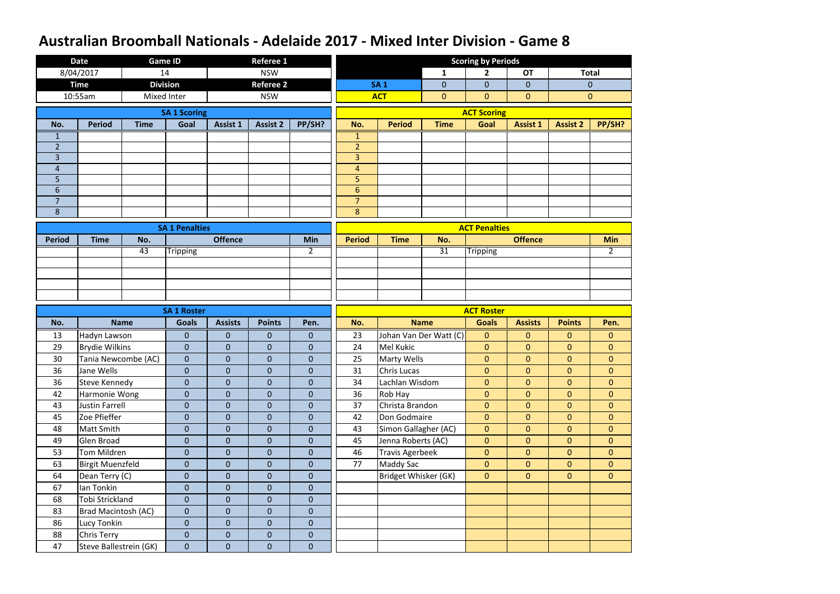|                                   | <b>Date</b>                                  |                    | <b>Game ID</b>                   |                             | <b>Referee 1</b>              |                                |                                  |                        |                        | <b>Scoring by Periods</b> |                 |                 |                |
|-----------------------------------|----------------------------------------------|--------------------|----------------------------------|-----------------------------|-------------------------------|--------------------------------|----------------------------------|------------------------|------------------------|---------------------------|-----------------|-----------------|----------------|
|                                   | 8/04/2017                                    | 14                 |                                  |                             | <b>NSW</b>                    |                                |                                  |                        | $\mathbf{1}$           | 2                         | <b>OT</b>       |                 | <b>Total</b>   |
|                                   | <b>Time</b>                                  | <b>Division</b>    |                                  |                             | <b>Referee 2</b>              |                                |                                  | <b>SA1</b>             | $\mathbf{0}$           | $\mathbf{0}$              | $\overline{0}$  |                 | $\mathbf{0}$   |
|                                   | 10:55am                                      | <b>Mixed Inter</b> |                                  |                             | <b>NSW</b>                    |                                |                                  | <b>ACT</b>             | $\mathbf{0}$           | $\mathbf{0}$              | $\mathbf{0}$    |                 | $\mathbf{0}$   |
|                                   |                                              |                    | <b>SA 1 Scoring</b>              |                             |                               |                                |                                  |                        |                        | <b>ACT Scoring</b>        |                 |                 |                |
| No.                               | <b>Period</b>                                | <b>Time</b>        | Goal                             | <b>Assist 1</b>             | <b>Assist 2</b>               | PP/SH?                         | No.                              | <b>Period</b>          | <b>Time</b>            | Goal                      | <b>Assist 1</b> | <b>Assist 2</b> | PP/SH?         |
| $\mathbf 1$                       |                                              |                    |                                  |                             |                               |                                | $\mathbf{1}$                     |                        |                        |                           |                 |                 |                |
| $\overline{2}$                    |                                              |                    |                                  |                             |                               |                                | $\overline{2}$                   |                        |                        |                           |                 |                 |                |
| $\overline{3}$                    |                                              |                    |                                  |                             |                               |                                | $\overline{3}$                   |                        |                        |                           |                 |                 |                |
| $\overline{4}$                    |                                              |                    |                                  |                             |                               |                                | $\overline{4}$                   |                        |                        |                           |                 |                 |                |
| 5                                 |                                              |                    |                                  |                             |                               |                                | 5                                |                        |                        |                           |                 |                 |                |
| $6\phantom{1}6$<br>$\overline{7}$ |                                              |                    |                                  |                             |                               |                                | $6\phantom{1}$<br>$\overline{7}$ |                        |                        |                           |                 |                 |                |
| 8                                 |                                              |                    |                                  |                             |                               |                                | 8                                |                        |                        |                           |                 |                 |                |
|                                   |                                              |                    |                                  |                             |                               |                                |                                  |                        |                        |                           |                 |                 |                |
| <b>Period</b>                     | <b>Time</b>                                  | No.                | <b>SA 1 Penalties</b>            | <b>Offence</b>              |                               | <b>Min</b>                     | <b>Period</b>                    | <b>Time</b>            | No.                    | <b>ACT Penalties</b>      | <b>Offence</b>  |                 | <b>Min</b>     |
|                                   |                                              | 43                 |                                  |                             |                               | $\overline{2}$                 |                                  |                        | $\overline{31}$        |                           |                 |                 | $2^{\circ}$    |
|                                   |                                              |                    | <b>Tripping</b>                  |                             |                               |                                |                                  |                        |                        | <b>Tripping</b>           |                 |                 |                |
|                                   |                                              |                    |                                  |                             |                               |                                |                                  |                        |                        |                           |                 |                 |                |
|                                   |                                              |                    |                                  |                             |                               |                                |                                  |                        |                        |                           |                 |                 |                |
|                                   |                                              |                    |                                  |                             |                               |                                |                                  |                        |                        |                           |                 |                 |                |
|                                   |                                              |                    | <b>SA 1 Roster</b>               |                             |                               |                                |                                  |                        |                        | <b>ACT Roster</b>         |                 |                 |                |
| No.                               |                                              | <b>Name</b>        | <b>Goals</b>                     | <b>Assists</b>              | <b>Points</b>                 | Pen.                           | No.                              |                        | <b>Name</b>            | <b>Goals</b>              | <b>Assists</b>  | <b>Points</b>   | Pen.           |
| 13                                | Hadyn Lawson                                 |                    | $\mathbf{0}$                     | $\mathbf{0}$                | $\overline{0}$                | $\mathbf{0}$                   | 23                               |                        | Johan Van Der Watt (C) | $\mathbf{0}$              | $\mathbf{0}$    | $\overline{0}$  | $\mathbf{0}$   |
| 29                                | <b>Brydie Wilkins</b>                        |                    | $\overline{0}$                   | $\overline{0}$              | $\overline{0}$                | $\theta$                       | 24                               | <b>Mel Kukic</b>       |                        | $\mathbf{0}$              | $\mathbf{0}$    | $\overline{0}$  | $\mathbf{0}$   |
| 30                                | Tania Newcombe (AC)                          |                    | $\overline{0}$                   | $\mathbf 0$                 | $\overline{0}$                | $\mathbf 0$                    | 25                               | <b>Marty Wells</b>     |                        | $\mathbf{0}$              | $\mathbf{0}$    | $\overline{0}$  | $\mathbf{0}$   |
| 36                                | Jane Wells                                   |                    | $\mathbf{0}$                     | $\pmb{0}$                   | $\overline{0}$                | 0                              | 31                               | Chris Lucas            |                        | $\mathbf{0}$              | $\mathbf{0}$    | $\mathbf{0}$    | $\mathbf{0}$   |
| 36                                | Steve Kennedy                                |                    | $\overline{0}$                   | $\mathbf{0}$                | $\overline{0}$                | $\mathbf{0}$                   | 34                               | Lachlan Wisdom         |                        | $\overline{0}$            | $\overline{0}$  | $\overline{0}$  | $\overline{0}$ |
| 42                                | Harmonie Wong                                |                    | $\overline{0}$                   | $\overline{0}$              | $\overline{0}$                | $\mathbf{0}$                   | 36                               | Rob Hay                |                        | $\mathbf{0}$              | $\mathbf{0}$    | $\overline{0}$  | $\overline{0}$ |
| 43                                | Justin Farrell                               |                    | $\overline{0}$                   | $\overline{0}$              | $\overline{0}$                | $\mathbf{0}$                   | 37                               | Christa Brandon        |                        | $\mathbf{0}$              | $\overline{0}$  | $\overline{0}$  | $\overline{0}$ |
| 45                                | Zoe Pfieffer                                 |                    | $\overline{0}$                   | $\overline{0}$              | $\overline{0}$                | $\overline{0}$                 | 42                               | Don Godmaire           |                        | $\overline{0}$            | $\overline{0}$  | $\overline{0}$  | $\overline{0}$ |
| 48                                | Matt Smith                                   |                    | $\overline{0}$                   | $\overline{0}$              | $\overline{0}$                | $\overline{0}$                 | 43                               | Simon Gallagher (AC)   |                        | $\overline{0}$            | $\overline{0}$  | $\overline{0}$  | $\overline{0}$ |
| 49                                | Glen Broad                                   |                    | $\overline{0}$                   | $\overline{0}$              | $\overline{0}$                | $\mathbf{0}$                   | 45                               | Jenna Roberts (AC)     |                        | $\overline{0}$            | $\overline{0}$  | $\overline{0}$  | $\overline{0}$ |
| 53                                | Tom Mildren                                  |                    | $\overline{0}$                   | $\overline{0}$              | $\overline{0}$                | $\overline{0}$                 | 46                               | <b>Travis Agerbeek</b> |                        | $\mathbf{0}$              | $\overline{0}$  | $\overline{0}$  | $\overline{0}$ |
| 63                                | <b>Birgit Muenzfeld</b>                      |                    | $\overline{0}$                   | $\boldsymbol{0}$            | $\overline{0}$                | $\overline{0}$                 | 77                               | <b>Maddy Sac</b>       |                        | $\overline{0}$            | $\overline{0}$  | $\overline{0}$  | $\overline{0}$ |
| 64                                | Dean Terry (C)                               |                    | $\overline{0}$                   | $\overline{0}$              | $\overline{0}$                | $\overline{0}$                 |                                  | Bridget Whisker (GK)   |                        | $\overline{0}$            | $\overline{0}$  | $\overline{0}$  | $\overline{0}$ |
|                                   |                                              |                    | $\overline{0}$                   | $\boldsymbol{0}$            | $\overline{0}$                | $\overline{0}$                 |                                  |                        |                        |                           |                 |                 |                |
| 67                                | Ian Tonkin                                   |                    |                                  |                             |                               |                                |                                  |                        |                        |                           |                 |                 |                |
| 68                                | Tobi Strickland                              |                    | $\overline{0}$                   | $\overline{0}$              | $\overline{0}$                | $\mathbf{0}$                   |                                  |                        |                        |                           |                 |                 |                |
| 83                                | Brad Macintosh (AC)                          |                    | $\overline{0}$                   | $\mathbf{0}$                | $\overline{0}$                | $\mathbf{0}$                   |                                  |                        |                        |                           |                 |                 |                |
| 86                                | Lucy Tonkin                                  |                    | $\overline{0}$                   | $\overline{0}$              | $\overline{0}$                | $\mathbf{0}$                   |                                  |                        |                        |                           |                 |                 |                |
| 88<br>47                          | <b>Chris Terry</b><br>Steve Ballestrein (GK) |                    | $\overline{0}$<br>$\overline{0}$ | $\mathbf{0}$<br>$\mathbf 0$ | $\overline{0}$<br>$\mathbf 0$ | $\mathbf{0}$<br>$\overline{0}$ |                                  |                        |                        |                           |                 |                 |                |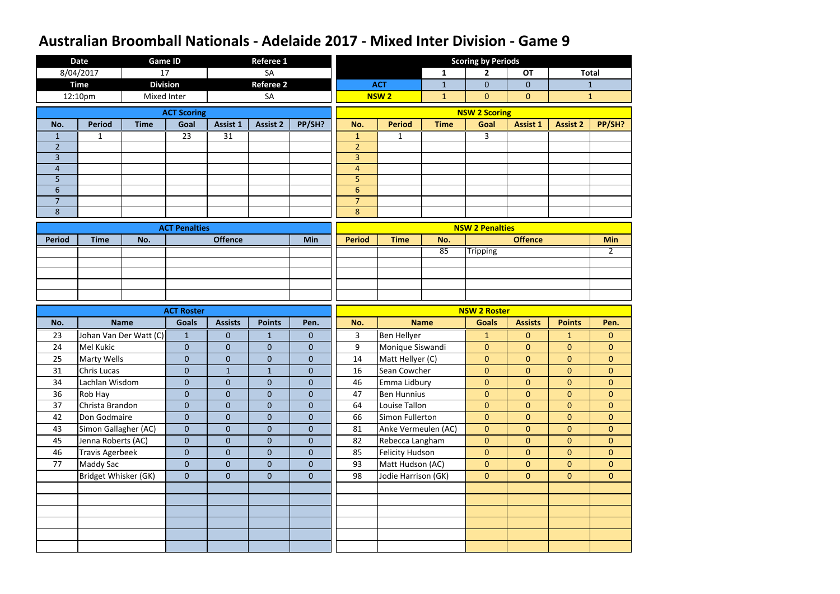|                     | <b>Date</b>            | <b>Game ID</b>         |                      |                  | <b>Referee 1</b> |                |                                  |                        |              | <b>Scoring by Periods</b> |                 |                 |                |
|---------------------|------------------------|------------------------|----------------------|------------------|------------------|----------------|----------------------------------|------------------------|--------------|---------------------------|-----------------|-----------------|----------------|
|                     | 8/04/2017              | 17                     |                      |                  | SA               |                |                                  |                        | $\mathbf{1}$ | $\overline{2}$            | <b>OT</b>       |                 | <b>Total</b>   |
|                     | <b>Time</b>            | <b>Division</b>        |                      |                  | <b>Referee 2</b> |                |                                  | <b>ACT</b>             | $\mathbf{1}$ | $\mathbf{0}$              | $\mathbf{0}$    |                 | $\mathbf{1}$   |
|                     | 12:10pm                | Mixed Inter            |                      |                  | <b>SA</b>        |                |                                  | <b>NSW2</b>            | $\mathbf{1}$ | $\mathbf{0}$              | $\mathbf{0}$    |                 | $\mathbf{1}$   |
|                     |                        |                        | <b>ACT Scoring</b>   |                  |                  |                |                                  |                        |              | <b>NSW 2 Scoring</b>      |                 |                 |                |
| No.                 | <b>Period</b>          | <b>Time</b>            | Goal                 | Assist 1         | <b>Assist 2</b>  | PP/SH?         | No.                              | <b>Period</b>          | <b>Time</b>  | Goal                      | <b>Assist 1</b> | <b>Assist 2</b> | PP/SH?         |
| 1                   | 1                      |                        | 23                   | $\overline{31}$  |                  |                | $\mathbf{1}$                     | 1                      |              | 3                         |                 |                 |                |
| $\overline{2}$      |                        |                        |                      |                  |                  |                | $\overline{2}$                   |                        |              |                           |                 |                 |                |
| $\overline{3}$      |                        |                        |                      |                  |                  |                | 3                                |                        |              |                           |                 |                 |                |
| $\overline{4}$      |                        |                        |                      |                  |                  |                | $\overline{4}$                   |                        |              |                           |                 |                 |                |
| 5                   |                        |                        |                      |                  |                  |                | 5                                |                        |              |                           |                 |                 |                |
| 6<br>$\overline{7}$ |                        |                        |                      |                  |                  |                | $6\phantom{1}$<br>$\overline{7}$ |                        |              |                           |                 |                 |                |
| 8                   |                        |                        |                      |                  |                  |                | 8                                |                        |              |                           |                 |                 |                |
|                     |                        |                        |                      |                  |                  |                |                                  |                        |              |                           |                 |                 |                |
| <b>Period</b>       | <b>Time</b>            | No.                    | <b>ACT Penalties</b> | <b>Offence</b>   |                  | <b>Min</b>     | <b>Period</b>                    | <b>Time</b>            | No.          | <b>NSW 2 Penalties</b>    | <b>Offence</b>  |                 | <b>Min</b>     |
|                     |                        |                        |                      |                  |                  |                |                                  |                        | 85           | <b>Tripping</b>           |                 |                 | $\mathbf{2}$   |
|                     |                        |                        |                      |                  |                  |                |                                  |                        |              |                           |                 |                 |                |
|                     |                        |                        |                      |                  |                  |                |                                  |                        |              |                           |                 |                 |                |
|                     |                        |                        |                      |                  |                  |                |                                  |                        |              |                           |                 |                 |                |
|                     |                        |                        |                      |                  |                  |                |                                  |                        |              |                           |                 |                 |                |
|                     |                        |                        |                      |                  |                  |                |                                  |                        |              |                           |                 |                 |                |
|                     |                        |                        | <b>ACT Roster</b>    |                  |                  |                |                                  |                        |              | <b>NSW 2 Roster</b>       |                 |                 |                |
| No.                 |                        | <b>Name</b>            | <b>Goals</b>         | <b>Assists</b>   | <b>Points</b>    | Pen.           | No.                              |                        | <b>Name</b>  | <b>Goals</b>              | <b>Assists</b>  | <b>Points</b>   | Pen.           |
| 23                  |                        | Johan Van Der Watt (C) | $\mathbf{1}$         | $\mathbf{0}$     | 1                | $\mathbf 0$    | 3                                | <b>Ben Hellyer</b>     |              | $\mathbf{1}$              | $\mathbf{0}$    | $\mathbf{1}$    | $\mathbf{0}$   |
| 24                  | <b>Mel Kukic</b>       |                        | $\mathbf{0}$         | $\overline{0}$   | $\overline{0}$   | $\mathbf{0}$   | 9                                | Monique Siswandi       |              | $\mathbf{0}$              | $\mathbf{0}$    | $\overline{0}$  | $\overline{0}$ |
| 25                  | <b>Marty Wells</b>     |                        | $\overline{0}$       | $\overline{0}$   | $\overline{0}$   | $\mathbf 0$    | 14                               | Matt Hellyer (C)       |              | $\mathbf{0}$              | $\mathbf{0}$    | $\overline{0}$  | $\mathbf{0}$   |
| 31                  | Chris Lucas            |                        | $\mathbf{0}$         | $\mathbf{1}$     | $\mathbf{1}$     | $\pmb{0}$      | 16                               | Sean Cowcher           |              | $\overline{0}$            | $\overline{0}$  | $\overline{0}$  | $\mathbf{0}$   |
| 34                  | Lachlan Wisdom         |                        | $\overline{0}$       | $\overline{0}$   | $\overline{0}$   | $\overline{0}$ | 46                               | Emma Lidbury           |              | $\overline{0}$            | $\overline{0}$  | $\overline{0}$  | $\overline{0}$ |
| 36                  | Rob Hay                |                        | $\overline{0}$       | $\overline{0}$   | $\overline{0}$   | $\overline{0}$ | 47                               | <b>Ben Hunnius</b>     |              | $\mathbf{0}$              | $\overline{0}$  | $\overline{0}$  | $\overline{0}$ |
| 37                  | Christa Brandon        |                        | $\overline{0}$       | $\overline{0}$   | $\overline{0}$   | $\overline{0}$ | 64                               | Louise Tallon          |              | $\overline{0}$            | $\overline{0}$  | $\overline{0}$  | $\overline{0}$ |
| 42                  | Don Godmaire           |                        | $\overline{0}$       | $\overline{0}$   | $\overline{0}$   | $\overline{0}$ | 66                               | Simon Fullerton        |              | $\overline{0}$            | $\overline{0}$  | $\overline{0}$  | $\overline{0}$ |
| 43                  | Simon Gallagher (AC)   |                        | $\overline{0}$       | $\overline{0}$   | $\overline{0}$   | $\overline{0}$ | 81                               | Anke Vermeulen (AC)    |              | $\overline{0}$            | $\overline{0}$  | $\overline{0}$  | $\overline{0}$ |
| 45                  | Jenna Roberts (AC)     |                        | $\overline{0}$       | $\overline{0}$   | $\overline{0}$   | $\mathbf{0}$   | 82                               | Rebecca Langham        |              | $\overline{0}$            | $\overline{0}$  | $\overline{0}$  | $\overline{0}$ |
| 46                  | <b>Travis Agerbeek</b> |                        | $\overline{0}$       | $\boldsymbol{0}$ | $\overline{0}$   | $\mathbf{0}$   | 85                               | <b>Felicity Hudson</b> |              | $\mathbf{0}$              | $\overline{0}$  | $\overline{0}$  | $\mathbf{0}$   |
| 77                  | <b>Maddy Sac</b>       |                        | $\overline{0}$       | $\overline{0}$   | $\overline{0}$   | $\overline{0}$ | 93                               | Matt Hudson (AC)       |              | $\overline{0}$            | $\overline{0}$  | $\overline{0}$  | $\overline{0}$ |
|                     | Bridget Whisker (GK)   |                        | $\overline{0}$       | $\overline{0}$   | $\overline{0}$   | $\overline{0}$ | 98                               | Jodie Harrison (GK)    |              | $\overline{0}$            | $\overline{0}$  | $\overline{0}$  | $\overline{0}$ |
|                     |                        |                        |                      |                  |                  |                |                                  |                        |              |                           |                 |                 |                |
|                     |                        |                        |                      |                  |                  |                |                                  |                        |              |                           |                 |                 |                |
|                     |                        |                        |                      |                  |                  |                |                                  |                        |              |                           |                 |                 |                |
|                     |                        |                        |                      |                  |                  |                |                                  |                        |              |                           |                 |                 |                |
|                     |                        |                        |                      |                  |                  |                |                                  |                        |              |                           |                 |                 |                |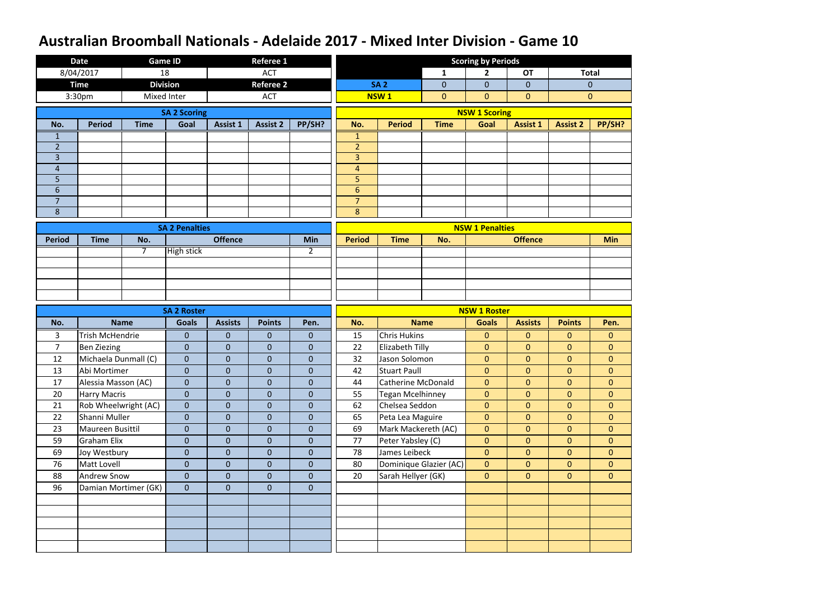|                | <b>Date</b>            |                      | <b>Game ID</b>        |                 | <b>Referee 1</b> |                  |                |                           |                        | <b>Scoring by Periods</b> |                 |                 |                |
|----------------|------------------------|----------------------|-----------------------|-----------------|------------------|------------------|----------------|---------------------------|------------------------|---------------------------|-----------------|-----------------|----------------|
|                | 8/04/2017              | 18                   |                       |                 | <b>ACT</b>       |                  |                |                           | $\mathbf{1}$           | $\mathbf{2}$              | <b>OT</b>       |                 | <b>Total</b>   |
|                | <b>Time</b>            |                      | <b>Division</b>       |                 | <b>Referee 2</b> |                  |                | <b>SA 2</b>               | $\mathbf 0$            | $\overline{0}$            | $\overline{0}$  |                 | $\theta$       |
|                | 3:30pm                 |                      | Mixed Inter           |                 | <b>ACT</b>       |                  |                | <b>NSW1</b>               | $\overline{0}$         | $\overline{0}$            | $\mathbf{0}$    |                 | $\mathbf{0}$   |
|                |                        |                      | <b>SA 2 Scoring</b>   |                 |                  |                  |                |                           |                        | <b>NSW 1 Scoring</b>      |                 |                 |                |
| No.            | <b>Period</b>          | <b>Time</b>          | Goal                  | <b>Assist 1</b> | <b>Assist 2</b>  | PP/SH?           | No.            | <b>Period</b>             | <b>Time</b>            | Goal                      | <b>Assist 1</b> | <b>Assist 2</b> | PP/SH?         |
| 1              |                        |                      |                       |                 |                  |                  | $\mathbf{1}$   |                           |                        |                           |                 |                 |                |
| $\overline{2}$ |                        |                      |                       |                 |                  |                  | $\overline{2}$ |                           |                        |                           |                 |                 |                |
| $\overline{3}$ |                        |                      |                       |                 |                  |                  | $\overline{3}$ |                           |                        |                           |                 |                 |                |
| $\overline{4}$ |                        |                      |                       |                 |                  |                  | $\overline{4}$ |                           |                        |                           |                 |                 |                |
| 5              |                        |                      |                       |                 |                  |                  | 5              |                           |                        |                           |                 |                 |                |
| $6\phantom{1}$ |                        |                      |                       |                 |                  |                  | $6\phantom{1}$ |                           |                        |                           |                 |                 |                |
| $\overline{7}$ |                        |                      |                       |                 |                  |                  | $\overline{7}$ |                           |                        |                           |                 |                 |                |
| 8              |                        |                      |                       |                 |                  |                  | 8              |                           |                        |                           |                 |                 |                |
|                |                        |                      | <b>SA 2 Penalties</b> |                 |                  |                  |                |                           |                        | <b>NSW 1 Penalties</b>    |                 |                 |                |
| <b>Period</b>  | <b>Time</b>            | No.                  |                       | <b>Offence</b>  |                  | Min              | <b>Period</b>  | <b>Time</b>               | No.                    |                           | <b>Offence</b>  |                 | <b>Min</b>     |
|                |                        | $\overline{7}$       | <b>High stick</b>     |                 |                  | 2                |                |                           |                        |                           |                 |                 |                |
|                |                        |                      |                       |                 |                  |                  |                |                           |                        |                           |                 |                 |                |
|                |                        |                      |                       |                 |                  |                  |                |                           |                        |                           |                 |                 |                |
|                |                        |                      |                       |                 |                  |                  |                |                           |                        |                           |                 |                 |                |
|                |                        |                      |                       |                 |                  |                  |                |                           |                        |                           |                 |                 |                |
|                |                        |                      |                       |                 |                  |                  |                |                           |                        |                           |                 |                 |                |
|                |                        |                      | <b>SA 2 Roster</b>    |                 |                  |                  |                |                           |                        | <b>NSW 1 Roster</b>       |                 |                 |                |
| No.            |                        | <b>Name</b>          | <b>Goals</b>          | <b>Assists</b>  | <b>Points</b>    | Pen.             | No.            |                           | <b>Name</b>            | <b>Goals</b>              | <b>Assists</b>  | <b>Points</b>   | Pen.           |
| 3              | <b>Trish McHendrie</b> |                      | $\overline{0}$        | $\mathbf{0}$    | $\mathbf{0}$     | $\mathbf{0}$     | 15             | <b>Chris Hukins</b>       |                        | $\mathbf{0}$              | $\mathbf{0}$    | $\overline{0}$  | $\mathbf{0}$   |
| $\overline{7}$ | <b>Ben Ziezing</b>     |                      | $\overline{0}$        | $\overline{0}$  | $\mathbf{0}$     | $\mathbf{0}$     | 22             | Elizabeth Tilly           |                        | $\mathbf{0}$              | $\mathbf{0}$    | $\mathbf{0}$    | $\mathbf{0}$   |
| 12             | Michaela Dunmall (C)   |                      | $\overline{0}$        | $\overline{0}$  | $\overline{0}$   | $\boldsymbol{0}$ | 32             | Jason Solomon             |                        | $\mathbf{0}$              | $\mathbf{0}$    | $\overline{0}$  | $\mathbf{0}$   |
| 13             | Abi Mortimer           |                      | $\overline{0}$        | $\pmb{0}$       | $\overline{0}$   | $\pmb{0}$        | 42             | <b>Stuart Paull</b>       |                        | $\overline{0}$            | $\overline{0}$  | $\overline{0}$  | $\mathbf{0}$   |
| 17             | Alessia Masson (AC)    |                      | $\overline{0}$        | $\overline{0}$  | $\overline{0}$   | $\mathbf 0$      | 44             | <b>Catherine McDonald</b> |                        | $\overline{0}$            | $\overline{0}$  | $\overline{0}$  | $\overline{0}$ |
| 20             | <b>Harry Macris</b>    |                      | $\overline{0}$        | $\overline{0}$  | $\overline{0}$   | $\mathbf{0}$     | 55             | <b>Tegan Mcelhinney</b>   |                        | $\mathbf{0}$              | $\overline{0}$  | $\overline{0}$  | $\overline{0}$ |
| 21             | Rob Wheelwright (AC)   |                      | $\overline{0}$        | $\overline{0}$  | $\overline{0}$   | $\mathbf{0}$     | 62             | Chelsea Seddon            |                        | $\overline{0}$            | $\overline{0}$  | $\overline{0}$  | $\overline{0}$ |
| 22             | Shanni Muller          |                      | $\overline{0}$        | $\overline{0}$  | $\overline{0}$   | $\mathbf{0}$     | 65             | Peta Lea Maguire          |                        | $\mathbf{0}$              | $\overline{0}$  | $\overline{0}$  | $\overline{0}$ |
| 23             | Maureen Busittil       |                      | $\overline{0}$        | $\overline{0}$  | $\overline{0}$   | $\overline{0}$   | 69             | Mark Mackereth (AC)       |                        | $\overline{0}$            | $\overline{0}$  | $\overline{0}$  | $\overline{0}$ |
| 59             | <b>Graham Elix</b>     |                      | $\overline{0}$        | $\mathbf 0$     | $\overline{0}$   | $\mathbf{0}$     | 77             | Peter Yabsley (C)         |                        | $\mathbf{0}$              | $\overline{0}$  | $\mathbf{0}$    | $\overline{0}$ |
| 69             | Joy Westbury           |                      | $\mathbf 0$           | $\mathbf 0$     | $\overline{0}$   | $\mathbf{0}$     | 78             | James Leibeck             |                        | $\mathbf{0}$              | $\overline{0}$  | $\overline{0}$  | $\overline{0}$ |
| 76             | Matt Lovell            |                      | $\overline{0}$        | $\overline{0}$  | $\overline{0}$   | $\mathbf{0}$     | 80             |                           | Dominique Glazier (AC) | $\overline{0}$            | $\overline{0}$  | $\overline{0}$  | $\overline{0}$ |
| 88             | <b>Andrew Snow</b>     |                      | $\overline{0}$        | $\overline{0}$  | $\overline{0}$   | $\mathbf{0}$     | 20             | Sarah Hellyer (GK)        |                        | $\overline{0}$            | $\overline{0}$  | $\overline{0}$  | $\overline{0}$ |
| 96             |                        | Damian Mortimer (GK) | $\overline{0}$        | $\overline{0}$  | $\overline{0}$   | $\mathbf{0}$     |                |                           |                        |                           |                 |                 |                |
|                |                        |                      |                       |                 |                  |                  |                |                           |                        |                           |                 |                 |                |
|                |                        |                      |                       |                 |                  |                  |                |                           |                        |                           |                 |                 |                |
|                |                        |                      |                       |                 |                  |                  |                |                           |                        |                           |                 |                 |                |
|                |                        |                      |                       |                 |                  |                  |                |                           |                        |                           |                 |                 |                |